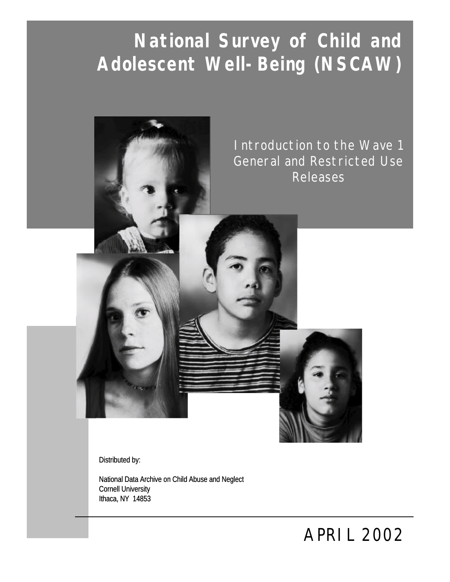# **National Survey of Child and Adolescent Well-Being (NSCAW) (NSCAW)**



Distributed by:

National Data Archive on Child Abuse and Neglect Cornell University Ithaca, NY 14853

*December 2001 APRIL 2002*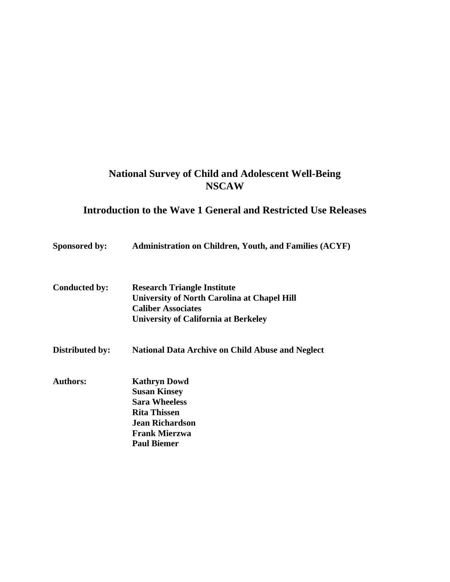# **National Survey of Child and Adolescent Well-Being NSCAW**

# **Introduction to the Wave 1 General and Restricted Use Releases**

| Sponsored by:        | <b>Administration on Children, Youth, and Families (ACYF)</b> |
|----------------------|---------------------------------------------------------------|
| <b>Conducted by:</b> | <b>Research Triangle Institute</b>                            |
|                      | <b>University of North Carolina at Chapel Hill</b>            |
|                      | <b>Caliber Associates</b>                                     |
|                      | <b>University of California at Berkeley</b>                   |
| Distributed by:      | <b>National Data Archive on Child Abuse and Neglect</b>       |
| <b>Authors:</b>      | <b>Kathryn Dowd</b>                                           |
|                      | <b>Susan Kinsey</b>                                           |
|                      | <b>Sara Wheeless</b>                                          |
|                      | <b>Rita Thissen</b>                                           |
|                      | <b>Jean Richardson</b>                                        |
|                      | <b>Frank Mierzwa</b>                                          |
|                      | <b>Paul Biemer</b>                                            |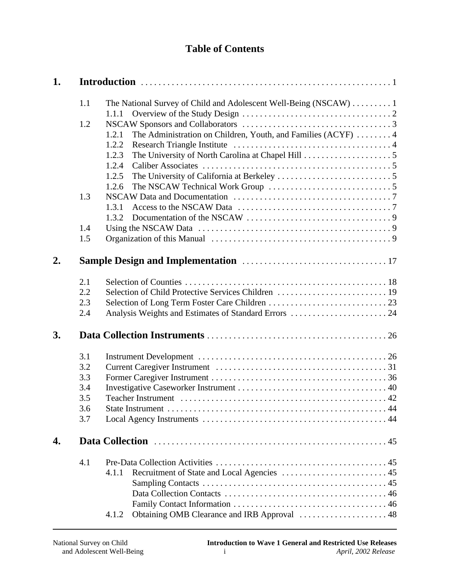# **Table of Contents**

| 1. |                                               |                                                                                 |
|----|-----------------------------------------------|---------------------------------------------------------------------------------|
|    | 1.1                                           | The National Survey of Child and Adolescent Well-Being (NSCAW)  1<br>1.1.1      |
|    | 1.2                                           | The Administration on Children, Youth, and Families (ACYF)  4<br>1.2.1<br>1.2.2 |
|    |                                               | 1.2.3<br>1.2.4<br>1.2.5                                                         |
|    | 1.3                                           | 1.2.6<br>1.3.1                                                                  |
|    | 1.4<br>1.5                                    | 1.3.2                                                                           |
| 2. |                                               |                                                                                 |
|    | 2.1<br>2.2<br>2.3<br>2.4                      |                                                                                 |
| 3. |                                               |                                                                                 |
|    | 3.1<br>3.2<br>3.3<br>3.4<br>3.5<br>3.6<br>3.7 |                                                                                 |
| 4. |                                               |                                                                                 |
|    | 4.1                                           | 4.1.1<br>Obtaining OMB Clearance and IRB Approval  48<br>4.1.2                  |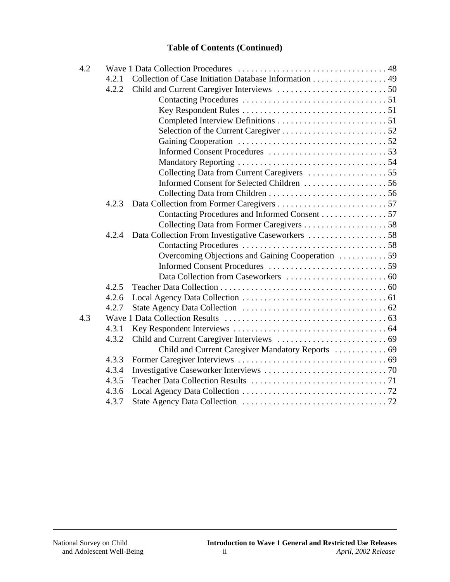### **Table of Contents (Continued)**

| 4.2 |       |                                                       |  |
|-----|-------|-------------------------------------------------------|--|
|     | 4.2.1 | Collection of Case Initiation Database Information 49 |  |
|     | 4.2.2 |                                                       |  |
|     |       |                                                       |  |
|     |       |                                                       |  |
|     |       |                                                       |  |
|     |       |                                                       |  |
|     |       |                                                       |  |
|     |       |                                                       |  |
|     |       |                                                       |  |
|     |       |                                                       |  |
|     |       |                                                       |  |
|     |       |                                                       |  |
|     | 4.2.3 |                                                       |  |
|     |       | Contacting Procedures and Informed Consent 57         |  |
|     |       |                                                       |  |
|     | 4.2.4 |                                                       |  |
|     |       |                                                       |  |
|     |       | Overcoming Objections and Gaining Cooperation 59      |  |
|     |       |                                                       |  |
|     |       |                                                       |  |
|     | 4.2.5 |                                                       |  |
|     | 4.2.6 |                                                       |  |
|     | 4.2.7 |                                                       |  |
| 4.3 |       |                                                       |  |
|     | 4.3.1 |                                                       |  |
|     | 4.3.2 |                                                       |  |
|     |       |                                                       |  |
|     | 4.3.3 |                                                       |  |
|     | 4.3.4 |                                                       |  |
|     | 4.3.5 |                                                       |  |
|     | 4.3.6 |                                                       |  |
|     | 4.3.7 |                                                       |  |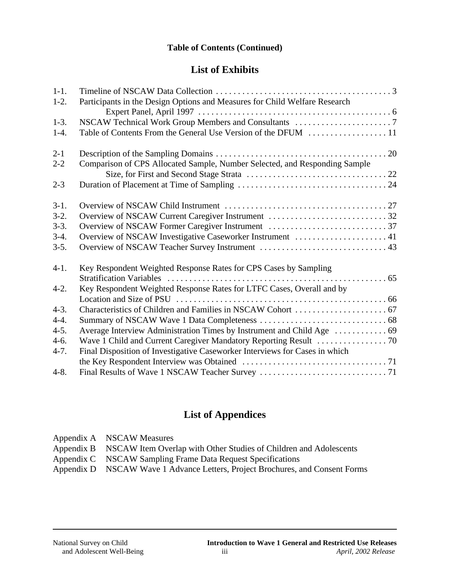### **Table of Contents (Continued)**

# **List of Exhibits**

| $1-1.$    |                                                                             |  |
|-----------|-----------------------------------------------------------------------------|--|
| $1-2.$    | Participants in the Design Options and Measures for Child Welfare Research  |  |
| $1-3.$    |                                                                             |  |
|           |                                                                             |  |
| $1-4.$    |                                                                             |  |
| $2 - 1$   |                                                                             |  |
| $2 - 2$   | Comparison of CPS Allocated Sample, Number Selected, and Responding Sample  |  |
|           |                                                                             |  |
| $2 - 3$   |                                                                             |  |
| $3-1.$    |                                                                             |  |
| $3-2.$    |                                                                             |  |
| $3-3.$    |                                                                             |  |
| $3-4.$    | Overview of NSCAW Investigative Caseworker Instrument  41                   |  |
| $3-5.$    |                                                                             |  |
| $4-1.$    | Key Respondent Weighted Response Rates for CPS Cases by Sampling            |  |
|           |                                                                             |  |
| $4-2.$    | Key Respondent Weighted Response Rates for LTFC Cases, Overall and by       |  |
|           |                                                                             |  |
| $4-3.$    |                                                                             |  |
| $4-4.$    |                                                                             |  |
| $4 - 5.$  | Average Interview Administration Times by Instrument and Child Age  69      |  |
| $4-6.$    |                                                                             |  |
| $4 - 7.$  | Final Disposition of Investigative Caseworker Interviews for Cases in which |  |
|           |                                                                             |  |
| $4 - 8$ . |                                                                             |  |

# **List of Appendices**

| Appendix A NSCAW Measures                                                     |
|-------------------------------------------------------------------------------|
| Appendix B NSCAW Item Overlap with Other Studies of Children and Adolescents  |
| Appendix C NSCAW Sampling Frame Data Request Specifications                   |
| Appendix D NSCAW Wave 1 Advance Letters, Project Brochures, and Consent Forms |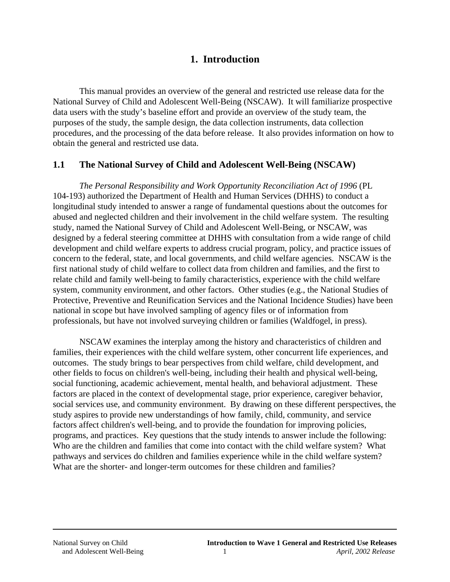# **1. Introduction**

This manual provides an overview of the general and restricted use release data for the National Survey of Child and Adolescent Well-Being (NSCAW). It will familiarize prospective data users with the study's baseline effort and provide an overview of the study team, the purposes of the study, the sample design, the data collection instruments, data collection procedures, and the processing of the data before release. It also provides information on how to obtain the general and restricted use data.

### **1.1 The National Survey of Child and Adolescent Well-Being (NSCAW)**

*The Personal Responsibility and Work Opportunity Reconciliation Act of 1996* (PL 104-193) authorized the Department of Health and Human Services (DHHS) to conduct a longitudinal study intended to answer a range of fundamental questions about the outcomes for abused and neglected children and their involvement in the child welfare system. The resulting study, named the National Survey of Child and Adolescent Well-Being, or NSCAW, was designed by a federal steering committee at DHHS with consultation from a wide range of child development and child welfare experts to address crucial program, policy, and practice issues of concern to the federal, state, and local governments, and child welfare agencies. NSCAW is the first national study of child welfare to collect data from children and families, and the first to relate child and family well-being to family characteristics, experience with the child welfare system, community environment, and other factors. Other studies (e.g., the National Studies of Protective, Preventive and Reunification Services and the National Incidence Studies) have been national in scope but have involved sampling of agency files or of information from professionals, but have not involved surveying children or families (Waldfogel, in press).

NSCAW examines the interplay among the history and characteristics of children and families, their experiences with the child welfare system, other concurrent life experiences, and outcomes. The study brings to bear perspectives from child welfare, child development, and other fields to focus on children's well-being, including their health and physical well-being, social functioning, academic achievement, mental health, and behavioral adjustment. These factors are placed in the context of developmental stage, prior experience, caregiver behavior, social services use, and community environment. By drawing on these different perspectives, the study aspires to provide new understandings of how family, child, community, and service factors affect children's well-being, and to provide the foundation for improving policies, programs, and practices. Key questions that the study intends to answer include the following: Who are the children and families that come into contact with the child welfare system? What pathways and services do children and families experience while in the child welfare system? What are the shorter- and longer-term outcomes for these children and families?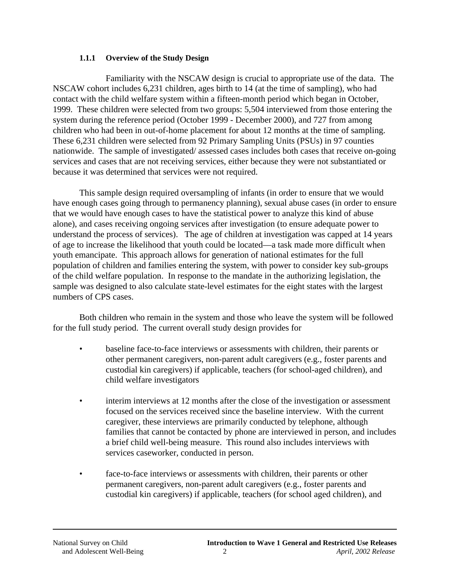#### **1.1.1 Overview of the Study Design**

Familiarity with the NSCAW design is crucial to appropriate use of the data. The NSCAW cohort includes 6,231 children, ages birth to 14 (at the time of sampling), who had contact with the child welfare system within a fifteen-month period which began in October, 1999. These children were selected from two groups: 5,504 interviewed from those entering the system during the reference period (October 1999 - December 2000), and 727 from among children who had been in out-of-home placement for about 12 months at the time of sampling. These 6,231 children were selected from 92 Primary Sampling Units (PSUs) in 97 counties nationwide. The sample of investigated/ assessed cases includes both cases that receive on-going services and cases that are not receiving services, either because they were not substantiated or because it was determined that services were not required.

This sample design required oversampling of infants (in order to ensure that we would have enough cases going through to permanency planning), sexual abuse cases (in order to ensure that we would have enough cases to have the statistical power to analyze this kind of abuse alone), and cases receiving ongoing services after investigation (to ensure adequate power to understand the process of services). The age of children at investigation was capped at 14 years of age to increase the likelihood that youth could be located—a task made more difficult when youth emancipate. This approach allows for generation of national estimates for the full population of children and families entering the system, with power to consider key sub-groups of the child welfare population. In response to the mandate in the authorizing legislation, the sample was designed to also calculate state-level estimates for the eight states with the largest numbers of CPS cases.

Both children who remain in the system and those who leave the system will be followed for the full study period. The current overall study design provides for

- baseline face-to-face interviews or assessments with children, their parents or other permanent caregivers, non-parent adult caregivers (e.g., foster parents and custodial kin caregivers) if applicable, teachers (for school-aged children), and child welfare investigators
- interim interviews at 12 months after the close of the investigation or assessment focused on the services received since the baseline interview. With the current caregiver, these interviews are primarily conducted by telephone, although families that cannot be contacted by phone are interviewed in person, and includes a brief child well-being measure. This round also includes interviews with services caseworker, conducted in person.
- face-to-face interviews or assessments with children, their parents or other permanent caregivers, non-parent adult caregivers (e.g., foster parents and custodial kin caregivers) if applicable, teachers (for school aged children), and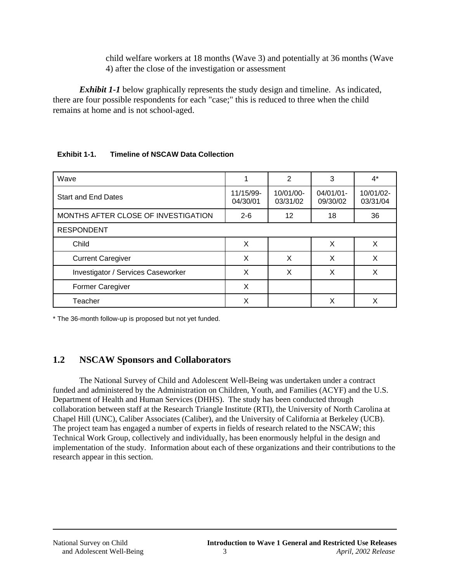child welfare workers at 18 months (Wave 3) and potentially at 36 months (Wave 4) after the close of the investigation or assessment

*Exhibit 1-1* below graphically represents the study design and timeline. As indicated, there are four possible respondents for each "case;" this is reduced to three when the child remains at home and is not school-aged.

#### **Exhibit 1-1. Timeline of NSCAW Data Collection**

| Wave                                |                       | 2                     | 3                     | $4^*$                 |
|-------------------------------------|-----------------------|-----------------------|-----------------------|-----------------------|
| <b>Start and End Dates</b>          | 11/15/99-<br>04/30/01 | 10/01/00-<br>03/31/02 | 04/01/01-<br>09/30/02 | 10/01/02-<br>03/31/04 |
| MONTHS AFTER CLOSE OF INVESTIGATION | $2 - 6$               | 12                    | 18                    | 36                    |
| <b>RESPONDENT</b>                   |                       |                       |                       |                       |
| Child                               | X                     |                       | X                     | X                     |
| <b>Current Caregiver</b>            | X                     | X                     | X                     | X                     |
| Investigator / Services Caseworker  | X                     | X                     | X                     | X                     |
| <b>Former Caregiver</b>             | X                     |                       |                       |                       |
| Teacher                             | Х                     |                       | X                     | х                     |

\* The 36-month follow-up is proposed but not yet funded.

# **1.2 NSCAW Sponsors and Collaborators**

The National Survey of Child and Adolescent Well-Being was undertaken under a contract funded and administered by the Administration on Children, Youth, and Families (ACYF) and the U.S. Department of Health and Human Services (DHHS). The study has been conducted through collaboration between staff at the Research Triangle Institute (RTI), the University of North Carolina at Chapel Hill (UNC), Caliber Associates (Caliber), and the University of California at Berkeley (UCB). The project team has engaged a number of experts in fields of research related to the NSCAW; this Technical Work Group, collectively and individually, has been enormously helpful in the design and implementation of the study. Information about each of these organizations and their contributions to the research appear in this section.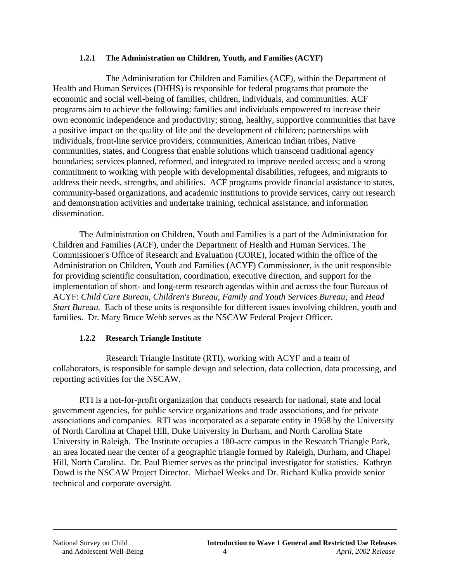#### **1.2.1 The Administration on Children, Youth, and Families (ACYF)**

The Administration for Children and Families (ACF), within the Department of Health and Human Services (DHHS) is responsible for federal programs that promote the economic and social well-being of families, children, individuals, and communities. ACF programs aim to achieve the following: families and individuals empowered to increase their own economic independence and productivity; strong, healthy, supportive communities that have a positive impact on the quality of life and the development of children; partnerships with individuals, front-line service providers, communities, American Indian tribes, Native communities, states, and Congress that enable solutions which transcend traditional agency boundaries; services planned, reformed, and integrated to improve needed access; and a strong commitment to working with people with developmental disabilities, refugees, and migrants to address their needs, strengths, and abilities. ACF programs provide financial assistance to states, community-based organizations, and academic institutions to provide services, carry out research and demonstration activities and undertake training, technical assistance, and information dissemination.

The Administration on Children, Youth and Families is a part of the Administration for Children and Families (ACF), under the Department of Health and Human Services. The Commissioner's Office of Research and Evaluation (CORE), located within the office of the Administration on Children, Youth and Families (ACYF) Commissioner, is the unit responsible for providing scientific consultation, coordination, executive direction, and support for the implementation of short- and long-term research agendas within and across the four Bureaus of ACYF: *Child Care Bureau, Children's Bureau, Family and Youth Services Bureau;* and *Head Start Bureau.* Each of these units is responsible for different issues involving children, youth and families. Dr. Mary Bruce Webb serves as the NSCAW Federal Project Officer.

#### **1.2.2 Research Triangle Institute**

Research Triangle Institute (RTI), working with ACYF and a team of collaborators, is responsible for sample design and selection, data collection, data processing, and reporting activities for the NSCAW.

RTI is a not-for-profit organization that conducts research for national, state and local government agencies, for public service organizations and trade associations, and for private associations and companies. RTI was incorporated as a separate entity in 1958 by the University of North Carolina at Chapel Hill, Duke University in Durham, and North Carolina State University in Raleigh. The Institute occupies a 180-acre campus in the Research Triangle Park, an area located near the center of a geographic triangle formed by Raleigh, Durham, and Chapel Hill, North Carolina. Dr. Paul Biemer serves as the principal investigator for statistics. Kathryn Dowd is the NSCAW Project Director. Michael Weeks and Dr. Richard Kulka provide senior technical and corporate oversight.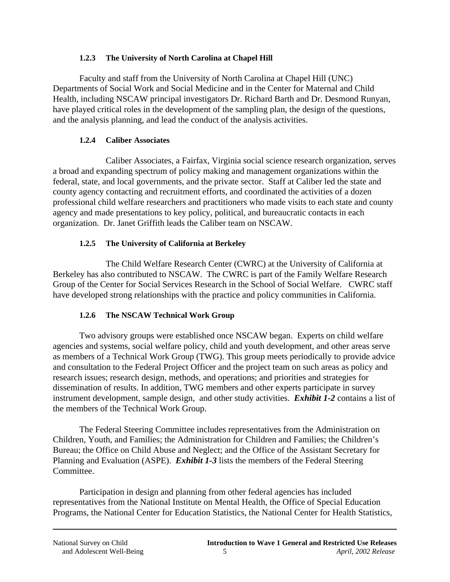#### **1.2.3 The University of North Carolina at Chapel Hill**

Faculty and staff from the University of North Carolina at Chapel Hill (UNC) Departments of Social Work and Social Medicine and in the Center for Maternal and Child Health, including NSCAW principal investigators Dr. Richard Barth and Dr. Desmond Runyan, have played critical roles in the development of the sampling plan, the design of the questions, and the analysis planning, and lead the conduct of the analysis activities.

### **1.2.4 Caliber Associates**

Caliber Associates, a Fairfax, Virginia social science research organization, serves a broad and expanding spectrum of policy making and management organizations within the federal, state, and local governments, and the private sector. Staff at Caliber led the state and county agency contacting and recruitment efforts, and coordinated the activities of a dozen professional child welfare researchers and practitioners who made visits to each state and county agency and made presentations to key policy, political, and bureaucratic contacts in each organization. Dr. Janet Griffith leads the Caliber team on NSCAW.

### **1.2.5 The University of California at Berkeley**

The Child Welfare Research Center (CWRC) at the University of California at Berkeley has also contributed to NSCAW. The CWRC is part of the Family Welfare Research Group of the Center for Social Services Research in the School of Social Welfare. CWRC staff have developed strong relationships with the practice and policy communities in California.

#### **1.2.6 The NSCAW Technical Work Group**

Two advisory groups were established once NSCAW began. Experts on child welfare agencies and systems, social welfare policy, child and youth development, and other areas serve as members of a Technical Work Group (TWG). This group meets periodically to provide advice and consultation to the Federal Project Officer and the project team on such areas as policy and research issues; research design, methods, and operations; and priorities and strategies for dissemination of results. In addition, TWG members and other experts participate in survey instrument development, sample design, and other study activities. *Exhibit 1-2* contains a list of the members of the Technical Work Group.

The Federal Steering Committee includes representatives from the Administration on Children, Youth, and Families; the Administration for Children and Families; the Children's Bureau; the Office on Child Abuse and Neglect; and the Office of the Assistant Secretary for Planning and Evaluation (ASPE). *Exhibit 1-3* lists the members of the Federal Steering Committee.

Participation in design and planning from other federal agencies has included representatives from the National Institute on Mental Health, the Office of Special Education Programs, the National Center for Education Statistics, the National Center for Health Statistics,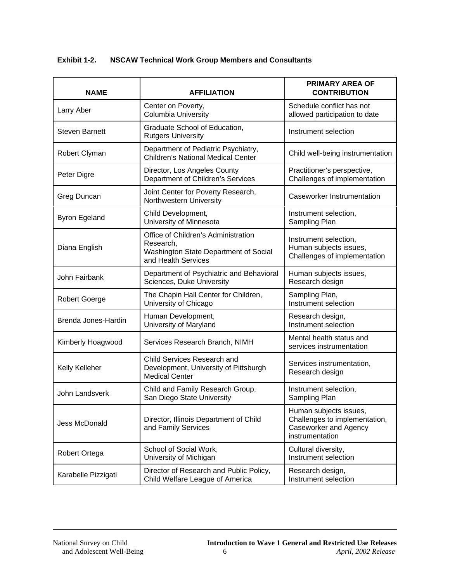**Exhibit 1-2. NSCAW Technical Work Group Members and Consultants** 

| <b>NAME</b>           | <b>AFFILIATION</b>                                                                                               | <b>PRIMARY AREA OF</b><br><b>CONTRIBUTION</b>                                                              |
|-----------------------|------------------------------------------------------------------------------------------------------------------|------------------------------------------------------------------------------------------------------------|
| Larry Aber            | Center on Poverty,<br><b>Columbia University</b>                                                                 | Schedule conflict has not<br>allowed participation to date                                                 |
| <b>Steven Barnett</b> | Graduate School of Education,<br><b>Rutgers University</b>                                                       | Instrument selection                                                                                       |
| Robert Clyman         | Department of Pediatric Psychiatry,<br><b>Children's National Medical Center</b>                                 | Child well-being instrumentation                                                                           |
| Peter Digre           | Director, Los Angeles County<br>Department of Children's Services                                                | Practitioner's perspective,<br>Challenges of implementation                                                |
| Greg Duncan           | Joint Center for Poverty Research,<br>Northwestern University                                                    | Caseworker Instrumentation                                                                                 |
| <b>Byron Egeland</b>  | Child Development,<br>University of Minnesota                                                                    | Instrument selection,<br>Sampling Plan                                                                     |
| Diana English         | Office of Children's Administration<br>Research,<br>Washington State Department of Social<br>and Health Services | Instrument selection,<br>Human subjects issues,<br>Challenges of implementation                            |
| John Fairbank         | Department of Psychiatric and Behavioral<br>Sciences, Duke University                                            | Human subjects issues,<br>Research design                                                                  |
| <b>Robert Goerge</b>  | The Chapin Hall Center for Children,<br>University of Chicago                                                    | Sampling Plan,<br>Instrument selection                                                                     |
| Brenda Jones-Hardin   | Human Development,<br>University of Maryland                                                                     | Research design,<br>Instrument selection                                                                   |
| Kimberly Hoagwood     | Services Research Branch, NIMH                                                                                   | Mental health status and<br>services instrumentation                                                       |
| Kelly Kelleher        | Child Services Research and<br>Development, University of Pittsburgh<br><b>Medical Center</b>                    | Services instrumentation,<br>Research design                                                               |
| John Landsverk        | Child and Family Research Group,<br>San Diego State University                                                   | Instrument selection,<br>Sampling Plan                                                                     |
| Jess McDonald         | Director, Illinois Department of Child<br>and Family Services                                                    | Human subjects issues,<br>Challenges to implementation,<br><b>Caseworker and Agency</b><br>instrumentation |
| Robert Ortega         | School of Social Work,<br>University of Michigan                                                                 | Cultural diversity,<br>Instrument selection                                                                |
| Karabelle Pizzigati   | Director of Research and Public Policy,<br>Child Welfare League of America                                       | Research design,<br>Instrument selection                                                                   |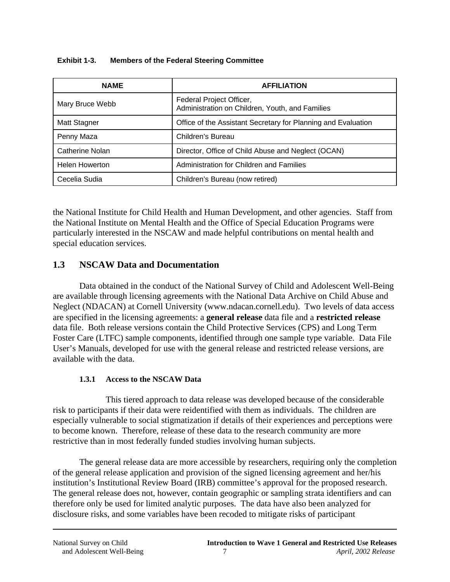| <b>NAME</b>            | <b>AFFILIATION</b>                                                          |
|------------------------|-----------------------------------------------------------------------------|
| Mary Bruce Webb        | Federal Project Officer,<br>Administration on Children, Youth, and Families |
| Matt Stagner           | Office of the Assistant Secretary for Planning and Evaluation               |
| Penny Maza             | Children's Bureau                                                           |
| <b>Catherine Nolan</b> | Director, Office of Child Abuse and Neglect (OCAN)                          |
| <b>Helen Howerton</b>  | Administration for Children and Families                                    |
| Cecelia Sudia          | Children's Bureau (now retired)                                             |

| <b>Members of the Federal Steering Committee</b> | Exhibit 1-3. |  |  |  |  |  |
|--------------------------------------------------|--------------|--|--|--|--|--|
|--------------------------------------------------|--------------|--|--|--|--|--|

the National Institute for Child Health and Human Development, and other agencies. Staff from the National Institute on Mental Health and the Office of Special Education Programs were particularly interested in the NSCAW and made helpful contributions on mental health and special education services.

### **1.3 NSCAW Data and Documentation**

Data obtained in the conduct of the National Survey of Child and Adolescent Well-Being are available through licensing agreements with the National Data Archive on Child Abuse and Neglect (NDACAN) at Cornell University (www.ndacan.cornell.edu). Two levels of data access are specified in the licensing agreements: a **general release** data file and a **restricted release**  data file. Both release versions contain the Child Protective Services (CPS) and Long Term Foster Care (LTFC) sample components, identified through one sample type variable. Data File User's Manuals, developed for use with the general release and restricted release versions, are available with the data.

#### **1.3.1 Access to the NSCAW Data**

This tiered approach to data release was developed because of the considerable risk to participants if their data were reidentified with them as individuals. The children are especially vulnerable to social stigmatization if details of their experiences and perceptions were to become known. Therefore, release of these data to the research community are more restrictive than in most federally funded studies involving human subjects.

The general release data are more accessible by researchers, requiring only the completion of the general release application and provision of the signed licensing agreement and her/his institution's Institutional Review Board (IRB) committee's approval for the proposed research. The general release does not, however, contain geographic or sampling strata identifiers and can therefore only be used for limited analytic purposes. The data have also been analyzed for disclosure risks, and some variables have been recoded to mitigate risks of participant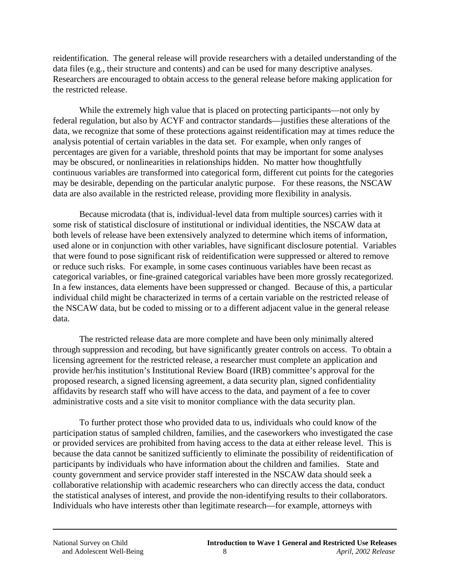reidentification. The general release will provide researchers with a detailed understanding of the data files (e.g., their structure and contents) and can be used for many descriptive analyses. Researchers are encouraged to obtain access to the general release before making application for the restricted release.

While the extremely high value that is placed on protecting participants—not only by federal regulation, but also by ACYF and contractor standards—justifies these alterations of the data, we recognize that some of these protections against reidentification may at times reduce the analysis potential of certain variables in the data set. For example, when only ranges of percentages are given for a variable, threshold points that may be important for some analyses may be obscured, or nonlinearities in relationships hidden. No matter how thoughtfully continuous variables are transformed into categorical form, different cut points for the categories may be desirable, depending on the particular analytic purpose. For these reasons, the NSCAW data are also available in the restricted release, providing more flexibility in analysis.

Because microdata (that is, individual-level data from multiple sources) carries with it some risk of statistical disclosure of institutional or individual identities, the NSCAW data at both levels of release have been extensively analyzed to determine which items of information, used alone or in conjunction with other variables, have significant disclosure potential. Variables that were found to pose significant risk of reidentification were suppressed or altered to remove or reduce such risks. For example, in some cases continuous variables have been recast as categorical variables, or fine-grained categorical variables have been more grossly recategorized. In a few instances, data elements have been suppressed or changed. Because of this, a particular individual child might be characterized in terms of a certain variable on the restricted release of the NSCAW data, but be coded to missing or to a different adjacent value in the general release data.

The restricted release data are more complete and have been only minimally altered through suppression and recoding, but have significantly greater controls on access. To obtain a licensing agreement for the restricted release, a researcher must complete an application and provide her/his institution's Institutional Review Board (IRB) committee's approval for the proposed research, a signed licensing agreement, a data security plan, signed confidentiality affidavits by research staff who will have access to the data, and payment of a fee to cover administrative costs and a site visit to monitor compliance with the data security plan.

To further protect those who provided data to us, individuals who could know of the participation status of sampled children, families, and the caseworkers who investigated the case or provided services are prohibited from having access to the data at either release level. This is because the data cannot be sanitized sufficiently to eliminate the possibility of reidentification of participants by individuals who have information about the children and families. State and county government and service provider staff interested in the NSCAW data should seek a collaborative relationship with academic researchers who can directly access the data, conduct the statistical analyses of interest, and provide the non-identifying results to their collaborators. Individuals who have interests other than legitimate research—for example, attorneys with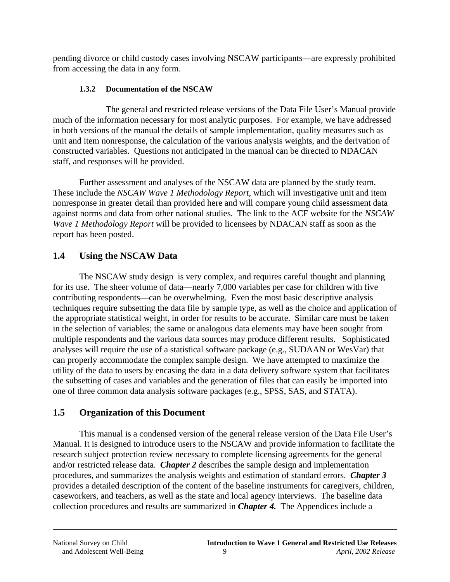pending divorce or child custody cases involving NSCAW participants—are expressly prohibited from accessing the data in any form.

### **1.3.2 Documentation of the NSCAW**

The general and restricted release versions of the Data File User's Manual provide much of the information necessary for most analytic purposes. For example, we have addressed in both versions of the manual the details of sample implementation, quality measures such as unit and item nonresponse, the calculation of the various analysis weights, and the derivation of constructed variables. Questions not anticipated in the manual can be directed to NDACAN staff, and responses will be provided.

Further assessment and analyses of the NSCAW data are planned by the study team. These include the *NSCAW Wave 1 Methodology Report*, which will investigative unit and item nonresponse in greater detail than provided here and will compare young child assessment data against norms and data from other national studies. The link to the ACF website for the *NSCAW Wave 1 Methodology Report* will be provided to licensees by NDACAN staff as soon as the report has been posted.

# **1.4 Using the NSCAW Data**

The NSCAW study design is very complex, and requires careful thought and planning for its use. The sheer volume of data—nearly 7,000 variables per case for children with five contributing respondents—can be overwhelming. Even the most basic descriptive analysis techniques require subsetting the data file by sample type, as well as the choice and application of the appropriate statistical weight, in order for results to be accurate. Similar care must be taken in the selection of variables; the same or analogous data elements may have been sought from multiple respondents and the various data sources may produce different results. Sophisticated analyses will require the use of a statistical software package (e.g., SUDAAN or WesVar) that can properly accommodate the complex sample design. We have attempted to maximize the utility of the data to users by encasing the data in a data delivery software system that facilitates the subsetting of cases and variables and the generation of files that can easily be imported into one of three common data analysis software packages (e.g., SPSS, SAS, and STATA).

# **1.5 Organization of this Document**

This manual is a condensed version of the general release version of the Data File User's Manual. It is designed to introduce users to the NSCAW and provide information to facilitate the research subject protection review necessary to complete licensing agreements for the general and/or restricted release data. *Chapter 2* describes the sample design and implementation procedures, and summarizes the analysis weights and estimation of standard errors. *Chapter 3*  provides a detailed description of the content of the baseline instruments for caregivers, children, caseworkers, and teachers, as well as the state and local agency interviews. The baseline data collection procedures and results are summarized in *Chapter 4.* The Appendices include a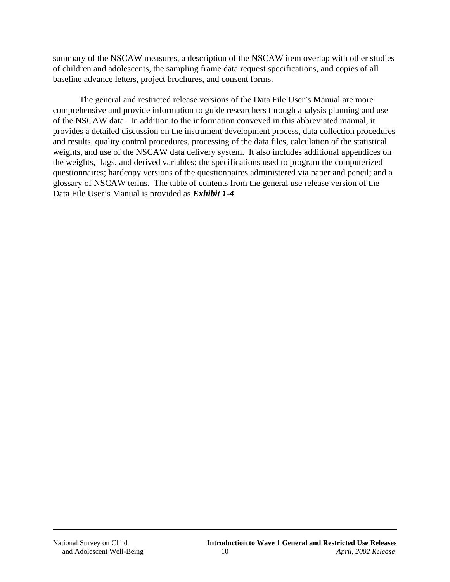summary of the NSCAW measures, a description of the NSCAW item overlap with other studies of children and adolescents, the sampling frame data request specifications, and copies of all baseline advance letters, project brochures, and consent forms.

The general and restricted release versions of the Data File User's Manual are more comprehensive and provide information to guide researchers through analysis planning and use of the NSCAW data. In addition to the information conveyed in this abbreviated manual, it provides a detailed discussion on the instrument development process, data collection procedures and results, quality control procedures, processing of the data files, calculation of the statistical weights, and use of the NSCAW data delivery system. It also includes additional appendices on the weights, flags, and derived variables; the specifications used to program the computerized questionnaires; hardcopy versions of the questionnaires administered via paper and pencil; and a glossary of NSCAW terms. The table of contents from the general use release version of the Data File User's Manual is provided as *Exhibit 1-4*.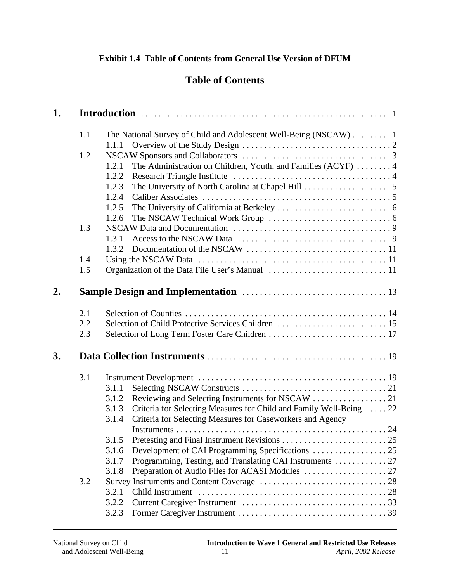# **Table of Contents**

| 1. |     |                                                                              |
|----|-----|------------------------------------------------------------------------------|
|    | 1.1 | The National Survey of Child and Adolescent Well-Being (NSCAW)  1            |
|    |     | 1.1.1                                                                        |
|    | 1.2 |                                                                              |
|    |     | The Administration on Children, Youth, and Families (ACYF)  4<br>1.2.1       |
|    |     | 1.2.2                                                                        |
|    |     | 1.2.3                                                                        |
|    |     | 1.2.4                                                                        |
|    |     | 1.2.5                                                                        |
|    |     | 1.2.6                                                                        |
|    | 1.3 |                                                                              |
|    |     | 1.3.1                                                                        |
|    |     | 1.3.2                                                                        |
|    | 1.4 |                                                                              |
|    | 1.5 |                                                                              |
| 2. |     |                                                                              |
|    | 2.1 |                                                                              |
|    | 2.2 |                                                                              |
|    | 2.3 |                                                                              |
| 3. |     |                                                                              |
|    | 3.1 |                                                                              |
|    |     | 3.1.1                                                                        |
|    |     | 3.1.2                                                                        |
|    |     | Criteria for Selecting Measures for Child and Family Well-Being  22<br>3.1.3 |
|    |     | Criteria for Selecting Measures for Caseworkers and Agency<br>3.1.4          |
|    |     |                                                                              |
|    |     | 3.1.5                                                                        |
|    |     | 3.1.6                                                                        |
|    |     | Programming, Testing, and Translating CAI Instruments  27<br>3.1.7           |
|    |     | Preparation of Audio Files for ACASI Modules  27<br>3.1.8                    |
|    | 3.2 |                                                                              |
|    |     | 3.2.1                                                                        |
|    |     | 3.2.2                                                                        |
|    |     | 3.2.3                                                                        |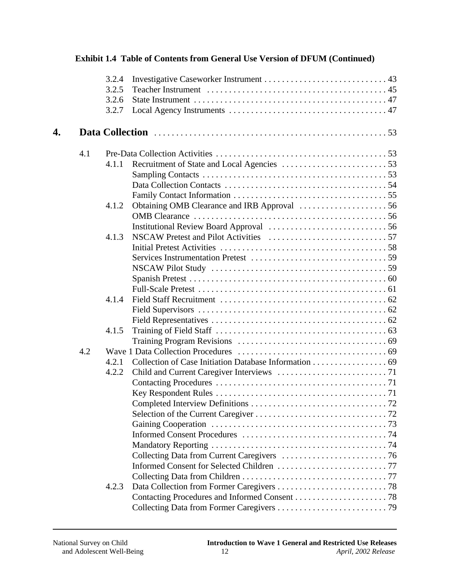|    |     | 3.2.4 |  |
|----|-----|-------|--|
|    |     | 3.2.5 |  |
|    |     | 3.2.6 |  |
|    |     | 3.2.7 |  |
| 4. |     |       |  |
|    | 4.1 |       |  |
|    |     | 4.1.1 |  |
|    |     |       |  |
|    |     |       |  |
|    |     |       |  |
|    |     | 4.1.2 |  |
|    |     |       |  |
|    |     |       |  |
|    |     | 4.1.3 |  |
|    |     |       |  |
|    |     |       |  |
|    |     |       |  |
|    |     |       |  |
|    |     |       |  |
|    |     | 4.1.4 |  |
|    |     |       |  |
|    |     |       |  |
|    |     | 4.1.5 |  |
|    |     |       |  |
|    | 4.2 |       |  |
|    |     | 4.2.1 |  |
|    |     | 4.2.2 |  |
|    |     |       |  |
|    |     |       |  |
|    |     |       |  |
|    |     |       |  |
|    |     |       |  |
|    |     |       |  |
|    |     |       |  |
|    |     |       |  |
|    |     |       |  |
|    |     |       |  |
|    |     | 4.2.3 |  |
|    |     |       |  |
|    |     |       |  |
|    |     |       |  |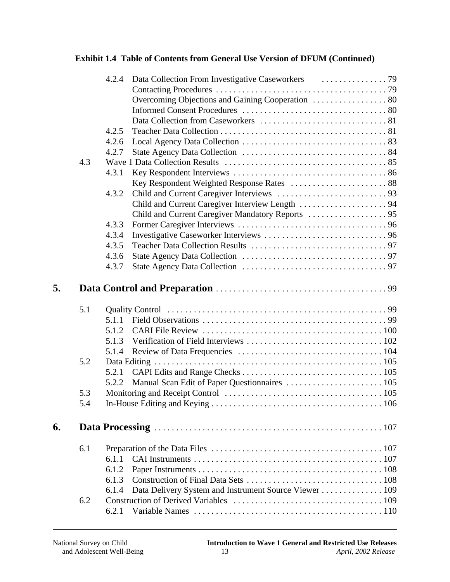|    |     | 4.2.4 |                                                       |  |
|----|-----|-------|-------------------------------------------------------|--|
|    |     |       |                                                       |  |
|    |     |       | Overcoming Objections and Gaining Cooperation  80     |  |
|    |     |       |                                                       |  |
|    |     |       |                                                       |  |
|    |     | 4.2.5 |                                                       |  |
|    |     | 4.2.6 |                                                       |  |
|    |     | 4.2.7 |                                                       |  |
|    | 4.3 |       |                                                       |  |
|    |     | 4.3.1 |                                                       |  |
|    |     |       | Key Respondent Weighted Response Rates  88            |  |
|    |     | 4.3.2 |                                                       |  |
|    |     |       |                                                       |  |
|    |     |       |                                                       |  |
|    |     | 4.3.3 |                                                       |  |
|    |     | 4.3.4 |                                                       |  |
|    |     | 4.3.5 |                                                       |  |
|    |     | 4.3.6 |                                                       |  |
|    |     | 4.3.7 |                                                       |  |
| 5. |     |       |                                                       |  |
|    | 5.1 |       |                                                       |  |
|    |     | 5.1.1 |                                                       |  |
|    |     | 5.1.2 |                                                       |  |
|    |     | 5.1.3 |                                                       |  |
|    |     | 5.1.4 |                                                       |  |
|    | 5.2 |       |                                                       |  |
|    |     | 5.2.1 |                                                       |  |
|    |     | 5.2.2 | Manual Scan Edit of Paper Questionnaires  105         |  |
|    | 5.3 |       |                                                       |  |
|    | 5.4 |       |                                                       |  |
| 6. |     |       |                                                       |  |
|    | 6.1 |       |                                                       |  |
|    |     | 6.1.1 |                                                       |  |
|    |     | 6.1.2 |                                                       |  |
|    |     | 6.1.3 |                                                       |  |
|    |     | 6.1.4 | Data Delivery System and Instrument Source Viewer 109 |  |
|    | 6.2 |       |                                                       |  |
|    |     |       |                                                       |  |
|    |     | 6.2.1 |                                                       |  |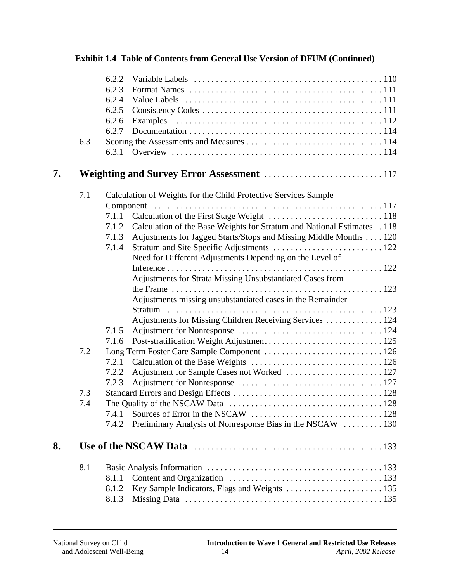|    | 6.3 | 6.2.2<br>6.2.3<br>6.2.4<br>6.2.5<br>6.2.6<br>6.2.7<br>6.3.1                                                                                                                                                                                                                                                                                                                                                                                                                                                               |
|----|-----|---------------------------------------------------------------------------------------------------------------------------------------------------------------------------------------------------------------------------------------------------------------------------------------------------------------------------------------------------------------------------------------------------------------------------------------------------------------------------------------------------------------------------|
| 7. |     |                                                                                                                                                                                                                                                                                                                                                                                                                                                                                                                           |
|    | 7.1 | Calculation of Weights for the Child Protective Services Sample<br>7.1.1<br>Calculation of the Base Weights for Stratum and National Estimates . 118<br>7.1.2<br>Adjustments for Jagged Starts/Stops and Missing Middle Months 120<br>7.1.3<br>7.1.4<br>Need for Different Adjustments Depending on the Level of<br>Adjustments for Strata Missing Unsubstantiated Cases from<br>Adjustments missing unsubstantiated cases in the Remainder<br>Adjustments for Missing Children Receiving Services  124<br>7.1.5<br>7.1.6 |
|    | 7.2 | 7.2.1<br>7.2.2<br>7.2.3                                                                                                                                                                                                                                                                                                                                                                                                                                                                                                   |
|    | 7.3 |                                                                                                                                                                                                                                                                                                                                                                                                                                                                                                                           |
|    | 7.4 | 7.4.1<br>Preliminary Analysis of Nonresponse Bias in the NSCAW  130<br>7.4.2                                                                                                                                                                                                                                                                                                                                                                                                                                              |
| 8. |     |                                                                                                                                                                                                                                                                                                                                                                                                                                                                                                                           |
|    | 8.1 | 8.1.1<br>8.1.2<br>8.1.3                                                                                                                                                                                                                                                                                                                                                                                                                                                                                                   |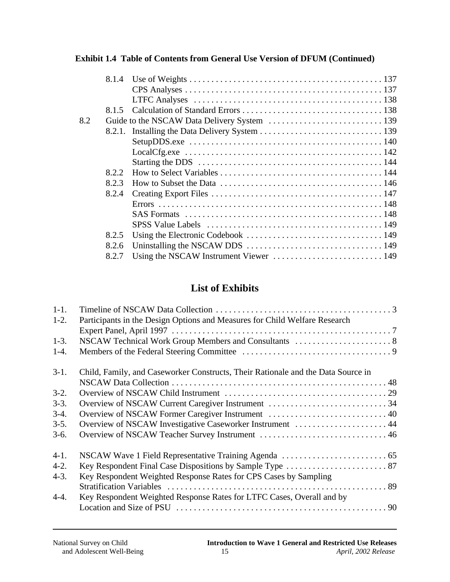|     | 8.1.4 |  |
|-----|-------|--|
|     |       |  |
|     |       |  |
|     | 8.1.5 |  |
| 8.2 |       |  |
|     |       |  |
|     |       |  |
|     |       |  |
|     |       |  |
|     | 8.2.2 |  |
|     | 8.2.3 |  |
|     | 8.2.4 |  |
|     |       |  |
|     |       |  |
|     |       |  |
|     | 8.2.5 |  |
|     | 8.2.6 |  |
|     | 8.2.7 |  |

# **List of Exhibits**

| $1-1.$ |                                                                                  |
|--------|----------------------------------------------------------------------------------|
| $1-2.$ | Participants in the Design Options and Measures for Child Welfare Research       |
|        |                                                                                  |
| $1-3.$ |                                                                                  |
| $1-4.$ |                                                                                  |
| $3-1.$ | Child, Family, and Caseworker Constructs, Their Rationale and the Data Source in |
|        |                                                                                  |
| $3-2.$ |                                                                                  |
| $3-3.$ |                                                                                  |
| $3-4.$ | Overview of NSCAW Former Caregiver Instrument  40                                |
| $3-5.$ | Overview of NSCAW Investigative Caseworker Instrument  44                        |
| $3-6.$ |                                                                                  |
| $4-1.$ |                                                                                  |
| $4-2.$ |                                                                                  |
| $4-3.$ | Key Respondent Weighted Response Rates for CPS Cases by Sampling                 |
|        |                                                                                  |
| $4-4.$ | Key Respondent Weighted Response Rates for LTFC Cases, Overall and by            |
|        |                                                                                  |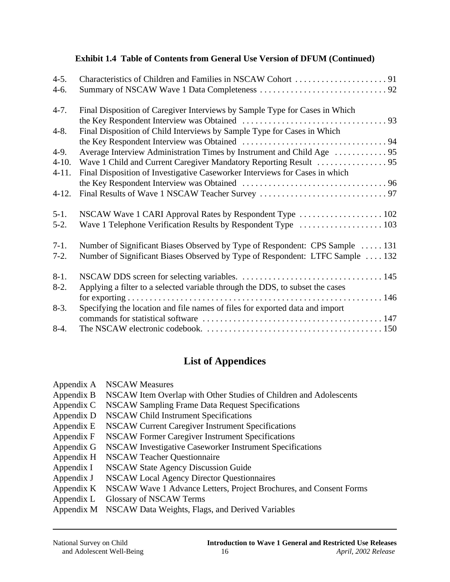| $4 - 5.$  |                                                                               |
|-----------|-------------------------------------------------------------------------------|
| 4-6.      |                                                                               |
| $4 - 7.$  | Final Disposition of Caregiver Interviews by Sample Type for Cases in Which   |
|           |                                                                               |
| $4 - 8.$  | Final Disposition of Child Interviews by Sample Type for Cases in Which       |
|           |                                                                               |
| $4-9.$    |                                                                               |
| $4 - 10.$ |                                                                               |
| $4 - 11.$ | Final Disposition of Investigative Caseworker Interviews for Cases in which   |
|           |                                                                               |
| $4-12.$   |                                                                               |
| $5-1.$    | NSCAW Wave 1 CARI Approval Rates by Respondent Type  102                      |
| $5-2.$    | Wave 1 Telephone Verification Results by Respondent Type  103                 |
| $7-1.$    | Number of Significant Biases Observed by Type of Respondent: CPS Sample  131  |
| $7-2.$    | Number of Significant Biases Observed by Type of Respondent: LTFC Sample  132 |
| $8-1.$    |                                                                               |
| $8-2.$    | Applying a filter to a selected variable through the DDS, to subset the cases |
|           |                                                                               |
| $8-3.$    | Specifying the location and file names of files for exported data and import  |
|           |                                                                               |
| $8-4.$    |                                                                               |

# **List of Appendices**

| Appendix A | <b>NSCAW Measures</b>                                              |
|------------|--------------------------------------------------------------------|
| Appendix B | NSCAW Item Overlap with Other Studies of Children and Adolescents  |
| Appendix C | NSCAW Sampling Frame Data Request Specifications                   |
| Appendix D | <b>NSCAW Child Instrument Specifications</b>                       |
| Appendix E | NSCAW Current Caregiver Instrument Specifications                  |
| Appendix F | NSCAW Former Caregiver Instrument Specifications                   |
| Appendix G | NSCAW Investigative Caseworker Instrument Specifications           |
| Appendix H | <b>NSCAW Teacher Questionnaire</b>                                 |
| Appendix I | <b>NSCAW State Agency Discussion Guide</b>                         |
| Appendix J | <b>NSCAW Local Agency Director Questionnaires</b>                  |
| Appendix K | NSCAW Wave 1 Advance Letters, Project Brochures, and Consent Forms |
|            |                                                                    |

- Appendix L Glossary of NSCAW Terms
- Appendix M NSCAW Data Weights, Flags, and Derived Variables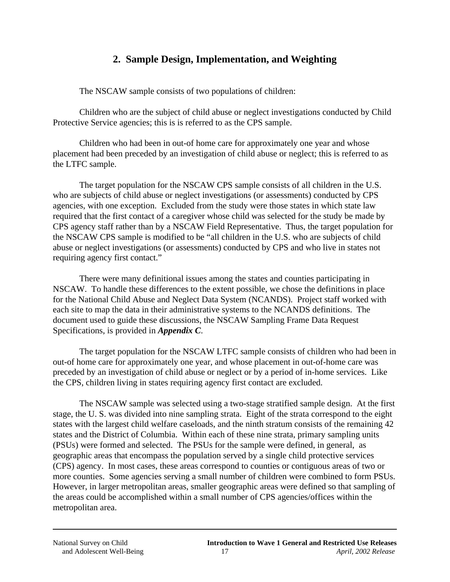# **2. Sample Design, Implementation, and Weighting**

The NSCAW sample consists of two populations of children:

Children who are the subject of child abuse or neglect investigations conducted by Child Protective Service agencies; this is is referred to as the CPS sample.

Children who had been in out-of home care for approximately one year and whose placement had been preceded by an investigation of child abuse or neglect; this is referred to as the LTFC sample.

The target population for the NSCAW CPS sample consists of all children in the U.S. who are subjects of child abuse or neglect investigations (or assessments) conducted by CPS agencies, with one exception. Excluded from the study were those states in which state law required that the first contact of a caregiver whose child was selected for the study be made by CPS agency staff rather than by a NSCAW Field Representative. Thus, the target population for the NSCAW CPS sample is modified to be "all children in the U.S. who are subjects of child abuse or neglect investigations (or assessments) conducted by CPS and who live in states not requiring agency first contact."

There were many definitional issues among the states and counties participating in NSCAW. To handle these differences to the extent possible, we chose the definitions in place for the National Child Abuse and Neglect Data System (NCANDS). Project staff worked with each site to map the data in their administrative systems to the NCANDS definitions. The document used to guide these discussions, the NSCAW Sampling Frame Data Request Specifications, is provided in *Appendix C*.

The target population for the NSCAW LTFC sample consists of children who had been in out-of home care for approximately one year, and whose placement in out-of-home care was preceded by an investigation of child abuse or neglect or by a period of in-home services. Like the CPS, children living in states requiring agency first contact are excluded.

The NSCAW sample was selected using a two-stage stratified sample design. At the first stage, the U. S. was divided into nine sampling strata. Eight of the strata correspond to the eight states with the largest child welfare caseloads, and the ninth stratum consists of the remaining 42 states and the District of Columbia. Within each of these nine strata, primary sampling units (PSUs) were formed and selected. The PSUs for the sample were defined, in general, as geographic areas that encompass the population served by a single child protective services (CPS) agency. In most cases, these areas correspond to counties or contiguous areas of two or more counties. Some agencies serving a small number of children were combined to form PSUs. However, in larger metropolitan areas, smaller geographic areas were defined so that sampling of the areas could be accomplished within a small number of CPS agencies/offices within the metropolitan area.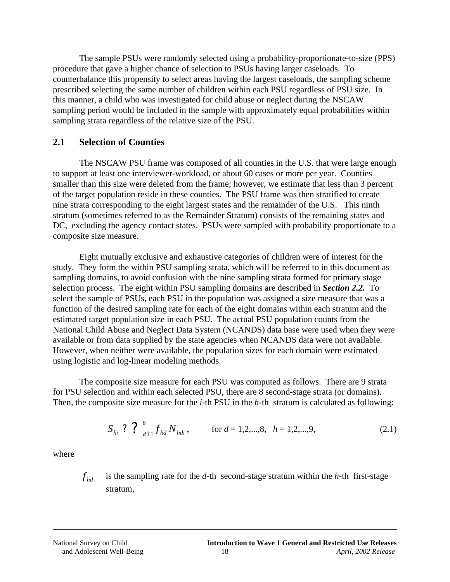The sample PSUs were randomly selected using a probability-proportionate-to-size (PPS) procedure that gave a higher chance of selection to PSUs having larger caseloads. To counterbalance this propensity to select areas having the largest caseloads, the sampling scheme prescribed selecting the same number of children within each PSU regardless of PSU size. In this manner, a child who was investigated for child abuse or neglect during the NSCAW sampling period would be included in the sample with approximately equal probabilities within sampling strata regardless of the relative size of the PSU.

### **2.1 Selection of Counties**

The NSCAW PSU frame was composed of all counties in the U.S. that were large enough to support at least one interviewer-workload, or about 60 cases or more per year. Counties smaller than this size were deleted from the frame; however, we estimate that less than 3 percent of the target population reside in these counties. The PSU frame was then stratified to create nine strata corresponding to the eight largest states and the remainder of the U.S. This ninth stratum (sometimes referred to as the Remainder Stratum) consists of the remaining states and DC, excluding the agency contact states. PSUs were sampled with probability proportionate to a composite size measure.

Eight mutually exclusive and exhaustive categories of children were of interest for the study. They form the within PSU sampling strata, which will be referred to in this document as sampling domains, to avoid confusion with the nine sampling strata formed for primary stage selection process. The eight within PSU sampling domains are described in *Section 2.2.* To select the sample of PSUs, each PSU in the population was assigned a size measure that was a function of the desired sampling rate for each of the eight domains within each stratum and the estimated target population size in each PSU. The actual PSU population counts from the National Child Abuse and Neglect Data System (NCANDS) data base were used when they were available or from data supplied by the state agencies when NCANDS data were not available. However, when neither were available, the population sizes for each domain were estimated using logistic and log-linear modeling methods.

The composite size measure for each PSU was computed as follows. There are 9 strata for PSU selection and within each selected PSU, there are 8 second-stage strata (or domains). Then, the composite size measure for the *i-*th PSU in the *h-*th stratum is calculated as following:

$$
S_{hi} ? ? ?_{d?1}^8 f_{hd} N_{hdi}, \qquad \text{for } d = 1, 2, \dots, 8, \quad h = 1, 2, \dots, 9,
$$
 (2.1)

where

 $f_{bd}$  is the sampling rate for the *d*-th second-stage stratum within the *h*-th first-stage stratum,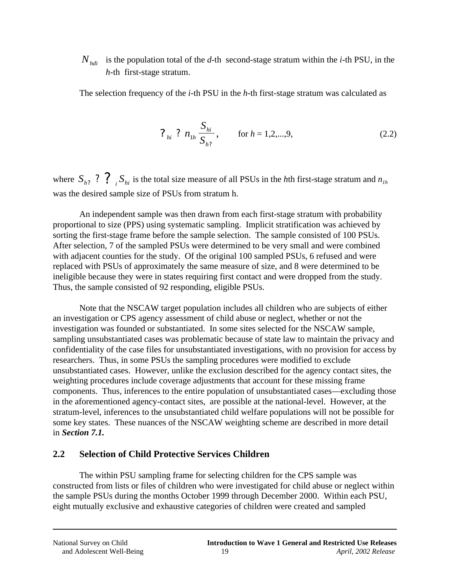is the population total of the  $d$ -th second-stage stratum within the  $i$ -th PSU, in the  $N_{hdi}$ *h*-th first-stage stratum.

The selection frequency of the *i-*th PSU in the *h-*th first-stage stratum was calculated as

$$
?_{hi} ? n_{1h} \frac{S_{hi}}{S_{h?}}, \qquad \text{for } h = 1, 2, ..., 9,
$$
 (2.2)

where  $S_{h?}$  ?  $\binom{9}{i}$   $S_{hi}$  is the total size measure of all PSUs in the *h*th first-stage stratum and  $n_{1h}$ was the desired sample size of PSUs from stratum h.

An independent sample was then drawn from each first-stage stratum with probability proportional to size (PPS) using systematic sampling. Implicit stratification was achieved by sorting the first-stage frame before the sample selection. The sample consisted of 100 PSUs. After selection, 7 of the sampled PSUs were determined to be very small and were combined with adjacent counties for the study. Of the original 100 sampled PSUs, 6 refused and were replaced with PSUs of approximately the same measure of size, and 8 were determined to be ineligible because they were in states requiring first contact and were dropped from the study. Thus, the sample consisted of 92 responding, eligible PSUs.

Note that the NSCAW target population includes all children who are subjects of either an investigation or CPS agency assessment of child abuse or neglect, whether or not the investigation was founded or substantiated. In some sites selected for the NSCAW sample, sampling unsubstantiated cases was problematic because of state law to maintain the privacy and confidentiality of the case files for unsubstantiated investigations, with no provision for access by researchers. Thus, in some PSUs the sampling procedures were modified to exclude unsubstantiated cases. However, unlike the exclusion described for the agency contact sites, the weighting procedures include coverage adjustments that account for these missing frame components. Thus, inferences to the entire population of unsubstantiated cases—excluding those in the aforementioned agency-contact sites, are possible at the national-level. However, at the stratum-level, inferences to the unsubstantiated child welfare populations will not be possible for some key states. These nuances of the NSCAW weighting scheme are described in more detail in *Section 7.1.* 

#### **2.2 Selection of Child Protective Services Children**

The within PSU sampling frame for selecting children for the CPS sample was constructed from lists or files of children who were investigated for child abuse or neglect within the sample PSUs during the months October 1999 through December 2000. Within each PSU, eight mutually exclusive and exhaustive categories of children were created and sampled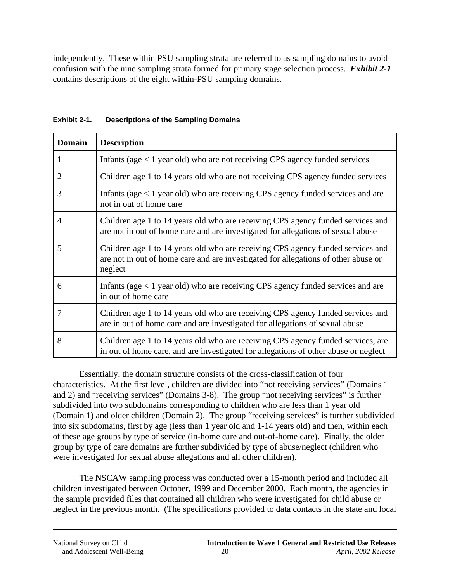independently. These within PSU sampling strata are referred to as sampling domains to avoid confusion with the nine sampling strata formed for primary stage selection process. *Exhibit 2-1*  contains descriptions of the eight within-PSU sampling domains.

| <b>Domain</b>  | <b>Description</b>                                                                                                                                                               |
|----------------|----------------------------------------------------------------------------------------------------------------------------------------------------------------------------------|
| 1              | Infants (age $< 1$ year old) who are not receiving CPS agency funded services                                                                                                    |
| $\overline{2}$ | Children age 1 to 14 years old who are not receiving CPS agency funded services                                                                                                  |
| 3              | Infants (age $\lt 1$ year old) who are receiving CPS agency funded services and are<br>not in out of home care                                                                   |
| $\overline{4}$ | Children age 1 to 14 years old who are receiving CPS agency funded services and<br>are not in out of home care and are investigated for allegations of sexual abuse              |
| 5              | Children age 1 to 14 years old who are receiving CPS agency funded services and<br>are not in out of home care and are investigated for allegations of other abuse or<br>neglect |
| 6              | Infants (age $\lt 1$ year old) who are receiving CPS agency funded services and are<br>in out of home care                                                                       |
| $\overline{7}$ | Children age 1 to 14 years old who are receiving CPS agency funded services and<br>are in out of home care and are investigated for allegations of sexual abuse                  |
| 8              | Children age 1 to 14 years old who are receiving CPS agency funded services, are<br>in out of home care, and are investigated for allegations of other abuse or neglect          |

### **Exhibit 2-1. Descriptions of the Sampling Domains**

Essentially, the domain structure consists of the cross-classification of four characteristics. At the first level, children are divided into "not receiving services" (Domains 1 and 2) and "receiving services" (Domains 3-8). The group "not receiving services" is further subdivided into two subdomains corresponding to children who are less than 1 year old (Domain 1) and older children (Domain 2). The group "receiving services" is further subdivided into six subdomains, first by age (less than 1 year old and 1-14 years old) and then, within each of these age groups by type of service (in-home care and out-of-home care). Finally, the older group by type of care domains are further subdivided by type of abuse/neglect (children who were investigated for sexual abuse allegations and all other children).

The NSCAW sampling process was conducted over a 15-month period and included all children investigated between October, 1999 and December 2000. Each month, the agencies in the sample provided files that contained all children who were investigated for child abuse or neglect in the previous month. (The specifications provided to data contacts in the state and local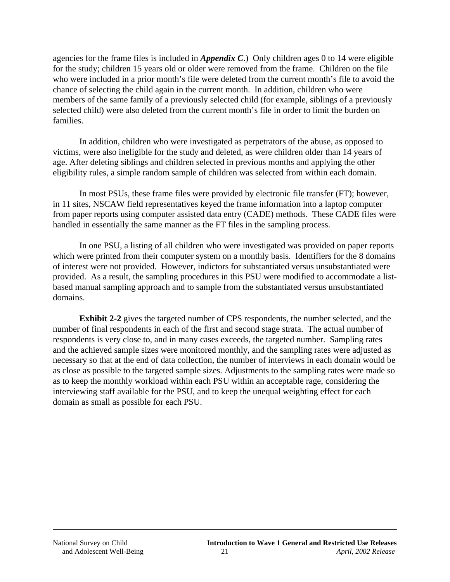agencies for the frame files is included in *Appendix C*.) Only children ages 0 to 14 were eligible for the study; children 15 years old or older were removed from the frame. Children on the file who were included in a prior month's file were deleted from the current month's file to avoid the chance of selecting the child again in the current month. In addition, children who were members of the same family of a previously selected child (for example, siblings of a previously selected child) were also deleted from the current month's file in order to limit the burden on families.

In addition, children who were investigated as perpetrators of the abuse, as opposed to victims, were also ineligible for the study and deleted, as were children older than 14 years of age. After deleting siblings and children selected in previous months and applying the other eligibility rules, a simple random sample of children was selected from within each domain.

In most PSUs, these frame files were provided by electronic file transfer (FT); however, in 11 sites, NSCAW field representatives keyed the frame information into a laptop computer from paper reports using computer assisted data entry (CADE) methods. These CADE files were handled in essentially the same manner as the FT files in the sampling process.

In one PSU, a listing of all children who were investigated was provided on paper reports which were printed from their computer system on a monthly basis. Identifiers for the 8 domains of interest were not provided. However, indictors for substantiated versus unsubstantiated were provided. As a result, the sampling procedures in this PSU were modified to accommodate a listbased manual sampling approach and to sample from the substantiated versus unsubstantiated domains.

**Exhibit 2-2** gives the targeted number of CPS respondents, the number selected, and the number of final respondents in each of the first and second stage strata. The actual number of respondents is very close to, and in many cases exceeds, the targeted number. Sampling rates and the achieved sample sizes were monitored monthly, and the sampling rates were adjusted as necessary so that at the end of data collection, the number of interviews in each domain would be as close as possible to the targeted sample sizes. Adjustments to the sampling rates were made so as to keep the monthly workload within each PSU within an acceptable rage, considering the interviewing staff available for the PSU, and to keep the unequal weighting effect for each domain as small as possible for each PSU.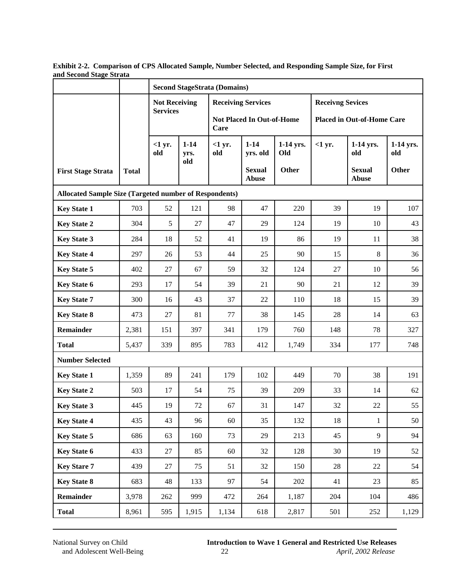|                                                               |              | <b>Second StageStrata (Domains)</b> |                         |                                          |                               |                  |                                   |                               |                  |
|---------------------------------------------------------------|--------------|-------------------------------------|-------------------------|------------------------------------------|-------------------------------|------------------|-----------------------------------|-------------------------------|------------------|
|                                                               |              | <b>Not Receiving</b>                |                         |                                          | <b>Receiving Services</b>     |                  | <b>Receivng Sevices</b>           |                               |                  |
|                                                               |              | <b>Services</b>                     |                         | <b>Not Placed In Out-of-Home</b><br>Care |                               |                  | <b>Placed in Out-of-Home Care</b> |                               |                  |
|                                                               |              | $<1$ yr.<br>old                     | $1 - 14$<br>yrs.<br>old | $<1$ yr.<br>old                          | $1 - 14$<br>yrs. old          | 1-14 yrs.<br>Old | $<1$ yr.                          | 1-14 yrs.<br>old              | 1-14 yrs.<br>old |
| <b>First Stage Strata</b>                                     | <b>Total</b> |                                     |                         |                                          | <b>Sexual</b><br><b>Abuse</b> | Other            |                                   | <b>Sexual</b><br><b>Abuse</b> | Other            |
| <b>Allocated Sample Size (Targeted number of Respondents)</b> |              |                                     |                         |                                          |                               |                  |                                   |                               |                  |
| <b>Key State 1</b>                                            | 703          | 52                                  | 121                     | 98                                       | 47                            | 220              | 39                                | 19                            | 107              |
| <b>Key State 2</b>                                            | 304          | 5                                   | 27                      | 47                                       | 29                            | 124              | 19                                | 10                            | 43               |
| <b>Key State 3</b>                                            | 284          | 18                                  | 52                      | 41                                       | 19                            | 86               | 19                                | 11                            | 38               |
| <b>Key State 4</b>                                            | 297          | 26                                  | 53                      | 44                                       | 25                            | 90               | 15                                | 8                             | 36               |
| <b>Key State 5</b>                                            | 402          | 27                                  | 67                      | 59                                       | 32                            | 124              | 27                                | 10                            | 56               |
| <b>Key State 6</b>                                            | 293          | 17                                  | 54                      | 39                                       | 21                            | 90               | 21                                | 12                            | 39               |
| <b>Key State 7</b>                                            | 300          | 16                                  | 43                      | 37                                       | 22                            | 110              | 18                                | 15                            | 39               |
| <b>Key State 8</b>                                            | 473          | 27                                  | 81                      | 77                                       | 38                            | 145              | 28                                | 14                            | 63               |
| <b>Remainder</b>                                              | 2,381        | 151                                 | 397                     | 341                                      | 179                           | 760              | 148                               | 78                            | 327              |
| <b>Total</b>                                                  | 5,437        | 339                                 | 895                     | 783                                      | 412                           | 1,749            | 334                               | 177                           | 748              |
| <b>Number Selected</b>                                        |              |                                     |                         |                                          |                               |                  |                                   |                               |                  |
| <b>Key State 1</b>                                            | 1,359        | 89                                  | 241                     | 179                                      | 102                           | 449              | 70                                | 38                            | 191              |
| <b>Key State 2</b>                                            | 503          | 17                                  | 54                      | 75                                       | 39                            | 209              | 33                                | 14                            | 62               |
| <b>Key State 3</b>                                            | 445          | 19                                  | 72                      | 67                                       | 31                            | 147              | 32                                | 22                            | 55               |
| <b>Key State 4</b>                                            | 435          | 43                                  | 96                      | 60                                       | 35                            | 132              | 18                                | $\mathbf{1}$                  | 50               |
| <b>Key State 5</b>                                            | 686          | 63                                  | 160                     | 73                                       | 29                            | 213              | 45                                | 9                             | 94               |
| <b>Key State 6</b>                                            | 433          | 27                                  | 85                      | 60                                       | 32                            | 128              | 30                                | 19                            | 52               |
| <b>Key Stare 7</b>                                            | 439          | 27                                  | 75                      | 51                                       | 32                            | 150              | 28                                | 22                            | 54               |
| <b>Key State 8</b>                                            | 683          | 48                                  | 133                     | 97                                       | 54                            | 202              | 41                                | 23                            | 85               |
| Remainder                                                     | 3,978        | 262                                 | 999                     | 472                                      | 264                           | 1,187            | 204                               | 104                           | 486              |
| <b>Total</b>                                                  | 8,961        | 595                                 | 1,915                   | 1,134                                    | 618                           | 2,817            | 501                               | 252                           | 1,129            |

**Exhibit 2-2. Comparison of CPS Allocated Sample, Number Selected, and Responding Sample Size, for First and Second Stage Strata**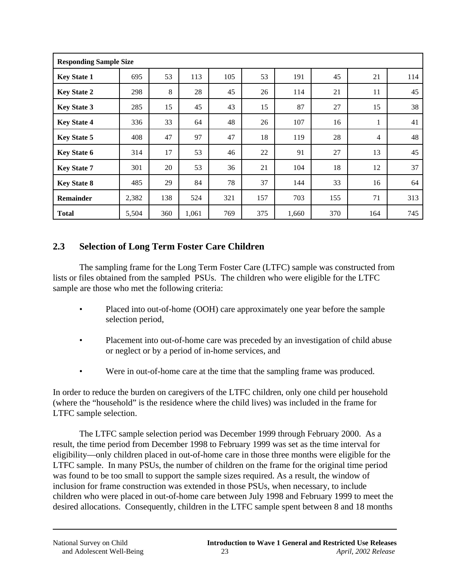| <b>Responding Sample Size</b> |       |     |       |     |     |       |     |                |     |
|-------------------------------|-------|-----|-------|-----|-----|-------|-----|----------------|-----|
| <b>Key State 1</b>            | 695   | 53  | 113   | 105 | 53  | 191   | 45  | 21             | 114 |
| <b>Key State 2</b>            | 298   | 8   | 28    | 45  | 26  | 114   | 21  | 11             | 45  |
| <b>Key State 3</b>            | 285   | 15  | 45    | 43  | 15  | 87    | 27  | 15             | 38  |
| <b>Key State 4</b>            | 336   | 33  | 64    | 48  | 26  | 107   | 16  |                | 41  |
| <b>Key State 5</b>            | 408   | 47  | 97    | 47  | 18  | 119   | 28  | $\overline{4}$ | 48  |
| <b>Key State 6</b>            | 314   | 17  | 53    | 46  | 22  | 91    | 27  | 13             | 45  |
| <b>Key State 7</b>            | 301   | 20  | 53    | 36  | 21  | 104   | 18  | 12             | 37  |
| <b>Key State 8</b>            | 485   | 29  | 84    | 78  | 37  | 144   | 33  | 16             | 64  |
| <b>Remainder</b>              | 2,382 | 138 | 524   | 321 | 157 | 703   | 155 | 71             | 313 |
| <b>Total</b>                  | 5,504 | 360 | 1,061 | 769 | 375 | 1,660 | 370 | 164            | 745 |

### **2.3 Selection of Long Term Foster Care Children**

The sampling frame for the Long Term Foster Care (LTFC) sample was constructed from lists or files obtained from the sampled PSUs. The children who were eligible for the LTFC sample are those who met the following criteria:

- Placed into out-of-home (OOH) care approximately one year before the sample selection period,
- Placement into out-of-home care was preceded by an investigation of child abuse or neglect or by a period of in-home services, and
- Were in out-of-home care at the time that the sampling frame was produced.

In order to reduce the burden on caregivers of the LTFC children, only one child per household (where the "household" is the residence where the child lives) was included in the frame for LTFC sample selection.

The LTFC sample selection period was December 1999 through February 2000. As a result, the time period from December 1998 to February 1999 was set as the time interval for eligibility—only children placed in out-of-home care in those three months were eligible for the LTFC sample. In many PSUs, the number of children on the frame for the original time period was found to be too small to support the sample sizes required. As a result, the window of inclusion for frame construction was extended in those PSUs, when necessary, to include children who were placed in out-of-home care between July 1998 and February 1999 to meet the desired allocations. Consequently, children in the LTFC sample spent between 8 and 18 months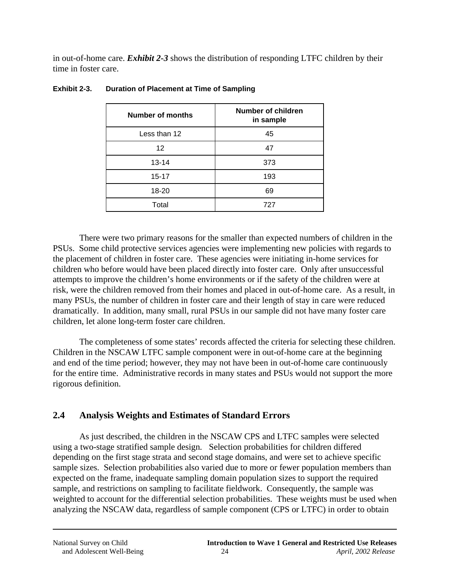in out-of-home care. *Exhibit 2-3* shows the distribution of responding LTFC children by their time in foster care.

| <b>Number of months</b> | <b>Number of children</b><br>in sample |
|-------------------------|----------------------------------------|
| Less than 12            | 45                                     |
| 12                      | 47                                     |
| $13 - 14$               | 373                                    |
| $15 - 17$               | 193                                    |
| 18-20                   | 69                                     |
| Total                   | 727                                    |

#### **Exhibit 2-3. Duration of Placement at Time of Sampling**

There were two primary reasons for the smaller than expected numbers of children in the PSUs. Some child protective services agencies were implementing new policies with regards to the placement of children in foster care. These agencies were initiating in-home services for children who before would have been placed directly into foster care. Only after unsuccessful attempts to improve the children's home environments or if the safety of the children were at risk, were the children removed from their homes and placed in out-of-home care. As a result, in many PSUs, the number of children in foster care and their length of stay in care were reduced dramatically. In addition, many small, rural PSUs in our sample did not have many foster care children, let alone long-term foster care children.

The completeness of some states' records affected the criteria for selecting these children. Children in the NSCAW LTFC sample component were in out-of-home care at the beginning and end of the time period; however, they may not have been in out-of-home care continuously for the entire time. Administrative records in many states and PSUs would not support the more rigorous definition.

### **2.4 Analysis Weights and Estimates of Standard Errors**

As just described, the children in the NSCAW CPS and LTFC samples were selected using a two-stage stratified sample design*.* Selection probabilities for children differed depending on the first stage strata and second stage domains, and were set to achieve specific sample sizes. Selection probabilities also varied due to more or fewer population members than expected on the frame, inadequate sampling domain population sizes to support the required sample, and restrictions on sampling to facilitate fieldwork. Consequently, the sample was weighted to account for the differential selection probabilities. These weights must be used when analyzing the NSCAW data, regardless of sample component (CPS or LTFC) in order to obtain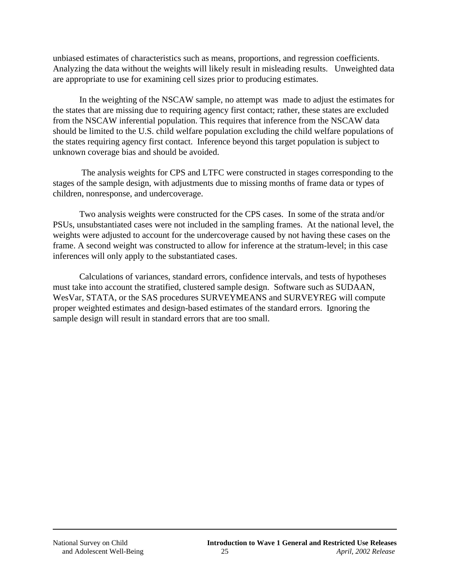unbiased estimates of characteristics such as means, proportions, and regression coefficients. Analyzing the data without the weights will likely result in misleading results. Unweighted data are appropriate to use for examining cell sizes prior to producing estimates.

In the weighting of the NSCAW sample, no attempt was made to adjust the estimates for the states that are missing due to requiring agency first contact; rather, these states are excluded from the NSCAW inferential population. This requires that inference from the NSCAW data should be limited to the U.S. child welfare population excluding the child welfare populations of the states requiring agency first contact. Inference beyond this target population is subject to unknown coverage bias and should be avoided.

 The analysis weights for CPS and LTFC were constructed in stages corresponding to the stages of the sample design, with adjustments due to missing months of frame data or types of children, nonresponse, and undercoverage.

Two analysis weights were constructed for the CPS cases. In some of the strata and/or PSUs, unsubstantiated cases were not included in the sampling frames. At the national level, the weights were adjusted to account for the undercoverage caused by not having these cases on the frame. A second weight was constructed to allow for inference at the stratum-level; in this case inferences will only apply to the substantiated cases.

Calculations of variances, standard errors, confidence intervals, and tests of hypotheses must take into account the stratified, clustered sample design. Software such as SUDAAN, WesVar, STATA, or the SAS procedures SURVEYMEANS and SURVEYREG will compute proper weighted estimates and design-based estimates of the standard errors. Ignoring the sample design will result in standard errors that are too small.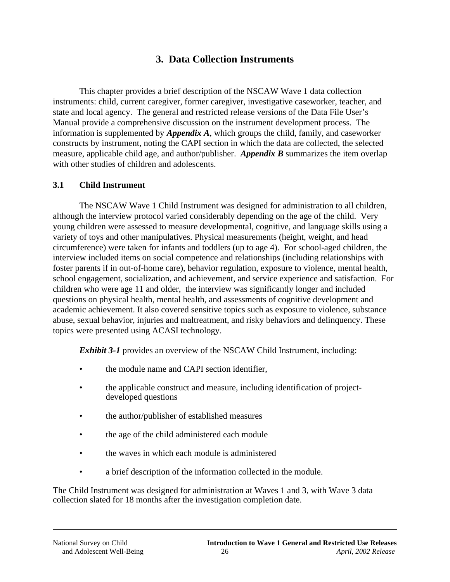# **3. Data Collection Instruments**

This chapter provides a brief description of the NSCAW Wave 1 data collection instruments: child, current caregiver, former caregiver, investigative caseworker, teacher, and state and local agency. The general and restricted release versions of the Data File User's Manual provide a comprehensive discussion on the instrument development process. The information is supplemented by *Appendix A*, which groups the child, family, and caseworker constructs by instrument, noting the CAPI section in which the data are collected, the selected measure, applicable child age, and author/publisher. *Appendix B* summarizes the item overlap with other studies of children and adolescents.

### **3.1 Child Instrument**

The NSCAW Wave 1 Child Instrument was designed for administration to all children, although the interview protocol varied considerably depending on the age of the child. Very young children were assessed to measure developmental, cognitive, and language skills using a variety of toys and other manipulatives. Physical measurements (height, weight, and head circumference) were taken for infants and toddlers (up to age 4). For school-aged children, the interview included items on social competence and relationships (including relationships with foster parents if in out-of-home care), behavior regulation, exposure to violence, mental health, school engagement, socialization, and achievement, and service experience and satisfaction. For children who were age 11 and older, the interview was significantly longer and included questions on physical health, mental health, and assessments of cognitive development and academic achievement. It also covered sensitive topics such as exposure to violence, substance abuse, sexual behavior, injuries and maltreatment, and risky behaviors and delinquency. These topics were presented using ACASI technology.

*Exhibit 3-1* provides an overview of the NSCAW Child Instrument, including:

- the module name and CAPI section identifier.
- the applicable construct and measure, including identification of projectdeveloped questions
- the author/publisher of established measures
- the age of the child administered each module
- the waves in which each module is administered
- a brief description of the information collected in the module.

The Child Instrument was designed for administration at Waves 1 and 3, with Wave 3 data collection slated for 18 months after the investigation completion date.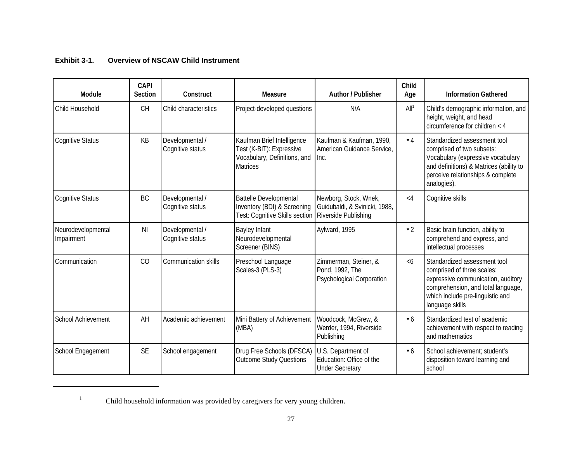| Exhibit 3-1. | <b>Overview of NSCAW Child Instrument</b> |
|--------------|-------------------------------------------|
|              |                                           |

| Module                           | <b>CAPI</b><br><b>Section</b> | Construct                           | Measure                                                                                                   | <b>Author / Publisher</b>                                                      | Child<br>Age           | <b>Information Gathered</b>                                                                                                                                                                   |
|----------------------------------|-------------------------------|-------------------------------------|-----------------------------------------------------------------------------------------------------------|--------------------------------------------------------------------------------|------------------------|-----------------------------------------------------------------------------------------------------------------------------------------------------------------------------------------------|
| Child Household                  | <b>CH</b>                     | Child characteristics               | Project-developed questions                                                                               | N/A                                                                            | All <sup>1</sup>       | Child's demographic information, and<br>height, weight, and head<br>circumference for children $<$ 4                                                                                          |
| <b>Cognitive Status</b>          | KB                            | Developmental /<br>Cognitive status | Kaufman Brief Intelligence<br>Test (K-BIT): Expressive<br>Vocabulary, Definitions, and<br><b>Matrices</b> | Kaufman & Kaufman, 1990,<br>American Guidance Service,<br>Inc.                 | $\mathbf{v}$ 4         | Standardized assessment tool<br>comprised of two subsets:<br>Vocabulary (expressive vocabulary<br>and definitions) & Matrices (ability to<br>perceive relationships & complete<br>analogies). |
| <b>Cognitive Status</b>          | <b>BC</b>                     | Developmental /<br>Cognitive status | <b>Battelle Developmental</b><br>Inventory (BDI) & Screening<br>Test: Cognitive Skills section            | Newborg, Stock, Wnek,<br>Guidubaldi, & Svinicki, 1988,<br>Riverside Publishing | $\lt 4$                | Cognitive skills                                                                                                                                                                              |
| Neurodevelopmental<br>Impairment | ΝI                            | Developmental /<br>Cognitive status | Bayley Infant<br>Neurodevelopmental<br>Screener (BINS)                                                    | Aylward, 1995                                                                  | $\blacktriangledown$ 2 | Basic brain function, ability to<br>comprehend and express, and<br>intellectual processes                                                                                                     |
| Communication                    | CO                            | Communication skills                | Preschool Language<br>Scales-3 (PLS-3)                                                                    | Zimmerman, Steiner, &<br>Pond, 1992, The<br><b>Psychological Corporation</b>   | <6                     | Standardized assessment tool<br>comprised of three scales:<br>expressive communication, auditory<br>comprehension, and total language,<br>which include pre-linguistic and<br>language skills |
| School Achievement               | AH                            | Academic achievement                | Mini Battery of Achievement<br>(MBA)                                                                      | Woodcock, McGrew, &<br>Werder, 1994, Riverside<br>Publishing                   | $\mathbf{v}$ 6         | Standardized test of academic<br>achievement with respect to reading<br>and mathematics                                                                                                       |
| School Engagement                | <b>SE</b>                     | School engagement                   | Drug Free Schools (DFSCA)<br><b>Outcome Study Questions</b>                                               | U.S. Department of<br>Education: Office of the<br><b>Under Secretary</b>       | $\mathbf{v}$ 6         | School achievement; student's<br>disposition toward learning and<br>school                                                                                                                    |

Child household information was provided by caregivers for very young children. 1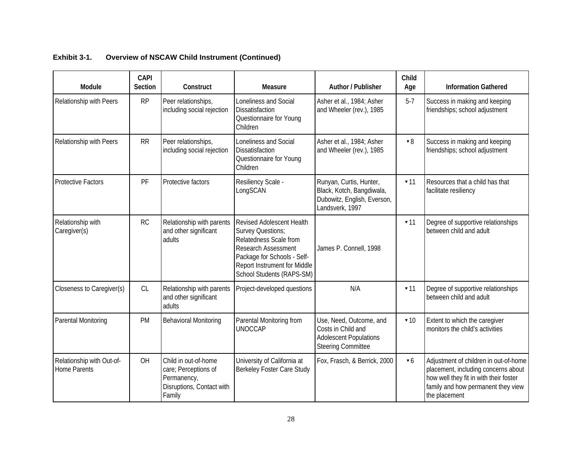| Module                                           | <b>CAPI</b><br><b>Section</b> | Construct                                                                                          | <b>Measure</b>                                                                                                                                                                                     | <b>Author / Publisher</b>                                                                                   | Child<br>Age            | <b>Information Gathered</b>                                                                                                                                                   |
|--------------------------------------------------|-------------------------------|----------------------------------------------------------------------------------------------------|----------------------------------------------------------------------------------------------------------------------------------------------------------------------------------------------------|-------------------------------------------------------------------------------------------------------------|-------------------------|-------------------------------------------------------------------------------------------------------------------------------------------------------------------------------|
| Relationship with Peers                          | <b>RP</b>                     | Peer relationships,<br>including social rejection                                                  | Loneliness and Social<br>Dissatisfaction<br>Questionnaire for Young<br>Children                                                                                                                    | Asher et al., 1984; Asher<br>and Wheeler (rev.), 1985                                                       | $5 - 7$                 | Success in making and keeping<br>friendships; school adjustment                                                                                                               |
| Relationship with Peers                          | RR                            | Peer relationships,<br>including social rejection                                                  | Loneliness and Social<br>Dissatisfaction<br>Questionnaire for Young<br>Children                                                                                                                    | Asher et al., 1984; Asher<br>and Wheeler (rev.), 1985                                                       | $\bullet$ 8             | Success in making and keeping<br>friendships; school adjustment                                                                                                               |
| <b>Protective Factors</b>                        | PF                            | Protective factors                                                                                 | Resiliency Scale -<br>LongSCAN                                                                                                                                                                     | Runyan, Curtis, Hunter,<br>Black, Kotch, Bangdiwala,<br>Dubowitz, English, Everson,<br>Landsverk, 1997      | $-11$                   | Resources that a child has that<br>facilitate resiliency                                                                                                                      |
| Relationship with<br>Caregiver(s)                | <b>RC</b>                     | Relationship with parents<br>and other significant<br>adults                                       | Revised Adolescent Health<br>Survey Questions;<br>Relatedness Scale from<br><b>Research Assessment</b><br>Package for Schools - Self-<br>Report Instrument for Middle<br>School Students (RAPS-SM) | James P. Connell, 1998                                                                                      | $\blacktriangledown$ 11 | Degree of supportive relationships<br>between child and adult                                                                                                                 |
| Closeness to Caregiver(s)                        | CL                            | Relationship with parents<br>and other significant<br>adults                                       | Project-developed questions                                                                                                                                                                        | N/A                                                                                                         | $\blacktriangledown$ 11 | Degree of supportive relationships<br>between child and adult                                                                                                                 |
| Parental Monitoring                              | PM                            | <b>Behavioral Monitoring</b>                                                                       | Parental Monitoring from<br><b>UNOCCAP</b>                                                                                                                                                         | Use, Need, Outcome, and<br>Costs in Child and<br><b>Adolescent Populations</b><br><b>Steering Committee</b> | $\blacktriangledown$ 10 | Extent to which the caregiver<br>monitors the child's activities                                                                                                              |
| Relationship with Out-of-<br><b>Home Parents</b> | OH                            | Child in out-of-home<br>care; Perceptions of<br>Permanency,<br>Disruptions, Contact with<br>Family | University of California at<br>Berkeley Foster Care Study                                                                                                                                          | Fox, Frasch, & Berrick, 2000                                                                                | $\bullet$ 6             | Adjustment of children in out-of-home<br>placement, including concerns about<br>how well they fit in with their foster<br>family and how permanent they view<br>the placement |

#### **Exhibit 3-1. Overview of NSCAW Child Instrument (Continued)**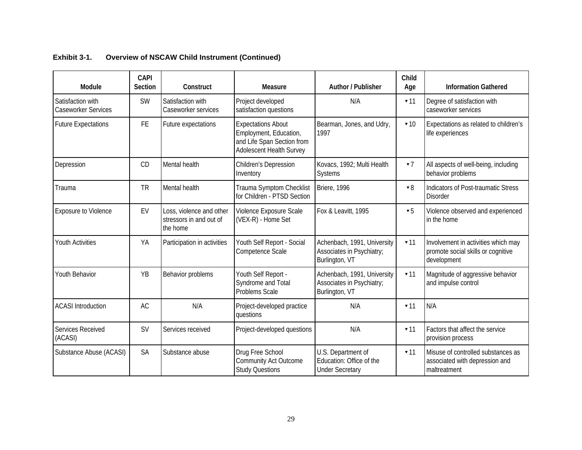| Module                                   | <b>CAPI</b><br><b>Section</b> | Construct                                                       | Measure                                                                                                       | <b>Author / Publisher</b>                                                  | Child<br>Age            | <b>Information Gathered</b>                                                              |
|------------------------------------------|-------------------------------|-----------------------------------------------------------------|---------------------------------------------------------------------------------------------------------------|----------------------------------------------------------------------------|-------------------------|------------------------------------------------------------------------------------------|
| Satisfaction with<br>Caseworker Services | <b>SW</b>                     | Satisfaction with<br>Caseworker services                        | Project developed<br>satisfaction questions                                                                   | N/A                                                                        | $-11$                   | Degree of satisfaction with<br>caseworker services                                       |
| <b>Future Expectations</b>               | FE.                           | Future expectations                                             | <b>Expectations About</b><br>Employment, Education,<br>and Life Span Section from<br>Adolescent Health Survey | Bearman, Jones, and Udry,<br>1997                                          | $\blacktriangledown$ 10 | Expectations as related to children's<br>life experiences                                |
| Depression                               | CD.                           | Mental health                                                   | Children's Depression<br>Inventory                                                                            | Kovacs, 1992; Multi Health<br>Systems                                      | 77                      | All aspects of well-being, including<br>behavior problems                                |
| Trauma                                   | <b>TR</b>                     | Mental health                                                   | Trauma Symptom Checklist<br>for Children - PTSD Section                                                       | <b>Briere, 1996</b>                                                        | $\mathbf{v} 8$          | Indicators of Post-traumatic Stress<br><b>Disorder</b>                                   |
| Exposure to Violence                     | EV                            | Loss, violence and other<br>stressors in and out of<br>the home | Violence Exposure Scale<br>(VEX-R) - Home Set                                                                 | Fox & Leavitt, 1995                                                        | $\bullet$ 5             | Violence observed and experienced<br>in the home                                         |
| <b>Youth Activities</b>                  | YA                            | Participation in activities                                     | Youth Self Report - Social<br>Competence Scale                                                                | Achenbach, 1991, University<br>Associates in Psychiatry;<br>Burlington, VT | $-11$                   | Involvement in activities which may<br>promote social skills or cognitive<br>development |
| <b>Youth Behavior</b>                    | <b>YB</b>                     | Behavior problems                                               | Youth Self Report -<br>Syndrome and Total<br>Problems Scale                                                   | Achenbach, 1991, University<br>Associates in Psychiatry;<br>Burlington, VT | 71                      | Magnitude of aggressive behavior<br>and impulse control                                  |
| <b>ACASI</b> Introduction                | <b>AC</b>                     | N/A                                                             | Project-developed practice<br>questions                                                                       | N/A                                                                        | $\blacktriangledown$ 11 | N/A                                                                                      |
| Services Received<br>(ACASI)             | <b>SV</b>                     | Services received                                               | Project-developed questions                                                                                   | N/A                                                                        | $\blacktriangledown$ 11 | Factors that affect the service<br>provision process                                     |
| Substance Abuse (ACASI)                  | <b>SA</b>                     | Substance abuse                                                 | Drug Free School<br><b>Community Act Outcome</b><br><b>Study Questions</b>                                    | U.S. Department of<br>Education: Office of the<br><b>Under Secretary</b>   | 71                      | Misuse of controlled substances as<br>associated with depression and<br>maltreatment     |

### **Exhibit 3-1. Overview of NSCAW Child Instrument (Continued)**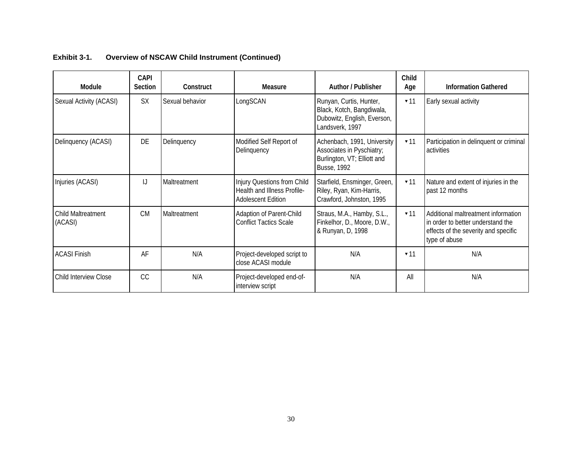| Module                               | <b>CAPI</b><br><b>Section</b> | Construct       | <b>Measure</b>                                                                          | <b>Author / Publisher</b>                                                                                     | <b>Child</b><br>Age     | <b>Information Gathered</b>                                                                                                       |
|--------------------------------------|-------------------------------|-----------------|-----------------------------------------------------------------------------------------|---------------------------------------------------------------------------------------------------------------|-------------------------|-----------------------------------------------------------------------------------------------------------------------------------|
| Sexual Activity (ACASI)              | <b>SX</b>                     | Sexual behavior | LongSCAN                                                                                | Runyan, Curtis, Hunter,<br>Black, Kotch, Bangdiwala,<br>Dubowitz, English, Everson,<br>Landsverk, 1997        | $-11$                   | Early sexual activity                                                                                                             |
| Delinquency (ACASI)                  | DE                            | Delinquency     | Modified Self Report of<br>Delinquency                                                  | Achenbach, 1991, University<br>Associates in Pyschiatry;<br>Burlington, VT; Elliott and<br><b>Busse, 1992</b> | $-11$                   | Participation in delinquent or criminal<br>activities                                                                             |
| Injuries (ACASI)                     | IJ                            | Maltreatment    | Injury Questions from Child<br>Health and Illness Profile-<br><b>Adolescent Edition</b> | Starfield, Ensminger, Green,<br>Riley, Ryan, Kim-Harris,<br>Crawford, Johnston, 1995                          | $-11$                   | Nature and extent of injuries in the<br>past 12 months                                                                            |
| <b>Child Maltreatment</b><br>(ACASI) | <b>CM</b>                     | Maltreatment    | Adaption of Parent-Child<br><b>Conflict Tactics Scale</b>                               | Straus, M.A., Hamby, S.L.,<br>Finkelhor, D., Moore, D.W.,<br>& Runyan, D, 1998                                | $-11$                   | Additional maltreatment information<br>in order to better understand the<br>effects of the severity and specific<br>type of abuse |
| <b>ACASI Finish</b>                  | AF                            | N/A             | Project-developed script to<br>close ACASI module                                       | N/A                                                                                                           | $\blacktriangledown$ 11 | N/A                                                                                                                               |
| Child Interview Close                | <sub>CC</sub>                 | N/A             | Project-developed end-of-<br>interview script                                           | N/A                                                                                                           | All                     | N/A                                                                                                                               |

### **Exhibit 3-1. Overview of NSCAW Child Instrument (Continued)**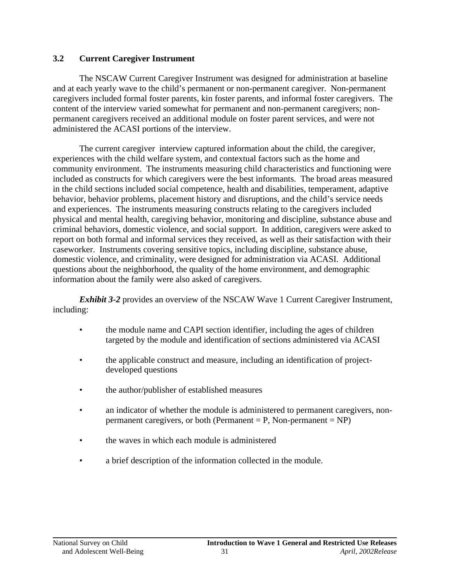### **3.2 Current Caregiver Instrument**

The NSCAW Current Caregiver Instrument was designed for administration at baseline and at each yearly wave to the child's permanent or non-permanent caregiver. Non-permanent caregivers included formal foster parents, kin foster parents, and informal foster caregivers. The content of the interview varied somewhat for permanent and non-permanent caregivers; nonpermanent caregivers received an additional module on foster parent services, and were not administered the ACASI portions of the interview.

The current caregiver interview captured information about the child, the caregiver, experiences with the child welfare system, and contextual factors such as the home and community environment. The instruments measuring child characteristics and functioning were included as constructs for which caregivers were the best informants. The broad areas measured in the child sections included social competence, health and disabilities, temperament, adaptive behavior, behavior problems, placement history and disruptions, and the child's service needs and experiences. The instruments measuring constructs relating to the caregivers included physical and mental health, caregiving behavior, monitoring and discipline, substance abuse and criminal behaviors, domestic violence, and social support. In addition, caregivers were asked to report on both formal and informal services they received, as well as their satisfaction with their caseworker. Instruments covering sensitive topics, including discipline, substance abuse, domestic violence, and criminality, were designed for administration via ACASI. Additional questions about the neighborhood, the quality of the home environment, and demographic information about the family were also asked of caregivers.

*Exhibit 3-2* provides an overview of the NSCAW Wave 1 Current Caregiver Instrument, including:

- the module name and CAPI section identifier, including the ages of children targeted by the module and identification of sections administered via ACASI
- the applicable construct and measure, including an identification of projectdeveloped questions
- the author/publisher of established measures
- an indicator of whether the module is administered to permanent caregivers, nonpermanent caregivers, or both (Permanent  $= P$ , Non-permanent  $= NP$ )
- the waves in which each module is administered
- a brief description of the information collected in the module.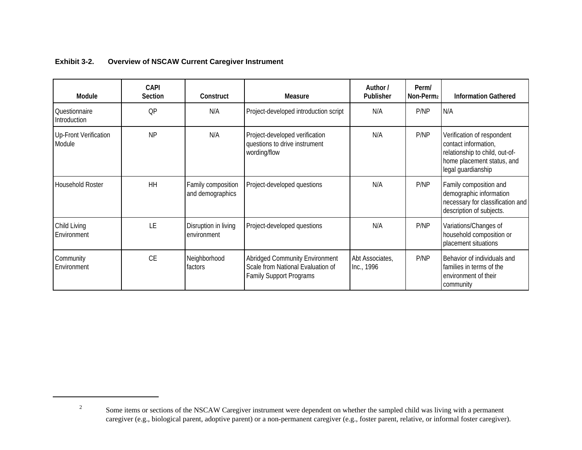| <b>Module</b>                   | <b>CAPI</b><br><b>Section</b> | Construct                              | Measure                                                                                                      | Author /<br><b>Publisher</b>  | Perm/<br>Non-Perm <sub>2</sub> | <b>Information Gathered</b>                                                                                                              |
|---------------------------------|-------------------------------|----------------------------------------|--------------------------------------------------------------------------------------------------------------|-------------------------------|--------------------------------|------------------------------------------------------------------------------------------------------------------------------------------|
| Questionnaire<br>Introduction   | QP                            | N/A                                    | Project-developed introduction script                                                                        | N/A                           | P/NP                           | N/A                                                                                                                                      |
| Up-Front Verification<br>Module | <b>NP</b>                     | N/A                                    | Project-developed verification<br>questions to drive instrument<br>wording/flow                              | N/A                           | P/NP                           | Verification of respondent<br>contact information,<br>relationship to child, out-of-<br>home placement status, and<br>legal guardianship |
| <b>Household Roster</b>         | <b>HH</b>                     | Family composition<br>and demographics | Project-developed questions                                                                                  | N/A                           | P/NP                           | Family composition and<br>demographic information<br>necessary for classification and<br>description of subjects.                        |
| Child Living<br>Environment     | LE                            | Disruption in living<br>environment    | Project-developed questions                                                                                  | N/A                           | P/NP                           | Variations/Changes of<br>household composition or<br>placement situations                                                                |
| Community<br>Environment        | <b>CE</b>                     | Neighborhood<br>factors                | <b>Abridged Community Environment</b><br>Scale from National Evaluation of<br><b>Family Support Programs</b> | Abt Associates,<br>Inc., 1996 | P/NP                           | Behavior of individuals and<br>families in terms of the<br>environment of their<br>community                                             |

#### **Exhibit 3-2. Overview of NSCAW Current Caregiver Instrument**

2

Some items or sections of the NSCAW Caregiver instrument were dependent on whether the sampled child was living with a permanent caregiver (e.g., biological parent, adoptive parent) or a non-permanent caregiver (e.g., foster parent, relative, or informal foster caregiver).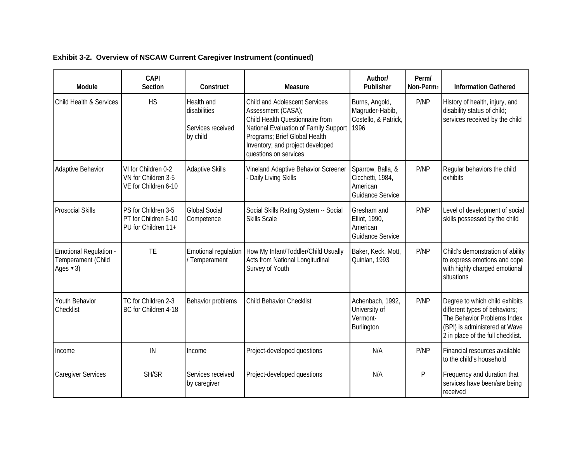| Module                                                                              | <b>CAPI</b><br><b>Section</b>                                      | Construct                                                   | <b>Measure</b>                                                                                                                                                                                                                       | Author/<br>Publisher                                                  | Perm/<br>Non-Perm2 | <b>Information Gathered</b>                                                                                                                                          |
|-------------------------------------------------------------------------------------|--------------------------------------------------------------------|-------------------------------------------------------------|--------------------------------------------------------------------------------------------------------------------------------------------------------------------------------------------------------------------------------------|-----------------------------------------------------------------------|--------------------|----------------------------------------------------------------------------------------------------------------------------------------------------------------------|
| Child Health & Services                                                             | <b>HS</b>                                                          | Health and<br>disabilities<br>Services received<br>by child | <b>Child and Adolescent Services</b><br>Assessment (CASA);<br>Child Health Questionnaire from<br>National Evaluation of Family Support<br>Programs; Brief Global Health<br>Inventory; and project developed<br>questions on services | Burns, Angold,<br>Magruder-Habib,<br>Costello, & Patrick,<br>1996     | P/NP               | History of health, injury, and<br>disability status of child;<br>services received by the child                                                                      |
| Adaptive Behavior                                                                   | VI for Children 0-2<br>VN for Children 3-5<br>VE for Children 6-10 | Adaptive Skills                                             | Vineland Adaptive Behavior Screener<br>Daily Living Skills                                                                                                                                                                           | Sparrow, Balla, &<br>Cicchetti, 1984,<br>American<br>Guidance Service | P/NP               | Regular behaviors the child<br>exhibits                                                                                                                              |
| <b>Prosocial Skills</b>                                                             | PS for Children 3-5<br>PT for Children 6-10<br>PU for Children 11+ | <b>Global Social</b><br>Competence                          | Social Skills Rating System -- Social<br><b>Skills Scale</b>                                                                                                                                                                         | Gresham and<br>Elliot, 1990,<br>American<br>Guidance Service          | P/NP               | Level of development of social<br>skills possessed by the child                                                                                                      |
| <b>Emotional Regulation -</b><br>Temperament (Child<br>Ages $\blacktriangledown$ 3) | <b>TE</b>                                                          | Emotional regulation<br>/ Temperament                       | How My Infant/Toddler/Child Usually<br>Acts from National Longitudinal<br>Survey of Youth                                                                                                                                            | Baker, Keck, Mott,<br>Quinlan, 1993                                   | P/NP               | Child's demonstration of ability<br>to express emotions and cope<br>with highly charged emotional<br>situations                                                      |
| Youth Behavior<br>Checklist                                                         | TC for Children 2-3<br>BC for Children 4-18                        | Behavior problems                                           | <b>Child Behavior Checklist</b>                                                                                                                                                                                                      | Achenbach, 1992,<br>University of<br>Vermont-<br>Burlington           | P/NP               | Degree to which child exhibits<br>different types of behaviors;<br>The Behavior Problems Index<br>(BPI) is administered at Wave<br>2 in place of the full checklist. |
| Income                                                                              | IN                                                                 | Income                                                      | Project-developed questions                                                                                                                                                                                                          | N/A                                                                   | P/NP               | Financial resources available<br>to the child's household                                                                                                            |
| <b>Caregiver Services</b>                                                           | SH/SR                                                              | Services received<br>by caregiver                           | Project-developed questions                                                                                                                                                                                                          | N/A                                                                   | P                  | Frequency and duration that<br>services have been/are being<br>received                                                                                              |

**Exhibit 3-2. Overview of NSCAW Current Caregiver Instrument (continued)**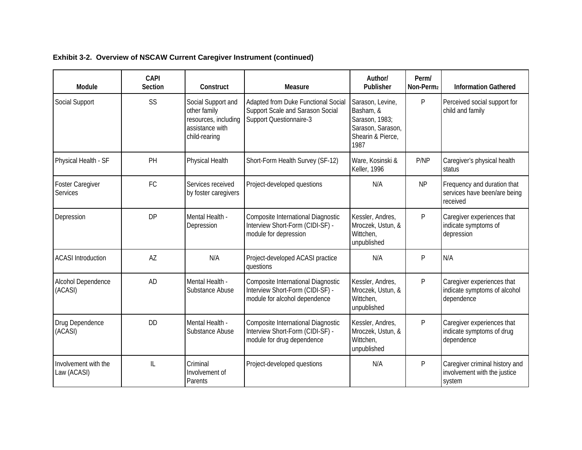| Exhibit 3-2. Overview of NSCAW Current Caregiver Instrument (continued) |  |  |
|-------------------------------------------------------------------------|--|--|
|                                                                         |  |  |

| Module                              | <b>CAPI</b><br><b>Section</b> | Construct                                                                                      | <b>Measure</b>                                                                                          | Author/<br>Publisher                                                                              | Perm/<br>Non-Perm2 | <b>Information Gathered</b>                                              |
|-------------------------------------|-------------------------------|------------------------------------------------------------------------------------------------|---------------------------------------------------------------------------------------------------------|---------------------------------------------------------------------------------------------------|--------------------|--------------------------------------------------------------------------|
| Social Support                      | SS                            | Social Support and<br>other family<br>resources, including<br>assistance with<br>child-rearing | Adapted from Duke Functional Social<br>Support Scale and Sarason Social<br>Support Questionnaire-3      | Sarason, Levine,<br>Basham, &<br>Sarason, 1983;<br>Sarason, Sarason,<br>Shearin & Pierce,<br>1987 | P                  | Perceived social support for<br>child and family                         |
| Physical Health - SF                | PH                            | Physical Health                                                                                | Short-Form Health Survey (SF-12)                                                                        | Ware, Kosinski &<br><b>Keller, 1996</b>                                                           | P/NP               | Caregiver's physical health<br>status                                    |
| <b>Foster Caregiver</b><br>Services | FC                            | Services received<br>by foster caregivers                                                      | Project-developed questions                                                                             | N/A                                                                                               | <b>NP</b>          | Frequency and duration that<br>services have been/are being<br>received  |
| Depression                          | <b>DP</b>                     | Mental Health -<br>Depression                                                                  | Composite International Diagnostic<br>Interview Short-Form (CIDI-SF) -<br>module for depression         | Kessler, Andres,<br>Mroczek, Ustun, &<br>Wittchen,<br>unpublished                                 | P                  | Caregiver experiences that<br>indicate symptoms of<br>depression         |
| <b>ACASI</b> Introduction           | AZ                            | N/A                                                                                            | Project-developed ACASI practice<br>questions                                                           | N/A                                                                                               | P                  | N/A                                                                      |
| Alcohol Dependence<br>(ACASI)       | <b>AD</b>                     | Mental Health -<br>Substance Abuse                                                             | Composite International Diagnostic<br>Interview Short-Form (CIDI-SF) -<br>module for alcohol dependence | Kessler, Andres,<br>Mroczek, Ustun, &<br>Wittchen,<br>unpublished                                 | P                  | Caregiver experiences that<br>indicate symptoms of alcohol<br>dependence |
| Drug Dependence<br>(ACASI)          | <b>DD</b>                     | Mental Health -<br>Substance Abuse                                                             | Composite International Diagnostic<br>Interview Short-Form (CIDI-SF) -<br>module for drug dependence    | Kessler, Andres,<br>Mroczek, Ustun, &<br>Wittchen,<br>unpublished                                 | P                  | Caregiver experiences that<br>indicate symptoms of drug<br>dependence    |
| Involvement with the<br>Law (ACASI) | IL                            | Criminal<br>Involvement of<br>Parents                                                          | Project-developed questions                                                                             | N/A                                                                                               | P                  | Caregiver criminal history and<br>involvement with the justice<br>system |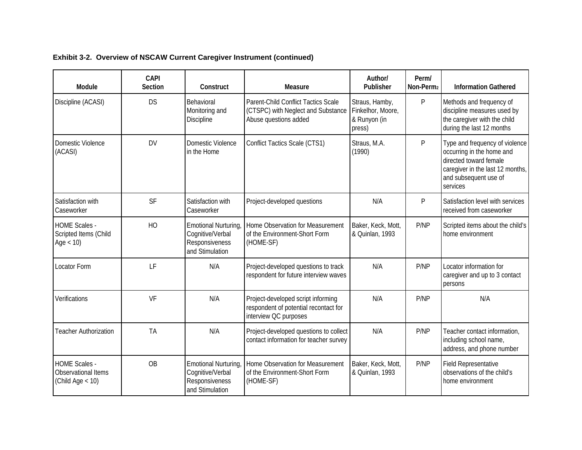| Module                                                            | <b>CAPI</b><br>Section | Construct                                                                     | <b>Measure</b>                                                                                       | Author/<br>Publisher                                          | Perm/<br>Non-Perm <sub>2</sub> | <b>Information Gathered</b>                                                                                                                                    |
|-------------------------------------------------------------------|------------------------|-------------------------------------------------------------------------------|------------------------------------------------------------------------------------------------------|---------------------------------------------------------------|--------------------------------|----------------------------------------------------------------------------------------------------------------------------------------------------------------|
| Discipline (ACASI)                                                | <b>DS</b>              | Behavioral<br>Monitoring and<br>Discipline                                    | Parent-Child Conflict Tactics Scale<br>(CTSPC) with Neglect and Substance<br>Abuse questions added   | Straus, Hamby,<br>Finkelhor, Moore,<br>& Runyon (in<br>press) | $\mathsf{P}$                   | Methods and frequency of<br>discipline measures used by<br>the caregiver with the child<br>during the last 12 months                                           |
| Domestic Violence<br>(ACASI)                                      | <b>DV</b>              | Domestic Violence<br>in the Home                                              | Conflict Tactics Scale (CTS1)                                                                        | Straus, M.A.<br>(1990)                                        | $\mathsf{P}$                   | Type and frequency of violence<br>occurring in the home and<br>directed toward female<br>caregiver in the last 12 months,<br>and subsequent use of<br>services |
| Satisfaction with<br>Caseworker                                   | SF                     | Satisfaction with<br>Caseworker                                               | Project-developed questions                                                                          | N/A                                                           | P                              | Satisfaction level with services<br>received from caseworker                                                                                                   |
| <b>HOME Scales -</b><br>Scripted Items (Child<br>Age $<$ 10)      | HO                     | Emotional Nurturing,<br>Cognitive/Verbal<br>Responsiveness<br>and Stimulation | Home Observation for Measurement<br>of the Environment-Short Form<br>(HOME-SF)                       | Baker, Keck, Mott,<br>& Quinlan, 1993                         | P/NP                           | Scripted items about the child's<br>home environment                                                                                                           |
| Locator Form                                                      | LF                     | N/A                                                                           | Project-developed questions to track<br>respondent for future interview waves                        | N/A                                                           | P/NP                           | Locator information for<br>caregiver and up to 3 contact<br>persons                                                                                            |
| Verifications                                                     | VF                     | N/A                                                                           | Project-developed script informing<br>respondent of potential recontact for<br>interview QC purposes | N/A                                                           | P/NP                           | N/A                                                                                                                                                            |
| <b>Teacher Authorization</b>                                      | <b>TA</b>              | N/A                                                                           | Project-developed questions to collect<br>contact information for teacher survey                     | N/A                                                           | P/NP                           | Teacher contact information,<br>including school name,<br>address, and phone number                                                                            |
| <b>HOME Scales -</b><br>Observational Items<br>(Child Age $<$ 10) | <b>OB</b>              | Emotional Nurturing,<br>Cognitive/Verbal<br>Responsiveness<br>and Stimulation | Home Observation for Measurement<br>of the Environment-Short Form<br>(HOME-SF)                       | Baker, Keck, Mott,<br>& Quinlan, 1993                         | P/NP                           | <b>Field Representative</b><br>observations of the child's<br>home environment                                                                                 |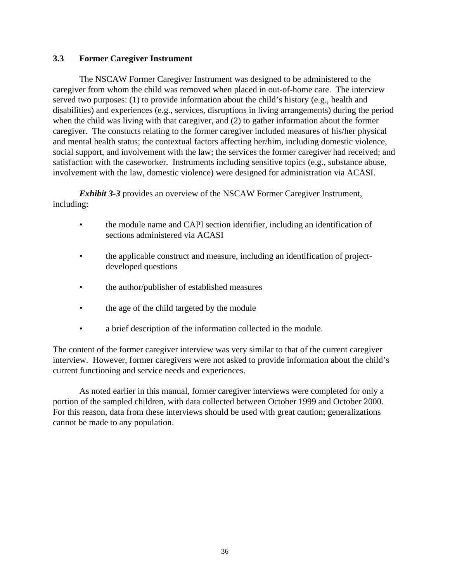#### **3.3 Former Caregiver Instrument**

The NSCAW Former Caregiver Instrument was designed to be administered to the caregiver from whom the child was removed when placed in out-of-home care. The interview served two purposes: (1) to provide information about the child's history (e.g., health and disabilities) and experiences (e.g., services, disruptions in living arrangements) during the period when the child was living with that caregiver, and (2) to gather information about the former caregiver. The constucts relating to the former caregiver included measures of his/her physical and mental health status; the contextual factors affecting her/him, including domestic violence, social support, and involvement with the law; the services the former caregiver had received; and satisfaction with the caseworker. Instruments including sensitive topics (e.g., substance abuse, involvement with the law, domestic violence) were designed for administration via ACASI.

*Exhibit 3-3* provides an overview of the NSCAW Former Caregiver Instrument, including:

- the module name and CAPI section identifier, including an identification of sections administered via ACASI
- the applicable construct and measure, including an identification of projectdeveloped questions
- the author/publisher of established measures
- the age of the child targeted by the module
- a brief description of the information collected in the module.

The content of the former caregiver interview was very similar to that of the current caregiver interview. However, former caregivers were not asked to provide information about the child's current functioning and service needs and experiences.

As noted earlier in this manual, former caregiver interviews were completed for only a portion of the sampled children, with data collected between October 1999 and October 2000. For this reason, data from these interviews should be used with great caution; generalizations cannot be made to any population.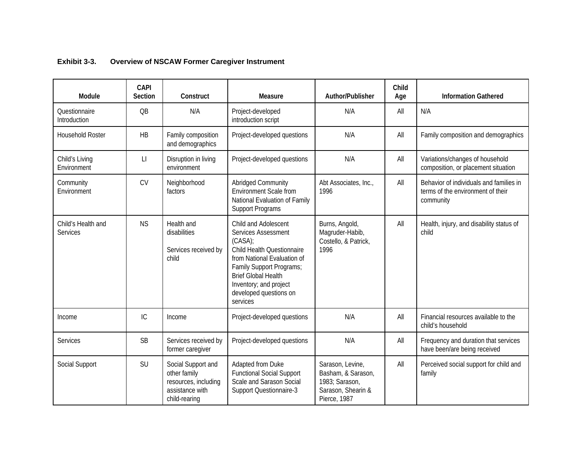| Module                         | <b>CAPI</b><br><b>Section</b> | Construct                                                                                      | Measure                                                                                                                                                                                                                                             | Author/Publisher                                                                               | Child<br>Age | <b>Information Gathered</b>                                                               |
|--------------------------------|-------------------------------|------------------------------------------------------------------------------------------------|-----------------------------------------------------------------------------------------------------------------------------------------------------------------------------------------------------------------------------------------------------|------------------------------------------------------------------------------------------------|--------------|-------------------------------------------------------------------------------------------|
| Questionnaire<br>Introduction  | QB                            | N/A                                                                                            | Project-developed<br>introduction script                                                                                                                                                                                                            | N/A                                                                                            | All          | N/A                                                                                       |
| <b>Household Roster</b>        | <b>HB</b>                     | Family composition<br>and demographics                                                         | Project-developed questions                                                                                                                                                                                                                         | N/A                                                                                            | All          | Family composition and demographics                                                       |
| Child's Living<br>Environment  | $\lfloor \ \rfloor$           | Disruption in living<br>environment                                                            | Project-developed questions                                                                                                                                                                                                                         | N/A                                                                                            | All          | Variations/changes of household<br>composition, or placement situation                    |
| Community<br>Environment       | <b>CV</b>                     | Neighborhood<br>factors                                                                        | Abridged Community<br><b>Environment Scale from</b><br>National Evaluation of Family<br><b>Support Programs</b>                                                                                                                                     | Abt Associates, Inc.,<br>1996                                                                  | All          | Behavior of individuals and families in<br>terms of the environment of their<br>community |
| Child's Health and<br>Services | <b>NS</b>                     | Health and<br>disabilities<br>Services received by<br>child                                    | Child and Adolescent<br><b>Services Assessment</b><br>(CASA)<br>Child Health Questionnaire<br>from National Evaluation of<br>Family Support Programs;<br><b>Brief Global Health</b><br>Inventory; and project<br>developed questions on<br>services | Burns, Angold,<br>Magruder-Habib,<br>Costello, & Patrick,<br>1996                              | All          | Health, injury, and disability status of<br>child                                         |
| Income                         | IC                            | Income                                                                                         | Project-developed questions                                                                                                                                                                                                                         | N/A                                                                                            | All          | Financial resources available to the<br>child's household                                 |
| Services                       | SB                            | Services received by<br>former caregiver                                                       | Project-developed questions                                                                                                                                                                                                                         | N/A                                                                                            | All          | Frequency and duration that services<br>have been/are being received                      |
| Social Support                 | SU                            | Social Support and<br>other family<br>resources, including<br>assistance with<br>child-rearing | Adapted from Duke<br><b>Functional Social Support</b><br>Scale and Sarason Social<br><b>Support Questionnaire-3</b>                                                                                                                                 | Sarason, Levine,<br>Basham, & Sarason,<br>1983; Sarason,<br>Sarason, Shearin &<br>Pierce, 1987 | All          | Perceived social support for child and<br>family                                          |

#### **Exhibit 3-3. Overview of NSCAW Former Caregiver Instrument**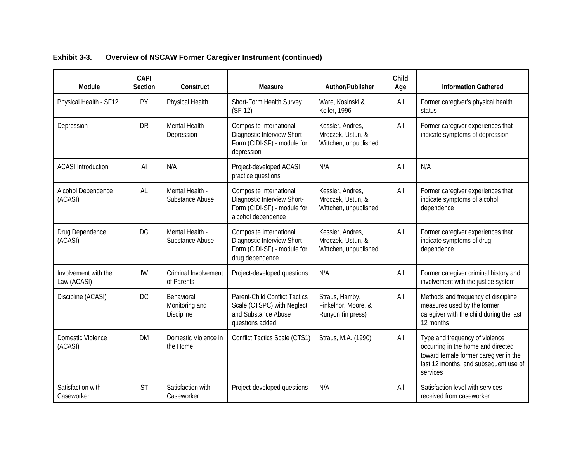| Module                              | <b>CAPI</b><br><b>Section</b> | Construct                                  | Measure                                                                                                     | Author/Publisher                                               | Child<br>Age | <b>Information Gathered</b>                                                                                                                                        |
|-------------------------------------|-------------------------------|--------------------------------------------|-------------------------------------------------------------------------------------------------------------|----------------------------------------------------------------|--------------|--------------------------------------------------------------------------------------------------------------------------------------------------------------------|
| Physical Health - SF12              | PY                            | Physical Health                            | Short-Form Health Survey<br>$(SF-12)$                                                                       | Ware, Kosinski &<br>Keller, 1996                               | All          | Former caregiver's physical health<br>status                                                                                                                       |
| Depression                          | <b>DR</b>                     | Mental Health -<br>Depression              | Composite International<br>Diagnostic Interview Short-<br>Form (CIDI-SF) - module for<br>depression         | Kessler, Andres,<br>Mroczek, Ustun, &<br>Wittchen, unpublished | All          | Former caregiver experiences that<br>indicate symptoms of depression                                                                                               |
| <b>ACASI</b> Introduction           | $\mathsf{Al}$                 | N/A                                        | Project-developed ACASI<br>practice questions                                                               | N/A                                                            | All          | N/A                                                                                                                                                                |
| Alcohol Dependence<br>(ACASI)       | AL                            | Mental Health -<br>Substance Abuse         | Composite International<br>Diagnostic Interview Short-<br>Form (CIDI-SF) - module for<br>alcohol dependence | Kessler, Andres,<br>Mroczek, Ustun, &<br>Wittchen, unpublished | All          | Former caregiver experiences that<br>indicate symptoms of alcohol<br>dependence                                                                                    |
| Drug Dependence<br>(ACASI)          | <b>DG</b>                     | Mental Health -<br>Substance Abuse         | Composite International<br>Diagnostic Interview Short-<br>Form (CIDI-SF) - module for<br>drug dependence    | Kessler, Andres,<br>Mroczek, Ustun, &<br>Wittchen, unpublished | All          | Former caregiver experiences that<br>indicate symptoms of drug<br>dependence                                                                                       |
| Involvement with the<br>Law (ACASI) | <b>IW</b>                     | Criminal Involvement<br>of Parents         | Project-developed questions                                                                                 | N/A                                                            | All          | Former caregiver criminal history and<br>involvement with the justice system                                                                                       |
| Discipline (ACASI)                  | DC                            | Behavioral<br>Monitoring and<br>Discipline | Parent-Child Conflict Tactics<br>Scale (CTSPC) with Neglect<br>and Substance Abuse<br>questions added       | Straus, Hamby,<br>Finkelhor, Moore, &<br>Runyon (in press)     | All          | Methods and frequency of discipline<br>measures used by the former<br>caregiver with the child during the last<br>12 months                                        |
| Domestic Violence<br>(ACASI)        | <b>DM</b>                     | Domestic Violence in<br>the Home           | Conflict Tactics Scale (CTS1)                                                                               | Straus, M.A. (1990)                                            | All          | Type and frequency of violence<br>occurring in the home and directed<br>toward female former caregiver in the<br>last 12 months, and subsequent use of<br>services |
| Satisfaction with<br>Caseworker     | <b>ST</b>                     | Satisfaction with<br>Caseworker            | Project-developed questions                                                                                 | N/A                                                            | All          | Satisfaction level with services<br>received from caseworker                                                                                                       |

**Exhibit 3-3. Overview of NSCAW Former Caregiver Instrument (continued)**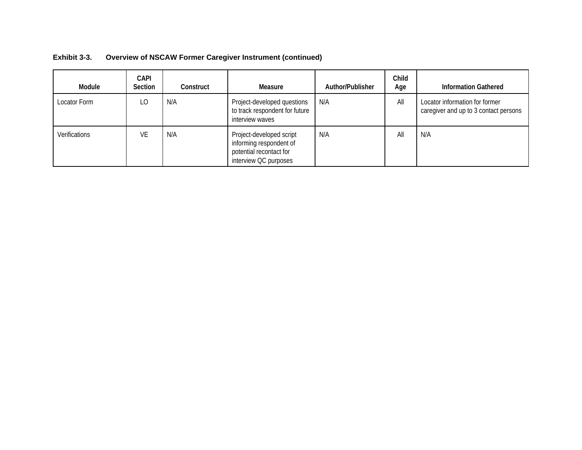| Exhibit 3-3. | <b>Overview of NSCAW Former Caregiver Instrument (continued)</b> |  |  |  |
|--------------|------------------------------------------------------------------|--|--|--|
|--------------|------------------------------------------------------------------|--|--|--|

| Module               | <b>CAPI</b><br>Section | Construct | Measure                                                                                                 | Author/Publisher | Child<br>Age | <b>Information Gathered</b>                                             |
|----------------------|------------------------|-----------|---------------------------------------------------------------------------------------------------------|------------------|--------------|-------------------------------------------------------------------------|
| Locator Form         | LO.                    | N/A       | Project-developed questions<br>to track respondent for future<br>interview waves                        | N/A              | All          | Locator information for former<br>caregiver and up to 3 contact persons |
| <b>Verifications</b> | VE                     | N/A       | Project-developed script<br>informing respondent of<br>potential recontact for<br>interview QC purposes | N/A              | All          | N/A                                                                     |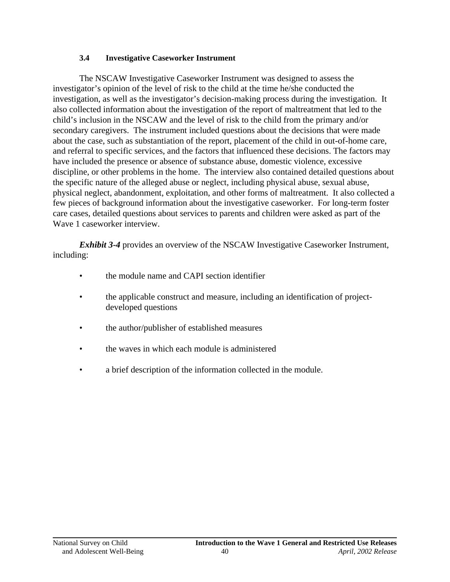#### **3.4 Investigative Caseworker Instrument**

The NSCAW Investigative Caseworker Instrument was designed to assess the investigator's opinion of the level of risk to the child at the time he/she conducted the investigation, as well as the investigator's decision-making process during the investigation. It also collected information about the investigation of the report of maltreatment that led to the child's inclusion in the NSCAW and the level of risk to the child from the primary and/or secondary caregivers. The instrument included questions about the decisions that were made about the case, such as substantiation of the report, placement of the child in out-of-home care, and referral to specific services, and the factors that influenced these decisions. The factors may have included the presence or absence of substance abuse, domestic violence, excessive discipline, or other problems in the home. The interview also contained detailed questions about the specific nature of the alleged abuse or neglect, including physical abuse, sexual abuse, physical neglect, abandonment, exploitation, and other forms of maltreatment. It also collected a few pieces of background information about the investigative caseworker. For long-term foster care cases, detailed questions about services to parents and children were asked as part of the Wave 1 caseworker interview.

*Exhibit 3-4* provides an overview of the NSCAW Investigative Caseworker Instrument, including:

- the module name and CAPI section identifier
- the applicable construct and measure, including an identification of projectdeveloped questions
- the author/publisher of established measures
- the waves in which each module is administered
- a brief description of the information collected in the module.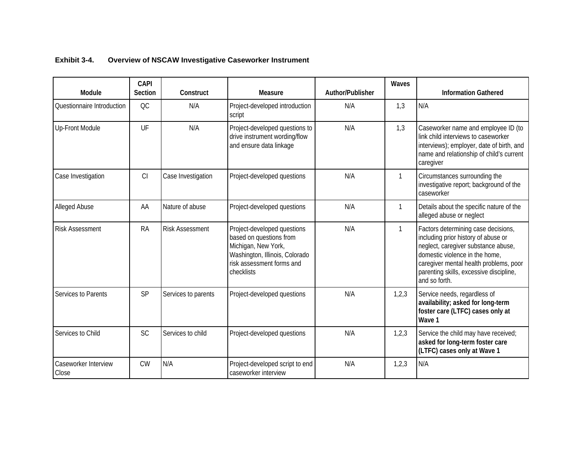| Module                        | <b>CAPI</b><br><b>Section</b> | Construct              | Measure                                                                                                                                                    | Author/Publisher | Waves        | <b>Information Gathered</b>                                                                                                                                                                                                                               |
|-------------------------------|-------------------------------|------------------------|------------------------------------------------------------------------------------------------------------------------------------------------------------|------------------|--------------|-----------------------------------------------------------------------------------------------------------------------------------------------------------------------------------------------------------------------------------------------------------|
| Questionnaire Introduction    | OC                            | N/A                    | Project-developed introduction<br>script                                                                                                                   | N/A              | 1,3          | N/A                                                                                                                                                                                                                                                       |
| Up-Front Module               | UF                            | N/A                    | Project-developed questions to<br>drive instrument wording/flow<br>and ensure data linkage                                                                 | N/A              | 1,3          | Caseworker name and employee ID (to<br>link child interviews to caseworker<br>interviews); employer, date of birth, and<br>name and relationship of child's current<br>caregiver                                                                          |
| Case Investigation            | CI                            | Case Investigation     | Project-developed questions                                                                                                                                | N/A              | $\mathbf{1}$ | Circumstances surrounding the<br>investigative report; background of the<br>caseworker                                                                                                                                                                    |
| Alleged Abuse                 | AA                            | Nature of abuse        | Project-developed questions                                                                                                                                | N/A              | $\mathbf 1$  | Details about the specific nature of the<br>alleged abuse or neglect                                                                                                                                                                                      |
| <b>Risk Assessment</b>        | <b>RA</b>                     | <b>Risk Assessment</b> | Project-developed questions<br>based on questions from<br>Michigan, New York,<br>Washington, Illinois, Colorado<br>risk assessment forms and<br>checklists | N/A              | $\mathbf{1}$ | Factors determining case decisions,<br>including prior history of abuse or<br>neglect, caregiver substance abuse,<br>domestic violence in the home,<br>caregiver mental health problems, poor<br>parenting skills, excessive discipline,<br>and so forth. |
| Services to Parents           | SP                            | Services to parents    | Project-developed questions                                                                                                                                | N/A              | 1,2,3        | Service needs, regardless of<br>availability; asked for long-term<br>foster care (LTFC) cases only at<br>Wave 1                                                                                                                                           |
| Services to Child             | <b>SC</b>                     | Services to child      | Project-developed questions                                                                                                                                | N/A              | 1,2,3        | Service the child may have received;<br>asked for long-term foster care<br>(LTFC) cases only at Wave 1                                                                                                                                                    |
| Caseworker Interview<br>Close | <b>CW</b>                     | N/A                    | Project-developed script to end<br>caseworker interview                                                                                                    | N/A              | 1,2,3        | N/A                                                                                                                                                                                                                                                       |

### **Exhibit 3-4. Overview of NSCAW Investigative Caseworker Instrument**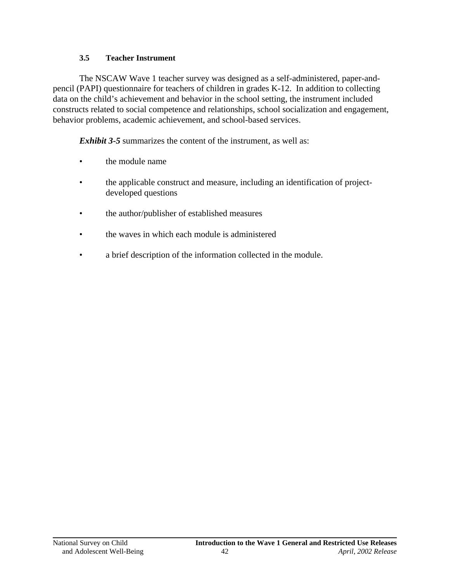### **3.5 Teacher Instrument**

The NSCAW Wave 1 teacher survey was designed as a self-administered, paper-andpencil (PAPI) questionnaire for teachers of children in grades K-12. In addition to collecting data on the child's achievement and behavior in the school setting, the instrument included constructs related to social competence and relationships, school socialization and engagement, behavior problems, academic achievement, and school-based services.

*Exhibit 3-5* summarizes the content of the instrument, as well as:

- **the module name**
- the applicable construct and measure, including an identification of projectdeveloped questions
- the author/publisher of established measures
- the waves in which each module is administered
- a brief description of the information collected in the module.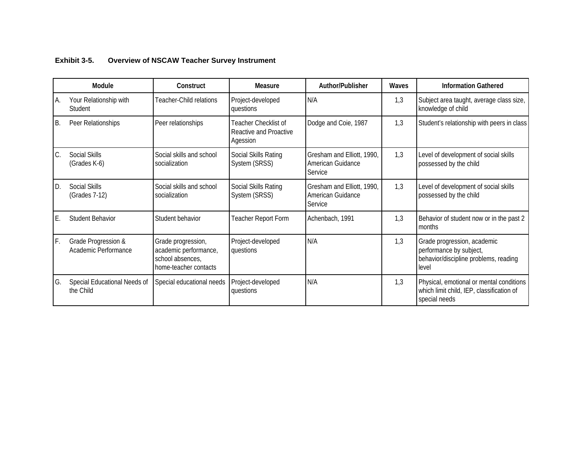|    | Module                                      | Construct                                                                                | <b>Measure</b>                                             | Author/Publisher                                           | Waves | <b>Information Gathered</b>                                                                              |
|----|---------------------------------------------|------------------------------------------------------------------------------------------|------------------------------------------------------------|------------------------------------------------------------|-------|----------------------------------------------------------------------------------------------------------|
| Α. | Your Relationship with<br>Student           | Teacher-Child relations                                                                  | Project-developed<br>questions                             | N/A                                                        | 1,3   | Subject area taught, average class size,<br>knowledge of child                                           |
| B. | Peer Relationships                          | Peer relationships                                                                       | Teacher Checklist of<br>Reactive and Proactive<br>Agession | Dodge and Coie, 1987                                       | 1,3   | Student's relationship with peers in class                                                               |
| C. | Social Skills<br>(Grades K-6)               | Social skills and school<br>socialization                                                | Social Skills Rating<br>System (SRSS)                      | Gresham and Elliott, 1990,<br>American Guidance<br>Service | 1,3   | Level of development of social skills<br>possessed by the child                                          |
| D. | Social Skills<br>(Grades 7-12)              | Social skills and school<br>socialization                                                | Social Skills Rating<br>System (SRSS)                      | Gresham and Elliott, 1990,<br>American Guidance<br>Service | 1,3   | Level of development of social skills<br>possessed by the child                                          |
| Ε. | <b>Student Behavior</b>                     | Student behavior                                                                         | Teacher Report Form                                        | Achenbach, 1991                                            | 1,3   | Behavior of student now or in the past 2<br>months                                                       |
| F. | Grade Progression &<br>Academic Performance | Grade progression,<br>academic performance,<br>school absences,<br>home-teacher contacts | Project-developed<br>questions                             | N/A                                                        | 1,3   | Grade progression, academic<br>performance by subject,<br>behavior/discipline problems, reading<br>level |
| G. | Special Educational Needs of<br>the Child   | Special educational needs                                                                | Project-developed<br>questions                             | N/A                                                        | 1,3   | Physical, emotional or mental conditions<br>which limit child, IEP, classification of<br>special needs   |

#### **Exhibit 3-5. Overview of NSCAW Teacher Survey Instrument**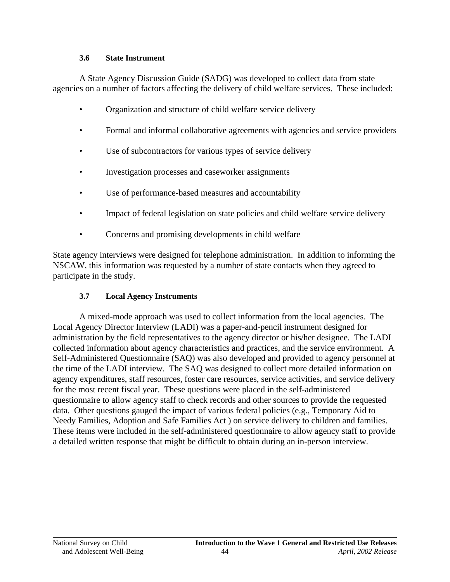#### **3.6 State Instrument**

A State Agency Discussion Guide (SADG) was developed to collect data from state agencies on a number of factors affecting the delivery of child welfare services. These included:

- Organization and structure of child welfare service delivery
- Formal and informal collaborative agreements with agencies and service providers
- Use of subcontractors for various types of service delivery
- Investigation processes and caseworker assignments
- Use of performance-based measures and accountability
- Impact of federal legislation on state policies and child welfare service delivery
- Concerns and promising developments in child welfare

State agency interviews were designed for telephone administration. In addition to informing the NSCAW, this information was requested by a number of state contacts when they agreed to participate in the study.

# **3.7 Local Agency Instruments**

A mixed-mode approach was used to collect information from the local agencies. The Local Agency Director Interview (LADI) was a paper-and-pencil instrument designed for administration by the field representatives to the agency director or his/her designee. The LADI collected information about agency characteristics and practices, and the service environment. A Self-Administered Questionnaire (SAQ) was also developed and provided to agency personnel at the time of the LADI interview. The SAQ was designed to collect more detailed information on agency expenditures, staff resources, foster care resources, service activities, and service delivery for the most recent fiscal year. These questions were placed in the self-administered questionnaire to allow agency staff to check records and other sources to provide the requested data. Other questions gauged the impact of various federal policies (e.g., Temporary Aid to Needy Families, Adoption and Safe Families Act ) on service delivery to children and families. These items were included in the self-administered questionnaire to allow agency staff to provide a detailed written response that might be difficult to obtain during an in-person interview.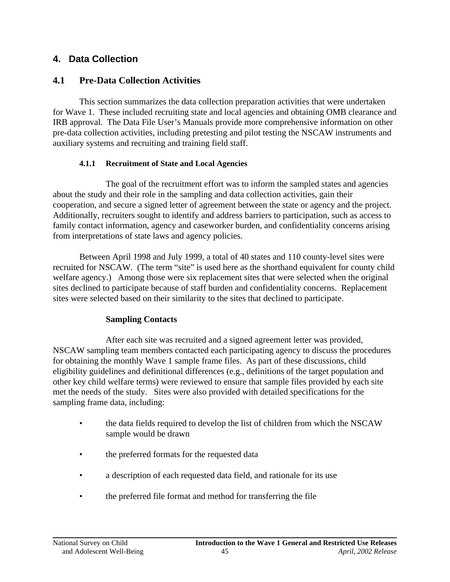# **4. Data Collection**

# **4.1 Pre-Data Collection Activities**

This section summarizes the data collection preparation activities that were undertaken for Wave 1. These included recruiting state and local agencies and obtaining OMB clearance and IRB approval. The Data File User's Manuals provide more comprehensive information on other pre-data collection activities, including pretesting and pilot testing the NSCAW instruments and auxiliary systems and recruiting and training field staff.

# **4.1.1 Recruitment of State and Local Agencies**

The goal of the recruitment effort was to inform the sampled states and agencies about the study and their role in the sampling and data collection activities, gain their cooperation, and secure a signed letter of agreement between the state or agency and the project. Additionally, recruiters sought to identify and address barriers to participation, such as access to family contact information, agency and caseworker burden, and confidentiality concerns arising from interpretations of state laws and agency policies.

Between April 1998 and July 1999, a total of 40 states and 110 county-level sites were recruited for NSCAW. (The term "site" is used here as the shorthand equivalent for county child welfare agency.) Among those were six replacement sites that were selected when the original sites declined to participate because of staff burden and confidentiality concerns. Replacement sites were selected based on their similarity to the sites that declined to participate.

# **Sampling Contacts**

After each site was recruited and a signed agreement letter was provided, NSCAW sampling team members contacted each participating agency to discuss the procedures for obtaining the monthly Wave 1 sample frame files. As part of these discussions, child eligibility guidelines and definitional differences (e.g., definitions of the target population and other key child welfare terms) were reviewed to ensure that sample files provided by each site met the needs of the study. Sites were also provided with detailed specifications for the sampling frame data, including:

- the data fields required to develop the list of children from which the NSCAW sample would be drawn
- the preferred formats for the requested data
- a description of each requested data field, and rationale for its use
- the preferred file format and method for transferring the file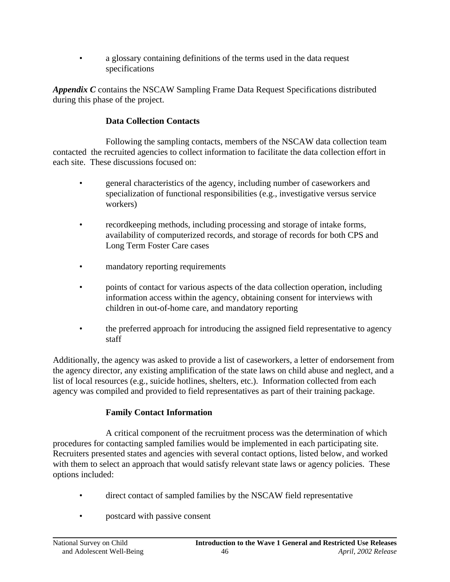a glossary containing definitions of the terms used in the data request specifications

*Appendix C* contains the NSCAW Sampling Frame Data Request Specifications distributed during this phase of the project.

## **Data Collection Contacts**

Following the sampling contacts, members of the NSCAW data collection team contacted the recruited agencies to collect information to facilitate the data collection effort in each site. These discussions focused on:

- general characteristics of the agency, including number of caseworkers and specialization of functional responsibilities (e.g., investigative versus service workers)
- record eeping methods, including processing and storage of intake forms, availability of computerized records, and storage of records for both CPS and Long Term Foster Care cases
- mandatory reporting requirements
- points of contact for various aspects of the data collection operation, including information access within the agency, obtaining consent for interviews with children in out-of-home care, and mandatory reporting
- the preferred approach for introducing the assigned field representative to agency staff

Additionally, the agency was asked to provide a list of caseworkers, a letter of endorsement from the agency director, any existing amplification of the state laws on child abuse and neglect, and a list of local resources (e.g., suicide hotlines, shelters, etc.). Information collected from each agency was compiled and provided to field representatives as part of their training package.

# **Family Contact Information**

A critical component of the recruitment process was the determination of which procedures for contacting sampled families would be implemented in each participating site. Recruiters presented states and agencies with several contact options, listed below, and worked with them to select an approach that would satisfy relevant state laws or agency policies. These options included:

- direct contact of sampled families by the NSCAW field representative
- postcard with passive consent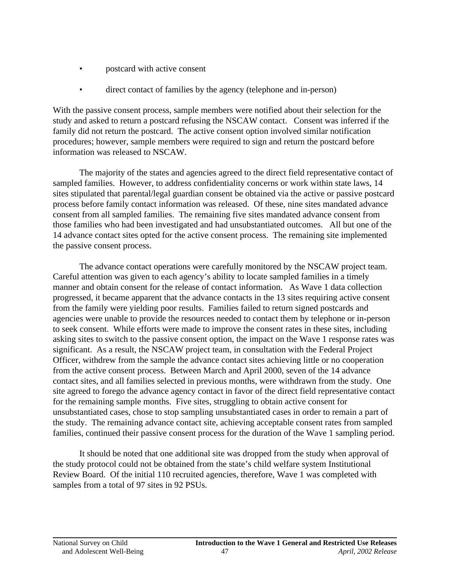- postcard with active consent
- direct contact of families by the agency (telephone and in-person)

With the passive consent process, sample members were notified about their selection for the study and asked to return a postcard refusing the NSCAW contact. Consent was inferred if the family did not return the postcard. The active consent option involved similar notification procedures; however, sample members were required to sign and return the postcard before information was released to NSCAW.

The majority of the states and agencies agreed to the direct field representative contact of sampled families. However, to address confidentiality concerns or work within state laws, 14 sites stipulated that parental/legal guardian consent be obtained via the active or passive postcard process before family contact information was released. Of these, nine sites mandated advance consent from all sampled families. The remaining five sites mandated advance consent from those families who had been investigated and had unsubstantiated outcomes. All but one of the 14 advance contact sites opted for the active consent process. The remaining site implemented the passive consent process.

The advance contact operations were carefully monitored by the NSCAW project team. Careful attention was given to each agency's ability to locate sampled families in a timely manner and obtain consent for the release of contact information. As Wave 1 data collection progressed, it became apparent that the advance contacts in the 13 sites requiring active consent from the family were yielding poor results. Families failed to return signed postcards and agencies were unable to provide the resources needed to contact them by telephone or in-person to seek consent. While efforts were made to improve the consent rates in these sites, including asking sites to switch to the passive consent option, the impact on the Wave 1 response rates was significant. As a result, the NSCAW project team, in consultation with the Federal Project Officer, withdrew from the sample the advance contact sites achieving little or no cooperation from the active consent process. Between March and April 2000, seven of the 14 advance contact sites, and all families selected in previous months, were withdrawn from the study. One site agreed to forego the advance agency contact in favor of the direct field representative contact for the remaining sample months. Five sites, struggling to obtain active consent for unsubstantiated cases, chose to stop sampling unsubstantiated cases in order to remain a part of the study. The remaining advance contact site, achieving acceptable consent rates from sampled families, continued their passive consent process for the duration of the Wave 1 sampling period.

It should be noted that one additional site was dropped from the study when approval of the study protocol could not be obtained from the state's child welfare system Institutional Review Board. Of the initial 110 recruited agencies, therefore, Wave 1 was completed with samples from a total of 97 sites in 92 PSUs.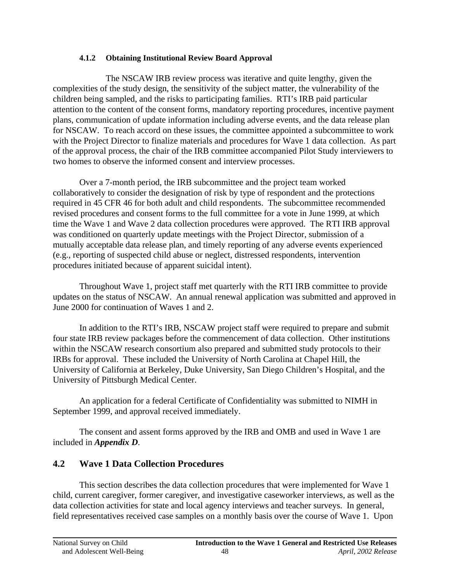### **4.1.2 Obtaining Institutional Review Board Approval**

The NSCAW IRB review process was iterative and quite lengthy, given the complexities of the study design, the sensitivity of the subject matter, the vulnerability of the children being sampled, and the risks to participating families. RTI's IRB paid particular attention to the content of the consent forms, mandatory reporting procedures, incentive payment plans, communication of update information including adverse events, and the data release plan for NSCAW. To reach accord on these issues, the committee appointed a subcommittee to work with the Project Director to finalize materials and procedures for Wave 1 data collection. As part of the approval process, the chair of the IRB committee accompanied Pilot Study interviewers to two homes to observe the informed consent and interview processes.

Over a 7-month period, the IRB subcommittee and the project team worked collaboratively to consider the designation of risk by type of respondent and the protections required in 45 CFR 46 for both adult and child respondents. The subcommittee recommended revised procedures and consent forms to the full committee for a vote in June 1999, at which time the Wave 1 and Wave 2 data collection procedures were approved. The RTI IRB approval was conditioned on quarterly update meetings with the Project Director, submission of a mutually acceptable data release plan, and timely reporting of any adverse events experienced (e.g., reporting of suspected child abuse or neglect, distressed respondents, intervention procedures initiated because of apparent suicidal intent).

Throughout Wave 1, project staff met quarterly with the RTI IRB committee to provide updates on the status of NSCAW. An annual renewal application was submitted and approved in June 2000 for continuation of Waves 1 and 2.

In addition to the RTI's IRB, NSCAW project staff were required to prepare and submit four state IRB review packages before the commencement of data collection. Other institutions within the NSCAW research consortium also prepared and submitted study protocols to their IRBs for approval. These included the University of North Carolina at Chapel Hill, the University of California at Berkeley, Duke University, San Diego Children's Hospital, and the University of Pittsburgh Medical Center.

An application for a federal Certificate of Confidentiality was submitted to NIMH in September 1999, and approval received immediately.

The consent and assent forms approved by the IRB and OMB and used in Wave 1 are included in *Appendix D*.

# **4.2 Wave 1 Data Collection Procedures**

This section describes the data collection procedures that were implemented for Wave 1 child, current caregiver, former caregiver, and investigative caseworker interviews, as well as the data collection activities for state and local agency interviews and teacher surveys. In general, field representatives received case samples on a monthly basis over the course of Wave 1. Upon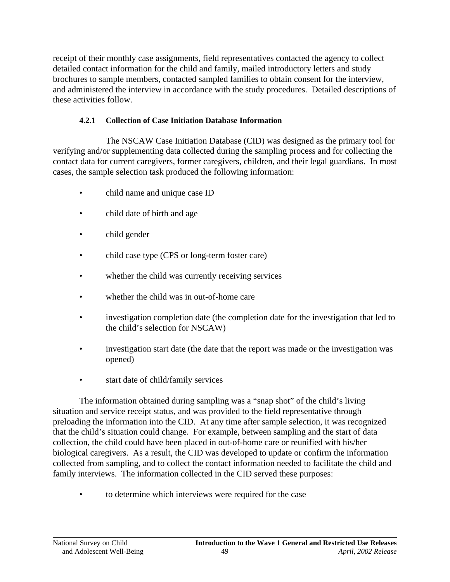receipt of their monthly case assignments, field representatives contacted the agency to collect detailed contact information for the child and family, mailed introductory letters and study brochures to sample members, contacted sampled families to obtain consent for the interview, and administered the interview in accordance with the study procedures. Detailed descriptions of these activities follow.

## **4.2.1 Collection of Case Initiation Database Information**

The NSCAW Case Initiation Database (CID) was designed as the primary tool for verifying and/or supplementing data collected during the sampling process and for collecting the contact data for current caregivers, former caregivers, children, and their legal guardians. In most cases, the sample selection task produced the following information:

- child name and unique case ID
- child date of birth and age
- child gender
- child case type (CPS or long-term foster care)
- whether the child was currently receiving services
- whether the child was in out-of-home care
- investigation completion date (the completion date for the investigation that led to the child's selection for NSCAW)
- investigation start date (the date that the report was made or the investigation was opened)
- start date of child/family services

The information obtained during sampling was a "snap shot" of the child's living situation and service receipt status, and was provided to the field representative through preloading the information into the CID. At any time after sample selection, it was recognized that the child's situation could change. For example, between sampling and the start of data collection, the child could have been placed in out-of-home care or reunified with his/her biological caregivers. As a result, the CID was developed to update or confirm the information collected from sampling, and to collect the contact information needed to facilitate the child and family interviews. The information collected in the CID served these purposes:

to determine which interviews were required for the case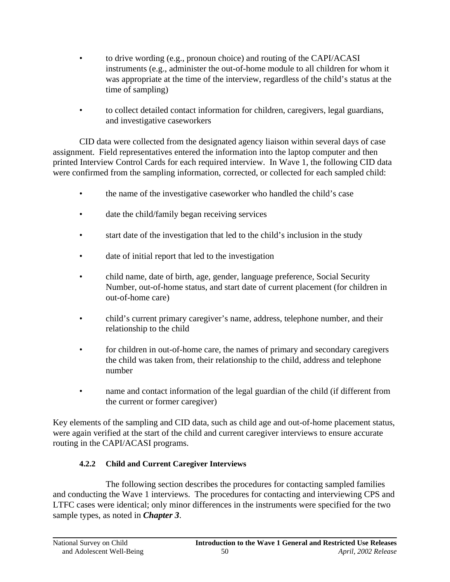- to drive wording (e.g., pronoun choice) and routing of the CAPI/ACASI instruments (e.g., administer the out-of-home module to all children for whom it was appropriate at the time of the interview, regardless of the child's status at the time of sampling)
- • to collect detailed contact information for children, caregivers, legal guardians, and investigative caseworkers

CID data were collected from the designated agency liaison within several days of case assignment. Field representatives entered the information into the laptop computer and then printed Interview Control Cards for each required interview. In Wave 1, the following CID data were confirmed from the sampling information, corrected, or collected for each sampled child:

- the name of the investigative caseworker who handled the child's case
- date the child/family began receiving services
- start date of the investigation that led to the child's inclusion in the study
- date of initial report that led to the investigation
- child name, date of birth, age, gender, language preference, Social Security Number, out-of-home status, and start date of current placement (for children in out-of-home care)
- child's current primary caregiver's name, address, telephone number, and their relationship to the child
- for children in out-of-home care, the names of primary and secondary caregivers the child was taken from, their relationship to the child, address and telephone number
- name and contact information of the legal guardian of the child (if different from the current or former caregiver)

Key elements of the sampling and CID data, such as child age and out-of-home placement status, were again verified at the start of the child and current caregiver interviews to ensure accurate routing in the CAPI/ACASI programs.

## **4.2.2 Child and Current Caregiver Interviews**

The following section describes the procedures for contacting sampled families and conducting the Wave 1 interviews. The procedures for contacting and interviewing CPS and LTFC cases were identical; only minor differences in the instruments were specified for the two sample types, as noted in *Chapter 3*.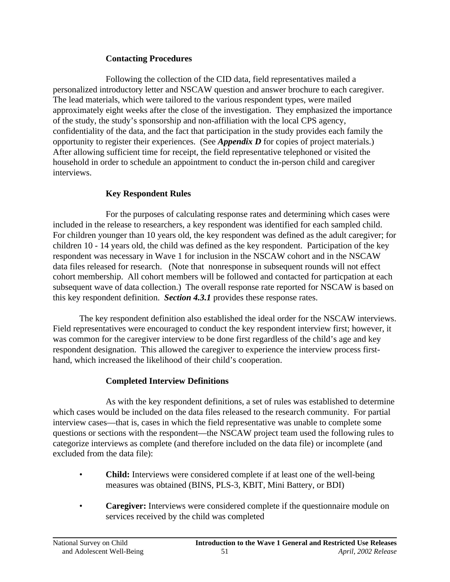### **Contacting Procedures**

Following the collection of the CID data, field representatives mailed a personalized introductory letter and NSCAW question and answer brochure to each caregiver. The lead materials, which were tailored to the various respondent types, were mailed approximately eight weeks after the close of the investigation. They emphasized the importance of the study, the study's sponsorship and non-affiliation with the local CPS agency, confidentiality of the data, and the fact that participation in the study provides each family the opportunity to register their experiences. (See *Appendix D* for copies of project materials.) After allowing sufficient time for receipt, the field representative telephoned or visited the household in order to schedule an appointment to conduct the in-person child and caregiver interviews.

# **Key Respondent Rules**

For the purposes of calculating response rates and determining which cases were included in the release to researchers, a key respondent was identified for each sampled child. For children younger than 10 years old, the key respondent was defined as the adult caregiver; for children 10 - 14 years old, the child was defined as the key respondent. Participation of the key respondent was necessary in Wave 1 for inclusion in the NSCAW cohort and in the NSCAW data files released for research. (Note that nonresponse in subsequent rounds will not effect cohort membership. All cohort members will be followed and contacted for particpation at each subsequent wave of data collection.) The overall response rate reported for NSCAW is based on this key respondent definition. *Section 4.3.1* provides these response rates.

The key respondent definition also established the ideal order for the NSCAW interviews. Field representatives were encouraged to conduct the key respondent interview first; however, it was common for the caregiver interview to be done first regardless of the child's age and key respondent designation. This allowed the caregiver to experience the interview process firsthand, which increased the likelihood of their child's cooperation.

## **Completed Interview Definitions**

As with the key respondent definitions, a set of rules was established to determine which cases would be included on the data files released to the research community. For partial interview cases—that is, cases in which the field representative was unable to complete some questions or sections with the respondent—the NSCAW project team used the following rules to categorize interviews as complete (and therefore included on the data file) or incomplete (and excluded from the data file):

- **Child:** Interviews were considered complete if at least one of the well-being measures was obtained (BINS, PLS-3, KBIT, Mini Battery, or BDI)
- **Caregiver:** Interviews were considered complete if the questionnaire module on services received by the child was completed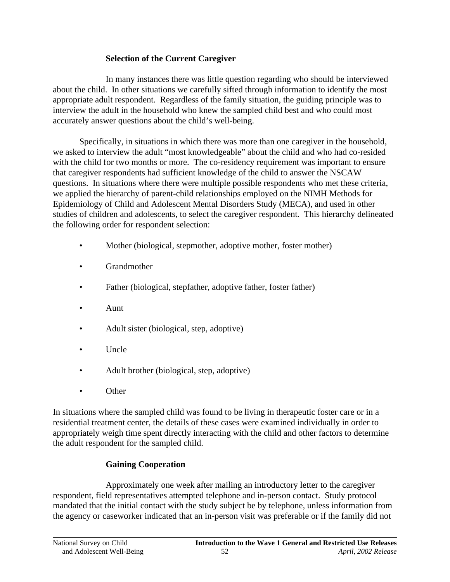## **Selection of the Current Caregiver**

In many instances there was little question regarding who should be interviewed about the child. In other situations we carefully sifted through information to identify the most appropriate adult respondent. Regardless of the family situation, the guiding principle was to interview the adult in the household who knew the sampled child best and who could most accurately answer questions about the child's well-being.

Specifically, in situations in which there was more than one caregiver in the household, we asked to interview the adult "most knowledgeable" about the child and who had co-resided with the child for two months or more. The co-residency requirement was important to ensure that caregiver respondents had sufficient knowledge of the child to answer the NSCAW questions. In situations where there were multiple possible respondents who met these criteria, we applied the hierarchy of parent-child relationships employed on the NIMH Methods for Epidemiology of Child and Adolescent Mental Disorders Study (MECA), and used in other studies of children and adolescents, to select the caregiver respondent. This hierarchy delineated the following order for respondent selection:

- Mother (biological, stepmother, adoptive mother, foster mother)
- **Grandmother**
- Father (biological, stepfather, adoptive father, foster father)
- Aunt
- Adult sister (biological, step, adoptive)
- Uncle
- Adult brother (biological, step, adoptive)
- Other

In situations where the sampled child was found to be living in therapeutic foster care or in a residential treatment center, the details of these cases were examined individually in order to appropriately weigh time spent directly interacting with the child and other factors to determine the adult respondent for the sampled child.

# **Gaining Cooperation**

Approximately one week after mailing an introductory letter to the caregiver respondent, field representatives attempted telephone and in-person contact. Study protocol mandated that the initial contact with the study subject be by telephone, unless information from the agency or caseworker indicated that an in-person visit was preferable or if the family did not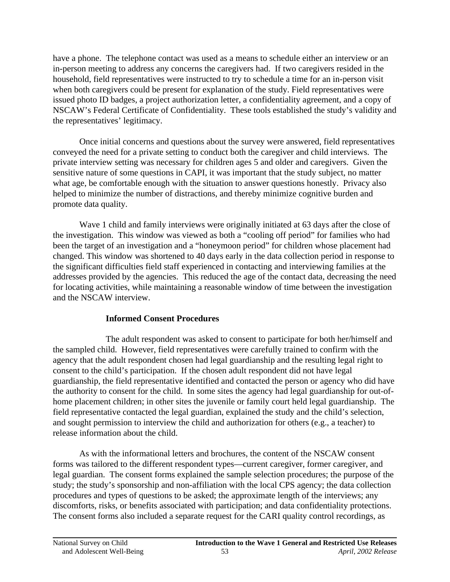have a phone. The telephone contact was used as a means to schedule either an interview or an in-person meeting to address any concerns the caregivers had. If two caregivers resided in the household, field representatives were instructed to try to schedule a time for an in-person visit when both caregivers could be present for explanation of the study. Field representatives were issued photo ID badges, a project authorization letter, a confidentiality agreement, and a copy of NSCAW's Federal Certificate of Confidentiality. These tools established the study's validity and the representatives' legitimacy.

Once initial concerns and questions about the survey were answered, field representatives conveyed the need for a private setting to conduct both the caregiver and child interviews. The private interview setting was necessary for children ages 5 and older and caregivers. Given the sensitive nature of some questions in CAPI, it was important that the study subject, no matter what age, be comfortable enough with the situation to answer questions honestly. Privacy also helped to minimize the number of distractions, and thereby minimize cognitive burden and promote data quality.

Wave 1 child and family interviews were originally initiated at 63 days after the close of the investigation. This window was viewed as both a "cooling off period" for families who had been the target of an investigation and a "honeymoon period" for children whose placement had changed. This window was shortened to 40 days early in the data collection period in response to the significant difficulties field staff experienced in contacting and interviewing families at the addresses provided by the agencies. This reduced the age of the contact data, decreasing the need for locating activities, while maintaining a reasonable window of time between the investigation and the NSCAW interview.

## **Informed Consent Procedures**

The adult respondent was asked to consent to participate for both her/himself and the sampled child. However, field representatives were carefully trained to confirm with the agency that the adult respondent chosen had legal guardianship and the resulting legal right to consent to the child's participation. If the chosen adult respondent did not have legal guardianship, the field representative identified and contacted the person or agency who did have the authority to consent for the child. In some sites the agency had legal guardianship for out-ofhome placement children; in other sites the juvenile or family court held legal guardianship. The field representative contacted the legal guardian, explained the study and the child's selection, and sought permission to interview the child and authorization for others (e.g., a teacher) to release information about the child.

As with the informational letters and brochures, the content of the NSCAW consent forms was tailored to the different respondent types—current caregiver, former caregiver, and legal guardian. The consent forms explained the sample selection procedures; the purpose of the study; the study's sponsorship and non-affiliation with the local CPS agency; the data collection procedures and types of questions to be asked; the approximate length of the interviews; any discomforts, risks, or benefits associated with participation; and data confidentiality protections. The consent forms also included a separate request for the CARI quality control recordings, as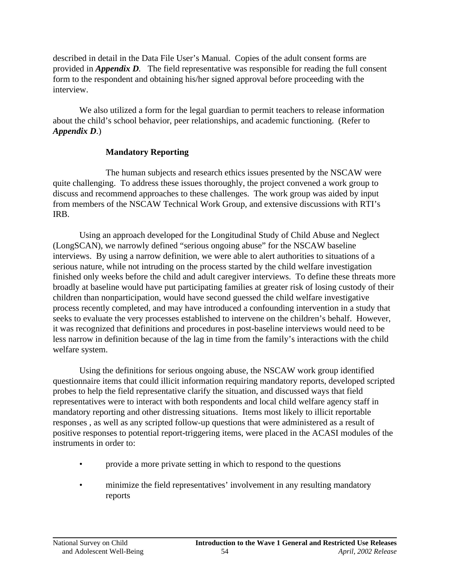described in detail in the Data File User's Manual. Copies of the adult consent forms are provided in *Appendix D.* The field representative was responsible for reading the full consent form to the respondent and obtaining his/her signed approval before proceeding with the interview.

We also utilized a form for the legal guardian to permit teachers to release information about the child's school behavior, peer relationships, and academic functioning. (Refer to *Appendix D*.)

## **Mandatory Reporting**

The human subjects and research ethics issues presented by the NSCAW were quite challenging. To address these issues thoroughly, the project convened a work group to discuss and recommend approaches to these challenges. The work group was aided by input from members of the NSCAW Technical Work Group, and extensive discussions with RTI's IRB.

Using an approach developed for the Longitudinal Study of Child Abuse and Neglect (LongSCAN), we narrowly defined "serious ongoing abuse" for the NSCAW baseline interviews. By using a narrow definition, we were able to alert authorities to situations of a serious nature, while not intruding on the process started by the child welfare investigation finished only weeks before the child and adult caregiver interviews. To define these threats more broadly at baseline would have put participating families at greater risk of losing custody of their children than nonparticipation, would have second guessed the child welfare investigative process recently completed, and may have introduced a confounding intervention in a study that seeks to evaluate the very processes established to intervene on the children's behalf. However, it was recognized that definitions and procedures in post-baseline interviews would need to be less narrow in definition because of the lag in time from the family's interactions with the child welfare system.

Using the definitions for serious ongoing abuse, the NSCAW work group identified questionnaire items that could illicit information requiring mandatory reports, developed scripted probes to help the field representative clarify the situation, and discussed ways that field representatives were to interact with both respondents and local child welfare agency staff in mandatory reporting and other distressing situations. Items most likely to illicit reportable responses , as well as any scripted follow-up questions that were administered as a result of positive responses to potential report-triggering items, were placed in the ACASI modules of the instruments in order to:

- provide a more private setting in which to respond to the questions
- minimize the field representatives' involvement in any resulting mandatory reports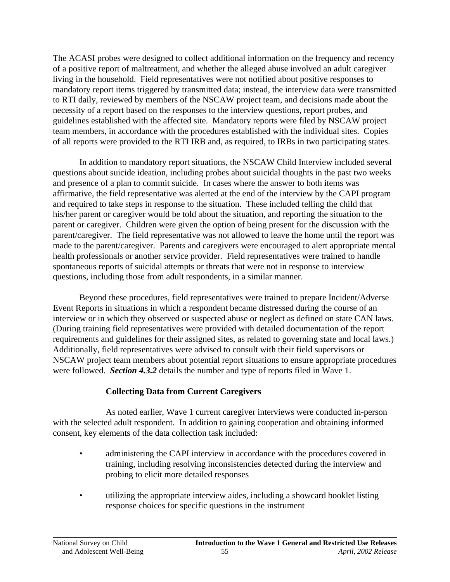The ACASI probes were designed to collect additional information on the frequency and recency of a positive report of maltreatment, and whether the alleged abuse involved an adult caregiver living in the household. Field representatives were not notified about positive responses to mandatory report items triggered by transmitted data; instead, the interview data were transmitted to RTI daily, reviewed by members of the NSCAW project team, and decisions made about the necessity of a report based on the responses to the interview questions, report probes, and guidelines established with the affected site. Mandatory reports were filed by NSCAW project team members, in accordance with the procedures established with the individual sites. Copies of all reports were provided to the RTI IRB and, as required, to IRBs in two participating states.

In addition to mandatory report situations, the NSCAW Child Interview included several questions about suicide ideation, including probes about suicidal thoughts in the past two weeks and presence of a plan to commit suicide. In cases where the answer to both items was affirmative, the field representative was alerted at the end of the interview by the CAPI program and required to take steps in response to the situation. These included telling the child that his/her parent or caregiver would be told about the situation, and reporting the situation to the parent or caregiver. Children were given the option of being present for the discussion with the parent/caregiver. The field representative was not allowed to leave the home until the report was made to the parent/caregiver. Parents and caregivers were encouraged to alert appropriate mental health professionals or another service provider. Field representatives were trained to handle spontaneous reports of suicidal attempts or threats that were not in response to interview questions, including those from adult respondents, in a similar manner.

Beyond these procedures, field representatives were trained to prepare Incident/Adverse Event Reports in situations in which a respondent became distressed during the course of an interview or in which they observed or suspected abuse or neglect as defined on state CAN laws. (During training field representatives were provided with detailed documentation of the report requirements and guidelines for their assigned sites, as related to governing state and local laws.) Additionally, field representatives were advised to consult with their field supervisors or NSCAW project team members about potential report situations to ensure appropriate procedures were followed. *Section 4.3.2* details the number and type of reports filed in Wave 1.

# **Collecting Data from Current Caregivers**

As noted earlier, Wave 1 current caregiver interviews were conducted in-person with the selected adult respondent. In addition to gaining cooperation and obtaining informed consent, key elements of the data collection task included:

- administering the CAPI interview in accordance with the procedures covered in training, including resolving inconsistencies detected during the interview and probing to elicit more detailed responses
- utilizing the appropriate interview aides, including a showcard booklet listing response choices for specific questions in the instrument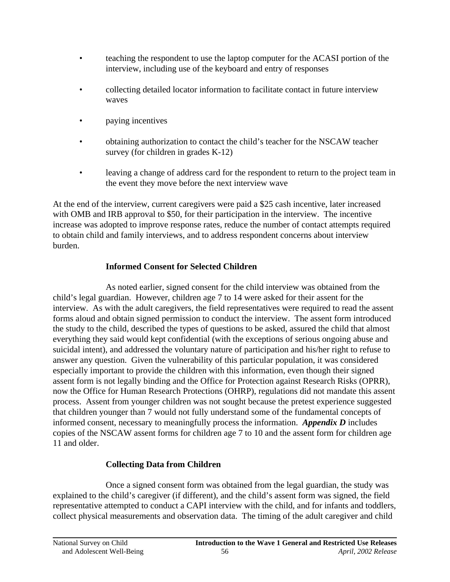- teaching the respondent to use the laptop computer for the ACASI portion of the interview, including use of the keyboard and entry of responses
- collecting detailed locator information to facilitate contact in future interview waves
- paying incentives
- obtaining authorization to contact the child's teacher for the NSCAW teacher survey (for children in grades K-12)
- leaving a change of address card for the respondent to return to the project team in the event they move before the next interview wave

At the end of the interview, current caregivers were paid a \$25 cash incentive, later increased with OMB and IRB approval to \$50, for their participation in the interview. The incentive increase was adopted to improve response rates, reduce the number of contact attempts required to obtain child and family interviews, and to address respondent concerns about interview burden.

# **Informed Consent for Selected Children**

As noted earlier, signed consent for the child interview was obtained from the child's legal guardian. However, children age 7 to 14 were asked for their assent for the interview. As with the adult caregivers, the field representatives were required to read the assent forms aloud and obtain signed permission to conduct the interview. The assent form introduced the study to the child, described the types of questions to be asked, assured the child that almost everything they said would kept confidential (with the exceptions of serious ongoing abuse and suicidal intent), and addressed the voluntary nature of participation and his/her right to refuse to answer any question. Given the vulnerability of this particular population, it was considered especially important to provide the children with this information, even though their signed assent form is not legally binding and the Office for Protection against Research Risks (OPRR), now the Office for Human Research Protections (OHRP), regulations did not mandate this assent process. Assent from younger children was not sought because the pretest experience suggested that children younger than 7 would not fully understand some of the fundamental concepts of informed consent, necessary to meaningfully process the information. *Appendix D* includes copies of the NSCAW assent forms for children age 7 to 10 and the assent form for children age 11 and older.

# **Collecting Data from Children**

Once a signed consent form was obtained from the legal guardian, the study was explained to the child's caregiver (if different), and the child's assent form was signed, the field representative attempted to conduct a CAPI interview with the child, and for infants and toddlers, collect physical measurements and observation data. The timing of the adult caregiver and child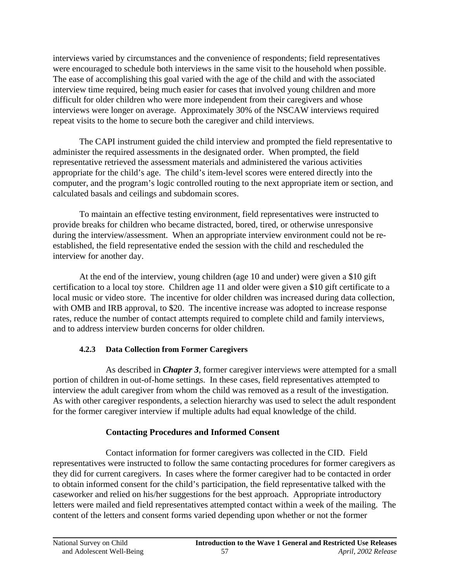interviews varied by circumstances and the convenience of respondents; field representatives were encouraged to schedule both interviews in the same visit to the household when possible. The ease of accomplishing this goal varied with the age of the child and with the associated interview time required, being much easier for cases that involved young children and more difficult for older children who were more independent from their caregivers and whose interviews were longer on average. Approximately 30% of the NSCAW interviews required repeat visits to the home to secure both the caregiver and child interviews.

The CAPI instrument guided the child interview and prompted the field representative to administer the required assessments in the designated order. When prompted, the field representative retrieved the assessment materials and administered the various activities appropriate for the child's age. The child's item-level scores were entered directly into the computer, and the program's logic controlled routing to the next appropriate item or section, and calculated basals and ceilings and subdomain scores.

To maintain an effective testing environment, field representatives were instructed to provide breaks for children who became distracted, bored, tired, or otherwise unresponsive during the interview/assessment. When an appropriate interview environment could not be reestablished, the field representative ended the session with the child and rescheduled the interview for another day.

At the end of the interview, young children (age 10 and under) were given a \$10 gift certification to a local toy store. Children age 11 and older were given a \$10 gift certificate to a local music or video store. The incentive for older children was increased during data collection, with OMB and IRB approval, to \$20. The incentive increase was adopted to increase response rates, reduce the number of contact attempts required to complete child and family interviews, and to address interview burden concerns for older children.

# **4.2.3 Data Collection from Former Caregivers**

As described in *Chapter 3*, former caregiver interviews were attempted for a small portion of children in out-of-home settings. In these cases, field representatives attempted to interview the adult caregiver from whom the child was removed as a result of the investigation. As with other caregiver respondents, a selection hierarchy was used to select the adult respondent for the former caregiver interview if multiple adults had equal knowledge of the child.

# **Contacting Procedures and Informed Consent**

Contact information for former caregivers was collected in the CID. Field representatives were instructed to follow the same contacting procedures for former caregivers as they did for current caregivers. In cases where the former caregiver had to be contacted in order to obtain informed consent for the child's participation, the field representative talked with the caseworker and relied on his/her suggestions for the best approach. Appropriate introductory letters were mailed and field representatives attempted contact within a week of the mailing. The content of the letters and consent forms varied depending upon whether or not the former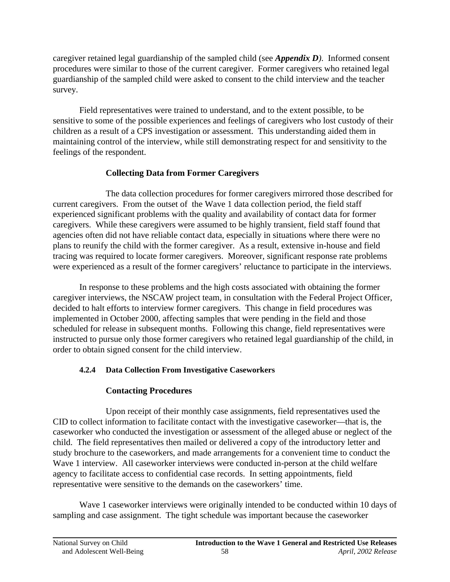caregiver retained legal guardianship of the sampled child (see *Appendix D)*. Informed consent procedures were similar to those of the current caregiver. Former caregivers who retained legal guardianship of the sampled child were asked to consent to the child interview and the teacher survey.

Field representatives were trained to understand, and to the extent possible, to be sensitive to some of the possible experiences and feelings of caregivers who lost custody of their children as a result of a CPS investigation or assessment. This understanding aided them in maintaining control of the interview, while still demonstrating respect for and sensitivity to the feelings of the respondent.

## **Collecting Data from Former Caregivers**

The data collection procedures for former caregivers mirrored those described for current caregivers. From the outset of the Wave 1 data collection period, the field staff experienced significant problems with the quality and availability of contact data for former caregivers. While these caregivers were assumed to be highly transient, field staff found that agencies often did not have reliable contact data, especially in situations where there were no plans to reunify the child with the former caregiver. As a result, extensive in-house and field tracing was required to locate former caregivers. Moreover, significant response rate problems were experienced as a result of the former caregivers' reluctance to participate in the interviews.

In response to these problems and the high costs associated with obtaining the former caregiver interviews, the NSCAW project team, in consultation with the Federal Project Officer, decided to halt efforts to interview former caregivers. This change in field procedures was implemented in October 2000, affecting samples that were pending in the field and those scheduled for release in subsequent months. Following this change, field representatives were instructed to pursue only those former caregivers who retained legal guardianship of the child, in order to obtain signed consent for the child interview.

# **4.2.4 Data Collection From Investigative Caseworkers**

# **Contacting Procedures**

Upon receipt of their monthly case assignments, field representatives used the CID to collect information to facilitate contact with the investigative caseworker—that is, the caseworker who conducted the investigation or assessment of the alleged abuse or neglect of the child. The field representatives then mailed or delivered a copy of the introductory letter and study brochure to the caseworkers, and made arrangements for a convenient time to conduct the Wave 1 interview. All caseworker interviews were conducted in-person at the child welfare agency to facilitate access to confidential case records. In setting appointments, field representative were sensitive to the demands on the caseworkers' time.

Wave 1 caseworker interviews were originally intended to be conducted within 10 days of sampling and case assignment. The tight schedule was important because the caseworker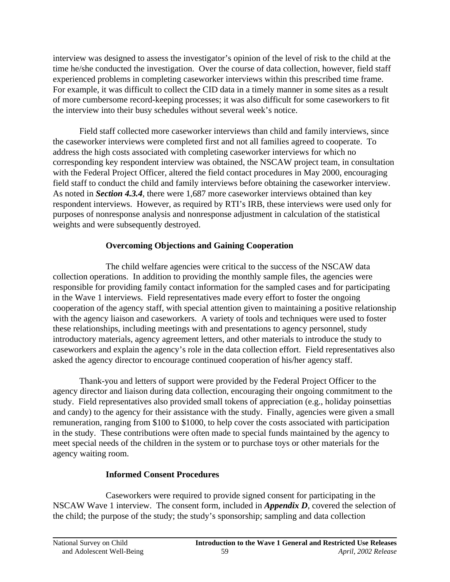interview was designed to assess the investigator's opinion of the level of risk to the child at the time he/she conducted the investigation. Over the course of data collection, however, field staff experienced problems in completing caseworker interviews within this prescribed time frame. For example, it was difficult to collect the CID data in a timely manner in some sites as a result of more cumbersome record-keeping processes; it was also difficult for some caseworkers to fit the interview into their busy schedules without several week's notice.

Field staff collected more caseworker interviews than child and family interviews, since the caseworker interviews were completed first and not all families agreed to cooperate. To address the high costs associated with completing caseworker interviews for which no corresponding key respondent interview was obtained, the NSCAW project team, in consultation with the Federal Project Officer, altered the field contact procedures in May 2000, encouraging field staff to conduct the child and family interviews before obtaining the caseworker interview. As noted in *Section 4.3.4*, there were 1,687 more caseworker interviews obtained than key respondent interviews. However, as required by RTI's IRB, these interviews were used only for purposes of nonresponse analysis and nonresponse adjustment in calculation of the statistical weights and were subsequently destroyed.

## **Overcoming Objections and Gaining Cooperation**

The child welfare agencies were critical to the success of the NSCAW data collection operations. In addition to providing the monthly sample files, the agencies were responsible for providing family contact information for the sampled cases and for participating in the Wave 1 interviews. Field representatives made every effort to foster the ongoing cooperation of the agency staff, with special attention given to maintaining a positive relationship with the agency liaison and caseworkers. A variety of tools and techniques were used to foster these relationships, including meetings with and presentations to agency personnel, study introductory materials, agency agreement letters, and other materials to introduce the study to caseworkers and explain the agency's role in the data collection effort. Field representatives also asked the agency director to encourage continued cooperation of his/her agency staff.

Thank-you and letters of support were provided by the Federal Project Officer to the agency director and liaison during data collection, encouraging their ongoing commitment to the study. Field representatives also provided small tokens of appreciation (e.g., holiday poinsettias and candy) to the agency for their assistance with the study. Finally, agencies were given a small remuneration, ranging from \$100 to \$1000, to help cover the costs associated with participation in the study. These contributions were often made to special funds maintained by the agency to meet special needs of the children in the system or to purchase toys or other materials for the agency waiting room.

# **Informed Consent Procedures**

Caseworkers were required to provide signed consent for participating in the NSCAW Wave 1 interview. The consent form, included in *Appendix D*, covered the selection of the child; the purpose of the study; the study's sponsorship; sampling and data collection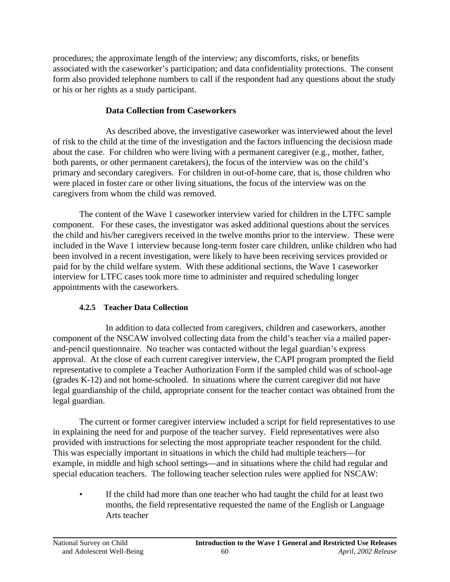procedures; the approximate length of the interview; any discomforts, risks, or benefits associated with the caseworker's participation; and data confidentiality protections. The consent form also provided telephone numbers to call if the respondent had any questions about the study or his or her rights as a study participant.

# **Data Collection from Caseworkers**

As described above, the investigative caseworker was interviewed about the level of risk to the child at the time of the investigation and the factors influencing the decisiosn made about the case. For children who were living with a permanent caregiver (e.g., mother, father, both parents, or other permanent caretakers), the focus of the interview was on the child's primary and secondary caregivers. For children in out-of-home care, that is, those children who were placed in foster care or other living situations, the focus of the interview was on the caregivers from whom the child was removed.

The content of the Wave 1 caseworker interview varied for children in the LTFC sample component. For these cases, the investigator was asked additional questions about the services the child and his/her caregivers received in the twelve months prior to the interview. These were included in the Wave 1 interview because long-term foster care children, unlike children who had been involved in a recent investigation, were likely to have been receiving services provided or paid for by the child welfare system. With these additional sections, the Wave 1 caseworker interview for LTFC cases took more time to administer and required scheduling longer appointments with the caseworkers.

## **4.2.5 Teacher Data Collection**

In addition to data collected from caregivers, children and caseworkers, another component of the NSCAW involved collecting data from the child's teacher via a mailed paperand-pencil questionnaire. No teacher was contacted without the legal guardian's express approval. At the close of each current caregiver interview, the CAPI program prompted the field representative to complete a Teacher Authorization Form if the sampled child was of school-age (grades K-12) and not home-schooled. In situations where the current caregiver did not have legal guardianship of the child, appropriate consent for the teacher contact was obtained from the legal guardian.

The current or former caregiver interview included a script for field representatives to use in explaining the need for and purpose of the teacher survey. Field representatives were also provided with instructions for selecting the most appropriate teacher respondent for the child. This was especially important in situations in which the child had multiple teachers—for example, in middle and high school settings—and in situations where the child had regular and special education teachers. The following teacher selection rules were applied for NSCAW:

If the child had more than one teacher who had taught the child for at least two months, the field representative requested the name of the English or Language Arts teacher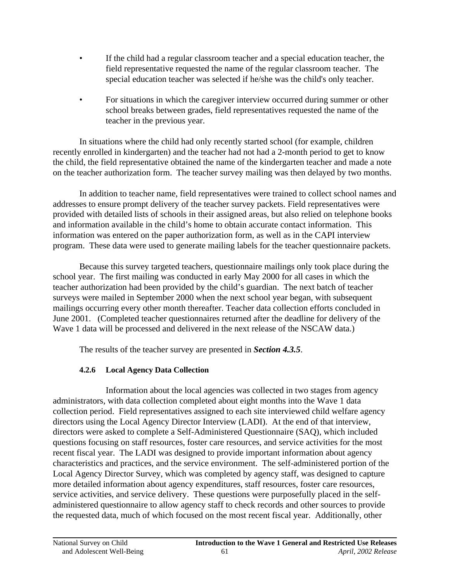- If the child had a regular classroom teacher and a special education teacher, the field representative requested the name of the regular classroom teacher. The special education teacher was selected if he/she was the child's only teacher.
- For situations in which the caregiver interview occurred during summer or other school breaks between grades, field representatives requested the name of the teacher in the previous year.

In situations where the child had only recently started school (for example, children recently enrolled in kindergarten) and the teacher had not had a 2-month period to get to know the child, the field representative obtained the name of the kindergarten teacher and made a note on the teacher authorization form. The teacher survey mailing was then delayed by two months.

In addition to teacher name, field representatives were trained to collect school names and addresses to ensure prompt delivery of the teacher survey packets. Field representatives were provided with detailed lists of schools in their assigned areas, but also relied on telephone books and information available in the child's home to obtain accurate contact information. This information was entered on the paper authorization form, as well as in the CAPI interview program. These data were used to generate mailing labels for the teacher questionnaire packets.

Because this survey targeted teachers, questionnaire mailings only took place during the school year. The first mailing was conducted in early May 2000 for all cases in which the teacher authorization had been provided by the child's guardian. The next batch of teacher surveys were mailed in September 2000 when the next school year began, with subsequent mailings occurring every other month thereafter. Teacher data collection efforts concluded in June 2001. (Completed teacher questionnaires returned after the deadline for delivery of the Wave 1 data will be processed and delivered in the next release of the NSCAW data.)

The results of the teacher survey are presented in *Section 4.3.5*.

# **4.2.6 Local Agency Data Collection**

Information about the local agencies was collected in two stages from agency administrators, with data collection completed about eight months into the Wave 1 data collection period. Field representatives assigned to each site interviewed child welfare agency directors using the Local Agency Director Interview (LADI). At the end of that interview, directors were asked to complete a Self-Administered Questionnaire (SAQ), which included questions focusing on staff resources, foster care resources, and service activities for the most recent fiscal year. The LADI was designed to provide important information about agency characteristics and practices, and the service environment. The self-administered portion of the Local Agency Director Survey, which was completed by agency staff, was designed to capture more detailed information about agency expenditures, staff resources, foster care resources, service activities, and service delivery. These questions were purposefully placed in the selfadministered questionnaire to allow agency staff to check records and other sources to provide the requested data, much of which focused on the most recent fiscal year. Additionally, other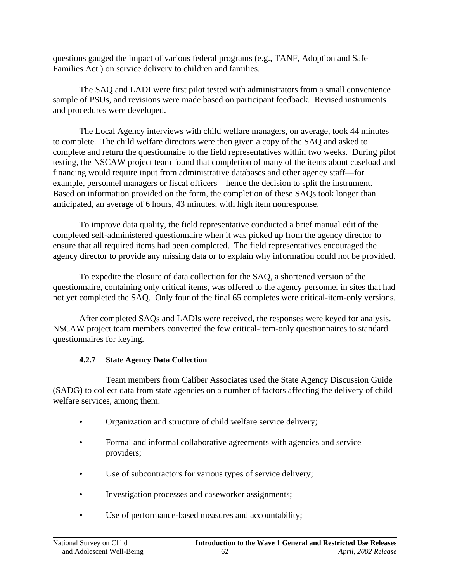questions gauged the impact of various federal programs (e.g., TANF, Adoption and Safe Families Act ) on service delivery to children and families.

The SAQ and LADI were first pilot tested with administrators from a small convenience sample of PSUs, and revisions were made based on participant feedback. Revised instruments and procedures were developed.

The Local Agency interviews with child welfare managers, on average, took 44 minutes to complete. The child welfare directors were then given a copy of the SAQ and asked to complete and return the questionnaire to the field representatives within two weeks. During pilot testing, the NSCAW project team found that completion of many of the items about caseload and financing would require input from administrative databases and other agency staff—for example, personnel managers or fiscal officers—hence the decision to split the instrument. Based on information provided on the form, the completion of these SAQs took longer than anticipated, an average of 6 hours, 43 minutes, with high item nonresponse.

To improve data quality, the field representative conducted a brief manual edit of the completed self-administered questionnaire when it was picked up from the agency director to ensure that all required items had been completed. The field representatives encouraged the agency director to provide any missing data or to explain why information could not be provided.

To expedite the closure of data collection for the SAQ, a shortened version of the questionnaire, containing only critical items, was offered to the agency personnel in sites that had not yet completed the SAQ. Only four of the final 65 completes were critical-item-only versions.

After completed SAQs and LADIs were received, the responses were keyed for analysis. NSCAW project team members converted the few critical-item-only questionnaires to standard questionnaires for keying.

## **4.2.7 State Agency Data Collection**

Team members from Caliber Associates used the State Agency Discussion Guide (SADG) to collect data from state agencies on a number of factors affecting the delivery of child welfare services, among them:

- Organization and structure of child welfare service delivery;
- Formal and informal collaborative agreements with agencies and service providers;
- Use of subcontractors for various types of service delivery;
- Investigation processes and caseworker assignments;
- Use of performance-based measures and accountability;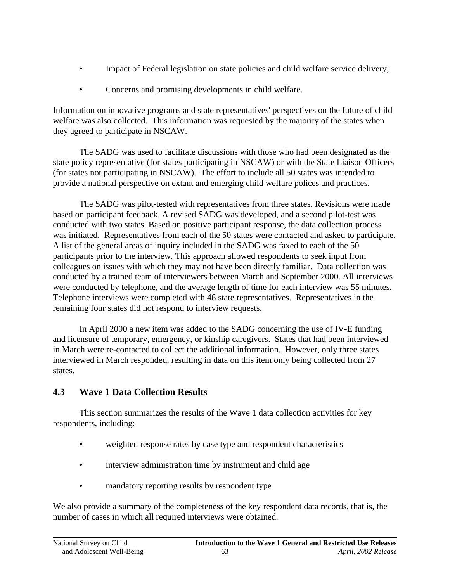- Impact of Federal legislation on state policies and child welfare service delivery;
- Concerns and promising developments in child welfare.

Information on innovative programs and state representatives' perspectives on the future of child welfare was also collected. This information was requested by the majority of the states when they agreed to participate in NSCAW.

The SADG was used to facilitate discussions with those who had been designated as the state policy representative (for states participating in NSCAW) or with the State Liaison Officers (for states not participating in NSCAW). The effort to include all 50 states was intended to provide a national perspective on extant and emerging child welfare polices and practices.

The SADG was pilot-tested with representatives from three states. Revisions were made based on participant feedback. A revised SADG was developed, and a second pilot-test was conducted with two states. Based on positive participant response, the data collection process was initiated. Representatives from each of the 50 states were contacted and asked to participate. A list of the general areas of inquiry included in the SADG was faxed to each of the 50 participants prior to the interview. This approach allowed respondents to seek input from colleagues on issues with which they may not have been directly familiar. Data collection was conducted by a trained team of interviewers between March and September 2000. All interviews were conducted by telephone, and the average length of time for each interview was 55 minutes. Telephone interviews were completed with 46 state representatives. Representatives in the remaining four states did not respond to interview requests.

In April 2000 a new item was added to the SADG concerning the use of IV-E funding and licensure of temporary, emergency, or kinship caregivers. States that had been interviewed in March were re-contacted to collect the additional information. However, only three states interviewed in March responded, resulting in data on this item only being collected from 27 states.

# **4.3 Wave 1 Data Collection Results**

This section summarizes the results of the Wave 1 data collection activities for key respondents, including:

- weighted response rates by case type and respondent characteristics
- interview administration time by instrument and child age
- mandatory reporting results by respondent type

We also provide a summary of the completeness of the key respondent data records, that is, the number of cases in which all required interviews were obtained.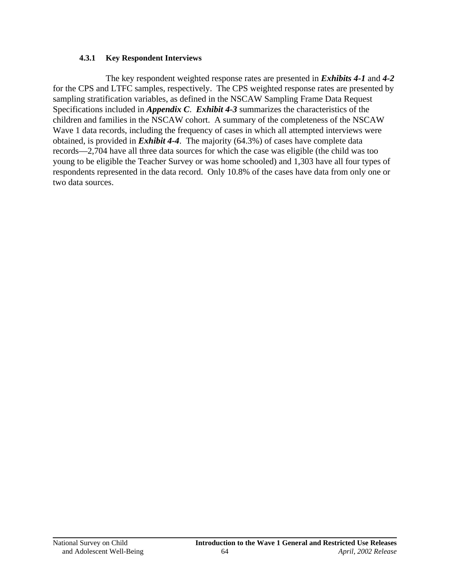#### **4.3.1 Key Respondent Interviews**

The key respondent weighted response rates are presented in *Exhibits 4-1* and *4-2*  for the CPS and LTFC samples, respectively. The CPS weighted response rates are presented by sampling stratification variables, as defined in the NSCAW Sampling Frame Data Request Specifications included in *Appendix C*. *Exhibit 4-3* summarizes the characteristics of the children and families in the NSCAW cohort. A summary of the completeness of the NSCAW Wave 1 data records, including the frequency of cases in which all attempted interviews were obtained, is provided in *Exhibit 4-4*. The majority (64.3%) of cases have complete data records—2,704 have all three data sources for which the case was eligible (the child was too young to be eligible the Teacher Survey or was home schooled) and 1,303 have all four types of respondents represented in the data record. Only 10.8% of the cases have data from only one or two data sources.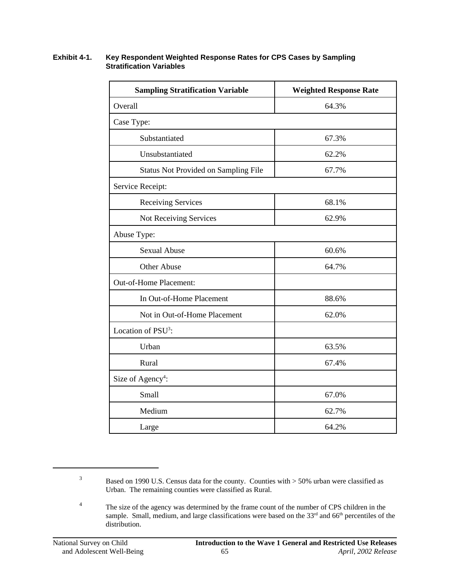#### **Exhibit 4-1. Key Respondent Weighted Response Rates for CPS Cases by Sampling Stratification Variables**

| <b>Sampling Stratification Variable</b>     | <b>Weighted Response Rate</b> |  |  |  |  |
|---------------------------------------------|-------------------------------|--|--|--|--|
| Overall                                     | 64.3%                         |  |  |  |  |
| Case Type:                                  |                               |  |  |  |  |
| Substantiated                               | 67.3%                         |  |  |  |  |
| Unsubstantiated                             | 62.2%                         |  |  |  |  |
| <b>Status Not Provided on Sampling File</b> | 67.7%                         |  |  |  |  |
| Service Receipt:                            |                               |  |  |  |  |
| <b>Receiving Services</b>                   | 68.1%                         |  |  |  |  |
| Not Receiving Services                      | 62.9%                         |  |  |  |  |
| Abuse Type:                                 |                               |  |  |  |  |
| <b>Sexual Abuse</b>                         | 60.6%                         |  |  |  |  |
| <b>Other Abuse</b>                          | 64.7%                         |  |  |  |  |
| Out-of-Home Placement:                      |                               |  |  |  |  |
| In Out-of-Home Placement                    | 88.6%                         |  |  |  |  |
| Not in Out-of-Home Placement                | 62.0%                         |  |  |  |  |
| Location of PSU <sup>3</sup> :              |                               |  |  |  |  |
| Urban                                       | 63.5%                         |  |  |  |  |
| Rural                                       | 67.4%                         |  |  |  |  |
| Size of Agency <sup>4</sup> :               |                               |  |  |  |  |
| Small                                       | 67.0%                         |  |  |  |  |
| Medium                                      | 62.7%                         |  |  |  |  |
| Large                                       | 64.2%                         |  |  |  |  |

<sup>&</sup>lt;sup>3</sup> Based on 1990 U.S. Census data for the county. Counties with > 50% urban were classified as Urban. The remaining counties were classified as Rural.

<sup>&</sup>lt;sup>4</sup> The size of the agency was determined by the frame count of the number of CPS children in the sample. Small, medium, and large classifications were based on the  $33<sup>rd</sup>$  and  $66<sup>th</sup>$  percentiles of the distribution.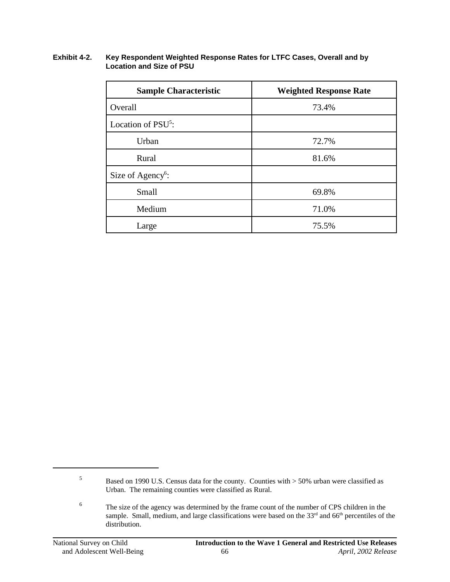#### **Exhibit 4-2. Key Respondent Weighted Response Rates for LTFC Cases, Overall and by Location and Size of PSU**

| <b>Sample Characteristic</b>   | <b>Weighted Response Rate</b> |  |  |  |
|--------------------------------|-------------------------------|--|--|--|
| Overall                        | 73.4%                         |  |  |  |
| Location of PSU <sup>5</sup> : |                               |  |  |  |
| Urban                          | 72.7%                         |  |  |  |
| Rural                          | 81.6%                         |  |  |  |
| Size of Agency <sup>6</sup> :  |                               |  |  |  |
| Small                          | 69.8%                         |  |  |  |
| Medium                         | 71.0%                         |  |  |  |
| Large                          | 75.5%                         |  |  |  |

<sup>&</sup>lt;sup>5</sup> Based on 1990 U.S. Census data for the county. Counties with  $>$  50% urban were classified as Urban. The remaining counties were classified as Rural.

<sup>&</sup>lt;sup>6</sup> The size of the agency was determined by the frame count of the number of CPS children in the sample. Small, medium, and large classifications were based on the  $33<sup>rd</sup>$  and 66<sup>th</sup> percentiles of the distribution.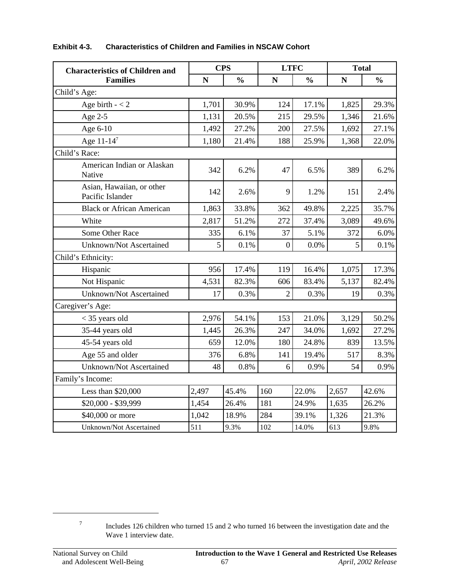| <b>Characteristics of Children and</b><br><b>Families</b> | <b>CPS</b> |               | <b>LTFC</b>    |               | <b>Total</b> |               |  |  |
|-----------------------------------------------------------|------------|---------------|----------------|---------------|--------------|---------------|--|--|
|                                                           | N          | $\frac{0}{0}$ | N              | $\frac{0}{0}$ | N            | $\frac{0}{0}$ |  |  |
| Child's Age:                                              |            |               |                |               |              |               |  |  |
| Age birth $- < 2$                                         | 1,701      | 30.9%         | 124            | 17.1%         | 1,825        | 29.3%         |  |  |
| Age 2-5                                                   | 1,131      | 20.5%         | 215            | 29.5%         | 1,346        | 21.6%         |  |  |
| Age 6-10                                                  | 1,492      | 27.2%         | 200            | 27.5%         | 1,692        | 27.1%         |  |  |
| Age 11-147                                                | 1,180      | 21.4%         | 188            | 25.9%         | 1,368        | 22.0%         |  |  |
| Child's Race:                                             |            |               |                |               |              |               |  |  |
| American Indian or Alaskan<br>Native                      | 342        | 6.2%          | 47             | 6.5%          | 389          | 6.2%          |  |  |
| Asian, Hawaiian, or other<br>Pacific Islander             | 142        | 2.6%          | 9              | 1.2%          | 151          | 2.4%          |  |  |
| <b>Black or African American</b>                          | 1,863      | 33.8%         | 362            | 49.8%         | 2,225        | 35.7%         |  |  |
| White                                                     | 2,817      | 51.2%         | 272            | 37.4%         | 3,089        | 49.6%         |  |  |
| Some Other Race                                           | 335        | 6.1%          | 37             | 5.1%          | 372          | 6.0%          |  |  |
| <b>Unknown/Not Ascertained</b>                            | 5          | 0.1%          | $\overline{0}$ | 0.0%          | 5            | 0.1%          |  |  |
| Child's Ethnicity:                                        |            |               |                |               |              |               |  |  |
| Hispanic                                                  | 956        | 17.4%         | 119            | 16.4%         | 1,075        | 17.3%         |  |  |
| Not Hispanic                                              | 4,531      | 82.3%         | 606            | 83.4%         | 5,137        | 82.4%         |  |  |
| <b>Unknown/Not Ascertained</b>                            | 17         | 0.3%          | $\overline{2}$ | 0.3%          | 19           | 0.3%          |  |  |
| Caregiver's Age:                                          |            |               |                |               |              |               |  |  |
| $<$ 35 years old                                          | 2,976      | 54.1%         | 153            | 21.0%         | 3,129        | 50.2%         |  |  |
| 35-44 years old                                           | 1,445      | 26.3%         | 247            | 34.0%         | 1,692        | 27.2%         |  |  |
| 45-54 years old                                           | 659        | 12.0%         | 180            | 24.8%         | 839          | 13.5%         |  |  |
| Age 55 and older                                          | 376        | 6.8%          | 141            | 19.4%         | 517          | 8.3%          |  |  |
| Unknown/Not Ascertained                                   | 48         | 0.8%          | 6              | 0.9%          | 54           | 0.9%          |  |  |
| Family's Income:                                          |            |               |                |               |              |               |  |  |
| Less than \$20,000                                        | 2,497      | 45.4%         | 160            | 22.0%         | 2,657        | 42.6%         |  |  |
| \$20,000 - \$39,999                                       | 1,454      | 26.4%         | 181            | 24.9%         | 1,635        | 26.2%         |  |  |
| \$40,000 or more                                          | 1,042      | 18.9%         | 284            | 39.1%         | 1,326        | 21.3%         |  |  |
| Unknown/Not Ascertained                                   | 511        | 9.3%          | 102            | 14.0%         | 613          | 9.8%          |  |  |

#### **Exhibit 4-3. Characteristics of Children and Families in NSCAW Cohort**

<sup>7</sup> Includes 126 children who turned 15 and 2 who turned 16 between the investigation date and the Wave 1 interview date.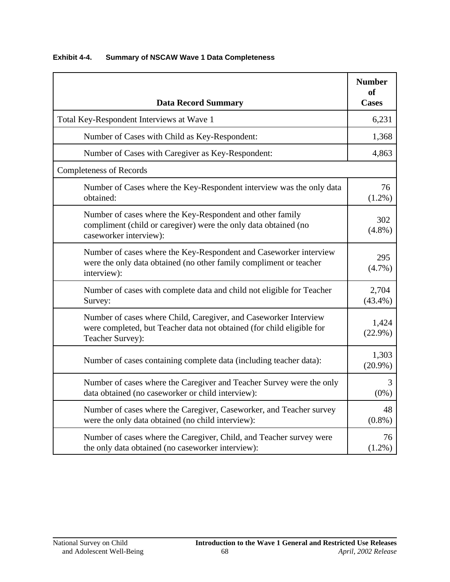| <b>Data Record Summary</b>                                                                                                                                    | <b>Number</b><br>of<br><b>Cases</b> |
|---------------------------------------------------------------------------------------------------------------------------------------------------------------|-------------------------------------|
| Total Key-Respondent Interviews at Wave 1                                                                                                                     | 6,231                               |
| Number of Cases with Child as Key-Respondent:                                                                                                                 | 1,368                               |
| Number of Cases with Caregiver as Key-Respondent:                                                                                                             | 4,863                               |
| <b>Completeness of Records</b>                                                                                                                                |                                     |
| Number of Cases where the Key-Respondent interview was the only data<br>obtained:                                                                             | 76<br>$(1.2\%)$                     |
| Number of cases where the Key-Respondent and other family<br>compliment (child or caregiver) were the only data obtained (no<br>caseworker interview):        | 302<br>$(4.8\%)$                    |
| Number of cases where the Key-Respondent and Caseworker interview<br>were the only data obtained (no other family compliment or teacher<br>interview):        | 295<br>$(4.7\%)$                    |
| Number of cases with complete data and child not eligible for Teacher<br>Survey:                                                                              | 2,704<br>$(43.4\%)$                 |
| Number of cases where Child, Caregiver, and Caseworker Interview<br>were completed, but Teacher data not obtained (for child eligible for<br>Teacher Survey): | 1,424<br>$(22.9\%)$                 |
| Number of cases containing complete data (including teacher data):                                                                                            | 1,303<br>$(20.9\%)$                 |
| Number of cases where the Caregiver and Teacher Survey were the only<br>data obtained (no caseworker or child interview):                                     | 3<br>$(0\%)$                        |
| Number of cases where the Caregiver, Caseworker, and Teacher survey<br>were the only data obtained (no child interview):                                      | 48<br>$(0.8\%)$                     |
| Number of cases where the Caregiver, Child, and Teacher survey were<br>the only data obtained (no caseworker interview):                                      | 76<br>$(1.2\%)$                     |

### **Exhibit 4-4. Summary of NSCAW Wave 1 Data Completeness**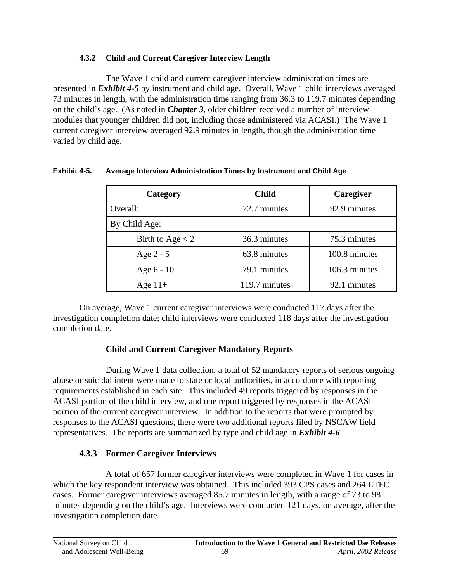### **4.3.2 Child and Current Caregiver Interview Length**

The Wave 1 child and current caregiver interview administration times are presented in *Exhibit 4-5* by instrument and child age. Overall, Wave 1 child interviews averaged 73 minutes in length, with the administration time ranging from 36.3 to 119.7 minutes depending on the child's age. (As noted in *Chapter 3*, older children received a number of interview modules that younger children did not, including those administered via ACASI.) The Wave 1 current caregiver interview averaged 92.9 minutes in length, though the administration time varied by child age.

| Category           | <b>Child</b>  | Caregiver     |
|--------------------|---------------|---------------|
| Overall:           | 72.7 minutes  | 92.9 minutes  |
| By Child Age:      |               |               |
| Birth to Age $<$ 2 | 36.3 minutes  | 75.3 minutes  |
| Age $2 - 5$        | 63.8 minutes  | 100.8 minutes |
| Age 6 - 10         | 79.1 minutes  | 106.3 minutes |
| Age $11+$          | 119.7 minutes | 92.1 minutes  |

### **Exhibit 4-5. Average Interview Administration Times by Instrument and Child Age**

On average, Wave 1 current caregiver interviews were conducted 117 days after the investigation completion date; child interviews were conducted 118 days after the investigation completion date.

### **Child and Current Caregiver Mandatory Reports**

During Wave 1 data collection, a total of 52 mandatory reports of serious ongoing abuse or suicidal intent were made to state or local authorities, in accordance with reporting requirements established in each site. This included 49 reports triggered by responses in the ACASI portion of the child interview, and one report triggered by responses in the ACASI portion of the current caregiver interview. In addition to the reports that were prompted by responses to the ACASI questions, there were two additional reports filed by NSCAW field representatives. The reports are summarized by type and child age in *Exhibit 4-6*.

### **4.3.3 Former Caregiver Interviews**

A total of 657 former caregiver interviews were completed in Wave 1 for cases in which the key respondent interview was obtained. This included 393 CPS cases and 264 LTFC cases. Former caregiver interviews averaged 85.7 minutes in length, with a range of 73 to 98 minutes depending on the child's age. Interviews were conducted 121 days, on average, after the investigation completion date.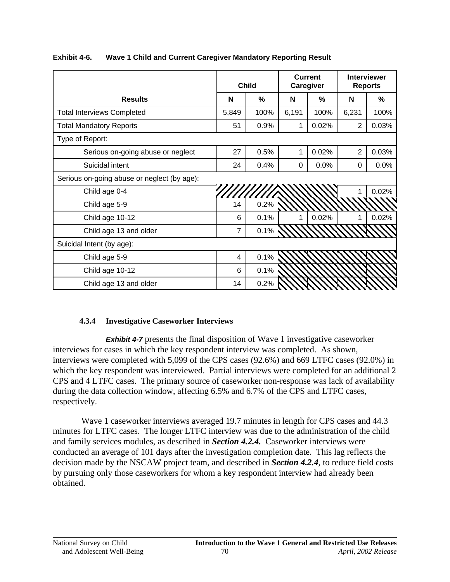|                                             | <b>Child</b>   |      | <b>Current</b><br>Caregiver |       | <b>Interviewer</b><br><b>Reports</b> |       |
|---------------------------------------------|----------------|------|-----------------------------|-------|--------------------------------------|-------|
| <b>Results</b>                              | N              | %    | N                           | %     | N                                    | %     |
| <b>Total Interviews Completed</b>           | 5,849          | 100% | 6,191                       | 100%  | 6,231                                | 100%  |
| <b>Total Mandatory Reports</b>              | 51             | 0.9% |                             | 0.02% | 2                                    | 0.03% |
| Type of Report:                             |                |      |                             |       |                                      |       |
| Serious on-going abuse or neglect           | 27             | 0.5% | 1                           | 0.02% | $\overline{2}$                       | 0.03% |
| Suicidal intent                             | 24             | 0.4% | 0                           | 0.0%  | 0                                    | 0.0%  |
| Serious on-going abuse or neglect (by age): |                |      |                             |       |                                      |       |
| Child age 0-4                               |                |      |                             |       |                                      | 0.02% |
| Child age 5-9                               | 14             | 0.2% |                             |       |                                      |       |
| Child age 10-12                             | 6              | 0.1% | 1                           | 0.02% | 1                                    | 0.02% |
| Child age 13 and older                      | $\overline{7}$ | 0.1% |                             |       |                                      |       |
| Suicidal Intent (by age):                   |                |      |                             |       |                                      |       |
| Child age 5-9                               | 4              | 0.1% |                             |       |                                      |       |
| Child age 10-12                             | 6              | 0.1% |                             |       |                                      |       |
| Child age 13 and older                      | 14             | 0.2% |                             |       |                                      |       |

**Exhibit 4-6. Wave 1 Child and Current Caregiver Mandatory Reporting Result** 

### **4.3.4 Investigative Caseworker Interviews**

**Exhibit 4-7** presents the final disposition of Wave 1 investigative caseworker interviews for cases in which the key respondent interview was completed. As shown, interviews were completed with 5,099 of the CPS cases (92.6%) and 669 LTFC cases (92.0%) in which the key respondent was interviewed. Partial interviews were completed for an additional 2 CPS and 4 LTFC cases. The primary source of caseworker non-response was lack of availability during the data collection window, affecting 6.5% and 6.7% of the CPS and LTFC cases, respectively.

Wave 1 caseworker interviews averaged 19.7 minutes in length for CPS cases and 44.3 minutes for LTFC cases. The longer LTFC interview was due to the administration of the child and family services modules, as described in *Section 4.2.4.* Caseworker interviews were conducted an average of 101 days after the investigation completion date. This lag reflects the decision made by the NSCAW project team, and described in *Section 4.2.4*, to reduce field costs by pursuing only those caseworkers for whom a key respondent interview had already been obtained.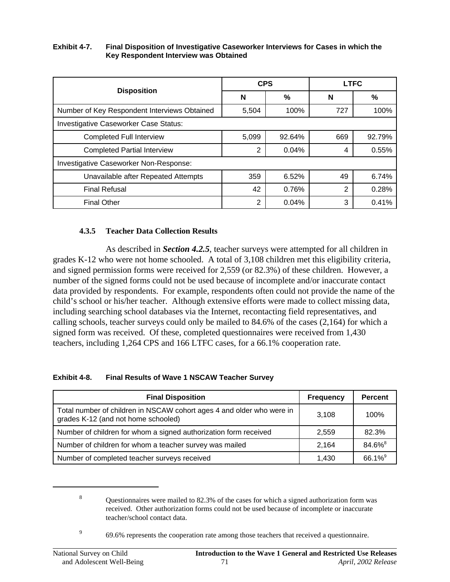#### **Exhibit 4-7. Final Disposition of Investigative Caseworker Interviews for Cases in which the Key Respondent Interview was Obtained**

|                                              | <b>CPS</b> |        | <b>LTFC</b> |        |  |
|----------------------------------------------|------------|--------|-------------|--------|--|
| <b>Disposition</b>                           | N          | ℅      | N           | %      |  |
| Number of Key Respondent Interviews Obtained | 5,504      | 100%   | 727         | 100%   |  |
| <b>Investigative Caseworker Case Status:</b> |            |        |             |        |  |
| <b>Completed Full Interview</b>              | 5,099      | 92.64% | 669         | 92.79% |  |
| <b>Completed Partial Interview</b>           | 2          | 0.04%  | 4           | 0.55%  |  |
| Investigative Caseworker Non-Response:       |            |        |             |        |  |
| Unavailable after Repeated Attempts          | 359        | 6.52%  | 49          | 6.74%  |  |
| <b>Final Refusal</b>                         | 42         | 0.76%  | 2           | 0.28%  |  |
| <b>Final Other</b>                           | 2          | 0.04%  | 3           | 0.41%  |  |

### **4.3.5 Teacher Data Collection Results**

As described in *Section 4.2.5*, teacher surveys were attempted for all children in grades K-12 who were not home schooled. A total of 3,108 children met this eligibility criteria, and signed permission forms were received for 2,559 (or 82.3%) of these children. However, a number of the signed forms could not be used because of incomplete and/or inaccurate contact data provided by respondents. For example, respondents often could not provide the name of the child's school or his/her teacher. Although extensive efforts were made to collect missing data, including searching school databases via the Internet, recontacting field representatives, and calling schools, teacher surveys could only be mailed to 84.6% of the cases (2,164) for which a signed form was received. Of these, completed questionnaires were received from 1,430 teachers, including 1,264 CPS and 166 LTFC cases, for a 66.1% cooperation rate.

#### **Exhibit 4-8. Final Results of Wave 1 NSCAW Teacher Survey**

| <b>Final Disposition</b>                                                                                     | <b>Frequency</b> | <b>Percent</b>     |
|--------------------------------------------------------------------------------------------------------------|------------------|--------------------|
| Total number of children in NSCAW cohort ages 4 and older who were in<br>grades K-12 (and not home schooled) | 3.108            | 100%               |
| Number of children for whom a signed authorization form received                                             | 2,559            | 82.3%              |
| Number of children for whom a teacher survey was mailed                                                      | 2.164            | 84.6% <sup>8</sup> |
| Number of completed teacher surveys received                                                                 | 1.430            | 66.1% <sup>9</sup> |

<sup>&</sup>lt;sup>8</sup> Questionnaires were mailed to 82.3% of the cases for which a signed authorization form was received. Other authorization forms could not be used because of incomplete or inaccurate teacher/school contact data.

<sup>&</sup>lt;sup>9</sup> 69.6% represents the cooperation rate among those teachers that received a questionnaire.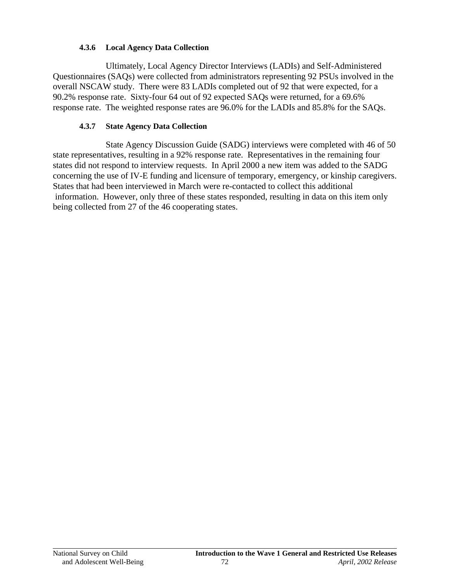### **4.3.6 Local Agency Data Collection**

Ultimately, Local Agency Director Interviews (LADIs) and Self-Administered Questionnaires (SAQs) were collected from administrators representing 92 PSUs involved in the overall NSCAW study. There were 83 LADIs completed out of 92 that were expected, for a 90.2% response rate. Sixty-four 64 out of 92 expected SAQs were returned, for a 69.6% response rate. The weighted response rates are 96.0% for the LADIs and 85.8% for the SAQs.

#### **4.3.7 State Agency Data Collection**

State Agency Discussion Guide (SADG) interviews were completed with 46 of 50 state representatives, resulting in a 92% response rate. Representatives in the remaining four states did not respond to interview requests. In April 2000 a new item was added to the SADG concerning the use of IV-E funding and licensure of temporary, emergency, or kinship caregivers. States that had been interviewed in March were re-contacted to collect this additional information. However, only three of these states responded, resulting in data on this item only being collected from 27 of the 46 cooperating states.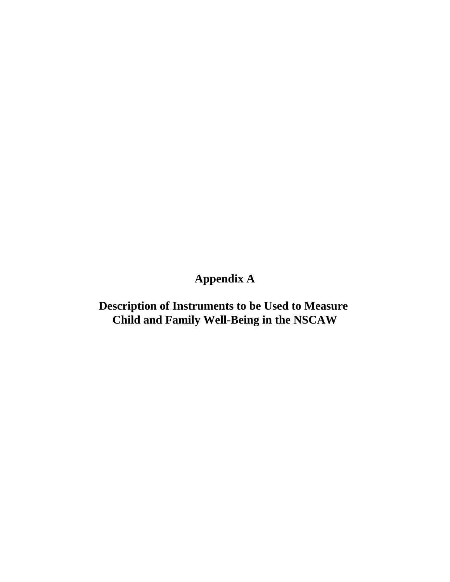# **Appendix A**

**Description of Instruments to be Used to Measure Child and Family Well-Being in the NSCAW**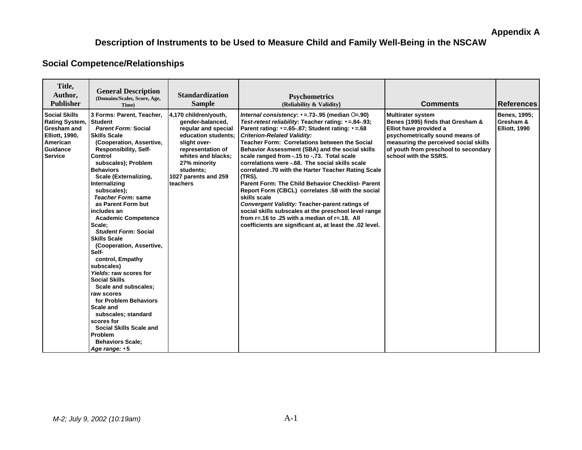# **Description of Instruments to be Used to Measure Child and Family Well-Being in the NSCAW**

### **Social Competence/Relationships**

| Title,<br>Author,<br><b>Publisher</b>                                                                                           | <b>General Description</b><br>(Domains/Scales, Score, Age,<br>Time)                                                                                                                                                                                                                                                                                                                                                                                                                                                                                                                                                                                                                                                                                                      | <b>Standardization</b><br><b>Sample</b>                                                                                                                                                                             | <b>Psychometrics</b><br>(Reliability & Validity)                                                                                                                                                                                                                                                                                                                                                                                                                                                                                                                                                                                                                                                                                                                                                                                                                        | <b>Comments</b>                                                                                                                                                                                                                      | <b>References</b>                                        |
|---------------------------------------------------------------------------------------------------------------------------------|--------------------------------------------------------------------------------------------------------------------------------------------------------------------------------------------------------------------------------------------------------------------------------------------------------------------------------------------------------------------------------------------------------------------------------------------------------------------------------------------------------------------------------------------------------------------------------------------------------------------------------------------------------------------------------------------------------------------------------------------------------------------------|---------------------------------------------------------------------------------------------------------------------------------------------------------------------------------------------------------------------|-------------------------------------------------------------------------------------------------------------------------------------------------------------------------------------------------------------------------------------------------------------------------------------------------------------------------------------------------------------------------------------------------------------------------------------------------------------------------------------------------------------------------------------------------------------------------------------------------------------------------------------------------------------------------------------------------------------------------------------------------------------------------------------------------------------------------------------------------------------------------|--------------------------------------------------------------------------------------------------------------------------------------------------------------------------------------------------------------------------------------|----------------------------------------------------------|
| <b>Social Skills</b><br><b>Rating System,</b><br>Gresham and<br><b>Elliott, 1990,</b><br>American<br>Guidance<br><b>Service</b> | 3 Forms: Parent, Teacher,<br><b>Student</b><br><b>Parent Form: Social</b><br><b>Skills Scale</b><br>(Cooperation, Assertive,<br>Responsibility, Self-<br>Control<br>subscales); Problem<br><b>Behaviors</b><br>Scale (Externalizing,<br>Internalizing<br>subscales);<br>Teacher Form: same<br>as Parent Form but<br>includes an<br><b>Academic Competence</b><br>Scale;<br><b>Student Form: Social</b><br><b>Skills Scale</b><br>(Cooperation, Assertive,<br>Self-<br>control, Empathy<br>subscales)<br>Yields: raw scores for<br><b>Social Skills</b><br>Scale and subscales;<br>raw scores<br>for Problem Behaviors<br><b>Scale and</b><br>subscales; standard<br>scores for<br><b>Social Skills Scale and</b><br>Problem<br><b>Behaviors Scale:</b><br>Age range: v 5 | 4,170 children/youth,<br>gender-balanced,<br>reqular and special<br>education students:<br>slight over-<br>representation of<br>whites and blacks;<br>27% minority<br>students;<br>1027 parents and 259<br>teachers | Internal consistency: $\mathbf{v} = 73 - 95$ (median $\mathbf{O} = 90$ )<br>Test-retest reliability: Teacher rating: v = .84-.93;<br>Parent rating: v=.65-.87; Student rating: v=.68<br><b>Criterion-Related Validity:</b><br><b>Teacher Form: Correlations between the Social</b><br>Behavior Assessment (SBA) and the social skills<br>scale ranged from -.15 to -.73. Total scale<br>correlations were -.68. The social skills scale<br>correlated .70 with the Harter Teacher Rating Scale<br>(TRS).<br><b>Parent Form: The Child Behavior Checklist- Parent</b><br>Report Form (CBCL) correlates .58 with the social<br>skills scale<br>Convergent Validity: Teacher-parent ratings of<br>social skills subscales at the preschool level range<br>from $r = 16$ to .25 with a median of $r = 18$ . All<br>coefficients are significant at, at least the .02 level. | <b>Multirater system</b><br>Benes (1995) finds that Gresham &<br>Elliot have provided a<br>psychometrically sound means of<br>measuring the perceived social skills<br>of youth from preschool to secondary<br>school with the SSRS. | <b>Benes, 1995;</b><br>Gresham &<br><b>Elliott, 1990</b> |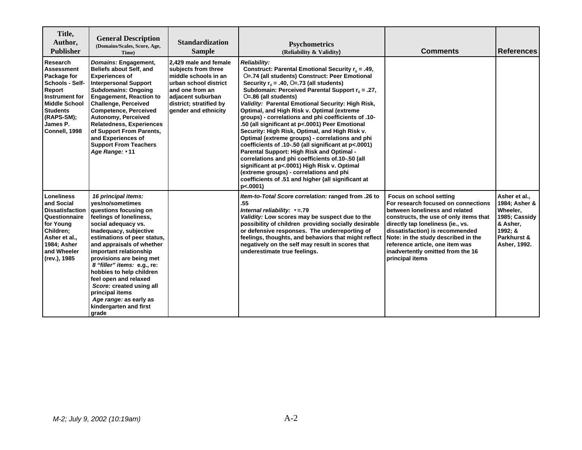| Title,<br>Author,<br><b>Publisher</b>                                                                                                                                      | <b>General Description</b><br>(Domains/Scales, Score, Age,<br>Time)                                                                                                                                                                                                                                                                                                                                                                                            | <b>Standardization</b><br><b>Sample</b>                                                                                                                                                     | <b>Psychometrics</b><br>(Reliability & Validity)                                                                                                                                                                                                                                                                                                                                                                                                                                                                                                                                                                                                                                                                                                                                                                                                                                                                  | <b>Comments</b>                                                                                                                                                                                                                                                                                                                                      | <b>References</b>                                                                                                 |
|----------------------------------------------------------------------------------------------------------------------------------------------------------------------------|----------------------------------------------------------------------------------------------------------------------------------------------------------------------------------------------------------------------------------------------------------------------------------------------------------------------------------------------------------------------------------------------------------------------------------------------------------------|---------------------------------------------------------------------------------------------------------------------------------------------------------------------------------------------|-------------------------------------------------------------------------------------------------------------------------------------------------------------------------------------------------------------------------------------------------------------------------------------------------------------------------------------------------------------------------------------------------------------------------------------------------------------------------------------------------------------------------------------------------------------------------------------------------------------------------------------------------------------------------------------------------------------------------------------------------------------------------------------------------------------------------------------------------------------------------------------------------------------------|------------------------------------------------------------------------------------------------------------------------------------------------------------------------------------------------------------------------------------------------------------------------------------------------------------------------------------------------------|-------------------------------------------------------------------------------------------------------------------|
| Research<br>Assessment<br>Package for<br>Schools - Self-<br>Report<br>Instrument for<br><b>Middle School</b><br><b>Students</b><br>(RAPS-SM);<br>James P.<br>Connell, 1998 | Domains: Engagement,<br><b>Beliefs about Self, and</b><br><b>Experiences of</b><br><b>Interpersonal Support</b><br>Subdomains: Ongoing<br><b>Engagement, Reaction to</b><br><b>Challenge, Perceived</b><br><b>Competence, Perceived</b><br>Autonomy, Perceived<br><b>Relatedness, Experiences</b><br>of Support From Parents,<br>and Experiences of<br><b>Support From Teachers</b><br>Age Range: v11                                                          | 2,429 male and female<br>subjects from three<br>Imiddle schools in an<br>lurban school district<br>land one from an<br>adjacent suburban<br>district; stratified by<br>gender and ethnicity | <b>Reliability:</b><br>Construct: Parental Emotional Security $r_{ii} = .49$ .<br>O=.74 (all students) Construct: Peer Emotional<br>Security $r_{ii} = .40$ , O=.73 (all students)<br>Subdomain: Perceived Parental Support $r_{ii} = .27$ ,<br>$O=.86$ (all students)<br>Validity: Parental Emotional Security: High Risk,<br>Optimal, and High Risk v. Optimal (extreme<br>groups) - correlations and phi coefficients of .10-<br>.50 (all significant at p<.0001) Peer Emotional<br>Security: High Risk, Optimal, and High Risk v.<br>Optimal (extreme groups) - correlations and phi<br>coefficients of .10-.50 (all significant at p<.0001)<br>Parental Support: High Risk and Optimal -<br>correlations and phi coefficients of 10-.50 (all<br>significant at p<.0001) High Risk v. Optimal<br>(extreme groups) - correlations and phi<br>coefficients of .51 and higher (all significant at<br>$p<.0001$ ) |                                                                                                                                                                                                                                                                                                                                                      |                                                                                                                   |
| <b>Loneliness</b><br>and Social<br><b>Dissatisfaction</b><br>Questionnaire<br>for Young<br>Children:<br>Asher et al.,<br>1984; Asher<br>and Wheeler<br>(rev.), 1985        | 16 principal items:<br>yes/no/sometimes<br>questions focusing on<br>feelings of loneliness,<br>social adequacy vs.<br>Inadequacy, subjective<br>estimations of peer status,<br>and appraisals of whether<br>important relationship<br>provisions are being met<br>8 "filler" items: e.g., re:<br>hobbies to help children<br>feel open and relaxed<br>Score: created using all<br>principal items<br>Age range: as early as<br>kindergarten and first<br>grade |                                                                                                                                                                                             | Item-to-Total Score correlation: ranged from .26 to<br>.55<br>Internal reliability: $v = 79$<br>Validity: Low scores may be suspect due to the<br>possibility of children providing socially desirable<br>or defensive responses. The underreporting of<br>feelings, thoughts, and behaviors that might reflect<br>negatively on the self may result in scores that<br>underestimate true feelings.                                                                                                                                                                                                                                                                                                                                                                                                                                                                                                               | Focus on school setting<br>For research focused on connections<br>between loneliness and related<br>constructs, the use of only items that<br>directly tap loneliness (ie., vs.<br>dissatisfaction) is recommended<br>Note: in the study described in the<br>reference article, one item was<br>inadvertently omitted from the 16<br>principal items | Asher et al.,<br>1984; Asher &<br>Wheeler,<br>1985; Cassidy<br>& Asher,<br>1992: &<br>Parkhurst &<br>Asher, 1992. |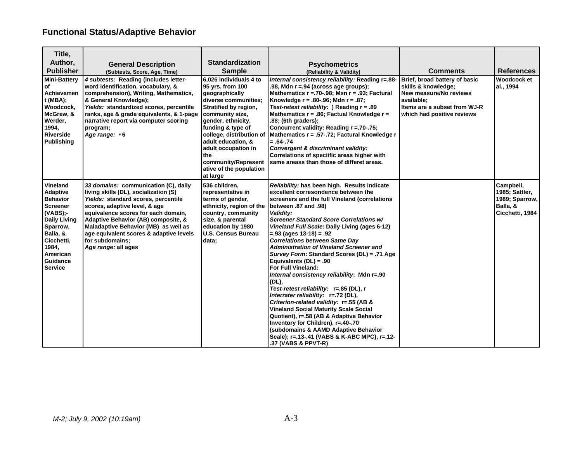# **Functional Status/Adaptive Behavior**

| Title,                                                                                                                                                                                           |                                                                                                                                                                                                                                                                                                                                                                  |                                                                                                                                                                                                                                                                                                                           |                                                                                                                                                                                                                                                                                                                                                                                                                                                                                                                                                                                                                                                                                                                                                                                                                                                                                                                                    |                                                                                                                                                            |                                                                              |
|--------------------------------------------------------------------------------------------------------------------------------------------------------------------------------------------------|------------------------------------------------------------------------------------------------------------------------------------------------------------------------------------------------------------------------------------------------------------------------------------------------------------------------------------------------------------------|---------------------------------------------------------------------------------------------------------------------------------------------------------------------------------------------------------------------------------------------------------------------------------------------------------------------------|------------------------------------------------------------------------------------------------------------------------------------------------------------------------------------------------------------------------------------------------------------------------------------------------------------------------------------------------------------------------------------------------------------------------------------------------------------------------------------------------------------------------------------------------------------------------------------------------------------------------------------------------------------------------------------------------------------------------------------------------------------------------------------------------------------------------------------------------------------------------------------------------------------------------------------|------------------------------------------------------------------------------------------------------------------------------------------------------------|------------------------------------------------------------------------------|
| Author,                                                                                                                                                                                          | <b>General Description</b>                                                                                                                                                                                                                                                                                                                                       | <b>Standardization</b>                                                                                                                                                                                                                                                                                                    | <b>Psychometrics</b>                                                                                                                                                                                                                                                                                                                                                                                                                                                                                                                                                                                                                                                                                                                                                                                                                                                                                                               |                                                                                                                                                            |                                                                              |
| <b>Publisher</b>                                                                                                                                                                                 | (Subtests, Score, Age, Time)                                                                                                                                                                                                                                                                                                                                     | <b>Sample</b>                                                                                                                                                                                                                                                                                                             | (Reliability & Validity)                                                                                                                                                                                                                                                                                                                                                                                                                                                                                                                                                                                                                                                                                                                                                                                                                                                                                                           | <b>Comments</b>                                                                                                                                            | <b>References</b>                                                            |
| <b>Mini-Battery</b><br>οf<br>Achievemen<br>$t$ (MBA);<br>Woodcock,<br>McGrew, &<br>Werder,<br>1994,<br><b>Riverside</b><br><b>Publishing</b>                                                     | 4 subtests: Reading (includes letter-<br>word identification, vocabulary, &<br>comprehension), Writing, Mathematics,<br>& General Knowledge);<br>Yields: standardized scores, percentile<br>ranks, age & grade equivalents, & 1-page<br>narrative report via computer scoring<br>program;<br>Age range: v6                                                       | 6,026 individuals 4 to<br>95 yrs. from 100<br>geographically<br>diverse communities;<br>Stratified by region,<br>community size,<br>gender, ethnicity,<br>funding & type of<br>college, distribution of<br>adult education, &<br>adult occupation in<br>the<br>community/Represent<br>ative of the population<br>at large | Internal consistency reliability: Reading r=.88-<br>.98, Mdn $r = 94$ (across age groups);<br>Mathematics $r = 70-0.98$ ; Msn $r = 0.93$ ; Factural<br>Knowledge $r = .80-.96$ ; Mdn $r = .87$ ;<br>Test-retest reliability: ) Reading $r = .89$<br>Mathematics $r = .86$ ; Factual Knowledge $r =$<br>.88; (6th graders);<br>Concurrent validity: Reading r = 70-75;<br>Mathematics r = .57-.72; Factural Knowledge r<br>$=.64-.74$<br>Convergent & discriminant validity:<br>Correlations of speciific areas higher with<br>same areass than those of differet areas.                                                                                                                                                                                                                                                                                                                                                            | Brief, broad battery of basic<br>skills & knowledge;<br>New measure/No reviews<br>available;<br>Items are a subset from WJ-R<br>which had positive reviews | <b>Woodcock et</b><br>al., 1994                                              |
| Vineland<br><b>Adaptive</b><br><b>Behavior</b><br><b>Screener</b><br>$(VABS)$ ;-<br><b>Daily Living</b><br>Sparrow,<br>Balla, &<br>Cicchetti,<br>1984,<br>American<br>Guidance<br><b>Service</b> | 33 domains: communication (C), daily<br>living skills (DL), socialization (S)<br>Yields: standard scores, percentile<br>scores, adaptive level, & age<br>equivalence scores for each domain,<br>Adaptive Behavior (AB) composite, &<br>Maladaptive Behavior (MB) as well as<br>age equivalent scores & adaptive levels<br>for subdomains:<br>Age range: all ages | 536 children,<br>representative in<br>terms of gender,<br>ethnicity, region of the<br>country, community<br>size, & parental<br>education by 1980<br><b>U.S. Census Bureau</b><br>data;                                                                                                                                   | Reliability: has been high. Results indicate<br>excellent corresondence between the<br>screeners and the full Vineland (correlations<br>between .87 and .98)<br>Validity:<br>Screener Standard Score Correlations w/<br>Vineland Full Scale: Daily Living (ages 6-12)<br>$=.93$ (ages 13-18) = .92<br><b>Correlations between Same Day</b><br><b>Administration of Vineland Screener and</b><br>Survey Form: Standard Scores (DL) = .71 Age<br>Equivalents $(DL) = .90$<br>For Full Vineland:<br>Internal consistency reliability: Mdn r=.90<br>(DL),<br>Test-retest reliability: r=.85 (DL), r<br>Interrater reliability: r=.72 (DL),<br>Criterion-related validity: r=.55 (AB &<br><b>Vineland Social Maturity Scale Social</b><br>Quotient), r=.58 (AB & Adaptive Behavior<br>Inventory for Children), r=.40-.70<br>(subdomains & AAMD Adaptive Behavior<br>Scale); r=.13-.41 (VABS & K-ABC MPC), r=.12-<br>.37 (VABS & PPVT-R) |                                                                                                                                                            | Campbell,<br>1985; Sattler,<br>1989; Sparrow,<br>Balla, &<br>Cicchetti, 1984 |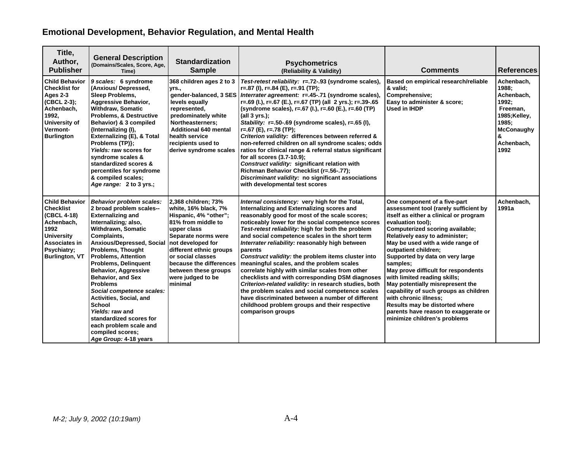# **Emotional Development, Behavior Regulation, and Mental Health**

| Title,<br>Author,<br><b>Publisher</b>                                                                                                                        | <b>General Description</b><br>(Domains/Scales, Score, Age,<br>Time)                                                                                                                                                                                                                                                                                                                                                                                                                                                                                                             | <b>Standardization</b><br><b>Sample</b>                                                                                                                                                                                                                              | <b>Psychometrics</b><br>(Reliability & Validity)                                                                                                                                                                                                                                                                                                                                                                                                                                                                                                                                                                                                                                                                                                                                                                        | <b>Comments</b>                                                                                                                                                                                                                                                                                                                                                                                                                                                                                                                                                                                             | <b>References</b>                                                                                                               |
|--------------------------------------------------------------------------------------------------------------------------------------------------------------|---------------------------------------------------------------------------------------------------------------------------------------------------------------------------------------------------------------------------------------------------------------------------------------------------------------------------------------------------------------------------------------------------------------------------------------------------------------------------------------------------------------------------------------------------------------------------------|----------------------------------------------------------------------------------------------------------------------------------------------------------------------------------------------------------------------------------------------------------------------|-------------------------------------------------------------------------------------------------------------------------------------------------------------------------------------------------------------------------------------------------------------------------------------------------------------------------------------------------------------------------------------------------------------------------------------------------------------------------------------------------------------------------------------------------------------------------------------------------------------------------------------------------------------------------------------------------------------------------------------------------------------------------------------------------------------------------|-------------------------------------------------------------------------------------------------------------------------------------------------------------------------------------------------------------------------------------------------------------------------------------------------------------------------------------------------------------------------------------------------------------------------------------------------------------------------------------------------------------------------------------------------------------------------------------------------------------|---------------------------------------------------------------------------------------------------------------------------------|
| <b>Child Behavior</b><br><b>Checklist for</b><br>Ages 2-3<br>(CBCL 2-3);<br>Achenbach,<br>1992,<br>University of<br>Vermont-<br><b>Burlington</b>            | 9 scales: 6 syndrome<br>(Anxious/Depressed,<br>Sleep Problems,<br><b>Aggressive Behavior,</b><br><b>Withdraw, Somatic</b><br><b>Problems, &amp; Destructive</b><br>Behavior) & 3 compiled<br>{Internalizing (I),<br>Externalizing (E), & Total<br>Problems (TP)};<br>Yields: raw scores for<br>syndrome scales &<br>standardized scores &<br>percentiles for syndrome<br>& compiled scales;<br>Age range: 2 to 3 yrs.;                                                                                                                                                          | 368 children ages 2 to 3<br>vrs.,<br>levels equally<br>represented,<br>predominately white<br>Northeasterners;<br><b>Additional 640 mental</b><br>health service<br>recipients used to<br>derive syndrome scales                                                     | Test-retest reliability: r=.72-.93 (syndrome scales),<br>$r=.87$ (I), $r=.84$ (E), $r=.91$ (TP);<br>gender-balanced, 3 SES   Interrater agreement: r=.45-.71 (syndrome scales),<br>r=.69 (l.), r=.67 (E.), r=.67 (TP) (all 2 yrs.); r=.39-.65<br>(syndrome scales), r=.67 (l.), r=.60 (E.), r=.60 (TP)<br>(all 3 vrs.);<br>Stability: r=.50-.69 (syndrome scales), r=.65 (I),<br>$r=.67$ (E), $r=.78$ (TP);<br>Criterion validity: differences between referred &<br>non-referred children on all syndrome scales; odds<br>ratios for clinical range & referral status significant<br>for all scores (3.7-10.9);<br>Construct validity: significant relation with<br>Richman Behavior Checklist (r=.56-.77);<br>Discriminant validity: no significant associations<br>with developmental test scores                    | Based on empirical research/reliable<br>& valid:<br>Comprehensive;<br>Easy to administer & score;<br>Used in IHDP                                                                                                                                                                                                                                                                                                                                                                                                                                                                                           | Achenbach,<br>1988:<br>Achenbach,<br>1992:<br>Freeman,<br>1985;Kelley,<br>1985:<br><b>McConaughy</b><br>&<br>Achenbach,<br>1992 |
| <b>Child Behavior</b><br><b>Checklist</b><br>(CBCL 4-18)<br>Achenbach,<br>1992<br><b>University</b><br>Associates in<br>Psychiatry:<br><b>Burlington, VT</b> | <b>Behavior problem scales:</b><br>2 broad problem scales--<br><b>Externalizing and</b><br>Internalizing; also,<br><b>Withdrawn, Somatic</b><br>Complaints,<br>Anxious/Depressed, Social not developed for<br><b>Problems, Thought</b><br><b>Problems, Attention</b><br><b>Problems, Delinquent</b><br><b>Behavior, Aggressive</b><br><b>Behavior, and Sex</b><br><b>Problems</b><br>Social competence scales:<br>Activities, Social, and<br><b>School</b><br>Yields: raw and<br>standardized scores for<br>each problem scale and<br>compiled scores;<br>Age Group: 4-18 years | 2,368 children; 73%<br>white, 16% black, 7%<br>Hispanic, 4% "other";<br>81% from middle to<br>upper class<br>Separate norms were<br>different ethnic groups<br>or social classes<br>because the differences<br>between these groups<br>were judged to be<br>Iminimal | Internal consistency: very high for the Total,<br>Internalizing and Externalizing scores and<br>reasonably good for most of the scale scores;<br>noticeably lower for the social competence scores<br>Test-retest reliability: high for both the problem<br>and social competence scales in the short term<br>Interrater reliability: reasonably high between<br>parents<br>Construct validity: the problem items cluster into<br>meaningful scales, and the problem scales<br>correlate highly with similar scales from other<br>checklists and with corresponding DSM diagnoses<br>Criterion-related validity: in research studies, both<br>the problem scales and social competence scales<br>have discriminated between a number of different<br>childhood problem groups and their respective<br>comparison groups | One component of a five-part<br>assessment tool (rarely sufficient by<br>itself as either a clinical or program<br>evaluation tool);<br>Computerized scoring available;<br>Relatively easy to administer;<br>May be used with a wide range of<br>outpatient children;<br>Supported by data on very large<br>samples;<br>May prove difficult for respondents<br>with limited reading skills;<br>May potentially misrepresent the<br>capability of such groups as children<br>with chronic illness;<br>Results may be distorted where<br>parents have reason to exaggerate or<br>minimize children's problems | Achenbach.<br>1991a                                                                                                             |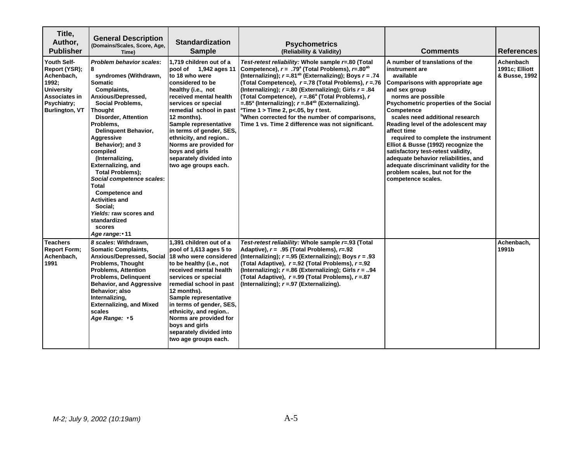| Title,<br>Author,<br><b>Publisher</b>                                                                                             | <b>General Description</b><br>(Domains/Scales, Score, Age,<br>Time)                                                                                                                                                                                                                                                                                                                                                                                                                                                                | <b>Standardization</b><br><b>Sample</b>                                                                                                                                                                                                                                                                                                                                              | <b>Psychometrics</b><br>(Reliability & Validity)                                                                                                                                                                                                                                                                                                                                                                                                                                                                                                                                                                                 | <b>Comments</b>                                                                                                                                                                                                                                                                                                                                                                                                                                                                                                                                          | <b>References</b>                            |
|-----------------------------------------------------------------------------------------------------------------------------------|------------------------------------------------------------------------------------------------------------------------------------------------------------------------------------------------------------------------------------------------------------------------------------------------------------------------------------------------------------------------------------------------------------------------------------------------------------------------------------------------------------------------------------|--------------------------------------------------------------------------------------------------------------------------------------------------------------------------------------------------------------------------------------------------------------------------------------------------------------------------------------------------------------------------------------|----------------------------------------------------------------------------------------------------------------------------------------------------------------------------------------------------------------------------------------------------------------------------------------------------------------------------------------------------------------------------------------------------------------------------------------------------------------------------------------------------------------------------------------------------------------------------------------------------------------------------------|----------------------------------------------------------------------------------------------------------------------------------------------------------------------------------------------------------------------------------------------------------------------------------------------------------------------------------------------------------------------------------------------------------------------------------------------------------------------------------------------------------------------------------------------------------|----------------------------------------------|
| Youth Self-<br>Report (YSR);<br>Achenbach,<br>1992;<br><b>University</b><br>Associates in<br>Psychiatry;<br><b>Burlington, VT</b> | <b>Problem behavior scales:</b><br>syndromes (Withdrawn,<br><b>Somatic</b><br>Complaints,<br>Anxious/Depressed,<br><b>Social Problems,</b><br>Thought<br><b>Disorder, Attention</b><br>Problems,<br><b>Delinquent Behavior,</b><br>Aggressive<br>Behavior); and 3<br>compiled<br>(Internalizing,<br><b>Externalizing, and</b><br><b>Total Problems):</b><br>Social competence scales:<br>Total<br><b>Competence and</b><br><b>Activities and</b><br>Social:<br>Yields: raw scores and<br>standardized<br>scores<br>Age range: v 11 | 1.719 children out of a<br>pool of 1,942 ages 11<br>to 18 who were<br>considered to be<br>healthy (i.e., not<br>received mental health<br>services or special<br>remedial school in past<br>12 months).<br>Sample representative<br>in terms of gender, SES,<br>ethnicity, and region<br>Norms are provided for<br>boys and girls<br>separately divided into<br>two age groups each. | Test-retest reliability: Whole sample r=.80 (Total<br>Competence), $r = .79^{\circ}$ (Total Problems), $r = .80^{\circ}$<br>(Internalizing); $r = .81^{ab}$ (Externalizing); Boys $r = .74$<br>(Total Competence), $r = 78$ (Total Problems), $r = 76$<br>(Internalizing); $r = 0.80$ (Externalizing); Girls $r = 0.84$<br>(Total Competence), $r = .86^{\circ}$ (Total Problems), r<br>=.85 <sup>a</sup> (Internalizing); $r = .84^{ab}$ (Externalizing).<br><sup>a</sup> Time 1 > Time 2, p<.05, by t test.<br><sup>b</sup> When corrected for the number of comparisons,<br>Time 1 vs. Time 2 difference was not significant. | A number of translations of the<br>instrument are<br>available<br>Comparisons with appropriate age<br>and sex group<br>norms are possible<br>Psychometric properties of the Social<br>Competence<br>scales need additional research<br>Reading level of the adolescent may<br>affect time<br>required to complete the instrument<br>Elliot & Busse (1992) recognize the<br>satisfactory test-retest validity,<br>adequate behavior reliabilities, and<br>adequate discriminant validity for the<br>problem scales, but not for the<br>competence scales. | Achenbach<br>1991c; Elliott<br>& Busse, 1992 |
| <b>Teachers</b><br><b>Report Form:</b><br>Achenbach,<br>1991                                                                      | 8 scales: Withdrawn,<br><b>Somatic Complaints,</b><br>Anxious/Depressed, Social 18 who were considered<br><b>Problems, Thought</b><br><b>Problems, Attention</b><br><b>Problems, Delinquent</b><br><b>Behavior, and Aggressive</b><br>Behavior; also<br>Internalizing,<br><b>Externalizing, and Mixed</b><br>scales<br>Age Range: v 5                                                                                                                                                                                              | 1,391 children out of a<br>pool of 1,613 ages 5 to<br>to be healthy (i.e., not<br>received mental health<br>services or special<br>remedial school in past<br>12 months).<br>Sample representative<br>in terms of gender, SES,<br>ethnicity, and region<br>Norms are provided for<br>boys and girls<br>separately divided into<br>two age groups each.                               | Test-retest reliability: Whole sample r=.93 (Total<br>Adaptive), $r = .95$ (Total Problems), $r = .92$<br>(Internalizing); $r = 0.95$ (Externalizing); Boys $r = 0.93$<br>(Total Adaptive), $r = 92$ (Total Problems), $r = 92$<br>(Internalizing); $r = 0.86$ (Externalizing); Girls $r = 0.94$<br>(Total Adaptive), r = 99 (Total Problems), r = 87<br>(Internalizing); r = .97 (Externalizing).                                                                                                                                                                                                                               |                                                                                                                                                                                                                                                                                                                                                                                                                                                                                                                                                          | Achenbach.<br>1991b                          |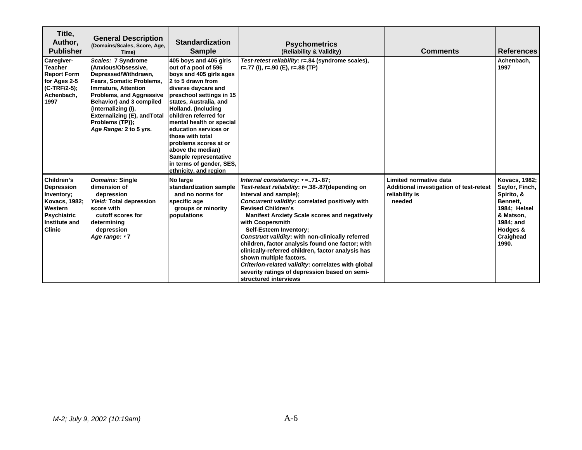| Title,<br>Author,<br><b>Publisher</b>                                                                                             | <b>General Description</b><br>(Domains/Scales, Score, Age,<br>Time)                                                                                                                                                                                                                                   | <b>Standardization</b><br><b>Sample</b>                                                                                                                                                                                                                                                                                                                                                                                          | <b>Psychometrics</b><br>(Reliability & Validity)                                                                                                                                                                                                                                                                                                                                                                                                                                                                                                                                                                                 | <b>Comments</b>                                                                               | <b>References</b>                                                                                                                            |
|-----------------------------------------------------------------------------------------------------------------------------------|-------------------------------------------------------------------------------------------------------------------------------------------------------------------------------------------------------------------------------------------------------------------------------------------------------|----------------------------------------------------------------------------------------------------------------------------------------------------------------------------------------------------------------------------------------------------------------------------------------------------------------------------------------------------------------------------------------------------------------------------------|----------------------------------------------------------------------------------------------------------------------------------------------------------------------------------------------------------------------------------------------------------------------------------------------------------------------------------------------------------------------------------------------------------------------------------------------------------------------------------------------------------------------------------------------------------------------------------------------------------------------------------|-----------------------------------------------------------------------------------------------|----------------------------------------------------------------------------------------------------------------------------------------------|
| Caregiver-<br><b>Teacher</b><br><b>Report Form</b><br>for Ages 2-5<br>$(C-TRF/2-5)$ ;<br>Achenbach,<br>1997                       | Scales: 7 Syndrome<br>(Anxious/Obsessive,<br>Depressed/Withdrawn,<br>Fears, Somatic Problems,<br><b>Immature, Attention</b><br><b>Problems, and Aggressive</b><br>Behavior) and 3 compiled<br>{Internalizing (I),<br><b>Externalizing (E), and Total</b><br>Problems (TP)};<br>Age Range: 2 to 5 yrs. | 405 boys and 405 girls<br>out of a pool of 596<br>boys and 405 girls ages<br>2 to 5 drawn from<br>diverse daycare and<br>preschool settings in 15<br>states, Australia, and<br>Holland. (Including<br>children referred for<br>mental health or special<br>education services or<br>those with total<br>problems scores at or<br>above the median)<br>Sample representative<br>in terms of gender, SES,<br>ethnicity, and region | Test-retest reliability: r=.84 (syndrome scales),<br>$r=.77$ (I), $r=.90$ (E), $r=.88$ (TP)                                                                                                                                                                                                                                                                                                                                                                                                                                                                                                                                      |                                                                                               | Achenbach.<br>1997                                                                                                                           |
| Children's<br><b>Depression</b><br>Inventory;<br>Kovacs, 1982;<br>Western<br><b>Psychiatric</b><br>Institute and<br><b>Clinic</b> | Domains: Single<br>dimension of<br>depression<br>Yield: Total depression<br>score with<br>cutoff scores for<br>determining<br>depression<br>Age range: v7                                                                                                                                             | No large<br>standardization sample<br>and no norms for<br>specific age<br>groups or minority<br>populations                                                                                                                                                                                                                                                                                                                      | Internal consistency: $=$ 71-87;<br>Test-retest reliability: r=.38-.87(depending on<br>interval and sample);<br>Concurrent validity: correlated positively with<br><b>Revised Children's</b><br><b>Manifest Anxiety Scale scores and negatively</b><br>with Coopersmith<br><b>Self-Esteem Inventory:</b><br>Construct validity: with non-clinically referred<br>children, factor analysis found one factor; with<br>clinically-referred children, factor analysis has<br>shown multiple factors.<br>Criterion-related validity: correlates with global<br>severity ratings of depression based on semi-<br>structured interviews | Limited normative data<br>Additional investigation of test-retest<br>reliability is<br>needed | <b>Kovacs, 1982;</b><br>Saylor, Finch,<br>Spirito, &<br>Bennett,<br>1984; Helsel<br>& Matson,<br>1984; and<br>Hodges &<br>Craighead<br>1990. |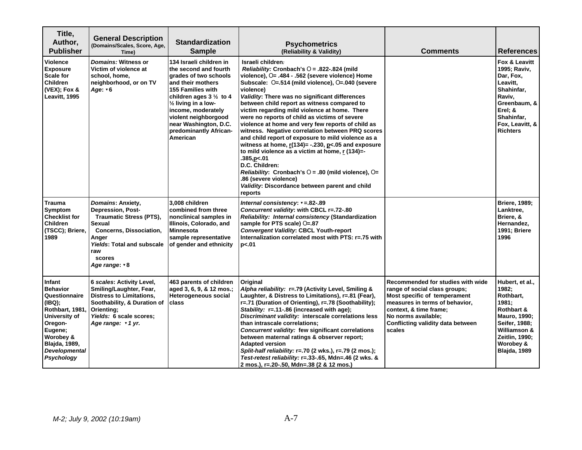| Title,<br>Author,<br><b>Publisher</b>                                                                                                                                                     | <b>General Description</b><br>(Domains/Scales, Score, Age,<br>Time)                                                                                                                                                        | <b>Standardization</b><br><b>Sample</b>                                                                                                                                                                                                                                                                        | <b>Psychometrics</b><br>(Reliability & Validity)                                                                                                                                                                                                                                                                                                                                                                                                                                                                                                                                                                                                                                                                                                                                                                                                         | <b>Comments</b>                                                                                                                                                                                                                      | <b>References</b>                                                                                                                                                   |
|-------------------------------------------------------------------------------------------------------------------------------------------------------------------------------------------|----------------------------------------------------------------------------------------------------------------------------------------------------------------------------------------------------------------------------|----------------------------------------------------------------------------------------------------------------------------------------------------------------------------------------------------------------------------------------------------------------------------------------------------------------|----------------------------------------------------------------------------------------------------------------------------------------------------------------------------------------------------------------------------------------------------------------------------------------------------------------------------------------------------------------------------------------------------------------------------------------------------------------------------------------------------------------------------------------------------------------------------------------------------------------------------------------------------------------------------------------------------------------------------------------------------------------------------------------------------------------------------------------------------------|--------------------------------------------------------------------------------------------------------------------------------------------------------------------------------------------------------------------------------------|---------------------------------------------------------------------------------------------------------------------------------------------------------------------|
| <b>Violence</b><br><b>Exposure</b><br>Scale for<br><b>Children</b><br>(VEX); Fox &<br>Leavitt, 1995                                                                                       | Domains: Witness or<br>Victim of violence at<br>school, home,<br>neighborhood, or on TV<br>Age: ▼6                                                                                                                         | 134 Israeli children in<br>the second and fourth<br>grades of two schools<br>and their mothers<br><b>155 Families with</b><br>children ages $3\frac{1}{2}$ to 4<br>$\frac{1}{2}$ living in a low-<br>income, moderately<br>violent neighborgood<br>near Washington, D.C.<br>predominantly African-<br>American | Israeli children:<br>Reliability: Cronbach's $O = .822-.824$ (mild<br>violence), O= .484 - .562 (severe violence) Home<br>Subscale: 0=.514 (mild violence), 0=.040 (severe<br>violence)<br>Validity: There was no significant differences<br>between child report as witness compared to<br>victim regarding mild violence at home. There<br>were no reports of child as victims of severe<br>violence at home and very few reports of child as<br>witness. Negative correlation between PRQ scores<br>and child report of exposure to mild violence as a<br>witness at home, $r(134)$ = -.230, $p$ <.05 and exposure<br>to mild violence as a victim at home, r (134)=-<br>385,p<.01<br>D.C. Children:<br>Reliability: Cronbach's $O = .80$ (mild violence), $O =$<br>86 (severe violence)<br>Validity: Discordance between parent and child<br>reports |                                                                                                                                                                                                                                      | Fox & Leavitt<br>1995; Raviv,<br>Dar, Fox,<br>Leavitt,<br>Shahinfar,<br>Raviv,<br>Greenbaum, &<br>Erel; &<br>Shahinfar,<br>Fox, Leavitt, &<br><b>Richters</b>       |
| <b>Trauma</b><br>Symptom<br><b>Checklist for</b><br><b>Children</b><br>(TSCC); Briere,<br>1989                                                                                            | Domains: Anxiety,<br><b>Depression, Post-</b><br><b>Traumatic Stress (PTS),</b><br><b>Sexual</b><br><b>Concerns, Dissociation,</b><br>Anger<br><b>Yields: Total and subscale</b><br>raw<br><b>scores</b><br>Age range: v 8 | 3,008 children<br>combined from three<br>nonclinical samples in<br>Illinois, Colorado, and<br><b>Minnesota</b><br>sample representative<br>of gender and ethnicity                                                                                                                                             | Internal consistency: v = 82-.89<br>Concurrent validity: with CBCL r=.72-.80<br>Reliability: Internal consistency (Standardization<br>sample for PTS scale) O=.87<br><b>Convergent Validity: CBCL Youth-report</b><br>Internalization correlated most with PTS: r=.75 with<br>p<.01                                                                                                                                                                                                                                                                                                                                                                                                                                                                                                                                                                      |                                                                                                                                                                                                                                      | <b>Briere, 1989;</b><br>Lanktree,<br>Briere, &<br>Hernandez,<br>1991; Briere<br>1996                                                                                |
| Infant<br><b>Behavior</b><br>Questionnaire<br>(IBQ);<br>Rothbart, 1981,<br>University of<br>Oregon-<br>Eugene;<br>Worobey &<br><b>Blajda, 1989,</b><br><b>Developmental</b><br>Psychology | 6 scales: Activity Level,<br>Smiling/Laughter, Fear,<br><b>Distress to Limitations,</b><br>Soothability, & Duration of<br>Orienting:<br>Yields: 6 scale scores;<br>Age range: v 1 yr.                                      | 463 parents of children<br>aged 3, 6, 9, & 12 mos.;<br>Heterogeneous social<br>class                                                                                                                                                                                                                           | Original<br>Alpha reliability: r=.79 (Activity Level, Smiling &<br>Laughter, & Distress to Limitations), r=.81 (Fear),<br>r=.71 (Duration of Orienting), r=.78 (Soothability);<br>Stability: r=.11-.86 (increased with age);<br>Discriminant validity: interscale correlations less<br>than intrascale correlations;<br>Concurrent validity: few significant correlations<br>between maternal ratings & observer report;<br><b>Adapted version</b><br>Split-half reliability: r=.70 (2 wks.), r=.79 (2 mos.);<br>Test-retest reliability: r=.33-.65, Mdn=.46 (2 wks. &<br>2 mos.), r=.20-.50, Mdn=.38 (2 & 12 mos.)                                                                                                                                                                                                                                      | Recommended for studies with wide<br>range of social class groups;<br>Most specific of temperament<br>measures in terms of behavior,<br>context, & time frame;<br>No norms available;<br>Conflicting validity data between<br>scales | Hubert, et al.,<br>1982:<br>Rothbart,<br>1981:<br>Rothbart &<br>Mauro, 1990;<br>Seifer, 1988;<br>Williamson &<br>Zeitlin, 1990;<br>Worobey &<br><b>Blajda, 1989</b> |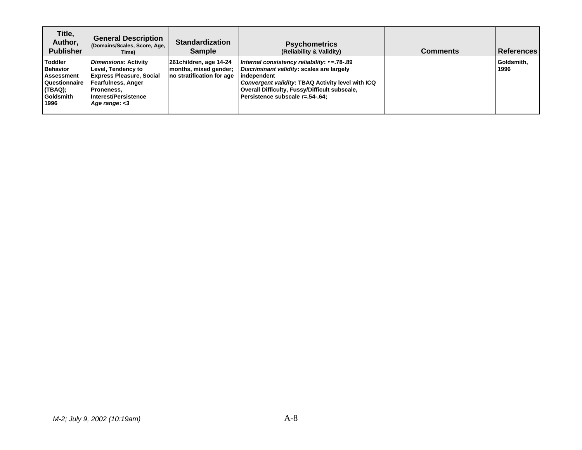| Title,<br>Author,<br><b>Publisher</b>                                                                          | <b>General Description</b><br>(Domains/Scales, Score, Age,<br>Time)                                                                                               | <b>Standardization</b><br><b>Sample</b>                                       | <b>Psychometrics</b><br>(Reliability & Validity)                                                                                                                                                                                                   | <b>Comments</b> | <b>∣ReferencesI</b> |
|----------------------------------------------------------------------------------------------------------------|-------------------------------------------------------------------------------------------------------------------------------------------------------------------|-------------------------------------------------------------------------------|----------------------------------------------------------------------------------------------------------------------------------------------------------------------------------------------------------------------------------------------------|-----------------|---------------------|
| <b>Toddler</b><br><b>Behavior</b><br><b>Assessment</b><br>Questionnaire<br>(TBAQ);<br><b>Goldsmith</b><br>1996 | <b>Dimensions: Activity</b><br>Level, Tendency to<br><b>Express Pleasure, Social</b><br>Fearfulness, Anger<br>Proneness,<br>Interest/Persistence<br>Age range: <3 | 261 children, age 14-24<br>months, mixed gender;<br>no stratification for age | Internal consistency reliability: $= .78-.89$<br>Discriminant validity: scales are largely<br>independent<br>Convergent validity: TBAQ Activity level with ICQ<br>Overall Difficulty, Fussy/Difficult subscale,<br>Persistence subscale r=.54-.64: |                 | Goldsmith,<br>1996  |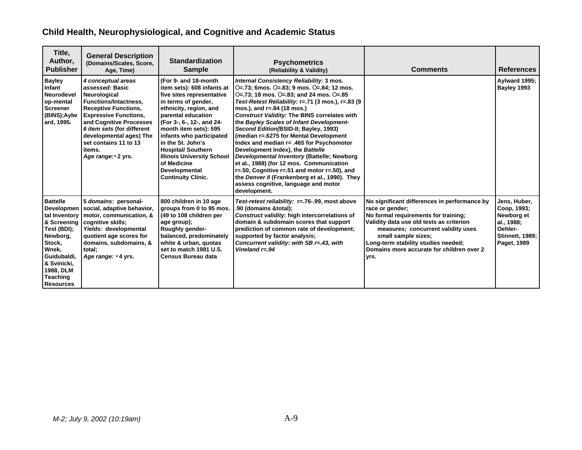# **Child Health, Neurophysiological, and Cognitive and Academic Status**

| Title,<br>Author,<br><b>Publisher</b>                                                                                                                                                  | <b>General Description</b><br>(Domains/Scales, Score,<br>Age, Time)                                                                                                                                                                                                                                | <b>Standardization</b><br><b>Sample</b>                                                                                                                                                                                                                                                                                                                                                      | <b>Psychometrics</b><br>(Reliability & Validity)                                                                                                                                                                                                                                                                                                                                                                                                                                                                                                                                                                                                                                                                                                               | <b>Comments</b>                                                                                                                                                                                                                                                                                              | <b>References</b>                                                                                           |
|----------------------------------------------------------------------------------------------------------------------------------------------------------------------------------------|----------------------------------------------------------------------------------------------------------------------------------------------------------------------------------------------------------------------------------------------------------------------------------------------------|----------------------------------------------------------------------------------------------------------------------------------------------------------------------------------------------------------------------------------------------------------------------------------------------------------------------------------------------------------------------------------------------|----------------------------------------------------------------------------------------------------------------------------------------------------------------------------------------------------------------------------------------------------------------------------------------------------------------------------------------------------------------------------------------------------------------------------------------------------------------------------------------------------------------------------------------------------------------------------------------------------------------------------------------------------------------------------------------------------------------------------------------------------------------|--------------------------------------------------------------------------------------------------------------------------------------------------------------------------------------------------------------------------------------------------------------------------------------------------------------|-------------------------------------------------------------------------------------------------------------|
| <b>Bayley</b><br>Infant<br><b>Neurodevel</b><br>op-mental<br><b>Screener</b><br>(BINS); Aylw<br>ard, 1995.                                                                             | 4 conceptual areas<br>assessed: Basic<br>Neurological<br><b>Functions/Intactness,</b><br><b>Receptive Functions,</b><br><b>Expressive Functions,</b><br>and Cognitive Processes<br>6 item sets (for different<br>developmental ages) The<br>set contains 11 to 13<br>items.<br>Age range: v 2 yrs. | (For 9- and 18-month)<br>item sets): 608 infants at<br>five sites representative<br>in terms of gender,<br>ethnicity, region, and<br>parental education<br>(For 3-, 6-, 12-, and 24-<br>month item sets): 595<br>infants who participated<br>in the St. John's<br><b>Hospital/Southern</b><br><b>Illinois University School</b><br>of Medicine<br>Developmental<br><b>Continuity Clinic.</b> | Internal Consistency Reliability: 3 mos.<br>O=.73; 6mos. O=.83; 9 mos. O=.84; 12 mos.<br>$O=.73$ ; 18 mos. $O=.83$ ; and 24 mos. $O=.85$<br>Test-Retest Reliability: r=.71 (3 mos.), r=.83 (9<br>mos.), and r=.84 (18 mos.)<br><b>Construct Validity: The BINS correlates with</b><br>the Bayley Scales of Infant Development-<br>Second Edition (BSID-II; Bayley, 1993)<br>(median r=.6275 for Mental Development<br>Index and median r= .465 for Psychomotor<br>Development Index), the Battelle<br>Developmental Inventory (Battelle; Newborg<br>et al., 1988) (for 12 mos. Communication<br>$r=.50$ , Cognitive $r=.51$ and motor $r=.50$ ), and<br>the Denver II (Frankenberg et al., 1990). They<br>assess cognitive, language and motor<br>development. |                                                                                                                                                                                                                                                                                                              | Aylward 1995;<br>Bayley 1993                                                                                |
| <b>Battelle</b><br>Developmen<br>tal Inventory<br>& Screening<br>Test (BDI);<br>Newborg,<br>Stock,<br>Wnek,<br>Guidubaldi.<br>& Svinicki,<br>1988, DLM<br>Teaching<br><b>Resources</b> | 5 domains: personal-<br>social, adaptive behavior,<br>motor, communication, &<br>cognitive skills;<br>Yields: developmental<br>quotient age scores for<br>domains, subdomains, &<br>total;<br>Age range: v 4 yrs.                                                                                  | 800 children in 10 age<br>groups from 0 to 95 mos.<br>(49 to 108 children per<br>age group);<br><b>Roughly gender-</b><br>balanced, predominately<br>white & urban, quotas<br>set to match 1981 U.S.<br>Census Bureau data                                                                                                                                                                   | Test-retest reliability: r=.76-.99, most above<br>.90 (domains &total);<br>Construct validity: high intercorrelations of<br>domain & subdomain scores that support<br>prediction of common rate of development;<br>supported by factor analysis;<br>Concurrent validity: with SB r=.43, with<br>Vineland $r = 94$                                                                                                                                                                                                                                                                                                                                                                                                                                              | No significant differences in performance by<br>race or gender;<br>No formal requirements for training;<br>Validity data use old tests as criterion<br>measures; concurrent validity uses<br>small sample sizes;<br>Long-term stability studies needed;<br>Domains more accurate for children over 2<br>yrs. | Jens, Huber,<br>Coop, 1993;<br>Newborg et<br>al., 1988;<br>Oehler-<br><b>Stinnett, 1989;</b><br>Paget, 1989 |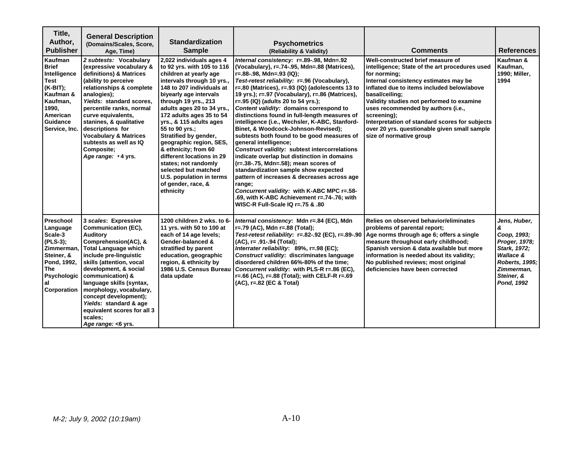| Title,<br>Author,<br><b>Publisher</b>                                                                                                     | <b>General Description</b><br>(Domains/Scales, Score,<br>Age, Time)                                                                                                                                                                                                                                                                                                                         | <b>Standardization</b><br><b>Sample</b>                                                                                                                                                                                                                                                                                                                                                                                                                                                                                      | <b>Psychometrics</b><br>(Reliability & Validity)                                                                                                                                                                                                                                                                                                                                                                                                                                                                                                                                                                                                                                                                                                                                                                                                                                                                                                        | <b>Comments</b>                                                                                                                                                                                                                                                                                                                                                                                                                             | <b>References</b>                                                                                                                          |
|-------------------------------------------------------------------------------------------------------------------------------------------|---------------------------------------------------------------------------------------------------------------------------------------------------------------------------------------------------------------------------------------------------------------------------------------------------------------------------------------------------------------------------------------------|------------------------------------------------------------------------------------------------------------------------------------------------------------------------------------------------------------------------------------------------------------------------------------------------------------------------------------------------------------------------------------------------------------------------------------------------------------------------------------------------------------------------------|---------------------------------------------------------------------------------------------------------------------------------------------------------------------------------------------------------------------------------------------------------------------------------------------------------------------------------------------------------------------------------------------------------------------------------------------------------------------------------------------------------------------------------------------------------------------------------------------------------------------------------------------------------------------------------------------------------------------------------------------------------------------------------------------------------------------------------------------------------------------------------------------------------------------------------------------------------|---------------------------------------------------------------------------------------------------------------------------------------------------------------------------------------------------------------------------------------------------------------------------------------------------------------------------------------------------------------------------------------------------------------------------------------------|--------------------------------------------------------------------------------------------------------------------------------------------|
| Kaufman<br><b>Brief</b><br>Intelligence<br>Test<br>(K-BIT);<br>Kaufman &<br>Kaufman.<br>1990,<br>American<br>Guidance<br>Service, Inc.    | 2 subtests: Vocabulary<br>(expressive vocabulary &<br>definitions) & Matrices<br>(ability to perceive<br>relationships & complete<br>analogies);<br>Yields: standard scores.<br>percentile ranks, normal<br>curve equivalents,<br>stanines, & qualitative<br>descriptions for<br><b>Vocabulary &amp; Matrices</b><br>subtests as well as IQ<br><b>Composite:</b><br>Age range: v 4 yrs.     | 2,022 individuals ages 4<br>to 92 yrs. with 105 to 116<br>children at yearly age<br>intervals through 10 yrs.,<br>148 to 207 individuals at<br>biyearly age intervals<br>through 19 yrs., 213<br>adults ages 20 to 34 yrs.,<br>172 adults ages 35 to 54<br>yrs., & 115 adults ages<br>55 to 90 yrs.;<br>Stratified by gender,<br>geographic region, SES,<br>& ethnicity; from 60<br>different locations in 29<br>states; not randomly<br>selected but matched<br>U.S. population in terms<br>of gender, race, &<br>ethnicity | Internal consistency: r=.89-.98, Mdn=.92<br>(Vocabulary), r=.74-.95, Mdn=.88 (Matrices),<br>r=.88-.98, Mdn=.93 (IQ);<br>Test-retest reliability: r=.96 (Vocabulary),<br>r=.80 (Matrices), r=.93 (IQ) (adolescents 13 to<br>19 yrs.); r=.97 (Vocabulary), r=.86 (Matrices),<br>r=.95 (IQ) (adults 20 to 54 yrs.);<br>Content validity: domains correspond to<br>distinctions found in full-length measures of<br>intelligence (i.e., Wechsler, K-ABC, Stanford-<br>Binet, & Woodcock-Johnson-Revised);<br>subtests both found to be good measures of<br>general intelligence;<br>Construct validity: subtest intercorrelations<br>indicate overlap but distinction in domains<br>(r=.38-.75, Mdn=.58); mean scores of<br>standardization sample show expected<br>pattern of increases & decreases across age<br>range;<br>Concurrent validity: with K-ABC MPC r=.58-<br>.69, with K-ABC Achievement r=.74-.76; with<br>WISC-R Full-Scale $IQr=.75 & .80$ | Well-constructed brief measure of<br>intelligence; State of the art procedures used<br>for norming;<br>Internal consistency estimates may be<br>inflated due to items included below/above<br>basal/ceiling;<br>Validity studies not performed to examine<br>uses recommended by authors (i.e.,<br>screening);<br>Interpretation of standard scores for subjects<br>over 20 yrs. questionable given small sample<br>size of normative group | Kaufman &<br>Kaufman.<br>1990; Miller,<br>1994                                                                                             |
| <b>Preschool</b><br>Language<br>Scale-3<br>(PLS-3);<br>Zimmerman.<br>Steiner, &<br>Pond, 1992,<br>The<br>Psychologic<br>al<br>Corporation | 3 scales: Expressive<br>Communication (EC),<br>Auditory<br>Comprehension(AC), &<br><b>Total Language which</b><br>include pre-linguistic<br>skills (attention, vocal<br>development, & social<br>communication) &<br>language skills (syntax,<br>morphology, vocabulary,<br>concept development);<br>Yields: standard & age<br>equivalent scores for all 3<br>scales:<br>Age range: <6 yrs. | 1200 children 2 wks. to 6-<br>11 yrs. with 50 to 100 at<br>each of 14 age levels;<br>Gender-balanced &<br>stratified by parent<br>education, geographic<br>region, & ethnicity by<br>data update                                                                                                                                                                                                                                                                                                                             | Internal consistency: Mdn r=.84 (EC), Mdn<br>r=.79 (AC), Mdn r=.88 (Total);<br>Test-retest reliability: r=.82-.92 (EC), r=.89-.90<br>(AC), r= .91-.94 (Total);<br>Interrater reliability: 89%, r=.98 (EC);<br>Construct validity: discriminates language<br>disordered children 66%-80% of the time;<br>1986 U.S. Census Bureau   Concurrent validity: with PLS-R r=.86 (EC),<br>r=.66 (AC), r=.88 (Total); with CELF-R r=.69<br>(AC), r=.82 (EC & Total)                                                                                                                                                                                                                                                                                                                                                                                                                                                                                               | Relies on observed behavior/eliminates<br>problems of parental report;<br>Age norms through age 6; offers a single<br>measure throughout early childhood;<br>Spanish version & data available but more<br>information is needed about its validity;<br>No published reviews; most original<br>deficiencies have been corrected                                                                                                              | Jens, Huber,<br>&<br>Coop, 1993;<br>Proger, 1978;<br>Stark, 1972;<br>Wallace &<br>Roberts, 1995;<br>Zimmerman,<br>Steiner, &<br>Pond, 1992 |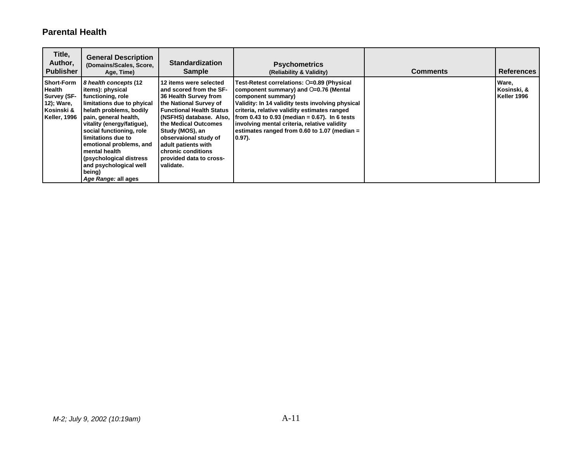### **Parental Health**

| Title,<br>Author,<br><b>Publisher</b>                                                           | <b>General Description</b><br>(Domains/Scales, Score,<br>Age, Time)                                                                                                                                                                                                                                                                                                | <b>Standardization</b><br><b>Sample</b>                                                                                                                                                                                                                                                                                     | <b>Psychometrics</b><br>(Reliability & Validity)                                                                                                                                                                                                                                                                                                                                 | <b>Comments</b> | <b>References</b>                   |
|-------------------------------------------------------------------------------------------------|--------------------------------------------------------------------------------------------------------------------------------------------------------------------------------------------------------------------------------------------------------------------------------------------------------------------------------------------------------------------|-----------------------------------------------------------------------------------------------------------------------------------------------------------------------------------------------------------------------------------------------------------------------------------------------------------------------------|----------------------------------------------------------------------------------------------------------------------------------------------------------------------------------------------------------------------------------------------------------------------------------------------------------------------------------------------------------------------------------|-----------------|-------------------------------------|
| <b>Short-Form</b><br>l Health<br><b>Survey (SF-</b><br>12); Ware,<br>Kosinski &<br>Keller, 1996 | 8 health concepts (12<br>items): physical<br>functioning, role<br>limitations due to phyical<br>helath problems, bodily<br>pain, general health,<br>vitality (energy/fatique),<br>social functioning, role<br>limitations due to<br>emotional problems, and<br>mental health<br>(psychological distress<br>and psychological well<br>being)<br>Age Range: all ages | 12 items were selected<br>and scored from the SF-<br>36 Health Survey from<br>the National Survey of<br><b>Functional Health Status</b><br>(NSFHS) database. Also,<br>the Medical Outcomes<br>Study (MOS), an<br>observaional study of<br>adult patients with<br>chronic conditions<br>provided data to cross-<br>validate. | Test-Retest correlations: 0=0.89 (Physical<br>component summary) and O=0.76 (Mental<br>component summary)<br>Validity: In 14 validity tests involving physical<br>criteria, relative validity estimates ranged<br>from 0.43 to 0.93 (median = $0.67$ ). In 6 tests<br>involving mental criteria, relative validity<br>estimates ranged from 0.60 to 1.07 (median =<br>$(0.97)$ . |                 | Ware,<br>Kosinski, &<br>Keller 1996 |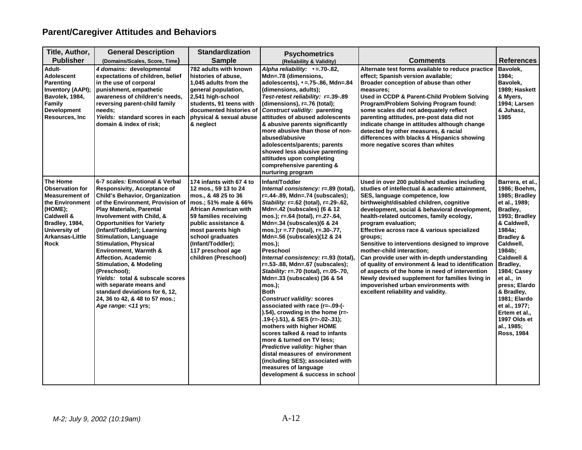# **Parent/Caregiver Attitudes and Behaviors**

| Title, Author,                                                                                                                                                        | <b>General Description</b>                                                                                                                                                                                                                                                                                                                                                                                                                                                                                                                                                                                                        | <b>Standardization</b>                                                                                                                                                                                                                                                              | <b>Psychometrics</b>                                                                                                                                                                                                                                                                                                                                                                                                                                                                                                                                                                                                                                                                                                                                                                                                                                                                                                                          |                                                                                                                                                                                                                                                                                                                                                                                                                                                                                                                                                                                                                                                                                                                                    |                                                                                                                                                                                                                                                                                                                                                                    |
|-----------------------------------------------------------------------------------------------------------------------------------------------------------------------|-----------------------------------------------------------------------------------------------------------------------------------------------------------------------------------------------------------------------------------------------------------------------------------------------------------------------------------------------------------------------------------------------------------------------------------------------------------------------------------------------------------------------------------------------------------------------------------------------------------------------------------|-------------------------------------------------------------------------------------------------------------------------------------------------------------------------------------------------------------------------------------------------------------------------------------|-----------------------------------------------------------------------------------------------------------------------------------------------------------------------------------------------------------------------------------------------------------------------------------------------------------------------------------------------------------------------------------------------------------------------------------------------------------------------------------------------------------------------------------------------------------------------------------------------------------------------------------------------------------------------------------------------------------------------------------------------------------------------------------------------------------------------------------------------------------------------------------------------------------------------------------------------|------------------------------------------------------------------------------------------------------------------------------------------------------------------------------------------------------------------------------------------------------------------------------------------------------------------------------------------------------------------------------------------------------------------------------------------------------------------------------------------------------------------------------------------------------------------------------------------------------------------------------------------------------------------------------------------------------------------------------------|--------------------------------------------------------------------------------------------------------------------------------------------------------------------------------------------------------------------------------------------------------------------------------------------------------------------------------------------------------------------|
| <b>Publisher</b>                                                                                                                                                      | (Domains/Scales, Score, Time)                                                                                                                                                                                                                                                                                                                                                                                                                                                                                                                                                                                                     | <b>Sample</b>                                                                                                                                                                                                                                                                       | (Reliability & Validity)                                                                                                                                                                                                                                                                                                                                                                                                                                                                                                                                                                                                                                                                                                                                                                                                                                                                                                                      | <b>Comments</b>                                                                                                                                                                                                                                                                                                                                                                                                                                                                                                                                                                                                                                                                                                                    | <b>References</b>                                                                                                                                                                                                                                                                                                                                                  |
| Adult-<br><b>Adolescent</b><br><b>Parenting</b><br>Inventory (AAPI);<br>Bavolek, 1984,<br>Family<br><b>Development</b><br><b>Resources, Inc.</b>                      | 4 domains: developmental<br>expectations of children, belief<br>in the use of corporal<br>punishment, empathetic<br>awareness of children's needs,<br>reversing parent-child family<br>needs:<br>Yields: standard scores in each<br>domain & index of risk;                                                                                                                                                                                                                                                                                                                                                                       | 782 adults with known<br>histories of abuse.<br>1,045 adults from the<br>general population,<br>2,541 high-school<br>students, 91 teens with<br>documented histories of<br>physical & sexual abuse<br>& neglect                                                                     | Alpha reliability: $v = 70-82$ ,<br>Mdn=.78 (dimensions,<br>adolescents), v = .75-.86, Mdn=.84<br>(dimensions, adults);<br>Test-retest reliability: r=.39-.89<br>(dimensions), r=.76 (total);<br><b>Construct validity: parenting</b><br>attitudes of abused adolescents<br>& abusive parents significantly<br>more abusive than those of non-<br>abused/abusive<br>adolescents/parents; parents<br>showed less abusive parenting<br>attitudes upon completing<br>comprehensive parenting &<br>nurturing program                                                                                                                                                                                                                                                                                                                                                                                                                              | Alternate test forms available to reduce practice<br>effect; Spanish version available;<br>Broader conception of abuse than other<br>measures;<br>Used in CCDP & Parent-Child Problem Solving<br>Program/Problem Solving Program found:<br>some scales did not adequately reflect<br>parenting attitudes, pre-post data did not<br>indicate change in attitudes although change<br>detected by other measures, & racial<br>differences with blacks & Hispanics showing<br>more negative scores than whites                                                                                                                                                                                                                         | Bavolek,<br>1984;<br>Bavolek,<br>1989; Haskett<br>& Myers,<br><b>1994</b> ; Larsen<br>& Juhasz,<br>1985                                                                                                                                                                                                                                                            |
| The Home<br><b>Observation for</b><br><b>Measurement of</b><br>the Environment<br>(HOME);<br>Caldwell &<br>Bradley, 1984,<br>University of<br>Arkansas-Little<br>Rock | 6-7 scales: Emotional & Verbal<br>Responsivity, Acceptance of<br><b>Child's Behavior, Organization</b><br>of the Environment, Provision of<br><b>Play Materials, Parental</b><br><b>Involvement with Child, &amp;</b><br><b>Opportunities for Variety</b><br>(Infant/Toddler); Learning<br><b>Stimulation, Language</b><br><b>Stimulation, Physical</b><br><b>Environment, Warmth &amp;</b><br>Affection, Academic<br><b>Stimulation, &amp; Modeling</b><br>(Preschool);<br>Yields: total & subscale scores<br>with separate means and<br>standard deviations for 6, 12,<br>24, 36 to 42, & 48 to 57 mos.;<br>Age range: <11 yrs; | 174 infants with 67 4 to<br>12 mos., 59 13 to 24<br>mos., & 48 25 to 36<br>mos.; 51% male & 66%<br>African American with<br>59 families receiving<br>public assistance &<br>most parents high<br>school graduates<br>(Infant/Toddler);<br>117 preschool age<br>children (Preschool) | Infant/Toddler<br>Internal consistency: r=.89 (total),<br>r=.44-.89, Mdn=.74 (subscales);<br>Stability: r=.62 (total), r=.29-.62,<br>Mdn=.42 (subscales) (6 $&$ 12<br>mos.); r=.64 (total), r=.27-.64,<br>Mdn= $.34$ (subscales)(6 & 24<br>$mos.$ ; r = .77 (total), r= .30-.77,<br>Mdn=.56 (subscales)(12 & 24<br>$mos.$ );<br>Preschool<br>Internal consistency: r=.93 (total),<br>r=.53-.88, Mdn=.67 (subscales);<br>Stability: r=.70 (total), r=.05-.70,<br>Mdn=.33 (subscales) (36 & 54<br>$mos.$ );<br><b>Both</b><br><b>Construct validity: scores</b><br>associated with race (r=-.09-(-<br>$(1.54)$ , crowding in the home (r=-<br>.19-(-).51), & SES (r=-.02-.31);<br>mothers with higher HOME<br>scores talked & read to infants<br>more & turned on TV less;<br>Predictive validity: higher than<br>distal measures of environment<br>(including SES); associated with<br>measures of language<br>development & success in school | Used in over 200 published studies including<br>studies of intellectual & academic attainment,<br>SES, language competence, low<br>birthweight/disabled children, cognitive<br>development, social & behavioral development,<br>health-related outcomes, family ecology,<br>program evaluation;<br>Effective across race & various specialized<br>groups;<br>Sensitive to interventions designed to improve<br>mother-child interaction;<br>Can provide user with in-depth understanding<br>of quality of environment & lead to identification<br>of aspects of the home in need of intervention<br>Newly devised supplement for families living in<br>impoverished urban environments with<br>excellent reliability and validity. | Barrera, et al.,<br>1986; Boehm,<br>1985; Bradley<br>et al., 1989;<br>Bradley,<br>1993; Bradley<br>& Caldwell,<br>1984a;<br><b>Bradley &amp;</b><br>Caldwell,<br>1984b;<br>Caldwell &<br>Bradley,<br>1984; Casey<br>et al., in<br>press; Elardo<br>& Bradley,<br>1981; Elardo<br>et al., 1977;<br>Ertem et al.,<br>1997 Olds et<br>al., 1985;<br><b>Ross, 1984</b> |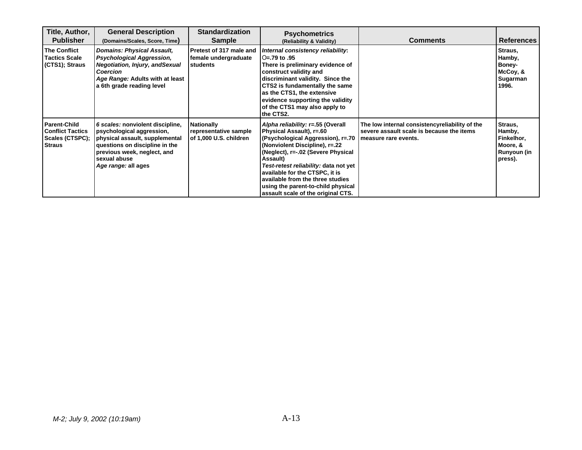| Title, Author,<br><b>Publisher</b>                                                 | <b>General Description</b><br>(Domains/Scales, Score, Time)                                                                                                                                             | <b>Standardization</b><br><b>Sample</b>                       | <b>Psychometrics</b><br>(Reliability & Validity)                                                                                                                                                                                                                                                                                                                                          | <b>Comments</b>                                                                                                     | <b>References</b>                                                     |
|------------------------------------------------------------------------------------|---------------------------------------------------------------------------------------------------------------------------------------------------------------------------------------------------------|---------------------------------------------------------------|-------------------------------------------------------------------------------------------------------------------------------------------------------------------------------------------------------------------------------------------------------------------------------------------------------------------------------------------------------------------------------------------|---------------------------------------------------------------------------------------------------------------------|-----------------------------------------------------------------------|
| <b>The Conflict</b><br><b>Tactics Scale</b><br>(CTS1); Straus                      | <b>Domains: Physical Assault,</b><br><b>Psychological Aggression,</b><br><b>Negotiation, Injury, and Sexual</b><br><b>Coercion</b><br>Age Range: Adults with at least<br>a 6th grade reading level      | Pretest of 317 male and<br>female undergraduate<br>students   | Internal consistency reliability:<br>O=.79 to .95<br>There is preliminary evidence of<br>construct validity and<br>discriminant validity. Since the<br>CTS2 is fundamentally the same<br>as the CTS1, the extensive<br>evidence supporting the validity<br>of the CTS1 may also apply to<br>the CTS2.                                                                                     |                                                                                                                     | Straus,<br>Hamby,<br>Boney-<br>McCoy, &<br>Sugarman<br>1996.          |
| <b>Parent-Child</b><br><b>Conflict Tactics</b><br>Scales (CTSPC);<br><b>Straus</b> | 6 scales: nonviolent discipline,<br>psychological aggression,<br>physical assault, supplemental<br>questions on discipline in the<br>previous week, neglect, and<br>sexual abuse<br>Age range: all ages | Nationally<br>representative sample<br>of 1,000 U.S. children | Alpha reliability: r=.55 (Overall<br>Physical Assault), r=.60<br>(Psychological Aggression), r=.70<br>(Nonviolent Discipline), r=.22<br>(Neglect), r=-.02 (Severe Physical<br><b>Assault</b> )<br>Test-retest reliability: data not yet<br>available for the CTSPC, it is<br>available from the three studies<br>using the parent-to-child physical<br>assault scale of the original CTS. | The low internal consistencyreliability of the<br>severe assault scale is because the items<br>measure rare events. | Straus,<br>Hamby,<br>Finkelhor,<br>Moore, &<br>Runyoun (in<br>press). |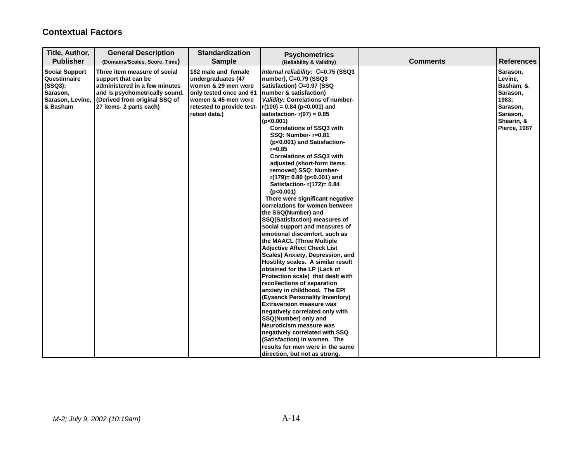### **Contextual Factors**

| Title, Author,<br><b>Publisher</b>                                                           | <b>General Description</b><br>(Domains/Scales, Score, Time)                                                                                                                        | <b>Standardization</b><br><b>Sample</b>                                                                                                                          | <b>Psychometrics</b><br>(Reliability & Validity)                                                                                                                                                                                                                                                                                                                                                                                                                                                                                                                                                                                                                                                                                                                                                                                                                                                                                                                                                                                                                                                                                                                                                                                                                                                                 | <b>Comments</b> | <b>References</b>                                                                                           |
|----------------------------------------------------------------------------------------------|------------------------------------------------------------------------------------------------------------------------------------------------------------------------------------|------------------------------------------------------------------------------------------------------------------------------------------------------------------|------------------------------------------------------------------------------------------------------------------------------------------------------------------------------------------------------------------------------------------------------------------------------------------------------------------------------------------------------------------------------------------------------------------------------------------------------------------------------------------------------------------------------------------------------------------------------------------------------------------------------------------------------------------------------------------------------------------------------------------------------------------------------------------------------------------------------------------------------------------------------------------------------------------------------------------------------------------------------------------------------------------------------------------------------------------------------------------------------------------------------------------------------------------------------------------------------------------------------------------------------------------------------------------------------------------|-----------------|-------------------------------------------------------------------------------------------------------------|
| <b>Social Support</b><br>Questinnaire<br>(SSQ3);<br>Sarason,<br>Sarason, Levine,<br>& Basham | Three item measure of social<br>support that can be<br>administered in a few minutes<br>and is psychometrically sound.<br>(Derived from original SSQ of<br>27 items- 2 parts each) | 182 male and female<br>undergraduates (47<br>women & 29 men were<br>only tested once and 61<br>women & 45 men were<br>retested to provide test-<br>retest data.) | Internal reliability: 0=0.75 (SSQ3<br>number), O=0.79 (SSQ3<br>satisfaction) O=0.97 (SSQ<br>number & satisfaction)<br>Validity: Correlations of number-<br>$r(100) = 0.84$ (p<0.001) and<br>satisfaction- $r(97) = 0.85$<br>(p<0.001)<br><b>Correlations of SSQ3 with</b><br>SSQ: Number-r=0.81<br>(p<0.001) and Satisfaction-<br>$r = 0.85$<br><b>Correlations of SSQ3 with</b><br>adjusted (short-form items<br>removed) SSQ: Number-<br>$r(179) = 0.80$ (p<0.001) and<br>Satisfaction- $r(172)=0.84$<br>(p<0.001)<br>There were significant negative<br>correlations for women between<br>the SSQ(Number) and<br><b>SSQ(Satisfaction) measures of</b><br>social support and measures of<br>emotional discomfort, such as<br>the MAACL (Three Multiple<br><b>Adjective Affect Check List</b><br>Scales) Anxiety, Depression, and<br>Hostility scales. A similar result<br>obtained for the LP (Lack of<br>Protection scale) that dealt with<br>recollections of separation<br>anxiety in childhood. The EPI<br>(Eysenck Personality Inventory)<br><b>Extraversion measure was</b><br>negatively correlated only with<br>SSQ(Number) only and<br>Neuroticism measure was<br>negatively correlated with SSQ<br>(Satisfaction) in women. The<br>results for men were in the same<br>direction, but not as strong. |                 | Sarason,<br>Levine,<br>Basham, &<br>Sarason,<br>1983;<br>Sarason,<br>Sarason,<br>Shearin, &<br>Pierce, 1987 |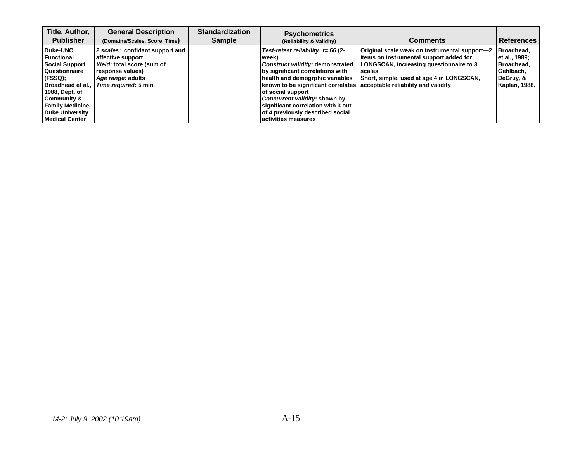| Title, Author,<br><b>Publisher</b>                                                                                                                                                                                            | <b>General Description</b><br>(Domains/Scales, Score, Time)                                                                                          | <b>Standardization</b><br><b>Sample</b> | <b>Psychometrics</b><br>(Reliability & Validity)                                                                                                                                                                                                                                                                                                                                          | <b>Comments</b>                                                                                                                                                                                   | <b>References</b>                                                                            |
|-------------------------------------------------------------------------------------------------------------------------------------------------------------------------------------------------------------------------------|------------------------------------------------------------------------------------------------------------------------------------------------------|-----------------------------------------|-------------------------------------------------------------------------------------------------------------------------------------------------------------------------------------------------------------------------------------------------------------------------------------------------------------------------------------------------------------------------------------------|---------------------------------------------------------------------------------------------------------------------------------------------------------------------------------------------------|----------------------------------------------------------------------------------------------|
| Duke-UNC<br><b>Functional</b><br><b>Social Support</b><br><b>Questionnaire</b><br>(FSSQ);<br>Broadhead et al.,<br>1988, Dept. of<br>Community &<br><b>Family Medicine,</b><br><b>Duke University</b><br><b>Medical Center</b> | 2 scales: confidant support and<br>affective support<br>Yield: total score (sum of<br>response values)<br>Age range: adults<br>Time required: 5 min. |                                         | Test-retest reliability: r=.66 (2-<br>l week)<br>Construct validity: demonstrated<br>by significant correlations with<br>health and demogrphic variables<br>known to be significant correlates acceptable reliability and validity<br>of social support<br>Concurrent validity: shown by<br>significant correlation with 3 out<br>of 4 previously described social<br>activities measures | Original scale weak on instrumental support-2<br>items on instrumental support added for<br>LONGSCAN, increasing questionnaire to 3<br><b>scales</b><br>Short, simple, used at age 4 in LONGSCAN, | Broadhead.<br>let al., 1989;<br>Broadhead,<br>Gehlbach.<br>DeGruy, &<br><b>Kaplan, 1988.</b> |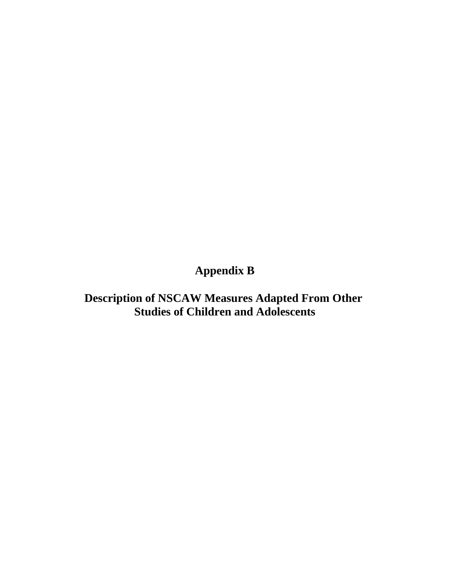# **Appendix B**

**Description of NSCAW Measures Adapted From Other Studies of Children and Adolescents**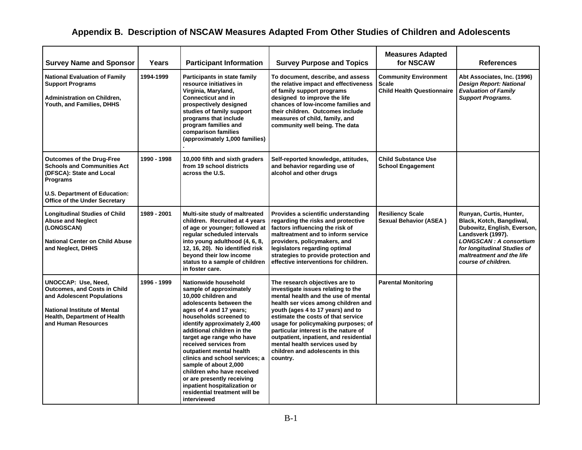# **Appendix B. Description of NSCAW Measures Adapted From Other Studies of Children and Adolescents**

| <b>Survey Name and Sponsor</b>                                                                                                                                                                       | Years       | <b>Participant Information</b>                                                                                                                                                                                                                                                                                                                                                                                                                                                                                 | <b>Survey Purpose and Topics</b>                                                                                                                                                                                                                                                                                                                                                                                                         | <b>Measures Adapted</b><br>for NSCAW                                              | References                                                                                                                                                                                                                  |
|------------------------------------------------------------------------------------------------------------------------------------------------------------------------------------------------------|-------------|----------------------------------------------------------------------------------------------------------------------------------------------------------------------------------------------------------------------------------------------------------------------------------------------------------------------------------------------------------------------------------------------------------------------------------------------------------------------------------------------------------------|------------------------------------------------------------------------------------------------------------------------------------------------------------------------------------------------------------------------------------------------------------------------------------------------------------------------------------------------------------------------------------------------------------------------------------------|-----------------------------------------------------------------------------------|-----------------------------------------------------------------------------------------------------------------------------------------------------------------------------------------------------------------------------|
| <b>National Evaluation of Family</b><br><b>Support Programs</b><br><b>Administration on Children,</b><br>Youth, and Families, DHHS                                                                   | 1994-1999   | Participants in state family<br>resource initiatives in<br>Virginia, Maryland,<br><b>Connecticut and in</b><br>prospectively designed<br>studies of family support<br>programs that include<br>program families and<br>comparison families<br>(approximately 1,000 families)                                                                                                                                                                                                                                   | To document, describe, and assess<br>the relative impact and effectiveness<br>of family support programs<br>designed to improve the life<br>chances of low-income families and<br>their children. Outcomes include<br>measures of child, family, and<br>community well being. The data                                                                                                                                                   | <b>Community Environment</b><br><b>Scale</b><br><b>Child Health Questionnaire</b> | Abt Associates, Inc. (1996)<br><b>Design Report: National</b><br><b>Evaluation of Family</b><br><b>Support Programs.</b>                                                                                                    |
| <b>Outcomes of the Drug-Free</b><br><b>Schools and Communities Act</b><br>(DFSCA): State and Local<br>Programs                                                                                       | 1990 - 1998 | 10,000 fifth and sixth graders<br>from 19 school districts<br>across the U.S.                                                                                                                                                                                                                                                                                                                                                                                                                                  | Self-reported knowledge, attitudes,<br>and behavior regarding use of<br>alcohol and other drugs                                                                                                                                                                                                                                                                                                                                          | <b>Child Substance Use</b><br><b>School Engagement</b>                            |                                                                                                                                                                                                                             |
| <b>U.S. Department of Education:</b><br><b>Office of the Under Secretary</b>                                                                                                                         |             |                                                                                                                                                                                                                                                                                                                                                                                                                                                                                                                |                                                                                                                                                                                                                                                                                                                                                                                                                                          |                                                                                   |                                                                                                                                                                                                                             |
| <b>Longitudinal Studies of Child</b><br><b>Abuse and Neglect</b><br>(LONGSCAN)<br><b>National Center on Child Abuse</b><br>and Neglect, DHHS                                                         | 1989 - 2001 | Multi-site study of maltreated<br>children. Recruited at 4 years<br>of age or younger; followed at<br>regular scheduled intervals<br>into young adulthood (4, 6, 8,<br>12, 16, 20). No identified risk<br>beyond their low income<br>status to a sample of children<br>in foster care.                                                                                                                                                                                                                         | Provides a scientific understanding<br>regarding the risks and protective<br>factors influencing the risk of<br>maltreatment and to inform service<br>providers, policymakers, and<br>legislators regarding optimal<br>strategies to provide protection and<br>effective interventions for children.                                                                                                                                     | <b>Resiliency Scale</b><br><b>Sexual Behavior (ASEA)</b>                          | Runyan, Curtis, Hunter,<br>Black, Kotch, Bangdiwal,<br>Dubowitz, English, Everson,<br>Landsverk (1997).<br><b>LONGSCAN: A consortium</b><br>for longitudinal Studies of<br>maltreatment and the life<br>course of children. |
| <b>UNOCCAP: Use, Need,</b><br><b>Outcomes, and Costs in Child</b><br>and Adolescent Populations<br><b>National Institute of Mental</b><br><b>Health, Department of Health</b><br>and Human Resources | 1996 - 1999 | Nationwide household<br>sample of approximately<br>10,000 children and<br>adolescents between the<br>ages of 4 and 17 years;<br>households screened to<br>identify approximately 2,400<br>additional children in the<br>target age range who have<br>received services from<br>outpatient mental health<br>clinics and school services; a<br>sample of about 2,000<br>children who have received<br>or are presently receiving<br>inpatient hospitalization or<br>residential treatment will be<br>interviewed | The research objectives are to<br>investigate issues relating to the<br>mental health and the use of mental<br>health ser vices among children and<br>youth (ages 4 to 17 years) and to<br>estimate the costs of that service<br>usage for policymaking purposes; of<br>particular interest is the nature of<br>outpatient, inpatient, and residential<br>mental health services used by<br>children and adolescents in this<br>country. | <b>Parental Monitoring</b>                                                        |                                                                                                                                                                                                                             |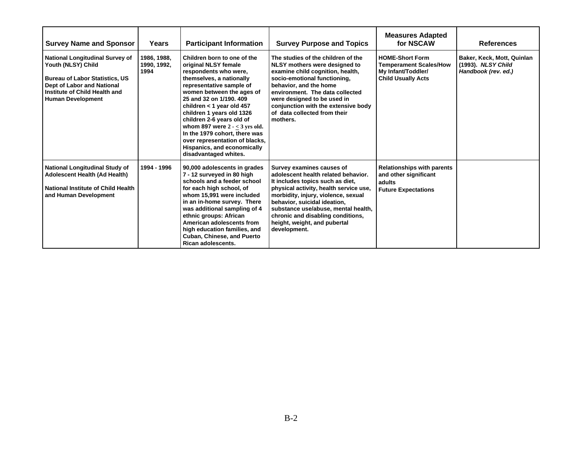| <b>Survey Name and Sponsor</b>                                                                                                                                                            | Years                              | <b>Participant Information</b>                                                                                                                                                                                                                                                                                                                                                                                                                     | <b>Survey Purpose and Topics</b>                                                                                                                                                                                                                                                                                                                  | <b>Measures Adapted</b><br>for NSCAW                                                                       | <b>References</b>                                                       |
|-------------------------------------------------------------------------------------------------------------------------------------------------------------------------------------------|------------------------------------|----------------------------------------------------------------------------------------------------------------------------------------------------------------------------------------------------------------------------------------------------------------------------------------------------------------------------------------------------------------------------------------------------------------------------------------------------|---------------------------------------------------------------------------------------------------------------------------------------------------------------------------------------------------------------------------------------------------------------------------------------------------------------------------------------------------|------------------------------------------------------------------------------------------------------------|-------------------------------------------------------------------------|
| National Longitudinal Survey of<br>Youth (NLSY) Child<br><b>Bureau of Labor Statistics, US</b><br>Dept of Labor and National<br>Institute of Child Health and<br><b>Human Development</b> | 1986, 1988,<br>1990, 1992,<br>1994 | Children born to one of the<br>original NLSY female<br>respondents who were,<br>themselves, a nationally<br>representative sample of<br>women between the ages of<br>25 and 32 on 1/190, 409<br>children < 1 year old 457<br>children 1 years old 1326<br>children 2-6 years old of<br>whom 897 were $2 - < 3$ yrs old.<br>In the 1979 cohort, there was<br>over representation of blacks,<br>Hispanics, and economically<br>disadvantaged whites. | The studies of the children of the<br>NLSY mothers were designed to<br>examine child cognition, health,<br>socio-emotional functioning,<br>behavior, and the home<br>environment. The data collected<br>were designed to be used in<br>conjunction with the extensive body<br>of data collected from their<br>mothers.                            | <b>HOME-Short Form</b><br><b>Temperament Scales/How</b><br>My Infant/Toddler/<br><b>Child Usually Acts</b> | Baker, Keck, Mott, Quinlan<br>(1993). NLSY Child<br>Handbook (rev. ed.) |
| <b>National Longitudinal Study of</b><br><b>Adolescent Health (Ad Health)</b><br>National Institute of Child Health<br>and Human Development                                              | 1994 - 1996                        | 90,000 adolescents in grades<br>7 - 12 surveyed in 80 high<br>schools and a feeder school<br>for each high school, of<br>whom 15,991 were included<br>in an in-home survey. There<br>was additional sampling of 4<br>ethnic groups: African<br>American adolescents from<br>high education families, and<br><b>Cuban, Chinese, and Puerto</b><br><b>Rican adolescents.</b>                                                                         | Survey examines causes of<br>adolescent health related behavior.<br>It includes topics such as diet,<br>physical activity, health service use,<br>morbidity, injury, violence, sexual<br>behavior, suicidal ideation,<br>substance use/abuse, mental health,<br>chronic and disabling conditions,<br>height, weight, and pubertal<br>development. | <b>Relationships with parents</b><br>and other significant<br>adults<br><b>Future Expectations</b>         |                                                                         |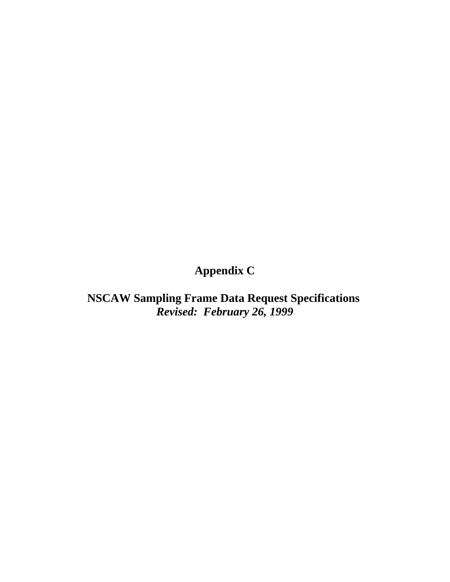# **Appendix C**

**NSCAW Sampling Frame Data Request Specifications**  *Revised: February 26, 1999*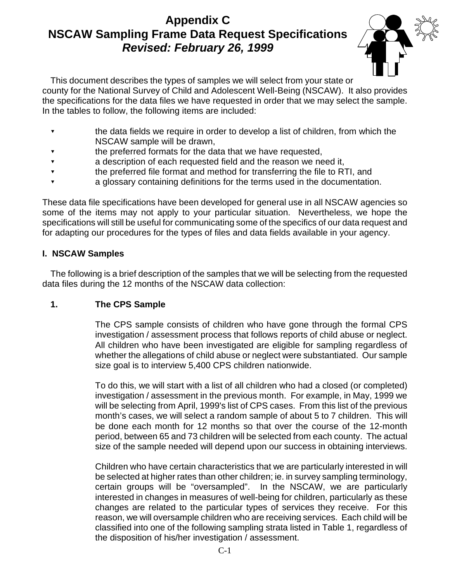# **Appendix C NSCAW Sampling Frame Data Request Specifications** *Revised: February 26, 1999*



 This document describes the types of samples we will select from your state or county for the National Survey of Child and Adolescent Well-Being (NSCAW). It also provides the specifications for the data files we have requested in order that we may select the sample. In the tables to follow, the following items are included:

- ? the data fields we require in order to develop a list of children, from which the NSCAW sample will be drawn,
- the preferred formats for the data that we have requested,
- ? a description of each requested field and the reason we need it,
- ? the preferred file format and method for transferring the file to RTI, and
- a glossary containing definitions for the terms used in the documentation.

 These data file specifications have been developed for general use in all NSCAW agencies so some of the items may not apply to your particular situation. Nevertheless, we hope the specifications will still be useful for communicating some of the specifics of our data request and for adapting our procedures for the types of files and data fields available in your agency.

### **I. NSCAW Samples**

 The following is a brief description of the samples that we will be selecting from the requested data files during the 12 months of the NSCAW data collection:

### **1. The CPS Sample**

 The CPS sample consists of children who have gone through the formal CPS investigation / assessment process that follows reports of child abuse or neglect. All children who have been investigated are eligible for sampling regardless of whether the allegations of child abuse or neglect were substantiated. Our sample size goal is to interview 5,400 CPS children nationwide.

 To do this, we will start with a list of all children who had a closed (or completed) investigation / assessment in the previous month. For example, in May, 1999 we will be selecting from April, 1999's list of CPS cases. From this list of the previous month's cases, we will select a random sample of about 5 to 7 children. This will be done each month for 12 months so that over the course of the 12-month period, between 65 and 73 children will be selected from each county. The actual size of the sample needed will depend upon our success in obtaining interviews.

 Children who have certain characteristics that we are particularly interested in will be selected at higher rates than other children; ie. in survey sampling terminology, interested in changes in measures of well-being for children, particularly as these changes are related to the particular types of services they receive. For this reason, we will oversample children who are receiving services. Each child will be classified into one of the following sampling strata listed in Table 1, regardless of certain groups will be "oversampled". In the NSCAW, we are particularly the disposition of his/her investigation / assessment.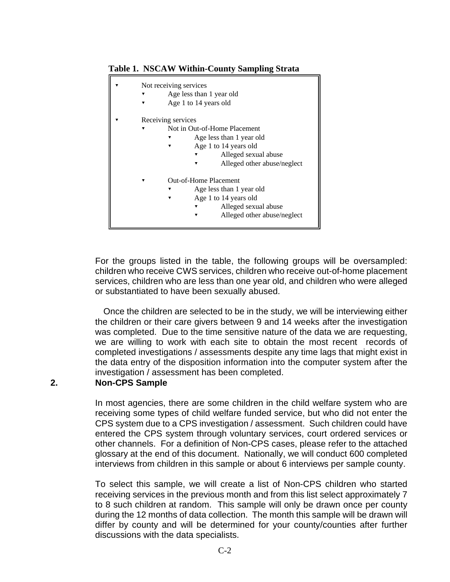#### **Table 1. NSCAW Within-County Sampling Strata**

| Not receiving services<br>Age less than 1 year old<br>Age 1 to 14 years old                                                                                         |
|---------------------------------------------------------------------------------------------------------------------------------------------------------------------|
| Receiving services<br>Not in Out-of-Home Placement<br>Age less than 1 year old<br>▼<br>Age 1 to 14 years old<br>Alleged sexual abuse<br>Alleged other abuse/neglect |
| Out-of-Home Placement<br>Age less than 1 year old<br>Age 1 to 14 years old<br>Alleged sexual abuse<br>▼<br>Alleged other abuse/neglect                              |

 For the groups listed in the table, the following groups will be oversampled: children who receive CWS services, children who receive out-of-home placement services, children who are less than one year old, and children who were alleged or substantiated to have been sexually abused.

 Once the children are selected to be in the study, we will be interviewing either the children or their care givers between 9 and 14 weeks after the investigation we are willing to work with each site to obtain the most recent records of completed investigations / assessments despite any time lags that might exist in the data entry of the disposition information into the computer system after the was completed. Due to the time sensitive nature of the data we are requesting, investigation / assessment has been completed.

#### **2. Non-CPS Sample**

 In most agencies, there are some children in the child welfare system who are receiving some types of child welfare funded service, but who did not enter the CPS system due to a CPS investigation / assessment. Such children could have entered the CPS system through voluntary services, court ordered services or other channels. For a definition of Non-CPS cases, please refer to the attached glossary at the end of this document. Nationally, we will conduct 600 completed interviews from children in this sample or about 6 interviews per sample county.

 receiving services in the previous month and from this list select approximately 7 to 8 such children at random. This sample will only be drawn once per county during the 12 months of data collection. The month this sample will be drawn will differ by county and will be determined for your county/counties after further To select this sample, we will create a list of Non-CPS children who started discussions with the data specialists.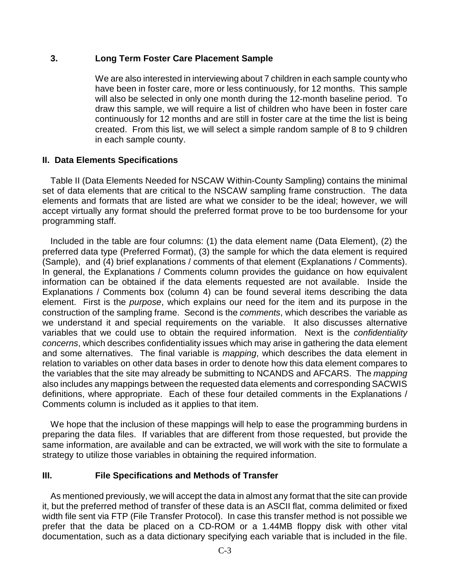#### **3. Long Term Foster Care Placement Sample**

 We are also interested in interviewing about 7 children in each sample county who have been in foster care, more or less continuously, for 12 months. This sample will also be selected in only one month during the 12-month baseline period. To draw this sample, we will require a list of children who have been in foster care continuously for 12 months and are still in foster care at the time the list is being created. From this list, we will select a simple random sample of 8 to 9 children in each sample county.

#### **II. Data Elements Specifications**

 Table II (Data Elements Needed for NSCAW Within-County Sampling) contains the minimal set of data elements that are critical to the NSCAW sampling frame construction. The data elements and formats that are listed are what we consider to be the ideal; however, we will accept virtually any format should the preferred format prove to be too burdensome for your programming staff.

 Included in the table are four columns: (1) the data element name (Data Element), (2) the preferred data type (Preferred Format), (3) the sample for which the data element is required In general, the Explanations / Comments column provides the guidance on how equivalent information can be obtained if the data elements requested are not available. Inside the construction of the sampling frame. Second is the *comments*, which describes the variable as variables that we could use to obtain the required information. Next is the *confidentiality concerns*, which describes confidentiality issues which may arise in gathering the data element and some alternatives. The final variable is *mapping*, which describes the data element in relation to variables on other data bases in order to denote how this data element compares to the variables that the site may already be submitting to NCANDS and AFCARS. The *mapping*  also includes any mappings between the requested data elements and corresponding SACWIS definitions, where appropriate. Each of these four detailed comments in the Explanations / (Sample), and (4) brief explanations / comments of that element (Explanations / Comments). Explanations / Comments box (column 4) can be found several items describing the data element. First is the *purpose*, which explains our need for the item and its purpose in the we understand it and special requirements on the variable. It also discusses alternative Comments column is included as it applies to that item.

 We hope that the inclusion of these mappings will help to ease the programming burdens in preparing the data files. If variables that are different from those requested, but provide the same information, are available and can be extracted, we will work with the site to formulate a strategy to utilize those variables in obtaining the required information.

### **III. File Specifications and Methods of Transfer**

 As mentioned previously, we will accept the data in almost any format that the site can provide it, but the preferred method of transfer of these data is an ASCII flat, comma delimited or fixed width file sent via FTP (File Transfer Protocol). In case this transfer method is not possible we documentation, such as a data dictionary specifying each variable that is included in the file. prefer that the data be placed on a CD-ROM or a 1.44MB floppy disk with other vital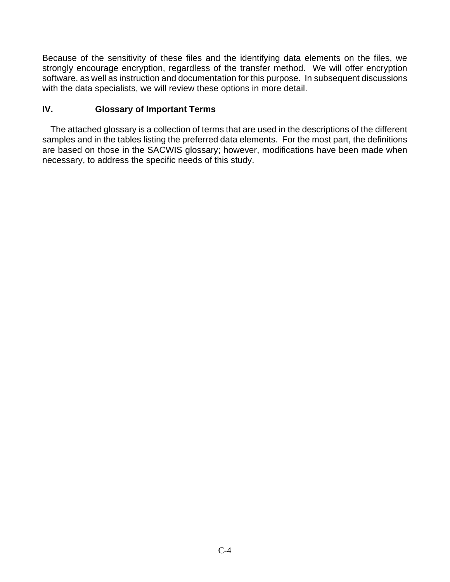Because of the sensitivity of these files and the identifying data elements on the files, we software, as well as instruction and documentation for this purpose. In subsequent discussions strongly encourage encryption, regardless of the transfer method. We will offer encryption with the data specialists, we will review these options in more detail.

### **IV. Glossary of Important Terms**

 The attached glossary is a collection of terms that are used in the descriptions of the different samples and in the tables listing the preferred data elements. For the most part, the definitions are based on those in the SACWIS glossary; however, modifications have been made when necessary, to address the specific needs of this study.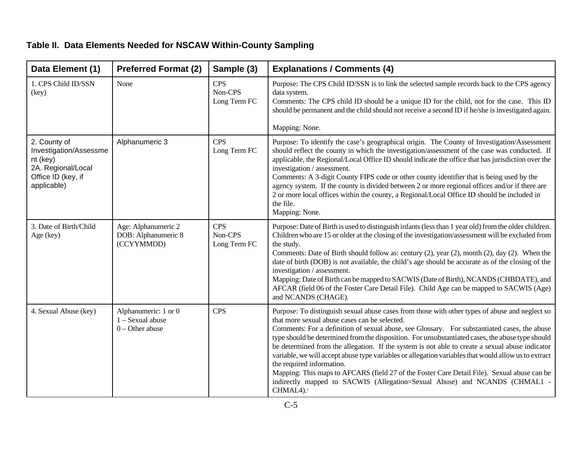### **Table II. Data Elements Needed for NSCAW Within-County Sampling**

| Data Element (1)                                                                                              | <b>Preferred Format (2)</b>                                   | Sample (3)                            | <b>Explanations / Comments (4)</b>                                                                                                                                                                                                                                                                                                                                                                                                                                                                                                                                                                                                                                                                                                                                                                |
|---------------------------------------------------------------------------------------------------------------|---------------------------------------------------------------|---------------------------------------|---------------------------------------------------------------------------------------------------------------------------------------------------------------------------------------------------------------------------------------------------------------------------------------------------------------------------------------------------------------------------------------------------------------------------------------------------------------------------------------------------------------------------------------------------------------------------------------------------------------------------------------------------------------------------------------------------------------------------------------------------------------------------------------------------|
| 1. CPS Child ID/SSN<br>(key)                                                                                  | None                                                          | <b>CPS</b><br>Non-CPS<br>Long Term FC | Purpose: The CPS Child ID/SSN is to link the selected sample records back to the CPS agency<br>data system.<br>Comments: The CPS child ID should be a unique ID for the child, not for the case. This ID<br>should be permanent and the child should not receive a second ID if he/she is investigated again.<br>Mapping: None.                                                                                                                                                                                                                                                                                                                                                                                                                                                                   |
| 2. County of<br>Investigation/Assessme<br>nt (key)<br>2A. Regional/Local<br>Office ID (key, if<br>applicable) | Alphanumeric 3                                                | <b>CPS</b><br>Long Term FC            | Purpose: To identify the case's geographical origin. The County of Investigation/Assessment<br>should reflect the county in which the investigation/assessment of the case was conducted. If<br>applicable, the Regional/Local Office ID should indicate the office that has jurisdiction over the<br>investigation / assessment.<br>Comments: A 3-digit County FIPS code or other county identifier that is being used by the<br>agency system. If the county is divided between 2 or more regional offices and/or if there are<br>2 or more local offices within the county, a Regional/Local Office ID should be included in<br>the file.<br>Mapping: None.                                                                                                                                    |
| 3. Date of Birth/Child<br>Age (key)                                                                           | Age: Alphanumeric 2<br>DOB: Alphanumeric 8<br>(CCYYMMDD)      | <b>CPS</b><br>Non-CPS<br>Long Term FC | Purpose: Date of Birth is used to distinguish infants (less than 1 year old) from the older children.<br>Children who are 15 or older at the closing of the investigation/assessment will be excluded from<br>the study.<br>Comments: Date of Birth should follow as: century (2), year (2), month (2), day (2). When the<br>date of birth (DOB) is not available, the child's age should be accurate as of the closing of the<br>investigation / assessment.<br>Mapping: Date of Birth can be mapped to SACWIS (Date of Birth), NCANDS (CHBDATE), and<br>AFCAR (field 06 of the Foster Care Detail File). Child Age can be mapped to SACWIS (Age)<br>and NCANDS (CHAGE).                                                                                                                         |
| 4. Sexual Abuse (key)                                                                                         | Alphanumeric: 1 or 0<br>1 - Sexual abuse<br>$0$ – Other abuse | <b>CPS</b>                            | Purpose: To distinguish sexual abuse cases from those with other types of abuse and neglect so<br>that more sexual abuse cases can be selected.<br>Comments: For a definition of sexual abuse, see Glossary. For substantiated cases, the abuse<br>type should be determined from the disposition. For unsubstantiated cases, the abuse type should<br>be determined from the allegation. If the system is not able to create a sexual abuse indicator<br>variable, we will accept abuse type variables or allegation variables that would allow us to extract<br>the required information.<br>Mapping: This maps to AFCARS (field 27 of the Foster Care Detail File). Sexual abuse can be<br>indirectly mapped to SACWIS (Allegation=Sexual Abuse) and NCANDS (CHMAL1 -<br>CHMAL4). <sup>1</sup> |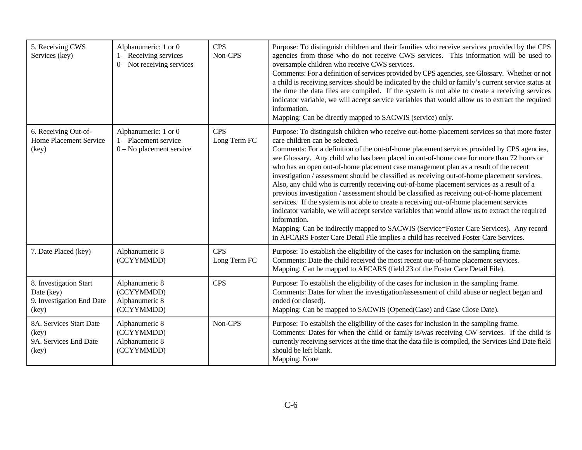| 5. Receiving CWS<br>Services (key)                                         | Alphanumeric: 1 or 0<br>$1 -$ Receiving services<br>$0$ – Not receiving services | <b>CPS</b><br>Non-CPS      | Purpose: To distinguish children and their families who receive services provided by the CPS<br>agencies from those who do not receive CWS services. This information will be used to<br>oversample children who receive CWS services.<br>Comments: For a definition of services provided by CPS agencies, see Glossary. Whether or not<br>a child is receiving services should be indicated by the child or family's current service status at<br>the time the data files are compiled. If the system is not able to create a receiving services<br>indicator variable, we will accept service variables that would allow us to extract the required<br>information.<br>Mapping: Can be directly mapped to SACWIS (service) only.                                                                                                                                                                                                                                                                                                                                                                               |
|----------------------------------------------------------------------------|----------------------------------------------------------------------------------|----------------------------|------------------------------------------------------------------------------------------------------------------------------------------------------------------------------------------------------------------------------------------------------------------------------------------------------------------------------------------------------------------------------------------------------------------------------------------------------------------------------------------------------------------------------------------------------------------------------------------------------------------------------------------------------------------------------------------------------------------------------------------------------------------------------------------------------------------------------------------------------------------------------------------------------------------------------------------------------------------------------------------------------------------------------------------------------------------------------------------------------------------|
| 6. Receiving Out-of-<br>Home Placement Service<br>(key)                    | Alphanumeric: 1 or 0<br>1 - Placement service<br>$0 - No$ placement service      | <b>CPS</b><br>Long Term FC | Purpose: To distinguish children who receive out-home-placement services so that more foster<br>care children can be selected.<br>Comments: For a definition of the out-of-home placement services provided by CPS agencies,<br>see Glossary. Any child who has been placed in out-of-home care for more than 72 hours or<br>who has an open out-of-home placement case management plan as a result of the recent<br>investigation / assessment should be classified as receiving out-of-home placement services.<br>Also, any child who is currently receiving out-of-home placement services as a result of a<br>previous investigation / assessment should be classified as receiving out-of-home placement<br>services. If the system is not able to create a receiving out-of-home placement services<br>indicator variable, we will accept service variables that would allow us to extract the required<br>information.<br>Mapping: Can be indirectly mapped to SACWIS (Service=Foster Care Services). Any record<br>in AFCARS Foster Care Detail File implies a child has received Foster Care Services. |
| 7. Date Placed (key)                                                       | Alphanumeric 8<br>(CCYYMMDD)                                                     | <b>CPS</b><br>Long Term FC | Purpose: To establish the eligibility of the cases for inclusion on the sampling frame.<br>Comments: Date the child received the most recent out-of-home placement services.<br>Mapping: Can be mapped to AFCARS (field 23 of the Foster Care Detail File).                                                                                                                                                                                                                                                                                                                                                                                                                                                                                                                                                                                                                                                                                                                                                                                                                                                      |
| 8. Investigation Start<br>Date (key)<br>9. Investigation End Date<br>(key) | Alphanumeric 8<br>(CCYYMMDD)<br>Alphanumeric 8<br>(CCYYMMDD)                     | <b>CPS</b>                 | Purpose: To establish the eligibility of the cases for inclusion in the sampling frame.<br>Comments: Dates for when the investigation/assessment of child abuse or neglect began and<br>ended (or closed).<br>Mapping: Can be mapped to SACWIS (Opened(Case) and Case Close Date).                                                                                                                                                                                                                                                                                                                                                                                                                                                                                                                                                                                                                                                                                                                                                                                                                               |
| 8A. Services Start Date<br>(key)<br>9A. Services End Date<br>(key)         | Alphanumeric 8<br>(CCYYMMDD)<br>Alphanumeric 8<br>(CCYYMMDD)                     | Non-CPS                    | Purpose: To establish the eligibility of the cases for inclusion in the sampling frame.<br>Comments: Dates for when the child or family is/was receiving CW services. If the child is<br>currently receiving services at the time that the data file is compiled, the Services End Date field<br>should be left blank.<br>Mapping: None                                                                                                                                                                                                                                                                                                                                                                                                                                                                                                                                                                                                                                                                                                                                                                          |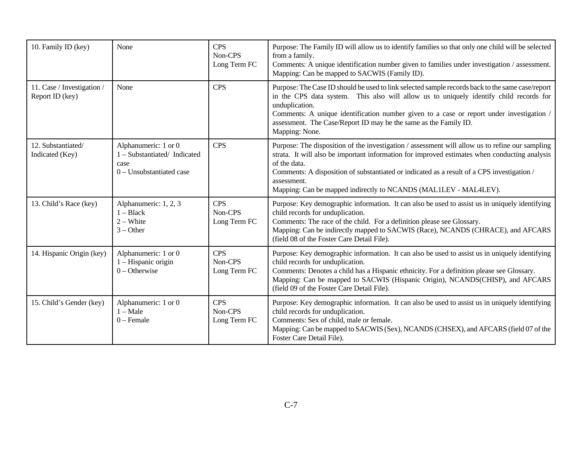| 10. Family ID (key)                           | None                                                                                    | <b>CPS</b><br>Non-CPS<br>Long Term FC | Purpose: The Family ID will allow us to identify families so that only one child will be selected<br>from a family.<br>Comments: A unique identification number given to families under investigation / assessment.<br>Mapping: Can be mapped to SACWIS (Family ID).                                                                                                                              |
|-----------------------------------------------|-----------------------------------------------------------------------------------------|---------------------------------------|---------------------------------------------------------------------------------------------------------------------------------------------------------------------------------------------------------------------------------------------------------------------------------------------------------------------------------------------------------------------------------------------------|
| 11. Case / Investigation /<br>Report ID (key) | None                                                                                    | <b>CPS</b>                            | Purpose: The Case ID should be used to link selected sample records back to the same case/report<br>in the CPS data system. This also will allow us to uniquely identify child records for<br>unduplication.<br>Comments: A unique identification number given to a case or report under investigation /<br>assessment. The Case/Report ID may be the same as the Family ID.<br>Mapping: None.    |
| 12. Substantiated/<br>Indicated (Key)         | Alphanumeric: 1 or 0<br>1 - Substantiated/Indicated<br>case<br>0 - Unsubstantiated case | <b>CPS</b>                            | Purpose: The disposition of the investigation / assessment will allow us to refine our sampling<br>strata. It will also be important information for improved estimates when conducting analysis<br>of the data.<br>Comments: A disposition of substantiated or indicated as a result of a CPS investigation /<br>assessment.<br>Mapping: Can be mapped indirectly to NCANDS (MAL1LEV - MAL4LEV). |
| 13. Child's Race (key)                        | Alphanumeric: 1, 2, 3<br>$1 - Black$<br>$2 - White$<br>$3 - Other$                      | <b>CPS</b><br>Non-CPS<br>Long Term FC | Purpose: Key demographic information. It can also be used to assist us in uniquely identifying<br>child records for unduplication.<br>Comments: The race of the child. For a definition please see Glossary.<br>Mapping: Can be indirectly mapped to SACWIS (Race), NCANDS (CHRACE), and AFCARS<br>(field 08 of the Foster Care Detail File).                                                     |
| 14. Hispanic Origin (key)                     | Alphanumeric: 1 or 0<br>1 – Hispanic origin<br>$0$ – Otherwise                          | <b>CPS</b><br>Non-CPS<br>Long Term FC | Purpose: Key demographic information. It can also be used to assist us in uniquely identifying<br>child records for unduplication.<br>Comments: Denotes a child has a Hispanic ethnicity. For a definition please see Glossary.<br>Mapping: Can be mapped to SACWIS (Hispanic Origin), NCANDS(CHISP), and AFCARS<br>(field 09 of the Foster Care Detail File).                                    |
| 15. Child's Gender (key)                      | Alphanumeric: 1 or 0<br>$1 - Male$<br>$0$ – Female                                      | <b>CPS</b><br>Non-CPS<br>Long Term FC | Purpose: Key demographic information. It can also be used to assist us in uniquely identifying<br>child records for unduplication.<br>Comments: Sex of child, male or female.<br>Mapping: Can be mapped to SACWIS (Sex), NCANDS (CHSEX), and AFCARS (field 07 of the<br>Foster Care Detail File).                                                                                                 |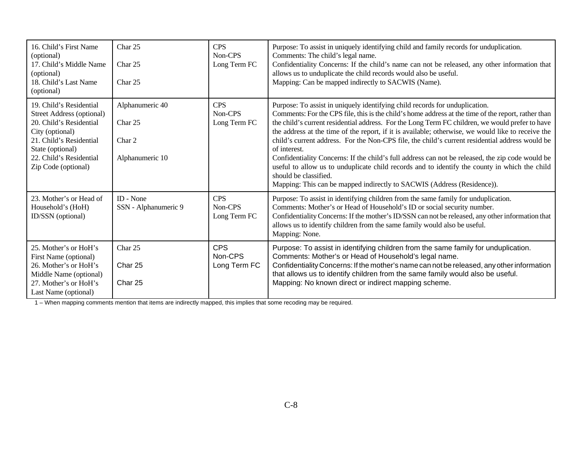| 16. Child's First Name<br>(optional)<br>17. Child's Middle Name<br>(optional)<br>18. Child's Last Name<br>(optional)                                                                                       | Char 25<br>Char 25<br>Char 25                           | <b>CPS</b><br>Non-CPS<br>Long Term FC | Purpose: To assist in uniquely identifying child and family records for unduplication.<br>Comments: The child's legal name.<br>Confidentiality Concerns: If the child's name can not be released, any other information that<br>allows us to unduplicate the child records would also be useful.<br>Mapping: Can be mapped indirectly to SACWIS (Name).                                                                                                                                                                                                                                                                                                                                                                                                                                                                 |
|------------------------------------------------------------------------------------------------------------------------------------------------------------------------------------------------------------|---------------------------------------------------------|---------------------------------------|-------------------------------------------------------------------------------------------------------------------------------------------------------------------------------------------------------------------------------------------------------------------------------------------------------------------------------------------------------------------------------------------------------------------------------------------------------------------------------------------------------------------------------------------------------------------------------------------------------------------------------------------------------------------------------------------------------------------------------------------------------------------------------------------------------------------------|
| 19. Child's Residential<br><b>Street Address (optional)</b><br>20. Child's Residential<br>City (optional)<br>21. Child's Residential<br>State (optional)<br>22. Child's Residential<br>Zip Code (optional) | Alphanumeric 40<br>Char 25<br>Char 2<br>Alphanumeric 10 | <b>CPS</b><br>Non-CPS<br>Long Term FC | Purpose: To assist in uniquely identifying child records for unduplication.<br>Comments: For the CPS file, this is the child's home address at the time of the report, rather than<br>the child's current residential address. For the Long Term FC children, we would prefer to have<br>the address at the time of the report, if it is available; otherwise, we would like to receive the<br>child's current address. For the Non-CPS file, the child's current residential address would be<br>of interest.<br>Confidentiality Concerns: If the child's full address can not be released, the zip code would be<br>useful to allow us to unduplicate child records and to identify the county in which the child<br>should be classified.<br>Mapping: This can be mapped indirectly to SACWIS (Address (Residence)). |
| 23. Mother's or Head of<br>Household's (HoH)<br>ID/SSN (optional)                                                                                                                                          | ID - None<br>SSN - Alphanumeric 9                       | <b>CPS</b><br>Non-CPS<br>Long Term FC | Purpose: To assist in identifying children from the same family for unduplication.<br>Comments: Mother's or Head of Household's ID or social security number.<br>Confidentiality Concerns: If the mother's ID/SSN can not be released, any other information that<br>allows us to identify children from the same family would also be useful.<br>Mapping: None.                                                                                                                                                                                                                                                                                                                                                                                                                                                        |
| 25. Mother's or HoH's<br>First Name (optional)<br>26. Mother's or HoH's<br>Middle Name (optional)<br>27. Mother's or HoH's<br>Last Name (optional)                                                         | Char 25<br>Char 25<br>Char 25                           | <b>CPS</b><br>Non-CPS<br>Long Term FC | Purpose: To assist in identifying children from the same family for unduplication.<br>Comments: Mother's or Head of Household's legal name.<br>Confidentiality Concerns: If the mother's name can not be released, any other information<br>that allows us to identify children from the same family would also be useful.<br>Mapping: No known direct or indirect mapping scheme.                                                                                                                                                                                                                                                                                                                                                                                                                                      |

1 – When mapping comments mention that items are indirectly mapped, this implies that some recoding may be required.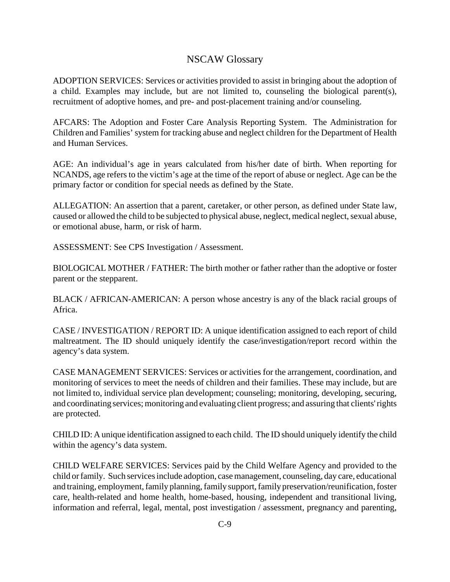### NSCAW Glossary

 ADOPTION SERVICES: Services or activities provided to assist in bringing about the adoption of a child. Examples may include, but are not limited to, counseling the biological parent(s), recruitment of adoptive homes, and pre- and post-placement training and/or counseling.

 AFCARS: The Adoption and Foster Care Analysis Reporting System. The Administration for Children and Families' system for tracking abuse and neglect children for the Department of Health and Human Services.

 AGE: An individual's age in years calculated from his/her date of birth. When reporting for NCANDS, age refers to the victim's age at the time of the report of abuse or neglect. Age can be the primary factor or condition for special needs as defined by the State.

 caused or allowed the child to be subjected to physical abuse, neglect, medical neglect, sexual abuse, ALLEGATION: An assertion that a parent, caretaker, or other person, as defined under State law, or emotional abuse, harm, or risk of harm.

ASSESSMENT: See CPS Investigation / Assessment.

 BIOLOGICAL MOTHER / FATHER: The birth mother or father rather than the adoptive or foster parent or the stepparent.

 BLACK / AFRICAN-AMERICAN: A person whose ancestry is any of the black racial groups of Africa.

 CASE / INVESTIGATION / REPORT ID: A unique identification assigned to each report of child maltreatment. The ID should uniquely identify the case/investigation/report record within the agency's data system.

 CASE MANAGEMENT SERVICES: Services or activities for the arrangement, coordination, and monitoring of services to meet the needs of children and their families. These may include, but are not limited to, individual service plan development; counseling; monitoring, developing, securing, and coordinating services; monitoring and evaluating client progress; and assuring that clients' rights are protected.

 CHILD ID: A unique identification assigned to each child. The ID should uniquely identify the child within the agency's data system.

 CHILD WELFARE SERVICES: Services paid by the Child Welfare Agency and provided to the child or family. Such services include adoption, case management, counseling, day care, educational and training, employment, family planning, family support, family preservation/reunification, foster information and referral, legal, mental, post investigation / assessment, pregnancy and parenting, care, health-related and home health, home-based, housing, independent and transitional living,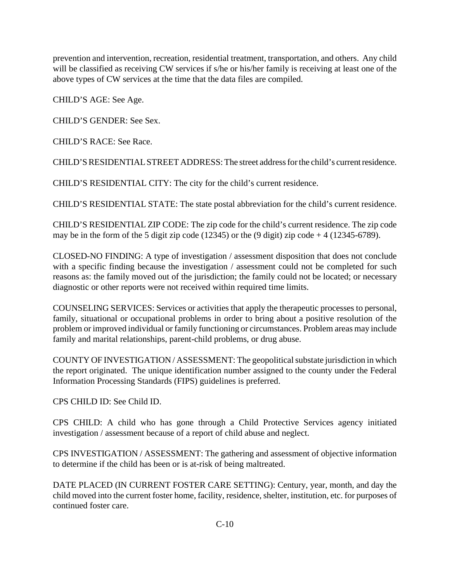prevention and intervention, recreation, residential treatment, transportation, and others. Any child will be classified as receiving CW services if s/he or his/her family is receiving at least one of the above types of CW services at the time that the data files are compiled.

CHILD'S AGE: See Age.

CHILD'S GENDER: See Sex.

CHILD'S RACE: See Race.

CHILD'S RESIDENTIAL STREET ADDRESS: The street address for the child's current residence.

CHILD'S RESIDENTIAL CITY: The city for the child's current residence.

CHILD'S RESIDENTIAL STATE: The state postal abbreviation for the child's current residence.

 CHILD'S RESIDENTIAL ZIP CODE: The zip code for the child's current residence. The zip code may be in the form of the 5 digit zip code (12345) or the  $(9 \text{ digit})$  zip code + 4 (12345-6789).

 CLOSED-NO FINDING: A type of investigation / assessment disposition that does not conclude with a specific finding because the investigation / assessment could not be completed for such reasons as: the family moved out of the jurisdiction; the family could not be located; or necessary diagnostic or other reports were not received within required time limits.

 COUNSELING SERVICES: Services or activities that apply the therapeutic processes to personal, family, situational or occupational problems in order to bring about a positive resolution of the problem or improved individual or family functioning or circumstances. Problem areas may include family and marital relationships, parent-child problems, or drug abuse.

 COUNTY OF INVESTIGATION / ASSESSMENT: The geopolitical substate jurisdiction in which the report originated. The unique identification number assigned to the county under the Federal Information Processing Standards (FIPS) guidelines is preferred.

CPS CHILD ID: See Child ID.

 CPS CHILD: A child who has gone through a Child Protective Services agency initiated investigation / assessment because of a report of child abuse and neglect.

 CPS INVESTIGATION / ASSESSMENT: The gathering and assessment of objective information to determine if the child has been or is at-risk of being maltreated.

 DATE PLACED (IN CURRENT FOSTER CARE SETTING): Century, year, month, and day the child moved into the current foster home, facility, residence, shelter, institution, etc. for purposes of continued foster care.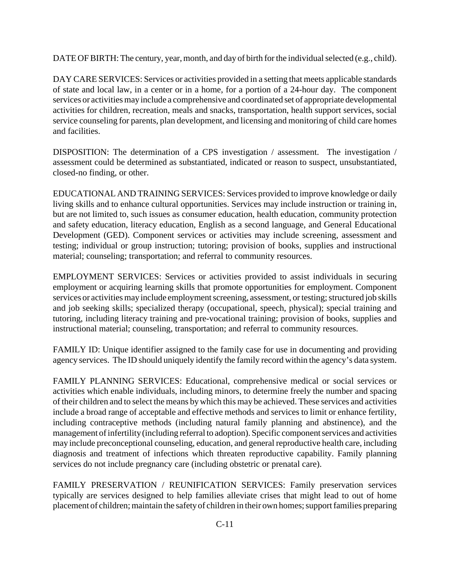DATE OF BIRTH: The century, year, month, and day of birth for the individual selected (e.g., child).

 DAY CARE SERVICES: Services or activities provided in a setting that meets applicable standards of state and local law, in a center or in a home, for a portion of a 24-hour day. The component services or activities mayinclude a comprehensive and coordinated set of appropriate developmental activities for children, recreation, meals and snacks, transportation, health support services, social service counseling for parents, plan development, and licensing and monitoring of child care homes and facilities.

 DISPOSITION: The determination of a CPS investigation / assessment. The investigation / assessment could be determined as substantiated, indicated or reason to suspect, unsubstantiated, closed-no finding, or other.

 EDUCATIONAL AND TRAINING SERVICES: Services provided to improve knowledge or daily but are not limited to, such issues as consumer education, health education, community protection and safety education, literacy education, English as a second language, and General Educational testing; individual or group instruction; tutoring; provision of books, supplies and instructional living skills and to enhance cultural opportunities. Services may include instruction or training in, Development (GED). Component services or activities may include screening, assessment and material; counseling; transportation; and referral to community resources.

 EMPLOYMENT SERVICES: Services or activities provided to assist individuals in securing employment or acquiring learning skills that promote opportunities for employment. Component services or activities mayinclude employment screening, assessment, or testing; structured job skills and job seeking skills; specialized therapy (occupational, speech, physical); special training and tutoring, including literacy training and pre-vocational training; provision of books, supplies and instructional material; counseling, transportation; and referral to community resources.

 FAMILY ID: Unique identifier assigned to the family case for use in documenting and providing agency services. The ID should uniquely identify the family record within the agency's data system.

 activities which enable individuals, including minors, to determine freely the number and spacing of their children and to select the means by which this may be achieved. These services and activities include a broad range of acceptable and effective methods and services to limit or enhance fertility, including contraceptive methods (including natural family planning and abstinence), and the management of infertility(including referral to adoption). Specific component services and activities may include preconceptional counseling, education, and general reproductive health care, including FAMILY PLANNING SERVICES: Educational, comprehensive medical or social services or diagnosis and treatment of infections which threaten reproductive capability. Family planning services do not include pregnancy care (including obstetric or prenatal care).

 FAMILY PRESERVATION / REUNIFICATION SERVICES: Family preservation services placement of children; maintain the safetyof children in their own homes; support families preparing typically are services designed to help families alleviate crises that might lead to out of home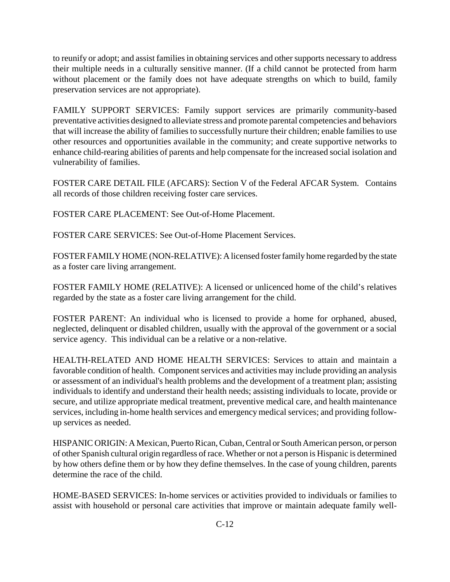to reunify or adopt; and assist families in obtaining services and other supports necessary to address their multiple needs in a culturally sensitive manner. (If a child cannot be protected from harm without placement or the family does not have adequate strengths on which to build, family preservation services are not appropriate).

 preventative activities designed to alleviate stress and promote parental competencies and behaviors that will increase the ability of families to successfully nurture their children; enable families to use other resources and opportunities available in the community; and create supportive networks to enhance child-rearing abilities of parents and help compensate for the increased social isolation and FAMILY SUPPORT SERVICES: Family support services are primarily community-based vulnerability of families.

 FOSTER CARE DETAIL FILE (AFCARS): Section V of the Federal AFCAR System. Contains all records of those children receiving foster care services.

FOSTER CARE PLACEMENT: See Out-of-Home Placement.

FOSTER CARE SERVICES: See Out-of-Home Placement Services.

FOSTER FAMILY HOME (NON-RELATIVE): A licensed foster family home regarded by the state as a foster care living arrangement.

 FOSTER FAMILY HOME (RELATIVE): A licensed or unlicenced home of the child's relatives regarded by the state as a foster care living arrangement for the child.

 FOSTER PARENT: An individual who is licensed to provide a home for orphaned, abused, neglected, delinquent or disabled children, usually with the approval of the government or a social service agency. This individual can be a relative or a non-relative.

 HEALTH-RELATED AND HOME HEALTH SERVICES: Services to attain and maintain a favorable condition of health. Component services and activities may include providing an analysis or assessment of an individual's health problems and the development of a treatment plan; assisting individuals to identify and understand their health needs; assisting individuals to locate, provide or secure, and utilize appropriate medical treatment, preventive medical care, and health maintenance services, including in-home health services and emergency medical services; and providing followup services as needed.

 HISPANIC ORIGIN: A Mexican, Puerto Rican, Cuban, Central or South American person, or person of other Spanish cultural origin regardless of race. Whether or not a person is Hispanic is determined by how others define them or by how they define themselves. In the case of young children, parents determine the race of the child.

 HOME-BASED SERVICES: In-home services or activities provided to individuals or families to assist with household or personal care activities that improve or maintain adequate family well-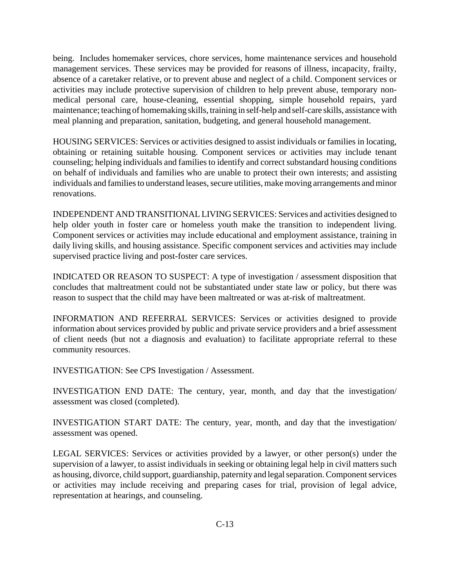management services. These services may be provided for reasons of illness, incapacity, frailty, absence of a caretaker relative, or to prevent abuse and neglect of a child. Component services or activities may include protective supervision of children to help prevent abuse, temporary non- medical personal care, house-cleaning, essential shopping, simple household repairs, yard maintenance; teaching of homemaking skills, training in self-help and self-care skills, assistance with being. Includes homemaker services, chore services, home maintenance services and household meal planning and preparation, sanitation, budgeting, and general household management.

 HOUSING SERVICES: Services or activities designed to assist individuals or families in locating, obtaining or retaining suitable housing. Component services or activities may include tenant counseling; helping individuals and families to identify and correct substandard housing conditions on behalf of individuals and families who are unable to protect their own interests; and assisting individuals and families to understand leases, secure utilities, make moving arrangements and minor renovations.

 INDEPENDENT AND TRANSITIONAL LIVING SERVICES: Services and activities designed to help older youth in foster care or homeless youth make the transition to independent living. Component services or activities may include educational and employment assistance, training in daily living skills, and housing assistance. Specific component services and activities may include supervised practice living and post-foster care services.

 INDICATED OR REASON TO SUSPECT: A type of investigation / assessment disposition that concludes that maltreatment could not be substantiated under state law or policy, but there was reason to suspect that the child may have been maltreated or was at-risk of maltreatment.

 information about services provided by public and private service providers and a brief assessment of client needs (but not a diagnosis and evaluation) to facilitate appropriate referral to these INFORMATION AND REFERRAL SERVICES: Services or activities designed to provide community resources.

INVESTIGATION: See CPS Investigation / Assessment.

 INVESTIGATION END DATE: The century, year, month, and day that the investigation/ assessment was closed (completed).

 INVESTIGATION START DATE: The century, year, month, and day that the investigation/ assessment was opened.

 LEGAL SERVICES: Services or activities provided by a lawyer, or other person(s) under the supervision of a lawyer, to assist individuals in seeking or obtaining legal help in civil matters such as housing, divorce, child support, guardianship, paternity and legal separation. Component services or activities may include receiving and preparing cases for trial, provision of legal advice, representation at hearings, and counseling.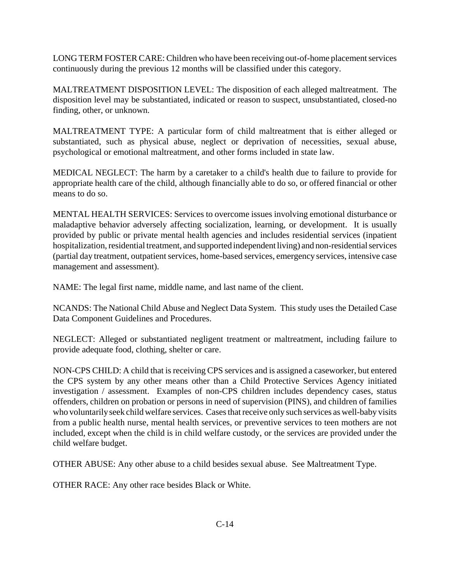LONG TERM FOSTER CARE: Children who have been receiving out-of-home placement services continuously during the previous 12 months will be classified under this category.

 MALTREATMENT DISPOSITION LEVEL: The disposition of each alleged maltreatment. The disposition level may be substantiated, indicated or reason to suspect, unsubstantiated, closed-no finding, other, or unknown.

 MALTREATMENT TYPE: A particular form of child maltreatment that is either alleged or substantiated, such as physical abuse, neglect or deprivation of necessities, sexual abuse, psychological or emotional maltreatment, and other forms included in state law.

 MEDICAL NEGLECT: The harm by a caretaker to a child's health due to failure to provide for appropriate health care of the child, although financially able to do so, or offered financial or other means to do so.

 MENTAL HEALTH SERVICES: Services to overcome issues involving emotional disturbance or hospitalization, residential treatment, and supported independent living) and non-residential services (partial day treatment, outpatient services, home-based services, emergency services, intensive case maladaptive behavior adversely affecting socialization, learning, or development. It is usually provided by public or private mental health agencies and includes residential services (inpatient management and assessment).

NAME: The legal first name, middle name, and last name of the client.

 NCANDS: The National Child Abuse and Neglect Data System. This study uses the Detailed Case Data Component Guidelines and Procedures.

 NEGLECT: Alleged or substantiated negligent treatment or maltreatment, including failure to provide adequate food, clothing, shelter or care.

 NON-CPS CHILD: A child that is receiving CPS services and is assigned a caseworker, but entered the CPS system by any other means other than a Child Protective Services Agency initiated investigation / assessment. Examples of non-CPS children includes dependency cases, status offenders, children on probation or persons in need of supervision (PINS), and children of families who voluntarily seek child welfare services. Cases that receive only such services as well-baby visits from a public health nurse, mental health services, or preventive services to teen mothers are not included, except when the child is in child welfare custody, or the services are provided under the child welfare budget.

OTHER ABUSE: Any other abuse to a child besides sexual abuse. See Maltreatment Type.

OTHER RACE: Any other race besides Black or White.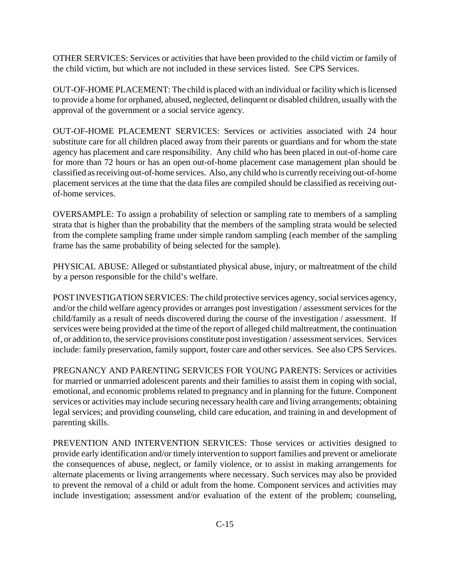OTHER SERVICES: Services or activities that have been provided to the child victim or family of the child victim, but which are not included in these services listed. See CPS Services.

 OUT-OF-HOME PLACEMENT: The child is placed with an individual or facility which is licensed to provide a home for orphaned, abused, neglected, delinquent or disabled children, usually with the approval of the government or a social service agency.

 substitute care for all children placed away from their parents or guardians and for whom the state agency has placement and care responsibility. Any child who has been placed in out-of-home care for more than 72 hours or has an open out-of-home placement case management plan should be classified as receiving out-of-home services. Also, any child who is currently receiving out-of-home placement services at the time that the data files are compiled should be classified as receiving out-OUT-OF-HOME PLACEMENT SERVICES: Services or activities associated with 24 hour of-home services.

 strata that is higher than the probability that the members of the sampling strata would be selected from the complete sampling frame under simple random sampling (each member of the sampling OVERSAMPLE: To assign a probability of selection or sampling rate to members of a sampling frame has the same probability of being selected for the sample).

 PHYSICAL ABUSE: Alleged or substantiated physical abuse, injury, or maltreatment of the child by a person responsible for the child's welfare.

 POST INVESTIGATION SERVICES: The child protective services agency, social services agency, and/or the child welfare agency provides or arranges post investigation / assessment services for the services were being provided at the time of the report of alleged child maltreatment, the continuation of, or addition to, the service provisions constitute post investigation / assessment services. Services include: family preservation, family support, foster care and other services. See also CPS Services. child/family as a result of needs discovered during the course of the investigation / assessment. If

 PREGNANCY AND PARENTING SERVICES FOR YOUNG PARENTS: Services or activities for married or unmarried adolescent parents and their families to assist them in coping with social, emotional, and economic problems related to pregnancy and in planning for the future. Component services or activities may include securing necessary health care and living arrangements; obtaining legal services; and providing counseling, child care education, and training in and development of parenting skills.

 PREVENTION AND INTERVENTION SERVICES: Those services or activities designed to provide early identification and/or timely intervention to support families and prevent or ameliorate alternate placements or living arrangements where necessary. Such services may also be provided to prevent the removal of a child or adult from the home. Component services and activities may include investigation; assessment and/or evaluation of the extent of the problem; counseling, the consequences of abuse, neglect, or family violence, or to assist in making arrangements for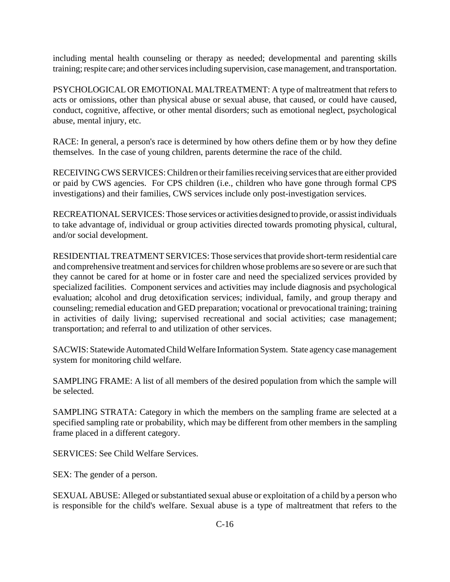including mental health counseling or therapy as needed; developmental and parenting skills training; respite care; and other services including supervision, case management, and transportation.

 PSYCHOLOGICAL OR EMOTIONAL MALTREATMENT: A type of maltreatment that refers to acts or omissions, other than physical abuse or sexual abuse, that caused, or could have caused, conduct, cognitive, affective, or other mental disorders; such as emotional neglect, psychological abuse, mental injury, etc.

 RACE: In general, a person's race is determined by how others define them or by how they define themselves. In the case of young children, parents determine the race of the child.

 RECEIVING CWS SERVICES: Children or their families receiving services that are either provided or paid by CWS agencies. For CPS children (i.e., children who have gone through formal CPS investigations) and their families, CWS services include only post-investigation services.

 to take advantage of, individual or group activities directed towards promoting physical, cultural, RECREATIONAL SERVICES: Those services or activities designed to provide, or assist individuals and/or social development.

 RESIDENTIAL TREATMENT SERVICES: Those services that provide short-term residential care and comprehensive treatment and services for children whose problems are so severe or are such that they cannot be cared for at home or in foster care and need the specialized services provided by counseling; remedial education and GED preparation; vocational or prevocational training; training specialized facilities. Component services and activities may include diagnosis and psychological evaluation; alcohol and drug detoxification services; individual, family, and group therapy and in activities of daily living; supervised recreational and social activities; case management; transportation; and referral to and utilization of other services.

 SACWIS: Statewide Automated Child Welfare Information System. State agency case management system for monitoring child welfare.

 SAMPLING FRAME: A list of all members of the desired population from which the sample will be selected.

 SAMPLING STRATA: Category in which the members on the sampling frame are selected at a specified sampling rate or probability, which may be different from other members in the sampling frame placed in a different category.

SERVICES: See Child Welfare Services.

SEX: The gender of a person.

 SEXUAL ABUSE: Alleged or substantiated sexual abuse or exploitation of a child by a person who is responsible for the child's welfare. Sexual abuse is a type of maltreatment that refers to the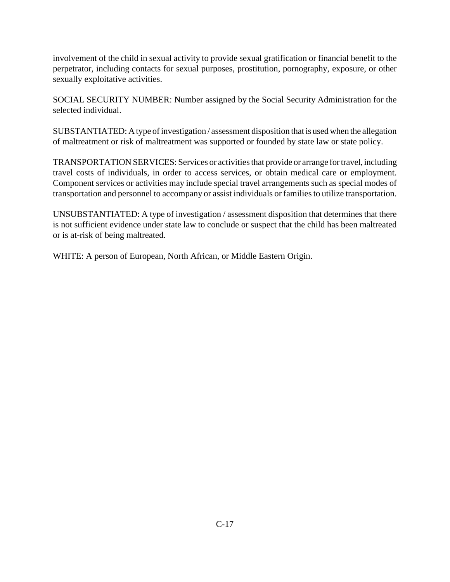involvement of the child in sexual activity to provide sexual gratification or financial benefit to the perpetrator, including contacts for sexual purposes, prostitution, pornography, exposure, or other sexually exploitative activities.

 SOCIAL SECURITY NUMBER: Number assigned by the Social Security Administration for the selected individual.

SUBSTANTIATED: A type of investigation / assessment disposition that is used when the allegation of maltreatment or risk of maltreatment was supported or founded by state law or state policy.

 TRANSPORTATION SERVICES: Services or activities that provide or arrange for travel, including travel costs of individuals, in order to access services, or obtain medical care or employment. Component services or activities may include special travel arrangements such as special modes of transportation and personnel to accompany or assist individuals or families to utilize transportation.

 UNSUBSTANTIATED: A type of investigation / assessment disposition that determines that there is not sufficient evidence under state law to conclude or suspect that the child has been maltreated or is at-risk of being maltreated.

WHITE: A person of European, North African, or Middle Eastern Origin.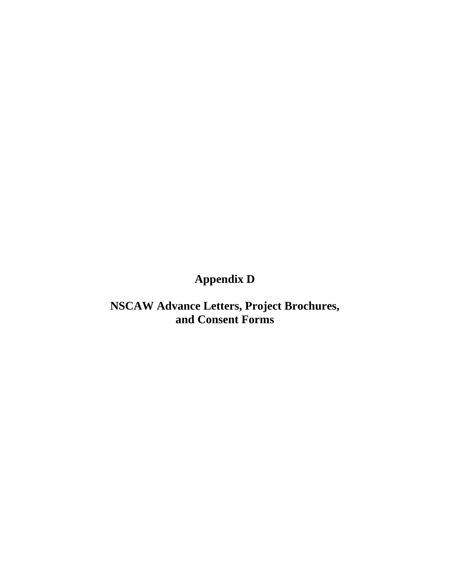# **Appendix D**

## **NSCAW Advance Letters, Project Brochures, and Consent Forms**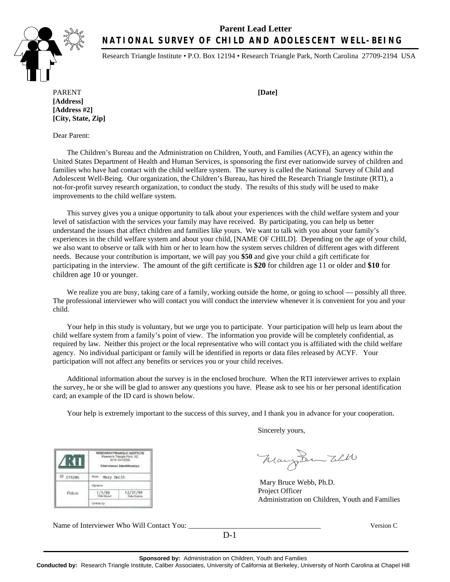### **Parent Lead Letter NATIONAL SURVEY OF CHILD AND ADOLESCENT WELL-BEING**



Research Triangle Institute • P.O. Box 12194 • Research Triangle Park, North Carolina 27709-2194 USA

PARENT **[Date] [Address] [Address #2] [City, State, Zip]**

Dear Parent:

The Children's Bureau and the Administration on Children, Youth, and Families (ACYF), an agency within the United States Department of Health and Human Services, is sponsoring the first ever nationwide survey of children and families who have had contact with the child welfare system. The survey is called the National Survey of Child and Adolescent Well-Being. Our organization, the Children's Bureau, has hired the Research Triangle Institute (RTI), a not-for-profit survey research organization, to conduct the study. The results of this study will be used to make improvements to the child welfare system.

This survey gives you a unique opportunity to talk about your experiences with the child welfare system and your level of satisfaction with the services your family may have received. By participating, you can help us better understand the issues that affect children and families like yours. We want to talk with you about your family's experiences in the child welfare system and about your child, [NAME OF CHILD]. Depending on the age of your child, we also want to observe or talk with him or her to learn how the system serves children of different ages with different needs. Because your contribution is important, we will pay you **\$50** and give your child a gift certificate for participating in the interview. The amount of the gift certificate is **\$20** for children age 11 or older and **\$10** for children age 10 or younger.

We realize you are busy, taking care of a family, working outside the home, or going to school — possibly all three. The professional interviewer who will contact you will conduct the interview whenever it is convenient for you and your child.

Your help in this study is voluntary, but we urge you to participate. Your participation will help us learn about the child welfare system from a family's point of view. The information you provide will be completely confidential, as required by law. Neither this project or the local representative who will contact you is affiliated with the child welfare agency. No individual participant or family will be identified in reports or data files released by ACYF. Your participation will not affect any benefits or services you or your child receives.

Additional information about the survey is in the enclosed brochure. When the RTI interviewer arrives to explain the survey, he or she will be glad to answer any questions you have. Please ask to see his or her personal identification card; an example of the ID card is shown below.

Your help is extremely important to the success of this survey, and I thank you in advance for your cooperation.

Sincerely yours,

Mary Sem Will

 Mary Bruce Webb, Ph.D. Project Officer Administration on Children, Youth and Families

Name of Interviewer Who Will Contact You: \_\_\_\_\_\_\_\_\_\_\_\_\_\_\_\_\_\_\_\_\_\_\_\_\_\_\_\_\_\_\_\_\_\_\_\_ Version C

**SEARCH TRIANGLE INSTITUTE** 

Research Triangle Patk, N

Interviewer Identification

12/31/99

New Mary Smith Foreture

 $1/1/99$ Certried by

7KT

D 015246

Picture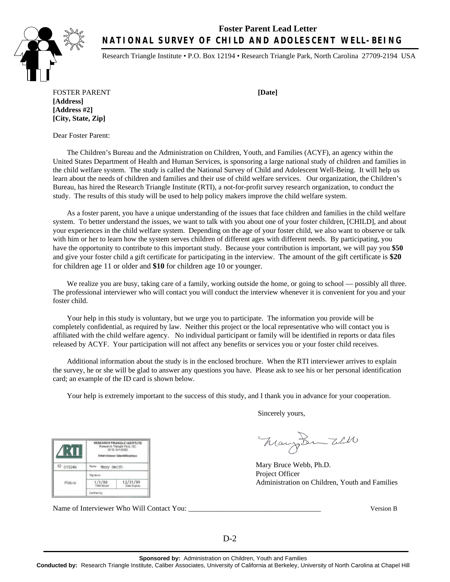### **Foster Parent Lead Letter NATIONAL SURVEY OF CHILD AND ADOLESCENT WELL-BEING**



Research Triangle Institute • P.O. Box 12194 • Research Triangle Park, North Carolina 27709-2194 USA

FOSTER PARENT **[Date] [Address] [Address #2] [City, State, Zip]**

Dear Foster Parent:

The Children's Bureau and the Administration on Children, Youth, and Families (ACYF), an agency within the United States Department of Health and Human Services, is sponsoring a large national study of children and families in the child welfare system. The study is called the National Survey of Child and Adolescent Well-Being. It will help us learn about the needs of children and families and their use of child welfare services. Our organization, the Children's Bureau, has hired the Research Triangle Institute (RTI), a not-for-profit survey research organization, to conduct the study. The results of this study will be used to help policy makers improve the child welfare system.

As a foster parent, you have a unique understanding of the issues that face children and families in the child welfare system. To better understand the issues, we want to talk with you about one of your foster children, [CHILD], and about your experiences in the child welfare system. Depending on the age of your foster child, we also want to observe or talk with him or her to learn how the system serves children of different ages with different needs. By participating, you have the opportunity to contribute to this important study. Because your contribution is important, we will pay you **\$50**  and give your foster child a gift certificate for participating in the interview. The amount of the gift certificate is **\$20**  for children age 11 or older and **\$10** for children age 10 or younger.

We realize you are busy, taking care of a family, working outside the home, or going to school — possibly all three. The professional interviewer who will contact you will conduct the interview whenever it is convenient for you and your foster child.

Your help in this study is voluntary, but we urge you to participate. The information you provide will be completely confidential, as required by law. Neither this project or the local representative who will contact you is affiliated with the child welfare agency. No individual participant or family will be identified in reports or data files released by ACYF. Your participation will not affect any benefits or services you or your foster child receives.

Additional information about the study is in the enclosed brochure. When the RTI interviewer arrives to explain the survey, he or she will be glad to answer any questions you have. Please ask to see his or her personal identification card; an example of the ID card is shown below.

Your help is extremely important to the success of this study, and I thank you in advance for your cooperation.

Sincerely yours,

Mary Sem Will

Mary Bruce Webb, Ph.D. Project Officer Administration on Children, Youth and Families

Name of Interviewer Who Will Contact You: \_\_\_\_\_\_\_\_\_\_\_\_\_\_\_\_\_\_\_\_\_\_\_\_\_\_\_\_\_\_\_\_\_\_\_\_ Version B

12/31/99

RESEARCHTRIANGLE INSTITUTE rch Triangle Pa<br>1919) 541-6000

Interviewer Identification

Mary Smith

Signature  $1/1/99$ 

KU

Picture

ID 015246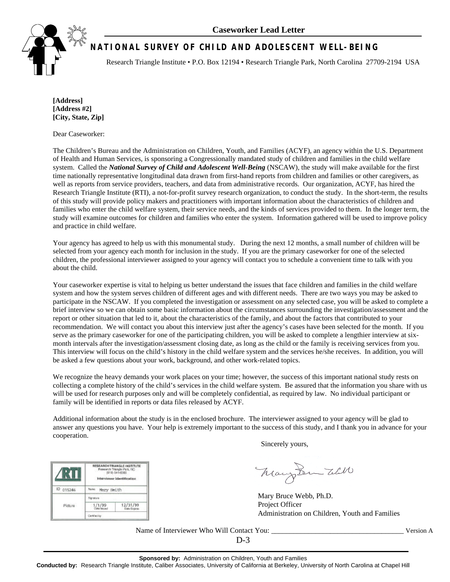

## **NATIONAL SURVEY OF CHILD AND ADOLESCENT WELL-BEING**

Research Triangle Institute • P.O. Box 12194 • Research Triangle Park, North Carolina 27709-2194 USA

**[Address] [Address #2] [City, State, Zip]** 

Dear Caseworker:

The Children's Bureau and the Administration on Children, Youth, and Families (ACYF), an agency within the U.S. Department of Health and Human Services, is sponsoring a Congressionally mandated study of children and families in the child welfare system. Called the *National Survey of Child and Adolescent Well-Being* (NSCAW), the study will make available for the first time nationally representative longitudinal data drawn from first-hand reports from children and families or other caregivers, as well as reports from service providers, teachers, and data from administrative records. Our organization, ACYF, has hired the Research Triangle Institute (RTI), a not-for-profit survey research organization, to conduct the study. In the short-term, the results of this study will provide policy makers and practitioners with important information about the characteristics of children and families who enter the child welfare system, their service needs, and the kinds of services provided to them. In the longer term, the study will examine outcomes for children and families who enter the system. Information gathered will be used to improve policy and practice in child welfare.

Your agency has agreed to help us with this monumental study. During the next 12 months, a small number of children will be selected from your agency each month for inclusion in the study. If you are the primary caseworker for one of the selected children, the professional interviewer assigned to your agency will contact you to schedule a convenient time to talk with you about the child.

Your caseworker expertise is vital to helping us better understand the issues that face children and families in the child welfare system and how the system serves children of different ages and with different needs. There are two ways you may be asked to participate in the NSCAW. If you completed the investigation or assessment on any selected case, you will be asked to complete a brief interview so we can obtain some basic information about the circumstances surrounding the investigation/assessment and the report or other situation that led to it, about the characteristics of the family, and about the factors that contributed to your recommendation. We will contact you about this interview just after the agency's cases have been selected for the month. If you serve as the primary caseworker for one of the participating children, you will be asked to complete a lengthier interview at sixmonth intervals after the investigation/assessment closing date, as long as the child or the family is receiving services from you. This interview will focus on the child's history in the child welfare system and the services he/she receives. In addition, you will be asked a few questions about your work, background, and other work-related topics.

We recognize the heavy demands your work places on your time; however, the success of this important national study rests on collecting a complete history of the child's services in the child welfare system. Be assured that the information you share with us will be used for research purposes only and will be completely confidential, as required by law. No individual participant or family will be identified in reports or data files released by ACYF.

Additional information about the study is in the enclosed brochure. The interviewer assigned to your agency will be glad to answer any questions you have. Your help is extremely important to the success of this study, and I thank you in advance for your cooperation.

Sincerely yours,

Mary Sem Will

Mary Bruce Webb, Ph.D. Project Officer Administration on Children, Youth and Families

Name of Interviewer Who Will Contact You: \_\_\_\_\_\_\_\_\_\_\_\_\_\_\_\_\_\_\_\_\_\_\_\_\_\_\_\_\_\_\_\_\_\_\_\_ Version A

**CHTRIANGLE INSTITUTE** 1919) 541-6000

12/31/99

Interviewer Identification

Mary Smith

Signature

 $1/1/99$ Certriest

KU

D 015246

Picture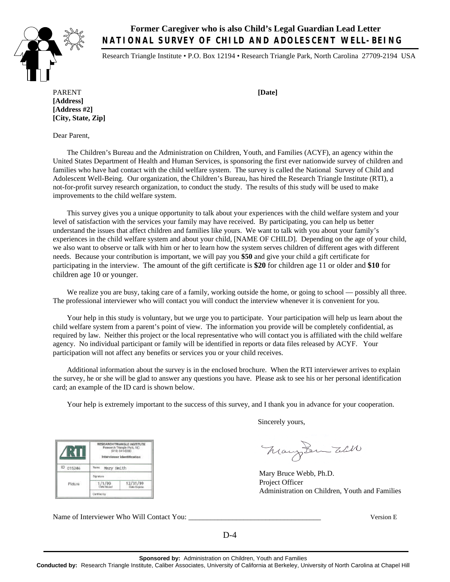**Former Caregiver who is also Child's Legal Guardian Lead Letter NATIONAL SURVEY OF CHILD AND ADOLESCENT WELL-BEING** 

Research Triangle Institute • P.O. Box 12194 • Research Triangle Park, North Carolina 27709-2194 USA

PARENT **[Date] [Address] [Address #2] [City, State, Zip]**

Dear Parent,

The Children's Bureau and the Administration on Children, Youth, and Families (ACYF), an agency within the United States Department of Health and Human Services, is sponsoring the first ever nationwide survey of children and families who have had contact with the child welfare system. The survey is called the National Survey of Child and Adolescent Well-Being. Our organization, the Children's Bureau, has hired the Research Triangle Institute (RTI), a not-for-profit survey research organization, to conduct the study. The results of this study will be used to make improvements to the child welfare system.

This survey gives you a unique opportunity to talk about your experiences with the child welfare system and your level of satisfaction with the services your family may have received. By participating, you can help us better understand the issues that affect children and families like yours. We want to talk with you about your family's experiences in the child welfare system and about your child, [NAME OF CHILD]. Depending on the age of your child, we also want to observe or talk with him or her to learn how the system serves children of different ages with different needs. Because your contribution is important, we will pay you **\$50** and give your child a gift certificate for participating in the interview. The amount of the gift certificate is **\$20** for children age 11 or older and **\$10** for children age 10 or younger.

We realize you are busy, taking care of a family, working outside the home, or going to school — possibly all three. The professional interviewer who will contact you will conduct the interview whenever it is convenient for you.

Your help in this study is voluntary, but we urge you to participate. Your participation will help us learn about the child welfare system from a parent's point of view. The information you provide will be completely confidential, as required by law. Neither this project or the local representative who will contact you is affiliated with the child welfare agency. No individual participant or family will be identified in reports or data files released by ACYF. Your participation will not affect any benefits or services you or your child receives.

Additional information about the survey is in the enclosed brochure. When the RTI interviewer arrives to explain the survey, he or she will be glad to answer any questions you have. Please ask to see his or her personal identification card; an example of the ID card is shown below.

Your help is extremely important to the success of this survey, and I thank you in advance for your cooperation.

Sincerely yours,

Mary Lem Will

Mary Bruce Webb, Ph.D. Project Officer Administration on Children, Youth and Families

Name of Interviewer Who Will Contact You: \_\_\_\_\_\_\_\_\_\_\_\_\_\_\_\_\_\_\_\_\_\_\_\_\_\_\_\_\_\_\_\_\_\_\_\_ Version E

RESEARCH TRIANGLE HISTORITE

rch Triangle Pat

Interviewer Identification

12/31/99

New Nery Smith Significes

 $1/1/99$ 

Certified by

KI

D 015246

Picture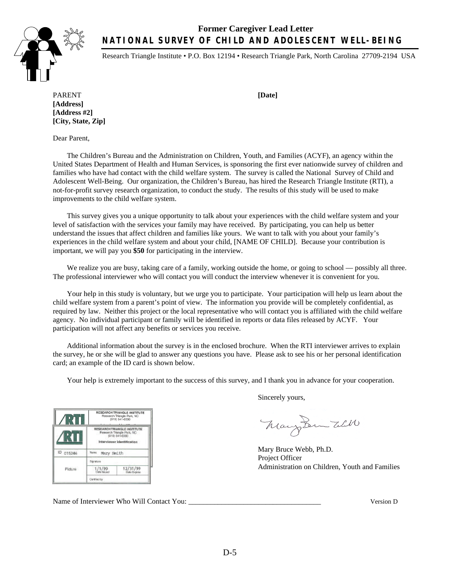### **Former Caregiver Lead Letter NATIONAL SURVEY OF CHILD AND ADOLESCENT WELL-BEING**



Research Triangle Institute • P.O. Box 12194 • Research Triangle Park, North Carolina 27709-2194 USA

PARENT **[Date] [Address] [Address #2] [City, State, Zip]**

Dear Parent,

The Children's Bureau and the Administration on Children, Youth, and Families (ACYF), an agency within the United States Department of Health and Human Services, is sponsoring the first ever nationwide survey of children and families who have had contact with the child welfare system. The survey is called the National Survey of Child and Adolescent Well-Being. Our organization, the Children's Bureau, has hired the Research Triangle Institute (RTI), a not-for-profit survey research organization, to conduct the study. The results of this study will be used to make improvements to the child welfare system.

This survey gives you a unique opportunity to talk about your experiences with the child welfare system and your level of satisfaction with the services your family may have received. By participating, you can help us better understand the issues that affect children and families like yours. We want to talk with you about your family's experiences in the child welfare system and about your child, [NAME OF CHILD]. Because your contribution is important, we will pay you **\$50** for participating in the interview.

We realize you are busy, taking care of a family, working outside the home, or going to school — possibly all three. The professional interviewer who will contact you will conduct the interview whenever it is convenient for you.

Your help in this study is voluntary, but we urge you to participate. Your participation will help us learn about the child welfare system from a parent's point of view. The information you provide will be completely confidential, as required by law. Neither this project or the local representative who will contact you is affiliated with the child welfare agency. No individual participant or family will be identified in reports or data files released by ACYF. Your participation will not affect any benefits or services you receive.

Additional information about the survey is in the enclosed brochure. When the RTI interviewer arrives to explain the survey, he or she will be glad to answer any questions you have. Please ask to see his or her personal identification card; an example of the ID card is shown below.

Your help is extremely important to the success of this survey, and I thank you in advance for your cooperation.

|          |              | <b>RESEARCH TRIANGLE INSTITUTE</b><br>Research Triangle Park, NC<br>(919) 541-6000<br>RESEARCH TRIANGLE INSTITUTE<br>Research Triangle Park, NC<br>(919) 541-6000<br>Interviewer Identification |  |  |  |  |
|----------|--------------|-------------------------------------------------------------------------------------------------------------------------------------------------------------------------------------------------|--|--|--|--|
|          |              |                                                                                                                                                                                                 |  |  |  |  |
| D 015246 | Name.        | Mary Smith                                                                                                                                                                                      |  |  |  |  |
| Picture  |              |                                                                                                                                                                                                 |  |  |  |  |
|          |              | 12/31/99<br><b>Data Expire</b>                                                                                                                                                                  |  |  |  |  |
|          | Certified by |                                                                                                                                                                                                 |  |  |  |  |

Sincerely yours,

Mary Sem Will

Mary Bruce Webb, Ph.D. Project Officer Administration on Children, Youth and Families

Name of Interviewer Who Will Contact You: \_\_\_\_\_\_\_\_\_\_\_\_\_\_\_\_\_\_\_\_\_\_\_\_\_\_\_\_\_\_\_\_\_\_\_\_ Version D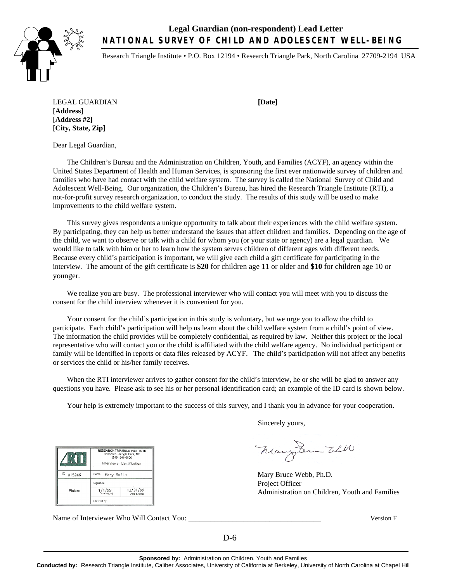**Legal Guardian (non-respondent) Lead Letter NATIONAL SURVEY OF CHILD AND ADOLESCENT WELL-BEING** 



Research Triangle Institute • P.O. Box 12194 • Research Triangle Park, North Carolina 27709-2194 USA

LEGAL GUARDIAN **[Date] [Address] [Address #2] [City, State, Zip]**

Dear Legal Guardian,

The Children's Bureau and the Administration on Children, Youth, and Families (ACYF), an agency within the United States Department of Health and Human Services, is sponsoring the first ever nationwide survey of children and families who have had contact with the child welfare system. The survey is called the National Survey of Child and Adolescent Well-Being. Our organization, the Children's Bureau, has hired the Research Triangle Institute (RTI), a not-for-profit survey research organization, to conduct the study. The results of this study will be used to make improvements to the child welfare system.

This survey gives respondents a unique opportunity to talk about their experiences with the child welfare system. By participating, they can help us better understand the issues that affect children and families. Depending on the age of the child, we want to observe or talk with a child for whom you (or your state or agency) are a legal guardian. We would like to talk with him or her to learn how the system serves children of different ages with different needs. Because every child's participation is important, we will give each child a gift certificate for participating in the interview. The amount of the gift certificate is **\$20** for children age 11 or older and **\$10** for children age 10 or younger.

We realize you are busy. The professional interviewer who will contact you will meet with you to discuss the consent for the child interview whenever it is convenient for you.

Your consent for the child's participation in this study is voluntary, but we urge you to allow the child to participate. Each child's participation will help us learn about the child welfare system from a child's point of view. The information the child provides will be completely confidential, as required by law. Neither this project or the local representative who will contact you or the child is affiliated with the child welfare agency. No individual participant or family will be identified in reports or data files released by ACYF. The child's participation will not affect any benefits or services the child or his/her family receives.

When the RTI interviewer arrives to gather consent for the child's interview, he or she will be glad to answer any questions you have. Please ask to see his or her personal identification card; an example of the ID card is shown below.

Your help is extremely important to the success of this survey, and I thank you in advance for your cooperation.

Sincerely yours,

Mary Sem Will

Mary Bruce Webb, Ph.D. Project Officer Administration on Children, Youth and Families

Name of Interviewer Who Will Contact You: **Will Contact You:** Wessel Wessel Wessel Wessel Wessel Wessel Wessel W

RESEARCH TRIANGLE INSTITUTE ırch Triangle Park, NO<br>(919) 541-6000

Interviewer Identification

 $12/31/99$ 

Name Mary Smith Signature

 $1/1/99$ Certified by

K

ID 015246

Picture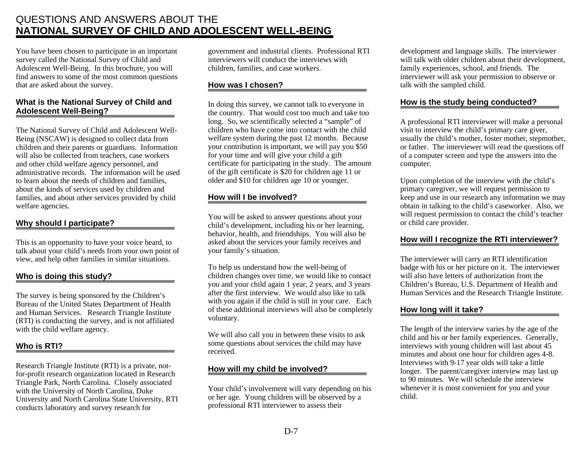## QUESTIONS AND ANSWERS ABOUT THE **NATIONAL SURVEY OF CHILD AND ADOLESCENT WELL-BEING**

You have been chosen to participate in an important survey called the National Survey of Child and Adolescent Well-Being. In this brochure, you will find answers to some of the most common questions that are asked about the survey.

#### **What is the National Survey of Child and Adolescent Well-Being?**

The National Survey of Child and Adolescent Well-Being (NSCAW) is designed to collect data from children and their parents or guardians. Information will also be collected from teachers, case workers and other child welfare agency personnel, and administrative records. The information will be used to learn about the needs of children and families, about the kinds of services used by children and families, and about other services provided by child welfare agencies.

### **Why should I participate?**

This is an opportunity to have your voice heard, to talk about your child's needs from your own point of view, and help other families in similar situations.

#### **Who is doing this study?**

The survey is being sponsored by the Children's Bureau of the United States Department of Health and Human Services. Research Triangle Institute (RTI) is conducting the survey, and is not affiliated with the child welfare agency.

### **Who is RTI?**

Research Triangle Institute (RTI) is a private, notfor-profit research organization located in Research Triangle Park, North Carolina. Closely associated with the University of North Carolina, Duke University and North Carolina State University, RTI conducts laboratory and survey research for

government and industrial clients. Professional RTI interviewers will conduct the interviews with children, families, and case workers.

### **How was I chosen?**

In doing this survey, we cannot talk to everyone in the country. That would cost too much and take too long. So, we scientifically selected a "sample" of children who have come into contact with the child welfare system during the past 12 months. Because your contribution is important, we will pay you \$50 for your time and will give your child a gift certificate for participating in the study. The amount of the gift certificate is \$20 for children age 11 or older and \$10 for children age 10 or younger.

### **How will I be involved?**

You will be asked to answer questions about your child's development, including his or her learning, behavior, health, and friendships. You will also be asked about the services your family receives and your family's situation.

To help us understand how the well-being of children changes over time, we would like to contact you and your child again 1 year, 2 years, and 3 years after the first interview. We would also like to talk with you again if the child is still in your care. Each of these additional interviews will also be completely voluntary.

We will also call you in between these visits to ask some questions about services the child may have received.

#### **How will my child be involved?**

Your child's involvement will vary depending on his or her age. Young children will be observed by a professional RTI interviewer to assess their

development and language skills. The interviewer will talk with older children about their development, family experiences, school, and friends. The interviewer will ask your permission to observe or talk with the sampled child.

#### **How is the study being conducted?**

A professional RTI interviewer will make a personal visit to interview the child's primary care giver, usually the child's mother, foster mother, stepmother, or father. The interviewer will read the questions off of a computer screen and type the answers into the computer.

Upon completion of the interview with the child's primary caregiver, we will request permission to keep and use in our research any information we may obtain in talking to the child's caseworker. Also, we will request permission to contact the child's teacher or child care provider.

### **How will I recognize the RTI interviewer?**

The interviewer will carry an RTI identification badge with his or her picture on it. The interviewer will also have letters of authorization from the Children's Bureau, U.S. Department of Health and Human Services and the Research Triangle Institute.

### **How long will it take?**

The length of the interview varies by the age of the child and his or her family experiences. Generally, interviews with young children will last about 45 minutes and about one hour for children ages 4-8. Interviews with 9-17 year olds will take a little longer. The parent/caregiver interview may last up to 90 minutes. We will schedule the interview whenever it is most convenient for you and your child.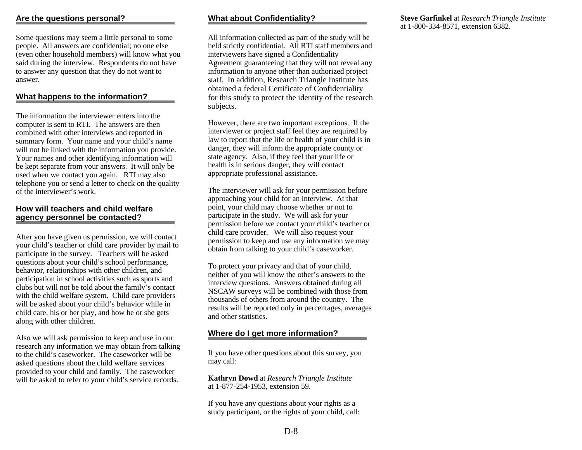Some questions may seem a little personal to some people. All answers are confidential; no one else (even other household members) will know what you said during the interview. Respondents do not have to answer any question that they do not want to answer.

### **What happens to the information?**

The information the interviewer enters into the computer is sent to RTI. The answers are then combined with other interviews and reported in summary form. Your name and your child's name will not be linked with the information you provide. Your names and other identifying information will be kept separate from your answers. It will only be used when we contact you again. RTI may also telephone you or send a letter to check on the quality of the interviewer's work.

#### **How will teachers and child welfare agency personnel be contacted?**

After you have given us permission, we will contact your child's teacher or child care provider by mail to participate in the survey. Teachers will be asked questions about your child's school performance, behavior, relationships with other children, and participation in school activities such as sports and clubs but will not be told about the family's contact with the child welfare system. Child care providers will be asked about your child's behavior while in child care, his or her play, and how he or she gets along with other children.

Also we will ask permission to keep and use in our research any information we may obtain from talking to the child's caseworker. The caseworker will be asked questions about the child welfare services provided to your child and family. The caseworker will be asked to refer to your child's service records.

### **What about Confidentiality?**

All information collected as part of the study will be held strictly confidential. All RTI staff members and interviewers have signed a Confidentiality Agreement guaranteeing that they will not reveal any information to anyone other than authorized project staff. In addition, Research Triangle Institute has obtained a federal Certificate of Confidentiality for this study to protect the identity of the research subjects.

However, there are two important exceptions. If the interviewer or project staff feel they are required by law to report that the life or health of your child is in danger, they will inform the appropriate county or state agency. Also, if they feel that your life or health is in serious danger, they will contact appropriate professional assistance.

The interviewer will ask for your permission before approaching your child for an interview. At that point, your child may choose whether or not to participate in the study. We will ask for your permission before we contact your child's teacher or child care provider. We will also request your permission to keep and use any information we may obtain from talking to your child's caseworker.

To protect your privacy and that of your child, neither of you will know the other's answers to the interview questions. Answers obtained during all NSCAW surveys will be combined with those from thousands of others from around the country. The results will be reported only in percentages, averages and other statistics.

### **Where do I get more information?**

If you have other questions about this survey, you may call:

**Kathryn Dowd** at *Research Triangle Institute*  at 1-877-254-1953, extension 59.

If you have any questions about your rights as a study participant, or the rights of your child, call: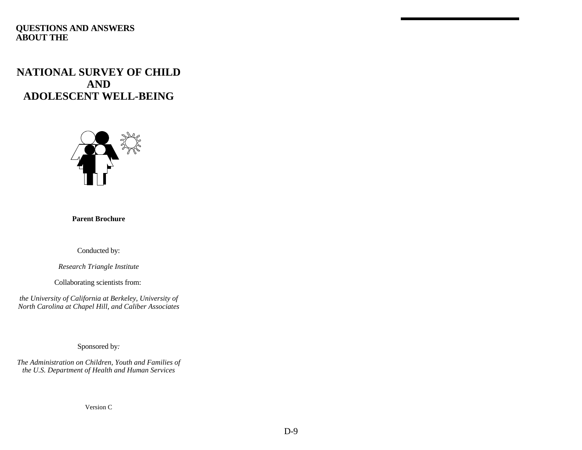### **QUESTIONS AND ANSWERS ABOUT THE**

## **NATIONAL SURVEY OF CHILD AND ADOLESCENT WELL-BEING**



**Parent Brochure** 

Conducted by:

*Research Triangle Institute* 

Collaborating scientists from:

*the University of California at Berkeley*, *University of North Carolina at Chapel Hill*, *and Caliber Associates* 

Sponsored by*:* 

*The Administration on Children, Youth and Families of the U.S. Department of Health and Human Services* 

Version C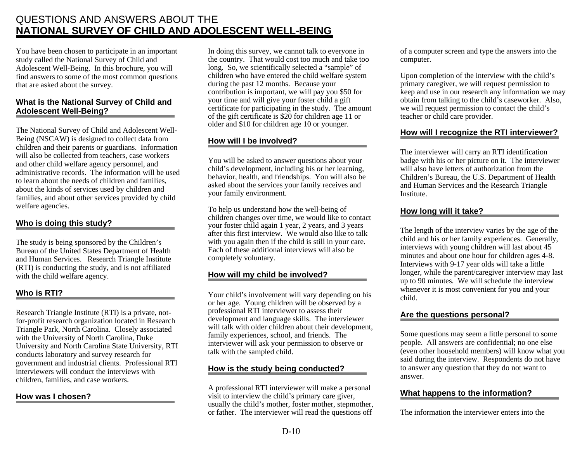## QUESTIONS AND ANSWERS ABOUT THE **NATIONAL SURVEY OF CHILD AND ADOLESCENT WELL-BEING**

You have been chosen to participate in an important study called the National Survey of Child and Adolescent Well-Being. In this brochure, you will find answers to some of the most common questions that are asked about the survey.

### **What is the National Survey of Child and Adolescent Well-Being?**

The National Survey of Child and Adolescent Well-Being (NSCAW) is designed to collect data from children and their parents or guardians. Information will also be collected from teachers, case workers and other child welfare agency personnel, and administrative records. The information will be used to learn about the needs of children and families, about the kinds of services used by children and families, and about other services provided by child welfare agencies.

### **Who is doing this study?**

The study is being sponsored by the Children's Bureau of the United States Department of Health and Human Services. Research Triangle Institute (RTI) is conducting the study, and is not affiliated with the child welfare agency.

### **Who is RTI?**

Research Triangle Institute (RTI) is a private, notfor-profit research organization located in Research Triangle Park, North Carolina. Closely associated with the University of North Carolina, Duke University and North Carolina State University, RTI conducts laboratory and survey research for government and industrial clients. Professional RTI interviewers will conduct the interviews with children, families, and case workers.

### **How was I chosen?**

In doing this survey, we cannot talk to everyone in the country. That would cost too much and take too long. So, we scientifically selected a "sample" of children who have entered the child welfare system during the past 12 months. Because your contribution is important, we will pay you \$50 for your time and will give your foster child a gift certificate for participating in the study. The amount of the gift certificate is  $\frac{50}{20}$  for children age 11 or older and \$10 for children age 10 or younger.

### **How will I be involved?**

You will be asked to answer questions about your child's development, including his or her learning, behavior, health, and friendships. You will also be asked about the services your family receives and your family environment.

To help us understand how the well-being of children changes over time, we would like to contact your foster child again 1 year, 2 years, and 3 years after this first interview. We would also like to talk with you again then if the child is still in your care. Each of these additional interviews will also be completely voluntary.

### **How will my child be involved?**

 talk with the sampled child. Your child's involvement will vary depending on his or her age. Young children will be observed by a professional RTI interviewer to assess their development and language skills. The interviewer will talk with older children about their development, family experiences, school, and friends. The interviewer will ask your permission to observe or

### **How is the study being conducted?**

A professional RTI interviewer will make a personal visit to interview the child's primary care giver, usually the child's mother, foster mother, stepmother, or father. The interviewer will read the questions off

of a computer screen and type the answers into the computer.

Upon completion of the interview with the child's primary caregiver, we will request permission to keep and use in our research any information we may obtain from talking to the child's caseworker. Also, we will request permission to contact the child's teacher or child care provider.

### **How will I recognize the RTI interviewer?**

The interviewer will carry an RTI identification badge with his or her picture on it. The interviewer will also have letters of authorization from the Children's Bureau, the U.S. Department of Health and Human Services and the Research Triangle Institute.

### **How long will it take?**

The length of the interview varies by the age of the child and his or her family experiences. Generally, interviews with young children will last about 45 minutes and about one hour for children ages 4-8. Interviews with 9-17 year olds will take a little longer, while the parent/caregiver interview may last up to 90 minutes. We will schedule the interview whenever it is most convenient for you and your child.

### **Are the questions personal?**

Some questions may seem a little personal to some people. All answers are confidential; no one else (even other household members) will know what you said during the interview. Respondents do not have to answer any question that they do not want to answer.

### **What happens to the information?**

The information the interviewer enters into the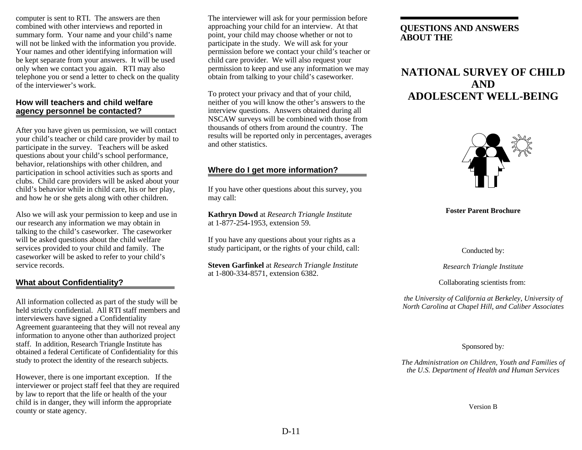computer is sent to RTI. The answers are then combined with other interviews and reported in summary form. Your name and your child's name will not be linked with the information you provide. Your names and other identifying information will be kept separate from your answers. It will be used only when we contact you again. RTI may also telephone you or send a letter to check on the quality of the interviewer's work.

#### **How will teachers and child welfare agency personnel be contacted?**

After you have given us permission, we will contact your child's teacher or child care provider by mail to participate in the survey. Teachers will be asked questions about your child's school performance, behavior, relationships with other children, and participation in school activities such as sports and clubs. Child care providers will be asked about your child's behavior while in child care, his or her play, and how he or she gets along with other children.

Also we will ask your permission to keep and use in our research any information we may obtain in talking to the child's caseworker. The caseworker will be asked questions about the child welfare services provided to your child and family. The caseworker will be asked to refer to your child's service records.

### **What about Confidentiality?**

All information collected as part of the study will be held strictly confidential. All RTI staff members and interviewers have signed a Confidentiality Agreement guaranteeing that they will not reveal any information to anyone other than authorized project staff. In addition, Research Triangle Institute has obtained a federal Certificate of Confidentiality for this study to protect the identity of the research subjects.

However, there is one important exception. If the interviewer or project staff feel that they are required by law to report that the life or health of the your child is in danger, they will inform the appropriate county or state agency.

The interviewer will ask for your permission before approaching your child for an interview. At that point, your child may choose whether or not to participate in the study. We will ask for your permission before we contact your child's teacher or child care provider. We will also request your permission to keep and use any information we may obtain from talking to your child's caseworker.

To protect your privacy and that of your child, neither of you will know the other's answers to the interview questions. Answers obtained during all NSCAW surveys will be combined with those from thousands of others from around the country. The results will be reported only in percentages, averages and other statistics.

### **Where do I get more information?**

If you have other questions about this survey, you may call:

**Kathryn Dowd** at *Research Triangle Institute*  at 1-877-254-1953, extension 59.

If you have any questions about your rights as a study participant, or the rights of your child, call:

**Steven Garfinkel** at *Research Triangle Institute*  at 1-800-334-8571, extension 6382.

### **QUESTIONS AND ANSWERS ABOUT THE**

## **NATIONAL SURVEY OF CHILD AND ADOLESCENT WELL-BEING**



#### **Foster Parent Brochure**

Conducted by:

*Research Triangle Institute* 

Collaborating scientists from:

*the University of California at Berkeley*, *University of North Carolina at Chapel Hill*, *and Caliber Associates* 

Sponsored by*:* 

*The Administration on Children, Youth and Families of the U.S. Department of Health and Human Services* 

Version B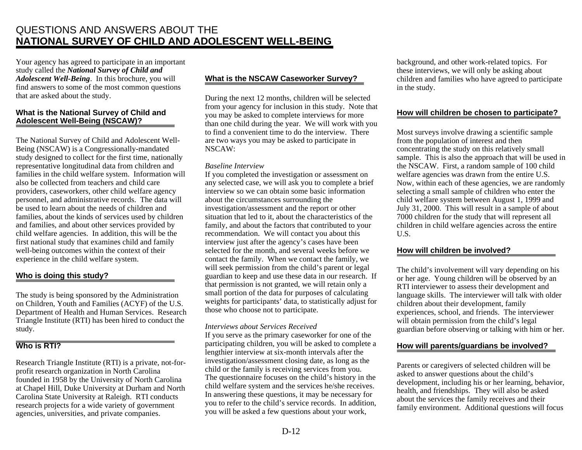## QUESTIONS AND ANSWERS ABOUT THE **NATIONAL SURVEY OF CHILD AND ADOLESCENT WELL-BEING**

Your agency has agreed to participate in an important study called the *National Survey of Child and Adolescent Well-Being*. In this brochure, you will find answers to some of the most common questions that are asked about the study.

#### **What is the National Survey of Child and Adolescent Well-Being (NSCAW)?**

The National Survey of Child and Adolescent Well-Being (NSCAW) is a Congressionally-mandated study designed to collect for the first time, nationally representative longitudinal data from children and families in the child welfare system. Information will also be collected from teachers and child care providers, caseworkers, other child welfare agency personnel, and administrative records. The data will be used to learn about the needs of children and families, about the kinds of services used by children and families, and about other services provided by child welfare agencies. In addition, this will be the first national study that examines child and family well-being outcomes within the context of their experience in the child welfare system.

#### **Who is doing this study?**

The study is being sponsored by the Administration on Children, Youth and Families (ACYF) of the U.S. Department of Health and Human Services. Research Triangle Institute (RTI) has been hired to conduct the study.

### **Who is RTI?**

Research Triangle Institute (RTI) is a private, not-forprofit research organization in North Carolina founded in 1958 by the University of North Carolina at Chapel Hill, Duke University at Durham and North Carolina State University at Raleigh. RTI conducts research projects for a wide variety of government agencies, universities, and private companies.

### **What is the NSCAW Caseworker Survey?**

During the next 12 months, children will be selected from your agency for inclusion in this study. Note that you may be asked to complete interviews for more than one child during the year. We will work with you to find a convenient time to do the interview. There are two ways you may be asked to participate in NSCAW:

#### *Baseline Interview*

If you completed the investigation or assessment on any selected case, we will ask you to complete a brief interview so we can obtain some basic information about the circumstances surrounding the investigation/assessment and the report or other situation that led to it, about the characteristics of the family, and about the factors that contributed to your recommendation. We will contact you about this interview just after the agency's cases have been selected for the month, and several weeks before we contact the family. When we contact the family, we will seek permission from the child's parent or legal guardian to keep and use these data in our research. If that permission is not granted, we will retain only a small portion of the data for purposes of calculating weights for participants' data, to statistically adjust for those who choose not to participate.

#### *Interviews about Services Received*

If you serve as the primary caseworker for one of the participating children, you will be asked to complete a lengthier interview at six-month intervals after the investigation/assessment closing date, as long as the child or the family is receiving services from you. The questionnaire focuses on the child's history in the child welfare system and the services he/she receives. In answering these questions, it may be necessary for you to refer to the child's service records. In addition, you will be asked a few questions about your work,

background, and other work-related topics. For these interviews, we will only be asking about children and families who have agreed to participate in the study.

#### **How will children be chosen to participate?**

Most surveys involve drawing a scientific sample from the population of interest and then concentrating the study on this relatively small sample. This is also the approach that will be used in the NSCAW. First, a random sample of 100 child welfare agencies was drawn from the entire U.S. Now, within each of these agencies, we are randomly selecting a small sample of children who enter the child welfare system between August 1, 1999 and July 31, 2000. This will result in a sample of about 7000 children for the study that will represent all children in child welfare agencies across the entire U.S.

#### **How will children be involved?**

The child's involvement will vary depending on his or her age. Young children will be observed by an RTI interviewer to assess their development and language skills. The interviewer will talk with older children about their development, family experiences, school, and friends. The interviewer will obtain permission from the child's legal guardian before observing or talking with him or her.

#### **How will parents/guardians be involved?**

Parents or caregivers of selected children will be asked to answer questions about the child's development, including his or her learning, behavior, health, and friendships. They will also be asked about the services the family receives and their family environment. Additional questions will focus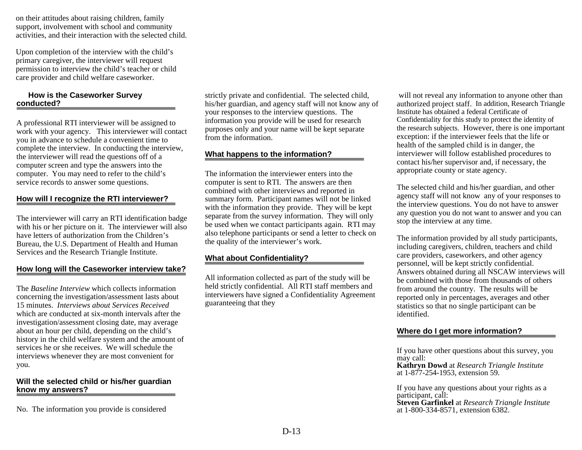on their attitudes about raising children, family support, involvement with school and community activities, and their interaction with the selected child.

Upon completion of the interview with the child's primary caregiver, the interviewer will request permission to interview the child's teacher or child care provider and child welfare caseworker.

#### **How is the Caseworker Survey conducted?**

A professional RTI interviewer will be assigned to work with your agency. This interviewer will contact you in advance to schedule a convenient time to complete the interview. In conducting the interview, the interviewer will read the questions off of a computer screen and type the answers into the computer. You may need to refer to the child's service records to answer some questions.

#### **How will I recognize the RTI interviewer?**

The interviewer will carry an RTI identification badge with his or her picture on it. The interviewer will also have letters of authorization from the Children's Bureau, the U.S. Department of Health and Human Services and the Research Triangle Institute.

#### **How long will the Caseworker interview take?**

The *Baseline Interview* which collects information concerning the investigation/assessment lasts about 15 minutes. *Interviews about Services Received*  which are conducted at six-month intervals after the investigation/assessment closing date, may average about an hour per child, depending on the child's history in the child welfare system and the amount of services he or she receives. We will schedule the interviews whenever they are most convenient for you.

#### **Will the selected child or his/her guardian know my answers?**

No. The information you provide is considered

strictly private and confidential. The selected child, his/her guardian, and agency staff will not know any of your responses to the interview questions. The information you provide will be used for research purposes only and your name will be kept separate from the information.

#### **What happens to the information?**

The information the interviewer enters into the computer is sent to RTI. The answers are then combined with other interviews and reported in summary form. Participant names will not be linked with the information they provide. They will be kept separate from the survey information. They will only be used when we contact participants again. RTI may also telephone participants or send a letter to check on the quality of the interviewer's work.

#### **What about Confidentiality?**

All information collected as part of the study will be held strictly confidential. All RTI staff members and interviewers have signed a Confidentiality Agreement guaranteeing that they

 will not reveal any information to anyone other than authorized project staff. In addition, Research Triangle Institute has obtained a federal Certificate of Confidentiality for this study to protect the identity of the research subjects. However, there is one important exception: if the interviewer feels that the life or health of the sampled child is in danger, the interviewer will follow established procedures to contact his/her supervisor and, if necessary, the appropriate county or state agency.

The selected child and his/her guardian, and other agency staff will not know any of your responses to the interview questions. You do not have to answer any question you do not want to answer and you can stop the interview at any time.

The information provided by all study participants, including caregivers, children, teachers and child care providers, caseworkers, and other agency personnel, will be kept strictly confidential. Answers obtained during all NSCAW interviews will be combined with those from thousands of others from around the country. The results will be reported only in percentages, averages and other statistics so that no single participant can be identified.

#### **Where do I get more information?**

If you have other questions about this survey, you may call:

**Kathryn Dowd** at *Research Triangle Institute*  at 1-877-254-1953, extension 59.

If you have any questions about your rights as a participant, call: **Steven Garfinkel** at *Research Triangle Institute*

at 1-800-334-8571, extension 6382.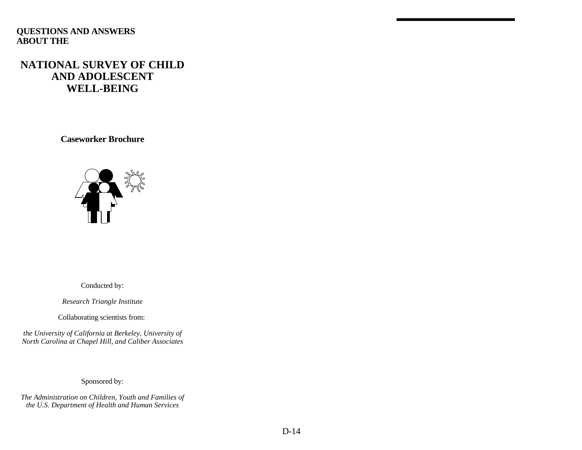### **QUESTIONS AND ANSWERS ABOUT THE**

## **NATIONAL SURVEY OF CHILD AND ADOLESCENT WELL-BEING**

**Caseworker Brochure** 



Conducted by:

*Research Triangle Institute* 

Collaborating scientists from:

*the University of California at Berkeley*, *University of North Carolina at Chapel Hill*, *and Caliber Associates* 

Sponsored by*:* 

*The Administration on Children, Youth and Families of the U.S. Department of Health and Human Services*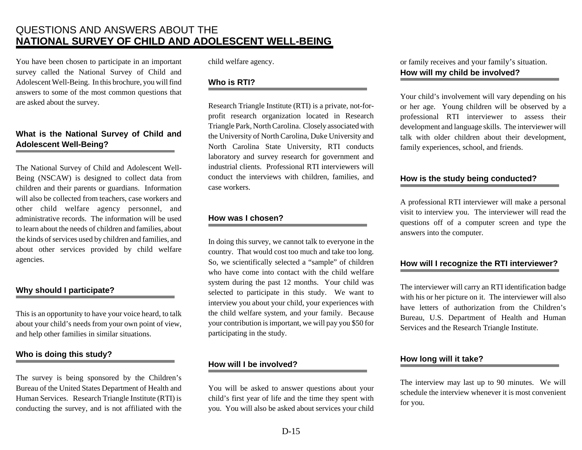## QUESTIONS AND ANSWERS ABOUT THE **NATIONAL SURVEY OF CHILD AND ADOLESCENT WELL-BEING**

 You have been chosen to participate in an important answers to some of the most common questions that survey called the National Survey of Child and Adolescent Well-Being. In this brochure, you will find are asked about the survey.

### **What is the National Survey of Child and Adolescent Well-Being?**

 Being (NSCAW) is designed to collect data from will also be collected from teachers, case workers and to learn about the needs of children and families, about the kinds of services used by children and families, and The National Survey of Child and Adolescent Wellchildren and their parents or guardians. Information other child welfare agency personnel, and administrative records. The information will be used about other services provided by child welfare agencies.

### **Why should I participate?**

 This is an opportunity to have your voice heard, to talk about your child's needs from your own point of view, and help other families in similar situations.

### **Who is doing this study?**

 The survey is being sponsored by the Children's Bureau of the United States Department of Health and conducting the survey, and is not affiliated with the Human Services. Research Triangle Institute (RTI) is

child welfare agency.

### **Who is RTI?**

 Research Triangle Institute (RTI) is a private, not-for- profit research organization located in Research Triangle Park, North Carolina. Closely associated with the University of North Carolina, Duke University and laboratory and survey research for government and conduct the interviews with children, families, and North Carolina State University, RTI conducts industrial clients. Professional RTI interviewers will case workers.

### **How was I chosen?**

 In doing this survey, we cannot talk to everyone in the So, we scientifically selected a "sample" of children who have come into contact with the child welfare interview you about your child, your experiences with the child welfare system, and your family. Because your contribution is important, we will pay you \$50 for country. That would cost too much and take too long. system during the past 12 months. Your child was selected to participate in this study. We want to participating in the study.

### **How will I be involved?**

 You will be asked to answer questions about your child's first year of life and the time they spent with you. You will also be asked about services your child

or family receives and your family's situation. **How will my child be involved?** 

 or her age. Young children will be observed by a development and language skills. The interviewer will Your child's involvement will vary depending on his professional RTI interviewer to assess their talk with older children about their development, family experiences, school, and friends.

### **How is the study being conducted?**

 A professional RTI interviewer will make a personal visit to interview you. The interviewer will read the questions off of a computer screen and type the answers into the computer.

### **How will I recognize the RTI interviewer?**

 The interviewer will carry an RTI identification badge with his or her picture on it. The interviewer will also have letters of authorization from the Children's Bureau, U.S. Department of Health and Human Services and the Research Triangle Institute.

### **How long will it take?**

 The interview may last up to 90 minutes. We will schedule the interview whenever it is most convenient for you.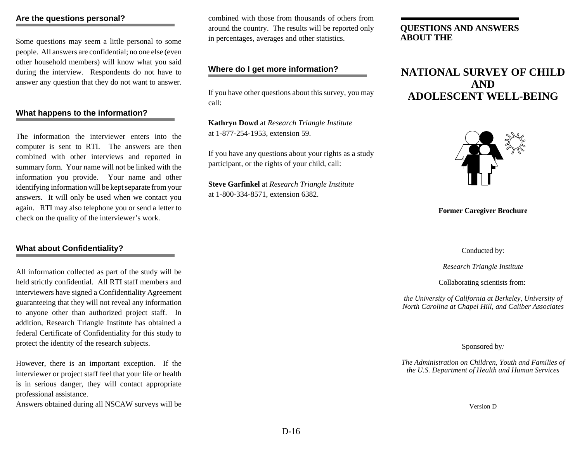#### **Are the questions personal?**

 Some questions may seem a little personal to some people. All answers are confidential; no one else (even other household members) will know what you said during the interview. Respondents do not have to answer any question that they do not want to answer.

#### **What happens to the information?**

 computer is sent to RTI. The answers are then information you provide. Your name and other identifying information will be kept separate from your The information the interviewer enters into the combined with other interviews and reported in summary form. Your name will not be linked with the answers. It will only be used when we contact you again. RTI may also telephone you or send a letter to check on the quality of the interviewer's work.

#### **What about Confidentiality?**

 All information collected as part of the study will be interviewers have signed a Confidentiality Agreement guaranteeing that they will not reveal any information addition, Research Triangle Institute has obtained a federal Certificate of Confidentiality for this study to held strictly confidential. All RTI staff members and to anyone other than authorized project staff. In protect the identity of the research subjects.

 However, there is an important exception. If the interviewer or project staff feel that your life or health is in serious danger, they will contact appropriate professional assistance.

Answers obtained during all NSCAW surveys will be

combined with those from thousands of others from around the country. The results will be reported only in percentages, averages and other statistics.

#### **Where do I get more information?**

 If you have other questions about this survey, you may call:

**Kathryn Dowd** at *Research Triangle Institute*  at 1-877-254-1953, extension 59.

 If you have any questions about your rights as a study participant, or the rights of your child, call:

**Steve Garfinkel** at *Research Triangle Institute*  at 1-800-334-8571, extension 6382.

### **QUESTIONS AND ANSWERS ABOUT THE**

## **NATIONAL SURVEY OF CHILD AND ADOLESCENT WELL-BEING**



#### **Former Caregiver Brochure**

Conducted by:

*Research Triangle Institute* 

Collaborating scientists from:

*the University of California at Berkeley*, *University of North Carolina at Chapel Hill*, *and Caliber Associates* 

Sponsored by*:* 

*The Administration on Children, Youth and Families of the U.S. Department of Health and Human Services* 

Version D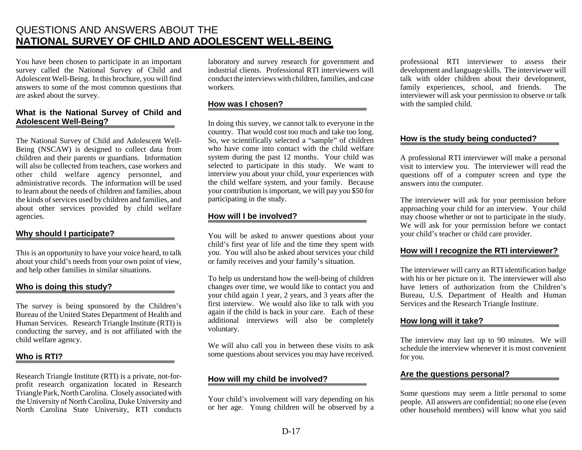## QUESTIONS AND ANSWERS ABOUT THE **NATIONAL SURVEY OF CHILD AND ADOLESCENT WELL-BEING**

 You have been chosen to participate in an important survey called the National Survey of Child and answers to some of the most common questions that Adolescent Well-Being. In this brochure, you will find are asked about the survey.

#### **What is the National Survey of Child and Adolescent Well-Being?**

 The National Survey of Child and Adolescent Well- Being (NSCAW) is designed to collect data from children and their parents or guardians. Information will also be collected from teachers, case workers and to learn about the needs of children and families, about the kinds of services used by children and families, and about other services provided by child welfare other child welfare agency personnel, and administrative records. The information will be used agencies.

### **Why should I participate?**

 This is an opportunity to have your voice heard, to talk about your child's needs from your own point of view, and help other families in similar situations.

### **Who is doing this study?**

 The survey is being sponsored by the Children's Bureau of the United States Department of Health and conducting the survey, and is not affiliated with the Human Services. Research Triangle Institute (RTI) is child welfare agency.

### **Who is RTI?**

 Research Triangle Institute (RTI) is a private, not-for- Triangle Park, North Carolina. Closely associated with the University of North Carolina, Duke University and North Carolina State University, RTI conducts profit research organization located in Research

 conduct the interviews with children, families, and case laboratory and survey research for government and industrial clients. Professional RTI interviewers will workers.

### **How was I chosen?**

 In doing this survey, we cannot talk to everyone in the selected to participate in this study. We want to interview you about your child, your experiences with the child welfare system, and your family. Because your contribution is important, we will pay you \$50 for country. That would cost too much and take too long. So, we scientifically selected a "sample" of children who have come into contact with the child welfare system during the past 12 months. Your child was participating in the study.

### **How will I be involved?**

 You will be asked to answer questions about your child's first year of life and the time they spent with you. You will also be asked about services your child or family receives and your family's situation.

 changes over time, we would like to contact you and your child again 1 year, 2 years, and 3 years after the again if the child is back in your care. Each of these additional interviews will also be completely To help us understand how the well-being of children first interview. We would also like to talk with you voluntary.

 We will also call you in between these visits to ask some questions about services you may have received.

### **How will my child be involved?**

 Your child's involvement will vary depending on his or her age. Young children will be observed by a

 development and language skills. The interviewer will talk with older children about their development, interviewer will ask your permission to observe or talk professional RTI interviewer to assess their family experiences, school, and friends. The with the sampled child.

### **How is the study being conducted?**

 A professional RTI interviewer will make a personal visit to interview you. The interviewer will read the questions off of a computer screen and type the answers into the computer.

 may choose whether or not to participate in the study. We will ask for your permission before we contact The interviewer will ask for your permission before approaching your child for an interview. Your child your child's teacher or child care provider.

### **How will I recognize the RTI interviewer?**

 The interviewer will carry an RTI identification badge with his or her picture on it. The interviewer will also have letters of authorization from the Children's Bureau, U.S. Department of Health and Human Services and the Research Triangle Institute.

### **How long will it take?**

 schedule the interview whenever it is most convenient The interview may last up to 90 minutes. We will for you.

### **Are the questions personal?**

Some questions may seem a little personal to some people. All answers are confidential; no one else (even other household members) will know what you said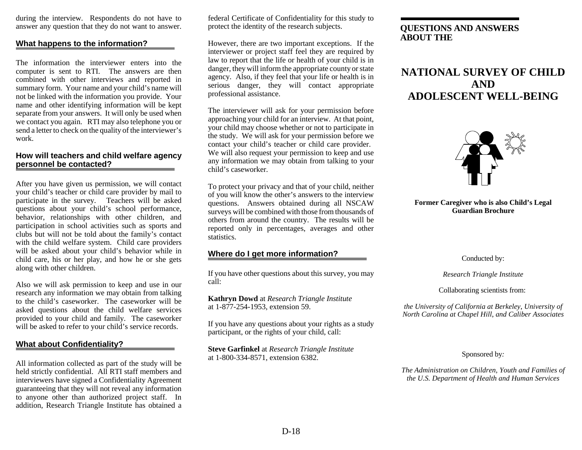during the interview. Respondents do not have to answer any question that they do not want to answer.

#### **What happens to the information?**

 The information the interviewer enters into the computer is sent to RTI. The answers are then combined with other interviews and reported in not be linked with the information you provide. Your name and other identifying information will be kept separate from your answers. It will only be used when we contact you again. RTI may also telephone you or send a letter to check on the quality of the interviewer's summary form. Your name and your child's name will work.

#### **How will teachers and child welfare agency personnel be contacted?**

 After you have given us permission, we will contact participate in the survey. Teachers will be asked questions about your child's school performance, behavior, relationships with other children, and child care, his or her play, and how he or she gets your child's teacher or child care provider by mail to participation in school activities such as sports and clubs but will not be told about the family's contact with the child welfare system. Child care providers will be asked about your child's behavior while in along with other children.

 Also we will ask permission to keep and use in our research any information we may obtain from talking to the child's caseworker. The caseworker will be asked questions about the child welfare services provided to your child and family. The caseworker will be asked to refer to your child's service records.

#### **What about Confidentiality?**

 All information collected as part of the study will be held strictly confidential. All RTI staff members and interviewers have signed a Confidentiality Agreement guaranteeing that they will not reveal any information to anyone other than authorized project staff. In addition, Research Triangle Institute has obtained a

 federal Certificate of Confidentiality for this study to protect the identity of the research subjects.

 However, there are two important exceptions. If the law to report that the life or health of your child is in danger, they will inform the appropriate county or state serious danger, they will contact appropriate interviewer or project staff feel they are required by agency. Also, if they feel that your life or health is in professional assistance.

 The interviewer will ask for your permission before approaching your child for an interview. At that point, your child may choose whether or not to participate in contact your child's teacher or child care provider. We will also request your permission to keep and use the study. We will ask for your permission before we any information we may obtain from talking to your child's caseworker.

 To protect your privacy and that of your child, neither of you will know the other's answers to the interview surveys will be combined with those from thousands of reported only in percentages, averages and other questions. Answers obtained during all NSCAW others from around the country. The results will be statistics.

#### **Where do I get more information?**

 If you have other questions about this survey, you may call:

**Kathryn Dowd** at *Research Triangle Institute*  at 1-877-254-1953, extension 59.

If you have any questions about your rights as a study participant, or the rights of your child, call:

**Steve Garfinkel** at *Research Triangle Institute*  at 1-800-334-8571, extension 6382.

### **QUESTIONS AND ANSWERS ABOUT THE**

## **NATIONAL SURVEY OF CHILD AND ADOLESCENT WELL-BEING**



#### **Former Caregiver who is also Child's Legal Guardian Brochure**

Conducted by:

*Research Triangle Institute* 

Collaborating scientists from:

*the University of California at Berkeley*, *University of North Carolina at Chapel Hill*, *and Caliber Associates* 

Sponsored by*:* 

*The Administration on Children, Youth and Families of the U.S. Department of Health and Human Services*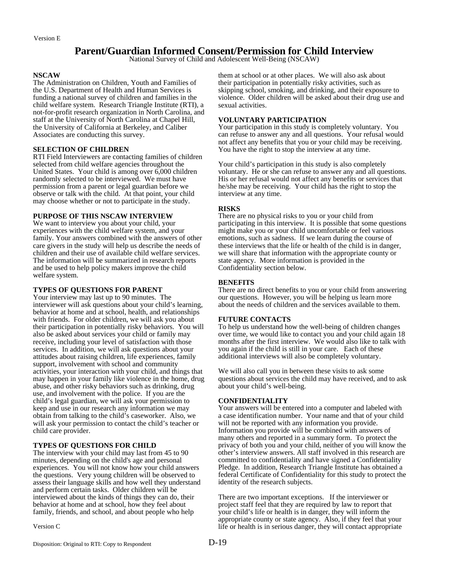### **Parent/Guardian Informed Consent/Permission for Child Interview**

National Survey of Child and Adolescent Well-Being (NSCAW)

#### **NSCAW**

The Administration on Children, Youth and Families of the U.S. Department of Health and Human Services is funding a national survey of children and families in the child welfare system. Research Triangle Institute (RTI), a not-for-profit research organization in North Carolina, and staff at the University of North Carolina at Chapel Hill, the University of California at Berkeley, and Caliber Associates are conducting this survey.

#### **SELECTION OF CHILDREN**

RTI Field Interviewers are contacting families of children selected from child welfare agencies throughout the United States. Your child is among over 6,000 children randomly selected to be interviewed. We must have permission from a parent or legal guardian before we observe or talk with the child. At that point, your child may choose whether or not to participate in the study.

#### **PURPOSE OF THIS NSCAW INTERVIEW**

We want to interview you about your child, your experiences with the child welfare system, and your family. Your answers combined with the answers of other care givers in the study will help us describe the needs of children and their use of available child welfare services. The information will be summarized in research reports and be used to help policy makers improve the child welfare system.

#### **TYPES OF QUESTIONS FOR PARENT**

Your interview may last up to 90 minutes. The interviewer will ask questions about your child's learning, behavior at home and at school, health, and relationships with friends. For older children, we will ask you about their participation in potentially risky behaviors. You will also be asked about services your child or family may receive, including your level of satisfaction with those services. In addition, we will ask questions about your attitudes about raising children, life experiences, family support, involvement with school and community activities, your interaction with your child, and things that may happen in your family like violence in the home, drug abuse, and other risky behaviors such as drinking, drug use, and involvement with the police. If you are the child's legal guardian, we will ask your permission to keep and use in our research any information we may obtain from talking to the child's caseworker. Also, we will ask your permission to contact the child's teacher or child care provider.

#### **TYPES OF QUESTIONS FOR CHILD**

The interview with your child may last from 45 to 90 minutes, depending on the child's age and personal experiences. You will not know how your child answers the questions. Very young children will be observed to assess their language skills and how well they understand and perform certain tasks. Older children will be interviewed about the kinds of things they can do, their behavior at home and at school, how they feel about family, friends, and school, and about people who help

Version C

them at school or at other places. We will also ask about their participation in potentially risky activities, such as skipping school, smoking, and drinking, and their exposure to violence. Older children will be asked about their drug use and sexual activities.

#### **VOLUNTARY PARTICIPATION**

Your participation in this study is completely voluntary. You can refuse to answer any and all questions. Your refusal would not affect any benefits that you or your child may be receiving. You have the right to stop the interview at any time.

Your child's participation in this study is also completely voluntary. He or she can refuse to answer any and all questions. His or her refusal would not affect any benefits or services that he/she may be receiving. Your child has the right to stop the interview at any time.

#### **RISKS**

There are no physical risks to you or your child from participating in this interview. It is possible that some questions might make you or your child uncomfortable or feel various emotions, such as sadness. If we learn during the course of these interviews that the life or health of the child is in danger, we will share that information with the appropriate county or state agency. More information is provided in the Confidentiality section below.

#### **BENEFITS**

There are no direct benefits to you or your child from answering our questions. However, you will be helping us learn more about the needs of children and the services available to them.

#### **FUTURE CONTACTS**

To help us understand how the well-being of children changes over time, we would like to contact you and your child again 18 months after the first interview. We would also like to talk with you again if the child is still in your care. Each of these additional interviews will also be completely voluntary.

We will also call you in between these visits to ask some questions about services the child may have received, and to ask about your child's well-being.

#### **CONFIDENTIALITY**

Your answers will be entered into a computer and labeled with a case identification number. Your name and that of your child will not be reported with any information you provide. Information you provide will be combined with answers of many others and reported in a summary form. To protect the privacy of both you and your child, neither of you will know the other's interview answers. All staff involved in this research are committed to confidentiality and have signed a Confidentiality Pledge. In addition, Research Triangle Institute has obtained a federal Certificate of Confidentiality for this study to protect the identity of the research subjects.

There are two important exceptions. If the interviewer or project staff feel that they are required by law to report that your child's life or health is in danger, they will inform the appropriate county or state agency. Also, if they feel that your life or health is in serious danger, they will contact appropriate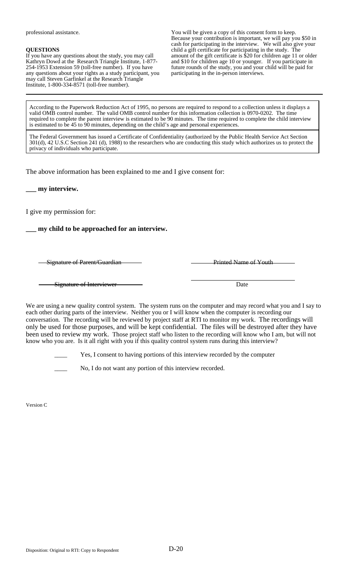professional assistance.

#### **QUESTIONS**

If you have any questions about the study, you may call Kathryn Dowd at the Research Triangle Institute, 1-877 254-1953 Extension 59 (toll-free number). If you have any questions about your rights as a study participant, you may call Steven Garfinkel at the Research Triangle Institute, 1-800-334-8571 (toll-free number).

You will be given a copy of this consent form to keep. Because your contribution is important, we will pay you \$50 in cash for participating in the interview. We will also give your child a gift certificate for participating in the study. The amount of the gift certificate is \$20 for children age 11 or older and \$10 for children age 10 or younger. If you participate in future rounds of the study, you and your child will be paid for participating in the in-person interviews.

According to the Paperwork Reduction Act of 1995, no persons are required to respond to a collection unless it displays a valid OMB control number. The valid OMB control number for this information collection is 0970-0202. The time required to complete the parent interview is estimated to be 90 minutes. The time required to complete the child interview is estimated to be 45 to 90 minutes, depending on the child's age and personal experiences.

The Federal Government has issued a Certificate of Confidentiality (authorized by the Public Health Service Act Section 301(d), 42 U.S.C Section 241 (d), 1988) to the researchers who are conducting this study which authorizes us to protect the privacy of individuals who participate.

The above information has been explained to me and I give consent for:

**\_\_\_ my interview.** 

I give my permission for:

**\_\_\_ my child to be approached for an interview.** 

Signature of Parent/Guardian **Printed Name of Youth** Printed Name of Youth

Signature of Interviewer Date

We are using a new quality control system. The system runs on the computer and may record what you and I say to each other during parts of the interview. Neither you or I will know when the computer is recording our conversation. The recording will be reviewed by project staff at RTI to monitor my work. The recordings will only be used for those purposes, and will be kept confidential. The files will be destroyed after they have been used to review my work. Those project staff who listen to the recording will know who I am, but will not know who you are. Is it all right with you if this quality control system runs during this interview?

Yes, I consent to having portions of this interview recorded by the computer

No, I do not want any portion of this interview recorded.

Version C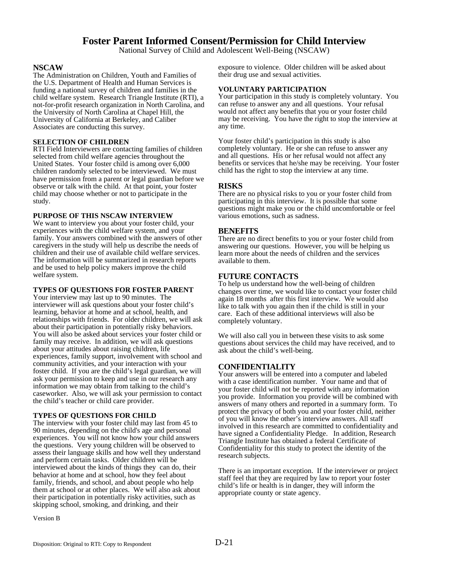### **Foster Parent Informed Consent/Permission for Child Interview**

National Survey of Child and Adolescent Well-Being (NSCAW)

#### **NSCAW**

The Administration on Children, Youth and Families of the U.S. Department of Health and Human Services is funding a national survey of children and families in the child welfare system. Research Triangle Institute (RTI), a not-for-profit research organization in North Carolina, and the University of North Carolina at Chapel Hill, the University of California at Berkeley, and Caliber Associates are conducting this survey.

#### **SELECTION OF CHILDREN**

RTI Field Interviewers are contacting families of children selected from child welfare agencies throughout the United States. Your foster child is among over 6,000 children randomly selected to be interviewed. We must have permission from a parent or legal guardian before we observe or talk with the child. At that point, your foster child may choose whether or not to participate in the study.

#### **PURPOSE OF THIS NSCAW INTERVIEW**

We want to interview you about your foster child, your experiences with the child welfare system, and your family. Your answers combined with the answers of other caregivers in the study will help us describe the needs of children and their use of available child welfare services. The information will be summarized in research reports and be used to help policy makers improve the child welfare system.

#### **TYPES OF QUESTIONS FOR FOSTER PARENT**

Your interview may last up to 90 minutes. The interviewer will ask questions about your foster child's learning, behavior at home and at school, health, and relationships with friends. For older children, we will ask about their participation in potentially risky behaviors. You will also be asked about services your foster child or family may receive. In addition, we will ask questions about your attitudes about raising children, life experiences, family support, involvement with school and community activities, and your interaction with your foster child. If you are the child's legal guardian, we will ask your permission to keep and use in our research any information we may obtain from talking to the child's caseworker. Also, we will ask your permission to contact the child's teacher or child care provider.

#### **TYPES OF QUESTIONS FOR CHILD**

The interview with your foster child may last from 45 to 90 minutes, depending on the child's age and personal experiences. You will not know how your child answers the questions. Very young children will be observed to assess their language skills and how well they understand and perform certain tasks. Older children will be interviewed about the kinds of things they can do, their behavior at home and at school, how they feel about family, friends, and school, and about people who help them at school or at other places. We will also ask about their participation in potentially risky activities, such as skipping school, smoking, and drinking, and their

Version B

exposure to violence. Older children will be asked about their drug use and sexual activities.

#### **VOLUNTARY PARTICIPATION**

Your participation in this study is completely voluntary. You can refuse to answer any and all questions. Your refusal would not affect any benefits that you or your foster child may be receiving. You have the right to stop the interview at any time.

Your foster child's participation in this study is also completely voluntary. He or she can refuse to answer any and all questions. His or her refusal would not affect any benefits or services that he/she may be receiving. Your foster child has the right to stop the interview at any time.

#### **RISKS**

There are no physical risks to you or your foster child from participating in this interview. It is possible that some questions might make you or the child uncomfortable or feel various emotions, such as sadness.

#### **BENEFITS**

There are no direct benefits to you or your foster child from answering our questions. However, you will be helping us learn more about the needs of children and the services available to them.

#### **FUTURE CONTACTS**

To help us understand how the well-being of children changes over time, we would like to contact your foster child again 18 months after this first interview. We would also like to talk with you again then if the child is still in your care. Each of these additional interviews will also be completely voluntary.

We will also call you in between these visits to ask some questions about services the child may have received, and to ask about the child's well-being.

#### **CONFIDENTIALITY**

Your answers will be entered into a computer and labeled with a case identification number. Your name and that of your foster child will not be reported with any information you provide. Information you provide will be combined with answers of many others and reported in a summary form. To protect the privacy of both you and your foster child, neither of you will know the other's interview answers. All staff involved in this research are committed to confidentiality and have signed a Confidentiality Pledge. In addition, Research Triangle Institute has obtained a federal Certificate of Confidentiality for this study to protect the identity of the research subjects.

There is an important exception. If the interviewer or project staff feel that they are required by law to report your foster child's life or health is in danger, they will inform the appropriate county or state agency.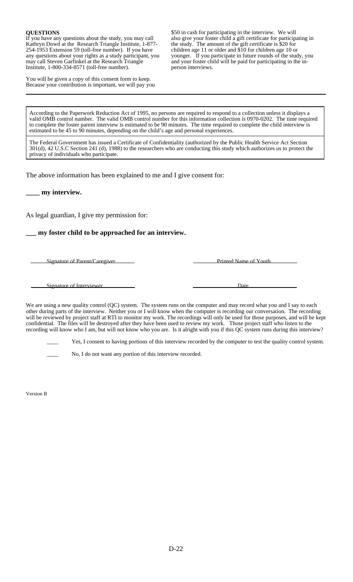#### **QUESTIONS**

If you have any questions about the study, you may call Kathryn Dowd at the Research Triangle Institute, 1-877 254-1953 Extension 59 (toll-free number). If you have any questions about your rights as a study participant, you may call Steven Garfinkel at the Research Triangle Institute, 1-800-334-8571 (toll-free number).

You will be given a copy of this consent form to keep. Because your contribution is important, we will pay you \$50 in cash for participating in the interview. We will also give your foster child a gift certificate for participating in the study. The amount of the gift certificate is \$20 for children age 11 or older and \$10 for children age 10 or younger. If you participate in future rounds of the study, you and your foster child will be paid for participating in the inperson interviews.

According to the Paperwork Reduction Act of 1995, no persons are required to respond to a collection unless it displays a valid OMB control number. The valid OMB control number for this information collection is 0970-0202. The time required to complete the foster parent interview is estimated to be 90 minutes. The time required to complete the child interview is estimated to be 45 to 90 minutes, depending on the child's age and personal experiences.

The Federal Government has issued a Certificate of Confidentiality (authorized by the Public Health Service Act Section 301(d), 42 U.S.C Section 241 (d), 1988) to the researchers who are conducting this study which authorizes us to protect the privacy of individuals who participate.

The above information has been explained to me and I give consent for:

**\_\_\_\_ my interview.** 

As legal guardian, I give my permission for:

### **\_\_\_ my foster child to be approached for an interview.**

Signature of Parent/Caregiver Printed Name of Youth

Signature of Interviewer **Date** 

We are using a new quality control (QC) system. The system runs on the computer and may record what you and I say to each other during parts of the interview. Neither you or I will know when the computer is recording our conversation. The recording will be reviewed by project staff at RTI to monitor my work. The recordings will only be used for those purposes, and will be kept confidential. The files will be destroyed after they have been used to review my work. Those project staff who listen to the recording will know who I am, but will not know who you are. Is it alright with you if this QC system runs during this interview?

Yes, I consent to having portions of this interview recorded by the computer to test the quality control system.

No, I do not want any portion of this interview recorded.

Version B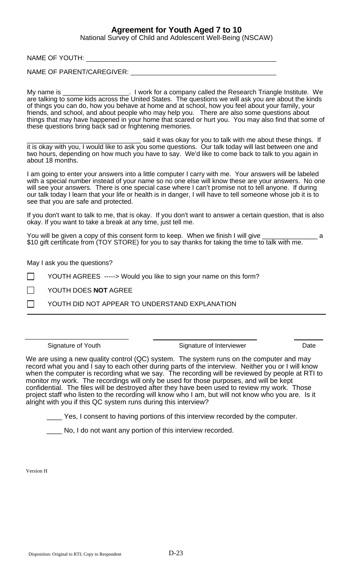## **Agreement for Youth Aged 7 to 10**

National Survey of Child and Adolescent Well-Being (NSCAW)

NAME OF YOUTH:

NAME OF PARENT/CAREGIVER:

My name is \_\_\_\_\_\_\_\_\_\_\_\_\_\_\_\_\_\_\_\_. I work for a company called the Research Triangle Institute. We are talking to some kids across the United States. The questions we will ask you are about the kinds of things you can do, how you behave at home and at school, how you feel about your family, your friends, and school, and about people who may help you. There are also some questions about things that may have happened in your home that scared or hurt you. You may also find that some of these questions bring back sad or frightening memories.

\_\_\_\_\_\_\_\_\_\_\_\_\_\_\_\_\_\_\_\_\_\_\_\_\_\_\_\_\_\_\_ said it was okay for you to talk with me about these things. If it is okay with you, I would like to ask you some questions. Our talk today will last between one and two hours, depending on how much you have to say. We'd like to come back to talk to you again in about 18 months.

I am going to enter your answers into a little computer I carry with me. Your answers will be labeled with a special number instead of your name so no one else will know these are your answers. No one will see your answers. There is one special case where I can't promise not to tell anyone. If during our talk today I learn that your life or health is in danger, I will have to tell someone whose job it is to see that you are safe and protected.

If you don't want to talk to me, that is okay. If you don't want to answer a certain question, that is also okay. If you want to take a break at any time, just tell me.

You will be given a copy of this consent form to keep. When we finish I will give \_\_\_\_\_\_\_\_\_\_\_\_\_\_\_\_\_\_\_\_\_\_\_\_\_\_\_\_ \$10 gift certificate from (TOY STORE) for you to say thanks for taking the time to talk with me.

May I ask you the questions?

YOUTH AGREES -----> Would you like to sign your name on this form?

YOUTH DOES **NOT** AGREE

YOUTH DID NOT APPEAR TO UNDERSTAND EXPLANATION

Signature of Youth **Signature of Interviewer** Date

We are using a new quality control (QC) system. The system runs on the computer and may record what you and I say to each other during parts of the interview. Neither you or I will know when the computer is recording what we say. The recording will be reviewed by people at RTI to monitor my work. The recordings will only be used for those purposes, and will be kept confidential. The files will be destroyed after they have been used to review my work. Those project staff who listen to the recording will know who I am, but will not know who you are. Is it alright with you if this QC system runs during this interview?

Yes, I consent to having portions of this interview recorded by the computer.

No, I do not want any portion of this interview recorded.

Version H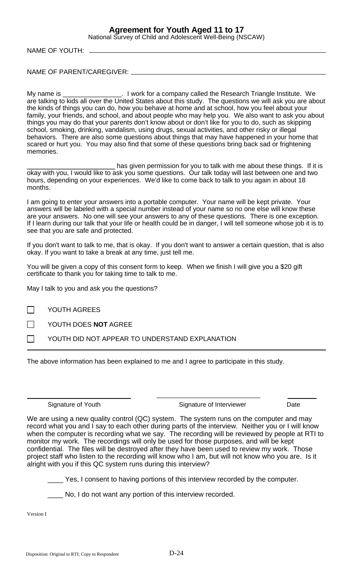## **Agreement for Youth Aged 11 to 17**

National Survey of Child and Adolescent Well-Being (NSCAW)

NAME OF YOUTH:

NAME OF PARENT/CAREGIVER:

My name is \_\_\_\_\_\_\_\_\_\_\_\_\_\_\_\_\_. I work for a company called the Research Triangle Institute. We are talking to kids all over the United States about this study. The questions we will ask you are about the kinds of things you can do, how you behave at home and at school, how you feel about your family, your friends, and school, and about people who may help you. We also want to ask you about things you may do that your parents don't know about or don't like for you to do, such as skipping school, smoking, drinking, vandalism, using drugs, sexual activities, and other risky or illegal behaviors. There are also some questions about things that may have happened in your home that scared or hurt you. You may also find that some of these questions bring back sad or frightening memories.

has given permission for you to talk with me about these things. If it is okay with you, I would like to ask you some questions. Our talk today will last between one and two hours, depending on your experiences. We'd like to come back to talk to you again in about 18 months.

I am going to enter your answers into a portable computer. Your name will be kept private. Your answers will be labeled with a special number instead of your name so no one else will know these are your answers. No one will see your answers to any of these questions. There is one exception. If I learn during our talk that your life or health could be in danger, I will tell someone whose job it is to see that you are safe and protected.

If you don't want to talk to me, that is okay. If you don't want to answer a certain question, that is also okay. If you want to take a break at any time, just tell me.

You will be given a copy of this consent form to keep. When we finish I will give you a \$20 gift certificate to thank you for taking time to talk to me.

May I talk to you and ask you the questions?

YOUTH AGREES

YOUTH DOES **NOT** AGREE

YOUTH DID NOT APPEAR TO UNDERSTAND EXPLANATION . .

The above information has been explained to me and I agree to participate in this study.

Signature of Youth Signature of Interviewer Date

We are using a new quality control (QC) system. The system runs on the computer and may record what you and I say to each other during parts of the interview. Neither you or I will know when the computer is recording what we say. The recording will be reviewed by people at RTI to monitor my work. The recordings will only be used for those purposes, and will be kept confidential. The files will be destroyed after they have been used to review my work. Those project staff who listen to the recording will know who I am, but will not know who you are. Is it alright with you if this QC system runs during this interview?

\_\_\_\_ Yes, I consent to having portions of this interview recorded by the computer.

No, I do not want any portion of this interview recorded.

Version I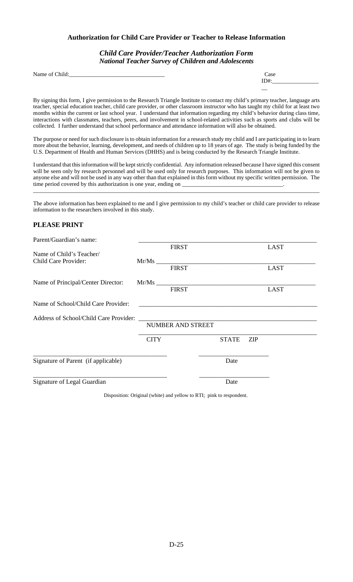### **Authorization for Child Care Provider or Teacher to Release Information**

### *Child Care Provider/Teacher Authorization Form National Teacher Survey of Children and Adolescents*

| Name of (<br>$\epsilon$ Child: | 000 |
|--------------------------------|-----|

| Case |  |  |
|------|--|--|
| ID#: |  |  |
|      |  |  |
|      |  |  |

 By signing this form, I give permission to the Research Triangle Institute to contact my child's primary teacher, language arts teacher, special education teacher, child care provider, or other classroom instructor who has taught my child for at least two months within the current or last school year. I understand that information regarding my child's behavior during class time, interactions with classmates, teachers, peers, and involvement in school-related activities such as sports and clubs will be collected. I further understand that school performance and attendance information will also be obtained.

 The purpose or need for such disclosure is to obtain information for a research study my child and I are participating in to learn more about the behavior, learning, development, and needs of children up to 18 years of age. The study is being funded by the U.S. Department of Health and Human Services (DHHS) and is being conducted by the Research Triangle Institute.

 I understand that this information will be kept strictly confidential. Any information released because I have signed this consent will be seen only by research personnel and will be used only for research purposes. This information will not be given to anyone else and will not be used in any way other than that explained in this form without my specific written permission. The time period covered by this authorization is one year, ending on

\_\_\_\_\_\_\_\_\_\_\_\_\_\_\_\_\_\_\_\_\_\_\_\_\_\_\_\_\_\_\_\_\_\_\_\_\_\_\_\_\_\_\_\_\_\_\_\_\_\_\_\_\_\_\_\_\_\_\_\_\_\_\_\_\_\_\_\_\_\_\_\_\_\_\_\_\_\_\_\_\_\_\_\_\_\_\_\_\_\_\_\_\_\_\_\_\_\_\_

 The above information has been explained to me and I give permission to my child's teacher or child care provider to release information to the researchers involved in this study.

### **PLEASE PRINT**

| Parent/Guardian's name:                |             |                   |              |            |             |
|----------------------------------------|-------------|-------------------|--------------|------------|-------------|
|                                        |             | <b>FIRST</b>      |              |            | <b>LAST</b> |
| Name of Child's Teacher/               |             |                   |              |            |             |
| Child Care Provider:                   |             |                   |              |            |             |
|                                        |             | <b>FIRST</b>      |              |            | <b>LAST</b> |
| Name of Principal/Center Director:     |             | Mr/Ms             |              |            |             |
|                                        |             | <b>FIRST</b>      |              |            | <b>LAST</b> |
| Name of School/Child Care Provider:    |             |                   |              |            |             |
| Address of School/Child Care Provider: |             |                   |              |            |             |
|                                        |             | NUMBER AND STREET |              |            |             |
|                                        | <b>CITY</b> |                   | <b>STATE</b> | <b>ZIP</b> |             |
| Signature of Parent (if applicable)    |             |                   | Date         |            |             |
|                                        |             |                   |              |            |             |
| Signature of Legal Guardian            |             |                   | Date         |            |             |

Disposition: Original (white) and yellow to RTI; pink to respondent.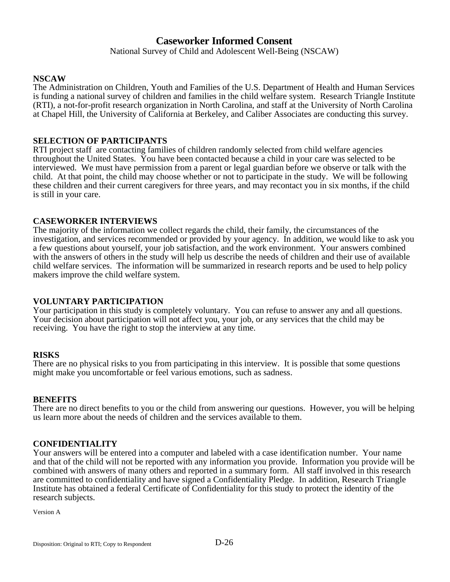### **Caseworker Informed Consent**

National Survey of Child and Adolescent Well-Being (NSCAW)

#### **NSCAW**

The Administration on Children, Youth and Families of the U.S. Department of Health and Human Services is funding a national survey of children and families in the child welfare system. Research Triangle Institute (RTI), a not-for-profit research organization in North Carolina, and staff at the University of North Carolina at Chapel Hill, the University of California at Berkeley, and Caliber Associates are conducting this survey.

#### **SELECTION OF PARTICIPANTS**

RTI project staff are contacting families of children randomly selected from child welfare agencies throughout the United States. You have been contacted because a child in your care was selected to be interviewed. We must have permission from a parent or legal guardian before we observe or talk with the child. At that point, the child may choose whether or not to participate in the study. We will be following these children and their current caregivers for three years, and may recontact you in six months, if the child is still in your care.

#### **CASEWORKER INTERVIEWS**

The majority of the information we collect regards the child, their family, the circumstances of the investigation, and services recommended or provided by your agency. In addition, we would like to ask you a few questions about yourself, your job satisfaction, and the work environment. Your answers combined with the answers of others in the study will help us describe the needs of children and their use of available child welfare services. The information will be summarized in research reports and be used to help policy makers improve the child welfare system.

#### **VOLUNTARY PARTICIPATION**

Your participation in this study is completely voluntary. You can refuse to answer any and all questions. Your decision about participation will not affect you, your job, or any services that the child may be receiving. You have the right to stop the interview at any time.

#### **RISKS**

There are no physical risks to you from participating in this interview. It is possible that some questions might make you uncomfortable or feel various emotions, such as sadness.

#### **BENEFITS**

There are no direct benefits to you or the child from answering our questions. However, you will be helping us learn more about the needs of children and the services available to them.

#### **CONFIDENTIALITY**

Your answers will be entered into a computer and labeled with a case identification number. Your name and that of the child will not be reported with any information you provide. Information you provide will be combined with answers of many others and reported in a summary form. All staff involved in this research are committed to confidentiality and have signed a Confidentiality Pledge. In addition, Research Triangle Institute has obtained a federal Certificate of Confidentiality for this study to protect the identity of the research subjects.

Version A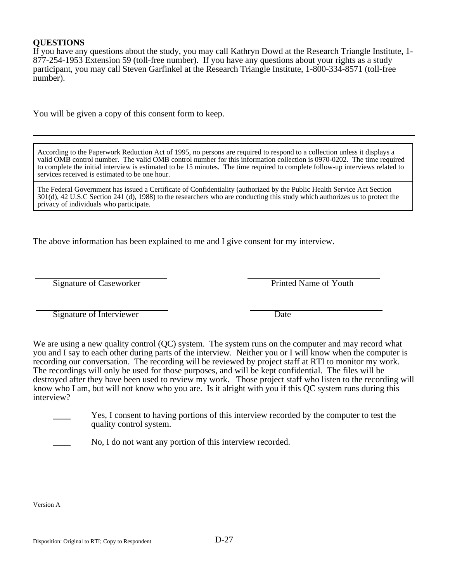### **QUESTIONS**

If you have any questions about the study, you may call Kathryn Dowd at the Research Triangle Institute, 1 877-254-1953 Extension 59 (toll-free number). If you have any questions about your rights as a study participant, you may call Steven Garfinkel at the Research Triangle Institute, 1-800-334-8571 (toll-free number).

You will be given a copy of this consent form to keep.

According to the Paperwork Reduction Act of 1995, no persons are required to respond to a collection unless it displays a valid OMB control number. The valid OMB control number for this information collection is 0970-0202. The time required to complete the initial interview is estimated to be 15 minutes. The time required to complete follow-up interviews related to services received is estimated to be one hour.

The Federal Government has issued a Certificate of Confidentiality (authorized by the Public Health Service Act Section 301(d), 42 U.S.C Section 241 (d), 1988) to the researchers who are conducting this study which authorizes us to protect the privacy of individuals who participate.

The above information has been explained to me and I give consent for my interview.

Signature of Caseworker Printed Name of Youth

Signature of Interviewer Date

We are using a new quality control (QC) system. The system runs on the computer and may record what you and I say to each other during parts of the interview. Neither you or I will know when the computer is recording our conversation. The recording will be reviewed by project staff at RTI to monitor my work. The recordings will only be used for those purposes, and will be kept confidential. The files will be destroyed after they have been used to review my work. Those project staff who listen to the recording will know who I am, but will not know who you are. Is it alright with you if this QC system runs during this interview?

٦

Yes, I consent to having portions of this interview recorded by the computer to test the quality control system.

No, I do not want any portion of this interview recorded.

Version A

 $\overline{a}$ 

 $\overline{a}$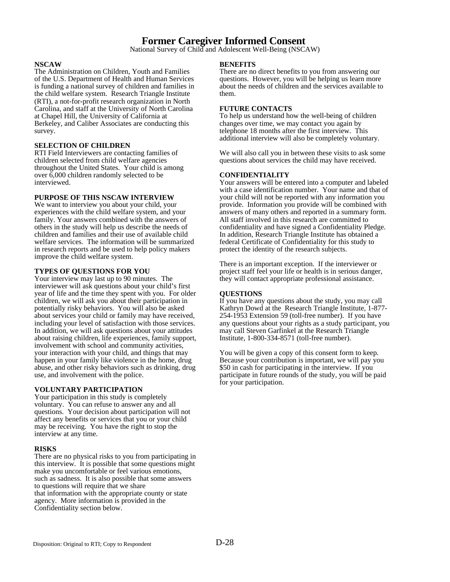### **Former Caregiver Informed Consent**

National Survey of Child and Adolescent Well-Being (NSCAW)

#### **NSCAW**

The Administration on Children, Youth and Families of the U.S. Department of Health and Human Services is funding a national survey of children and families in the child welfare system. Research Triangle Institute (RTI), a not-for-profit research organization in North Carolina, and staff at the University of North Carolina at Chapel Hill, the University of California at Berkeley, and Caliber Associates are conducting this survey.

#### **SELECTION OF CHILDREN**

RTI Field Interviewers are contacting families of children selected from child welfare agencies throughout the United States. Your child is among over  $6,000$  children randomly selected to be interviewed.

#### **PURPOSE OF THIS NSCAW INTERVIEW**

We want to interview you about your child, your experiences with the child welfare system, and your family. Your answers combined with the answers of others in the study will help us describe the needs of children and families and their use of available child welfare services. The information will be summarized in research reports and be used to help policy makers improve the child welfare system.

#### **TYPES OF QUESTIONS FOR YOU**

Your interview may last up to 90 minutes. The interviewer will ask questions about your child's first year of life and the time they spent with you. For older children, we will ask you about their participation in potentially risky behaviors. You will also be asked about services your child or family may have received, including your level of satisfaction with those services. In addition, we will ask questions about your attitudes about raising children, life experiences, family support, involvement with school and community activities, your interaction with your child, and things that may happen in your family like violence in the home, drug abuse, and other risky behaviors such as drinking, drug use, and involvement with the police.

#### **VOLUNTARY PARTICIPATION**

Your participation in this study is completely voluntary. You can refuse to answer any and all questions. Your decision about participation will not affect any benefits or services that you or your child may be receiving. You have the right to stop the interview at any time.

#### **RISKS**

There are no physical risks to you from participating in this interview. It is possible that some questions might make you uncomfortable or feel various emotions, such as sadness. It is also possible that some answers to questions will require that we share that information with the appropriate county or state agency. More information is provided in the Confidentiality section below.

#### **BENEFITS**

There are no direct benefits to you from answering our questions. However, you will be helping us learn more about the needs of children and the services available to them.

#### **FUTURE CONTACTS**

To help us understand how the well-being of children changes over time, we may contact you again by telephone 18 months after the first interview. This additional interview will also be completely voluntary.

We will also call you in between these visits to ask some questions about services the child may have received.

#### **CONFIDENTIALITY**

Your answers will be entered into a computer and labeled with a case identification number. Your name and that of your child will not be reported with any information you provide. Information you provide will be combined with answers of many others and reported in a summary form. All staff involved in this research are committed to confidentiality and have signed a Confidentiality Pledge. In addition, Research Triangle Institute has obtained a federal Certificate of Confidentiality for this study to protect the identity of the research subjects.

There is an important exception. If the interviewer or project staff feel your life or health is in serious danger, they will contact appropriate professional assistance.

#### **QUESTIONS**

If you have any questions about the study, you may call Kathryn Dowd at the Research Triangle Institute, 1-877 254-1953 Extension 59 (toll-free number). If you have any questions about your rights as a study participant, you may call Steven Garfinkel at the Research Triangle Institute, 1-800-334-8571 (toll-free number).

You will be given a copy of this consent form to keep. Because your contribution is important, we will pay you \$50 in cash for participating in the interview. If you participate in future rounds of the study, you will be paid for your participation.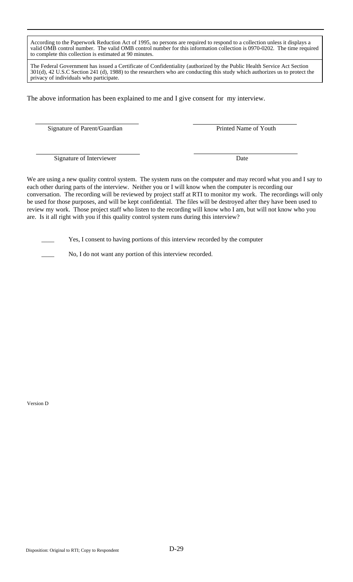According to the Paperwork Reduction Act of 1995, no persons are required to respond to a collection unless it displays a valid OMB control number. The valid OMB control number for this information collection is 0970-0202. The time required to complete this collection is estimated at 90 minutes.

The Federal Government has issued a Certificate of Confidentiality (authorized by the Public Health Service Act Section 301(d), 42 U.S.C Section 241 (d), 1988) to the researchers who are conducting this study which authorizes us to protect the privacy of individuals who participate.

The above information has been explained to me and I give consent for my interview.

Signature of Parent/Guardian Printed Name of Youth

Signature of Interviewer Date

We are using a new quality control system. The system runs on the computer and may record what you and I say to each other during parts of the interview. Neither you or I will know when the computer is recording our conversation. The recording will be reviewed by project staff at RTI to monitor my work. The recordings will only be used for those purposes, and will be kept confidential. The files will be destroyed after they have been used to review my work. Those project staff who listen to the recording will know who I am, but will not know who you are. Is it all right with you if this quality control system runs during this interview?

Yes, I consent to having portions of this interview recorded by the computer

No, I do not want any portion of this interview recorded.

Version D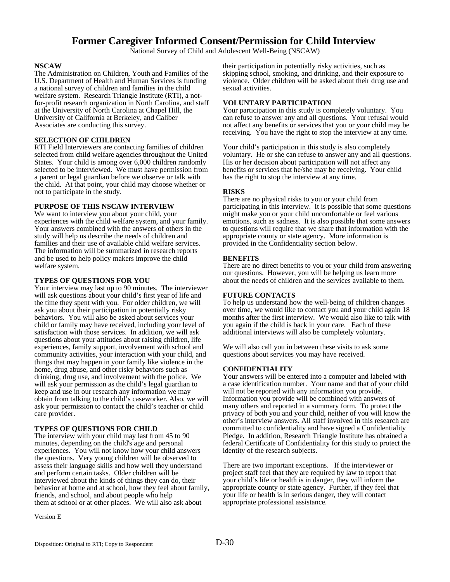# **Former Caregiver Informed Consent/Permission for Child Interview**

National Survey of Child and Adolescent Well-Being (NSCAW)

### **NSCAW**

The Administration on Children, Youth and Families of the U.S. Department of Health and Human Services is funding a national survey of children and families in the child welfare system. Research Triangle Institute (RTI), a notfor-profit research organization in North Carolina, and staff at the University of North Carolina at Chapel Hill, the University of California at Berkeley, and Caliber Associates are conducting this survey.

### **SELECTION OF CHILDREN**

RTI Field Interviewers are contacting families of children selected from child welfare agencies throughout the United States. Your child is among over 6,000 children randomly selected to be interviewed. We must have permission from a parent or legal guardian before we observe or talk with the child. At that point, your child may choose whether or not to participate in the study.

# **PURPOSE OF THIS NSCAW INTERVIEW**

We want to interview you about your child, your experiences with the child welfare system, and your family. Your answers combined with the answers of others in the study will help us describe the needs of children and families and their use of available child welfare services. The information will be summarized in research reports and be used to help policy makers improve the child welfare system.

# **TYPES OF QUESTIONS FOR YOU**

Your interview may last up to 90 minutes. The interviewer will ask questions about your child's first year of life and the time they spent with you. For older children, we will ask you about their participation in potentially risky behaviors. You will also be asked about services your child or family may have received, including your level of satisfaction with those services. In addition, we will ask questions about your attitudes about raising children, life experiences, family support, involvement with school and community activities, your interaction with your child, and things that may happen in your family like violence in the home, drug abuse, and other risky behaviors such as drinking, drug use, and involvement with the police. We will ask your permission as the child's legal guardian to keep and use in our research any information we may obtain from talking to the child's caseworker. Also, we will ask your permission to contact the child's teacher or child care provider.

# **TYPES OF QUESTIONS FOR CHILD**

The interview with your child may last from 45 to 90 minutes, depending on the child's age and personal experiences. You will not know how your child answers the questions. Very young children will be observed to assess their language skills and how well they understand and perform certain tasks. Older children will be interviewed about the kinds of things they can do, their behavior at home and at school, how they feel about family, friends, and school, and about people who help them at school or at other places. We will also ask about

Version E

their participation in potentially risky activities, such as skipping school, smoking, and drinking, and their exposure to violence. Older children will be asked about their drug use and sexual activities.

# **VOLUNTARY PARTICIPATION**

Your participation in this study is completely voluntary. You can refuse to answer any and all questions. Your refusal would not affect any benefits or services that you or your child may be receiving. You have the right to stop the interview at any time.

Your child's participation in this study is also completely voluntary. He or she can refuse to answer any and all questions. His or her decision about participation will not affect any benefits or services that he/she may be receiving. Your child has the right to stop the interview at any time.

# **RISKS**

There are no physical risks to you or your child from participating in this interview. It is possible that some questions might make you or your child uncomfortable or feel various emotions, such as sadness. It is also possible that some answers to questions will require that we share that information with the appropriate county or state agency. More information is provided in the Confidentiality section below.

# **BENEFITS**

There are no direct benefits to you or your child from answering our questions. However, you will be helping us learn more about the needs of children and the services available to them.

# **FUTURE CONTACTS**

To help us understand how the well-being of children changes over time, we would like to contact you and your child again 18 months after the first interview. We would also like to talk with you again if the child is back in your care. Each of these additional interviews will also be completely voluntary.

We will also call you in between these visits to ask some questions about services you may have received.

# **CONFIDENTIALITY**

Your answers will be entered into a computer and labeled with a case identification number. Your name and that of your child will not be reported with any information you provide. Information you provide will be combined with answers of many others and reported in a summary form. To protect the privacy of both you and your child, neither of you will know the other's interview answers. All staff involved in this research are committed to confidentiality and have signed a Confidentiality Pledge. In addition, Research Triangle Institute has obtained a federal Certificate of Confidentiality for this study to protect the identity of the research subjects.

There are two important exceptions. If the interviewer or project staff feel that they are required by law to report that your child's life or health is in danger, they will inform the appropriate county or state agency. Further, if they feel that your life or health is in serious danger, they will contact appropriate professional assistance.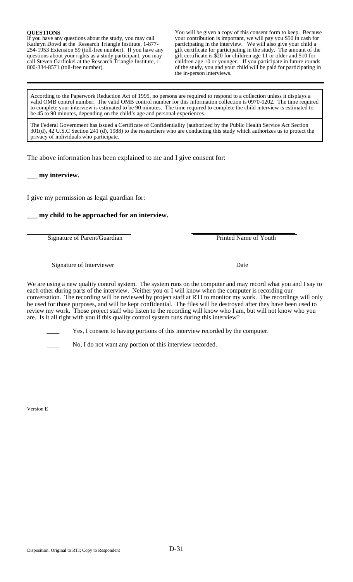**QUESTIONS You will be given a copy of this consent form to keep. Because** If you have any questions about the study, you may call **your contribution is important**, we will pay you \$50 in cash for If you have any questions about the study, you may call your contribution is important, we will pay you \$50 in cash for Kathryn Dowd at the Research Triangle Institute, 1-877- participating in the interview. We will also give your child a 254-1953 Extension 59 (toll-free number). If you have any gift certificate for participating in the study. The amount of the questions about your rights as a study participant, you may gift certificate is \$20 for children age 11 or older and \$10 for call Steven Garfinkel at the Research Triangle Institute, 1- children age 10 or younger. If you participate in future rounds 800-334-8571 (toll-free number). of the study, you and your child will be paid for participating in the in-person interviews.

According to the Paperwork Reduction Act of 1995, no persons are required to respond to a collection unless it displays a valid OMB control number. The valid OMB control number for this information collection is 0970-0202. The time required to complete your interview is estimated to be 90 minutes. The time required to complete the child interview is estimated to be 45 to 90 minutes, depending on the child's age and personal experiences.

The Federal Government has issued a Certificate of Confidentiality (authorized by the Public Health Service Act Section 301(d), 42 U.S.C Section 241 (d), 1988) to the researchers who are conducting this study which authorizes us to protect the privacy of individuals who participate.

The above information has been explained to me and I give consent for:

**\_\_\_ my interview.** 

I give my permission as legal guardian for:

**\_\_\_ my child to be approached for an interview.** 

Signature of Parent/Guardian **Princed Name of Youth** Printed Name of Youth

Signature of Interviewer Date

We are using a new quality control system. The system runs on the computer and may record what you and I say to each other during parts of the interview. Neither you or I will know when the computer is recording our conversation. The recording will be reviewed by project staff at RTI to monitor my work. The recordings will only be used for those purposes, and will be kept confidential. The files will be destroyed after they have been used to review my work. Those project staff who listen to the recording will know who I am, but will not know who you are. Is it all right with you if this quality control system runs during this interview?

Yes, I consent to having portions of this interview recorded by the computer.

No, I do not want any portion of this interview recorded.

Version E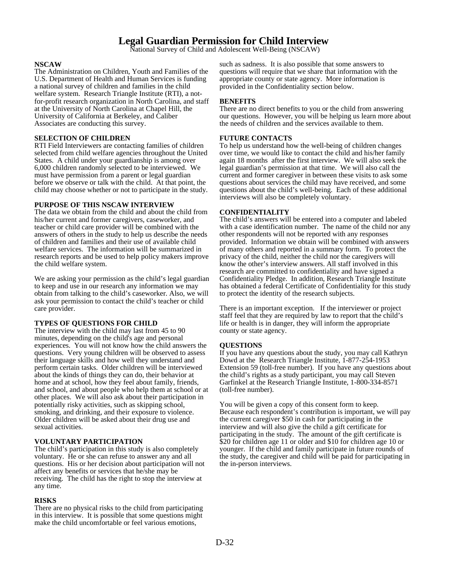# **Legal Guardian Permission for Child Interview**

National Survey of Child and Adolescent Well-Being (NSCAW)

### **NSCAW**

The Administration on Children, Youth and Families of the U.S. Department of Health and Human Services is funding a national survey of children and families in the child welfare system. Research Triangle Institute (RTI), a notfor-profit research organization in North Carolina, and staff at the University of North Carolina at Chapel Hill, the University of California at Berkeley, and Caliber Associates are conducting this survey.

# **SELECTION OF CHILDREN**

RTI Field Interviewers are contacting families of children selected from child welfare agencies throughout the United States. A child under your guardianship is among over 6,000 children randomly selected to be interviewed. We must have permission from a parent or legal guardian before we observe or talk with the child. At that point, the child may choose whether or not to participate in the study.

### **PURPOSE OF THIS NSCAW INTERVIEW**

The data we obtain from the child and about the child from his/her current and former caregivers, caseworker, and teacher or child care provider will be combined with the answers of others in the study to help us describe the needs of children and families and their use of available child welfare services. The information will be summarized in research reports and be used to help policy makers improve the child welfare system.

We are asking your permission as the child's legal guardian to keep and use in our research any information we may obtain from talking to the child's caseworker. Also, we will ask your permission to contact the child's teacher or child care provider.

# **TYPES OF QUESTIONS FOR CHILD**

The interview with the child may last from 45 to 90 minutes, depending on the child's age and personal experiences. You will not know how the child answers the questions. Very young children will be observed to assess their language skills and how well they understand and perform certain tasks. Older children will be interviewed about the kinds of things they can do, their behavior at home and at school, how they feel about family, friends, and school, and about people who help them at school or at other places. We will also ask about their participation in potentially risky activities, such as skipping school, smoking, and drinking, and their exposure to violence. Older children will be asked about their drug use and sexual activities.

#### **VOLUNTARY PARTICIPATION**

The child's participation in this study is also completely voluntary. He or she can refuse to answer any and all questions. His or her decision about participation will not affect any benefits or services that he/she may be receiving. The child has the right to stop the interview at any time.

### **RISKS**

There are no physical risks to the child from participating in this interview. It is possible that some questions might make the child uncomfortable or feel various emotions,

such as sadness. It is also possible that some answers to questions will require that we share that information with the appropriate county or state agency. More information is provided in the Confidentiality section below.

# **BENEFITS**

There are no direct benefits to you or the child from answering our questions. However, you will be helping us learn more about the needs of children and the services available to them.

### **FUTURE CONTACTS**

To help us understand how the well-being of children changes over time, we would like to contact the child and his/her family again 18 months after the first interview. We will also seek the legal guardian's permission at that time. We will also call the current and former caregiver in between these visits to ask some questions about services the child may have received, and some questions about the child's well-being. Each of these additional interviews will also be completely voluntary.

### **CONFIDENTIALITY**

The child's answers will be entered into a computer and labeled with a case identification number. The name of the child nor any other respondents will not be reported with any responses provided. Information we obtain will be combined with answers of many others and reported in a summary form. To protect the privacy of the child, neither the child nor the caregivers will know the other's interview answers. All staff involved in this research are committed to confidentiality and have signed a Confidentiality Pledge. In addition, Research Triangle Institute has obtained a federal Certificate of Confidentiality for this study to protect the identity of the research subjects.

There is an important exception. If the interviewer or project staff feel that they are required by law to report that the child's life or health is in danger, they will inform the appropriate county or state agency.

# **QUESTIONS**

If you have any questions about the study, you may call Kathryn Dowd at the Research Triangle Institute, 1-877-254-1953 Extension 59 (toll-free number). If you have any questions about the child's rights as a study participant, you may call Steven Garfinkel at the Research Triangle Institute, 1-800-334-8571 (toll-free number).

You will be given a copy of this consent form to keep. Because each respondent's contribution is important, we will pay the current caregiver \$50 in cash for participating in the interview and will also give the child a gift certificate for participating in the study. The amount of the gift certificate is \$20 for children age 11 or older and \$10 for children age 10 or younger. If the child and family participate in future rounds of the study, the caregiver and child will be paid for participating in the in-person interviews.